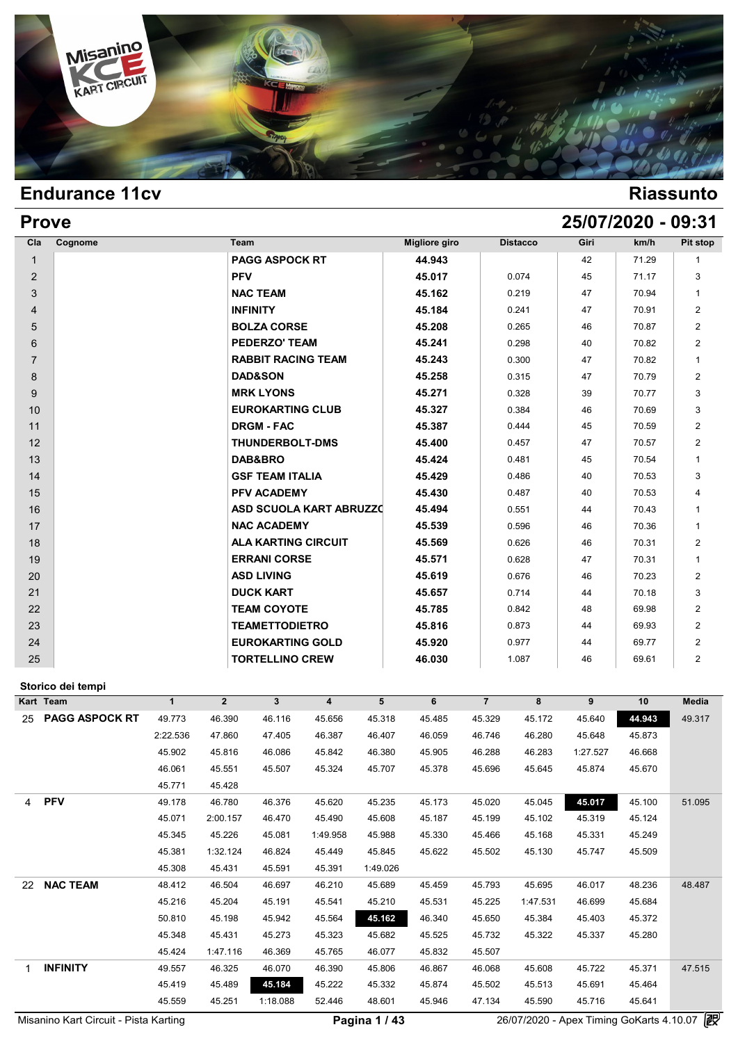

| <b>Prove</b>   |         |                                |                      |                 |      | 25/07/2020 - 09:31 |                |
|----------------|---------|--------------------------------|----------------------|-----------------|------|--------------------|----------------|
| Cla            | Cognome | Team                           | <b>Migliore giro</b> | <b>Distacco</b> | Giri | km/h               | Pit stop       |
| $\mathbf{1}$   |         | <b>PAGG ASPOCK RT</b>          | 44.943               |                 | 42   | 71.29              | 1              |
| 2              |         | <b>PFV</b>                     | 45.017               | 0.074           | 45   | 71.17              | 3              |
| 3              |         | <b>NAC TEAM</b>                | 45.162               | 0.219           | 47   | 70.94              | 1              |
| 4              |         | <b>INFINITY</b>                | 45.184               | 0.241           | 47   | 70.91              | $\overline{2}$ |
| 5              |         | <b>BOLZA CORSE</b>             | 45.208               | 0.265           | 46   | 70.87              | $\overline{2}$ |
| 6              |         | <b>PEDERZO' TEAM</b>           | 45.241               | 0.298           | 40   | 70.82              | $\overline{2}$ |
| $\overline{7}$ |         | <b>RABBIT RACING TEAM</b>      | 45.243               | 0.300           | 47   | 70.82              | $\mathbf{1}$   |
| 8              |         | <b>DAD&amp;SON</b>             | 45.258               | 0.315           | 47   | 70.79              | $\overline{2}$ |
| 9              |         | <b>MRK LYONS</b>               | 45.271               | 0.328           | 39   | 70.77              | 3              |
| 10             |         | <b>EUROKARTING CLUB</b>        | 45.327               | 0.384           | 46   | 70.69              | 3              |
| 11             |         | <b>DRGM - FAC</b>              | 45.387               | 0.444           | 45   | 70.59              | $\overline{2}$ |
| 12             |         | <b>THUNDERBOLT-DMS</b>         | 45.400               | 0.457           | 47   | 70.57              | $\overline{2}$ |
| 13             |         | DAB&BRO                        | 45.424               | 0.481           | 45   | 70.54              | $\mathbf{1}$   |
| 14             |         | <b>GSF TEAM ITALIA</b>         | 45.429               | 0.486           | 40   | 70.53              | 3              |
| 15             |         | PFV ACADEMY                    | 45.430               | 0.487           | 40   | 70.53              | 4              |
| 16             |         | <b>ASD SCUOLA KART ABRUZZO</b> | 45.494               | 0.551           | 44   | 70.43              | $\mathbf{1}$   |
| 17             |         | <b>NAC ACADEMY</b>             | 45.539               | 0.596           | 46   | 70.36              | $\mathbf{1}$   |
| 18             |         | <b>ALA KARTING CIRCUIT</b>     | 45.569               | 0.626           | 46   | 70.31              | $\overline{2}$ |
| 19             |         | <b>ERRANI CORSE</b>            | 45.571               | 0.628           | 47   | 70.31              | $\mathbf{1}$   |
| 20             |         | <b>ASD LIVING</b>              | 45.619               | 0.676           | 46   | 70.23              | $\overline{2}$ |
| 21             |         | <b>DUCK KART</b>               | 45.657               | 0.714           | 44   | 70.18              | 3              |
| 22             |         | <b>TEAM COYOTE</b>             | 45.785               | 0.842           | 48   | 69.98              | $\overline{2}$ |
| 23             |         | <b>TEAMETTODIETRO</b>          | 45.816               | 0.873           | 44   | 69.93              | $\overline{2}$ |
| 24             |         | <b>EUROKARTING GOLD</b>        | 45.920               | 0.977           | 44   | 69.77              | $\overline{2}$ |
| 25             |         | <b>TORTELLINO CREW</b>         | 46.030               | 1.087           | 46   | 69.61              | $\overline{2}$ |

### **Storico dei tempi**

| Storico dei tempi            |              |                |          |          |          |        |                |          |          |        |        |
|------------------------------|--------------|----------------|----------|----------|----------|--------|----------------|----------|----------|--------|--------|
| Kart Team                    | $\mathbf{1}$ | $\overline{2}$ | 3        | 4        | 5        | 6      | $\overline{7}$ | 8        | 9        | 10     | Media  |
| <b>PAGG ASPOCK RT</b><br>25  | 49.773       | 46.390         | 46.116   | 45.656   | 45.318   | 45.485 | 45.329         | 45.172   | 45.640   | 44.943 | 49.317 |
|                              | 2:22.536     | 47.860         | 47.405   | 46.387   | 46.407   | 46.059 | 46.746         | 46.280   | 45.648   | 45.873 |        |
|                              | 45.902       | 45.816         | 46.086   | 45.842   | 46.380   | 45.905 | 46.288         | 46.283   | 1:27.527 | 46.668 |        |
|                              | 46.061       | 45.551         | 45.507   | 45.324   | 45.707   | 45.378 | 45.696         | 45.645   | 45.874   | 45.670 |        |
|                              | 45.771       | 45.428         |          |          |          |        |                |          |          |        |        |
| <b>PFV</b><br>$\overline{4}$ | 49.178       | 46.780         | 46.376   | 45.620   | 45.235   | 45.173 | 45.020         | 45.045   | 45.017   | 45.100 | 51.095 |
|                              | 45.071       | 2:00.157       | 46.470   | 45.490   | 45.608   | 45.187 | 45.199         | 45.102   | 45.319   | 45.124 |        |
|                              | 45.345       | 45.226         | 45.081   | 1:49.958 | 45.988   | 45.330 | 45.466         | 45.168   | 45.331   | 45.249 |        |
|                              | 45.381       | 1:32.124       | 46.824   | 45.449   | 45.845   | 45.622 | 45.502         | 45.130   | 45.747   | 45.509 |        |
|                              | 45.308       | 45.431         | 45.591   | 45.391   | 1:49.026 |        |                |          |          |        |        |
| <b>NAC TEAM</b><br>22        | 48.412       | 46.504         | 46.697   | 46.210   | 45.689   | 45.459 | 45.793         | 45.695   | 46.017   | 48.236 | 48.487 |
|                              | 45.216       | 45.204         | 45.191   | 45.541   | 45.210   | 45.531 | 45.225         | 1:47.531 | 46.699   | 45.684 |        |
|                              | 50.810       | 45.198         | 45.942   | 45.564   | 45.162   | 46.340 | 45.650         | 45.384   | 45.403   | 45.372 |        |
|                              | 45.348       | 45.431         | 45.273   | 45.323   | 45.682   | 45.525 | 45.732         | 45.322   | 45.337   | 45.280 |        |
|                              | 45.424       | 1:47.116       | 46.369   | 45.765   | 46.077   | 45.832 | 45.507         |          |          |        |        |
| <b>INFINITY</b><br>1         | 49.557       | 46.325         | 46.070   | 46.390   | 45.806   | 46.867 | 46.068         | 45.608   | 45.722   | 45.371 | 47.515 |
|                              | 45.419       | 45.489         | 45.184   | 45.222   | 45.332   | 45.874 | 45.502         | 45.513   | 45.691   | 45.464 |        |
|                              | 45.559       | 45.251         | 1:18.088 | 52.446   | 48.601   | 45.946 | 47.134         | 45.590   | 45.716   | 45.641 |        |

Misanino Kart Circuit - Pista Karting **Pagina 1 / 43** 26/07/2020 - Apex Timing GoKarts 4.10.07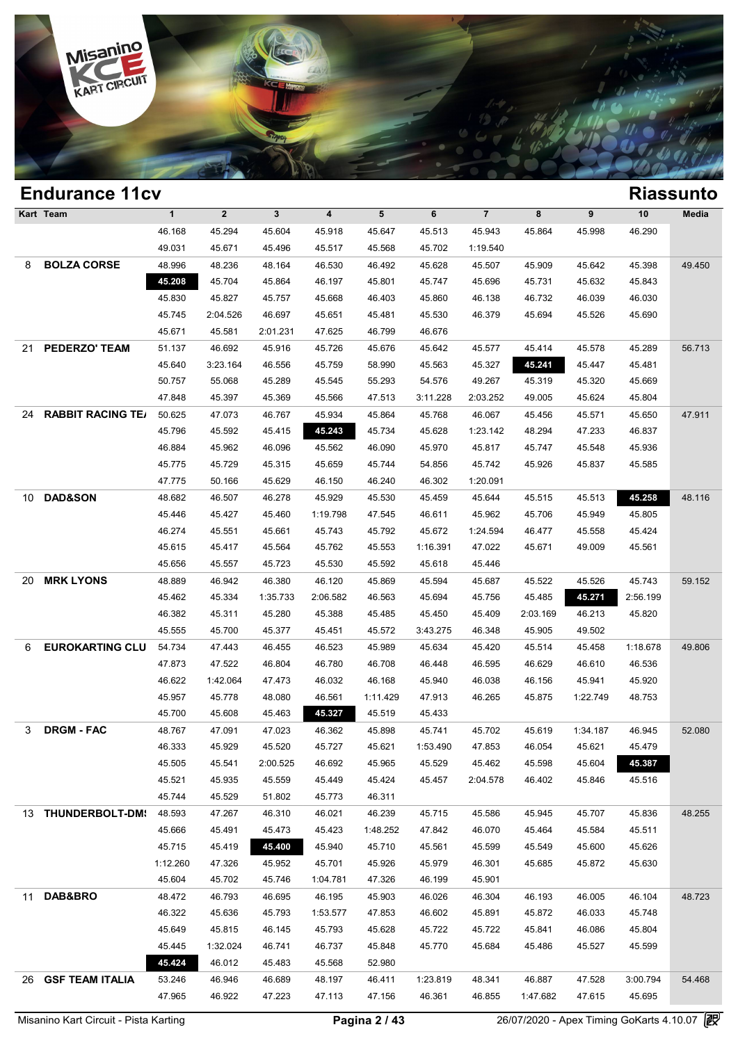

### **Endurance 11cv Riassunto Kart Team 1 2 3 4 5 6 7 8 9 10 Media 1**<br>
46.168 45.294 45.604 45.918 45.647 45.513 45.943 45.864 45.998 46.290<br>
46.021 45.671 45.406 45.517 45.569 45.702 1:10.540 1 2 3 4 5 6 7 8<br>46.168 45.294 45.604 45.918 45.647 45.513 45.943 45.8<br>49.031 45.671 45.496 45.517 45.568 45.702 1:19.540<br>48.996 48.326 49.164 46.530 46.493 45.638 45.572 1:19.540 8 **BOLZA CORSE** 48.996 48.236 48.164 46.530 46.492 45.628 45.507 45.909 45.642 45.398 49.450 46.168 45.294 45.604 45.918 45.647 45.513 45.943 45.864 45.998 46.290<br>
49.031 45.671 45.496 45.517 45.568 45.702 1:19.540<br>
48.996 48.236 48.164 46.530 46.492 45.628 45.507 45.909 45.642 45.398 49.4<br>
45.208 45.704 45.864 46 45.830 46.827 45.867 46.68 46.492 46.830 46.732 45.864 46.830 46.827 45.668 46.403 46.860 46.138 46.732 46.033 46.030 46.734 46.630 46.530 46.403 46.403 46.732 46.732 46.033 46.030 46.734 46.630 46.687 46.688 46.403 46.403 46.996 48.236 48.164 46.530 46.492 45.628 45.507 45.909 45.642 45.398 49.4<br>
45.208 45.704 45.864 46.197 45.801 45.747 45.696 45.731 45.632 45.843<br>
45.830 45.827 45.757 45.668 46.403 45.860 46.138 46.732 46.039 46.030<br>
45.74 45.208 45.704 45.864 46.197 45.801 45.747 45.61<br>45.830 45.827 45.757 45.668 46.403 45.860 46.1;<br>45.745 2:04.526 46.697 45.651 45.481 45.530 46.3<br>45.671 45.581 2:01.231 47.625 46.799 46.676 21 **PEDERZO' TEAM** 51.137 46.692 45.916 45.726 45.676 45.642 45.577 45.414 45.578 45.289 56.713 45.745 2:04.526 46.697 45.651 45.481 45.530 46.379 45.694 45.526 45.690<br>45.671 45.581 2:01.231 47.625 46.799 46.676<br>51.137 46.692 45.916 45.726 45.676 45.642 45.577 45.414 45.578 45.289 56.7<br>45.640 3:23.164 46.556 45.759 5 45.671 45.581 2:01.231 47.625 46.799 46.676<br>
51.137 46.692 45.916 45.726 45.676 45.642 45.577 45.414 45.578 45.289 56.7<br>
45.640 3:23.164 46.556 45.759 58.990 45.563 45.327 45.241 45.447 45.481<br>
50.757 55.068 45.289 45.545 46.692 45.916 45.726 45.676 45.642 45.577 45.414 45.578 45.289 56.7<br>45.640 3:23.164 46.556 45.759 58.990 45.563 45.327 45.241 45.447 45.481<br>50.757 55.068 45.289 45.545 55.293 54.576 49.267 45.319 45.320 45.669<br>47.848 45.39 24 **RABBIT RACING TEAM**50.625 47.073 46.767 45.934 45.864 45.768 46.067 45.456 45.571 45.650 47.911 46.796 46.597 46.787 46.989 46.986 47.513 511.228 49.267 45.319 45.320 45.669<br>
47.848 45.397 45.369 45.566 47.513 3:11.228 2:03.252 49.005 45.624 45.804<br>
50.625 47.073 46.767 45.934 45.864 45.768 46.067 45.456 45.571 45.65 46.884 46.987 46.096 46.682 46.087 46.884 46.982 46.087 46.884 45.862 46.096 46.562 46.096 46.884 45.932 46.096 45.562 46.096 45.562 46.096 45.562 46.984 45.756 46.7576 46.884 45.962 46.096 45.562 46.090 45.970 46.774 45.8 46.625 47.073 46.767 45.934 45.864 45.768 46.067 45.456 45.571 45.650 47.9<br>45.796 45.592 45.415 45.243 45.734 45.628 1:23.142 48.294 47.233 46.837<br>46.884 45.962 46.096 45.562 46.090 45.970 45.817 45.747 45.548 45.936<br>45.77 45.796 45.592 45.415 45.243 45.734 45.628 1:23.142 48.2<br>46.884 45.962 46.096 45.562 46.090 45.970 45.817 45.1<br>45.775 45.729 45.315 45.659 45.744 54.856 45.742 45.9<br>47.775 50.166 45.629 46.150 46.240 46.302 1:20.091 10 **DAD&SON** 48.682 46.507 46.278 45.929 45.530 45.459 45.644 45.515 45.513 **45.258** 48.116 45.775 45.729 45.315 45.659 45.744 54.856 45.742 45.926 45.837 45.585<br>47.775 50.166 45.629 46.150 46.240 46.302 1:20.091<br>48.682 46.507 46.278 45.929 45.530 45.459 45.644 45.515 45.513 45.743 48.1<br>45.446 45.427 45.460 1:19. 47.775 50.166 45.629 46.150 46.240 46.302 1:20.091<br>48.682 46.507 46.278 45.929 45.530 45.459 45.644 45.515 45.513 45.258 48.1<br>45.446 45.427 45.460 1:19.798 47.545 46.611 45.962 45.706 45.949 45.805<br>46.274 45.551 45.661 45. 46.627 46.507 46.278 45.929 45.530 45.459 45.644 45.515 45.513 45.258 48.1<br>45.446 45.427 45.460 1:19.798 47.545 46.611 45.962 45.706 45.949 45.805<br>46.274 45.551 45.661 45.743 45.792 45.672 1:24.594 46.477 45.558 45.424<br>45. 45.446 45.427 45.460 1:19.798 47.545 46.611 45.962 45.71<br>46.274 45.551 45.661 45.743 45.792 45.672 1:24.594 46.4<br>45.615 45.417 45.564 45.762 45.553 1:16.391 47.022 45.6<br>45.656 45.557 45.723 45.530 45.592 45.618 45.446 20 **MRK LYONS** 48.889 46.942 46.380 46.120 45.869 45.594 45.687 45.522 45.526 45.743 59.152 45.615 45.417 45.564 45.762 45.553 1:16.391 47.022 45.671 49.009 45.561<br>45.656 45.557 45.723 45.530 45.592 45.618 45.446<br>48.889 46.942 46.380 46.120 45.869 45.594 45.687 45.522 45.526 45.743 59.<br>45.462 45.334 1:35.733 2:06 46.382 46.311 45.280 46.388 45.485 45.486 45.687 45.522 45.526 45.743 59.1<br>45.462 45.334 1:35.733 2:06.582 46.563 45.694 45.756 45.485 45.741 2:56.199<br>46.382 45.311 45.280 45.388 45.485 45.460 45.409 2:03.169 46.213 45.820 46.889 46.942 46.380 46.120 45.869 45.594 45.687 45.522 45.526 45.74<br>45.462 45.334 1:35.733 2:06.582 46.563 45.694 45.756 45.485 45.271 2:56.1<br>46.382 45.311 45.280 45.388 45.485 45.485 45.409 2:03.169 46.213 45.8:<br>45.555 4 6 **EUROKARTING CLUB** 54.734 47.443 46.455 46.523 45.989 45.634 45.420 45.514 45.458 1:18.678 49.806 46.382 45.311 45.280 45.388 45.485 45.460 45.409 2:03.169 46.213 45.820<br>45.555 45.700 45.377 45.451 45.572 3:43.275 46.348 45.905 49.502<br>54.734 47.443 46.455 46.523 45.989 45.634 45.420 45.514 45.458 1:18.678 49.8<br>47.873 47 46.555 46.700 45.377 45.451 45.572 3:43.275 46.348 45.905 49.502<br>
54.734 47.443 46.455 46.523 45.989 45.634 45.420 45.514 45.458 1:18.678 49.8<br>
47.873 47.522 46.804 46.780 46.708 46.448 46.595 46.629 46.610 46.536<br>
46.622 1 46.734 47.443 46.455 46.523 45.989 45.634 45.420 45.514 45.458 1:18.678 49.8<br>47.873 47.522 46.804 46.780 46.708 46.448 46.595 46.629 46.610 46.536<br>46.622 1:42.064 47.473 46.032 46.168 45.940 46.038 46.156 45.941 45.920<br>45. 47.873 47.522 46.804 46.780 46.708 46.448 46.51<br>46.622 1:42.064 47.473 46.032 46.168 45.940 46.03<br>45.957 45.778 48.080 46.561 1:11.429 47.913 46.21<br>45.700 45.608 45.463 45.827 45.519 45.433 3 **DRGM - FAC** 48.767 47.091 47.023 46.362 45.898 45.741 45.702 45.619 1:34.187 46.945 52.080 46.957 45.778 48.080 46.561 1:11.429 47.913 46.265 45.875 1:22.749 48.753<br>45.700 45.608 45.463 45.327 45.519 45.433<br>48.767 47.091 47.023 46.362 45.898 45.741 45.702 45.619 1:34.187 46.945 52.0<br>46.333 45.929 45.520 45.727 45 45.700 45.608 45.463 45.327 45.519 45.433<br>48.767 47.091 47.023 46.362 45.898 45.741 45.702 45.619 1:34.187 46.945 52<br>46.333 45.929 45.520 45.727 45.621 1:53.490 47.853 46.054 45.621 45.479<br>45.505 45.541 2:00.525 46.692 45. 46.767 47.091 47.023 46.362 45.898 45.741 45.702 45.619 1:34.187 46.945 52.0<br>
46.333 45.929 45.520 45.727 45.621 1:53.490 47.853 46.054 45.621 45.479<br>
45.505 45.541 2:00.525 46.692 45.965 45.529 45.462 45.598 45.604 45.617 46.333 45.929 45.520 45.727 45.621 1:53.4<br>45.505 45.541 2:00.525 46.692 45.965 45.5<br>45.521 45.935 45.559 45.449 45.424 45.4<br>45.744 45.529 51.802 45.773 46.311 13 **THUNDERBOLT-DMS** 48.593 47.267 46.310 46.021 46.239 45.715 45.586 45.945 45.707 45.836 48.255 45.521 45.935 45.559 45.449 45.424 45.457 2:04.578 46.402 45.846 45.516<br>45.744 45.529 51.802 45.773 46.311<br>48.593 47.267 46.310 46.021 46.239 45.715 45.586 45.945 45.707 45.836 48.2<br>45.666 45.491 45.473 45.423 1:48.252 47.8 45.744 45.529 51.802 45.773 46.311<br>48.593 47.267 46.310 46.021 46.239 45.715 45.586 45.945 45.707 45.836 48.2<br>45.666 45.491 45.473 45.423 1:48.252 47.842 46.070 45.464 45.554 45.511<br>45.715 45.419 45.400 45.940 45.710 45.56 41:48.593 47.267 46.310 46.021 46.239 45.715 45.586 45.945 45.707 45.836 48.2<br>45.666 45.491 45.473 45.423 1:48.252 47.842 46.070 45.464 45.584 45.511<br>45.715 45.419 45.400 45.940 45.710 45.561 45.599 46.301 45.685 45.626<br>1:1 45.666 45.491 45.473 45.423 1:48.252 47.842 46.070 45.41<br>45.715 45.419 45.400 45.940 45.710 45.561 45.599 45.5<br>1:12.260 47.326 45.952 45.701 45.926 45.979 46.301 45.6i<br>45.604 45.702 45.746 1:04.781 47.326 46.199 45.901 11 **DAB&BRO** 48.472 46.793 46.695 46.195 45.903 46.026 46.304 46.193 46.005 46.104 48.723 1:12.260 47.326 45.952 45.701 45.926 45.979 46.301 45.685 45.872 45.630<br>45.604 45.702 45.746 1:04.781 47.326 46.199 45.901<br>48.472 46.793 46.695 46.195 45.903 46.026 46.304 46.193 46.005 46.104 48.7.<br>46.322 45.636 45.793 1 45.604 45.702 45.746 1:04.781 47.326 46.199 45.901<br>48.472 46.793 46.695 46.195 45.903 46.026 46.304 46.193 46.005 46.104 48.7<br>46.322 45.636 45.793 1:53.577 47.853 46.602 45.891 45.872 46.033 45.748<br>45.649 45.815 46.145 45. 46.472 46.793 46.695 46.195 45.903 46.026 46.304 46.193 46.005 46.104 48.7<br>46.322 45.636 45.793 1:53.577 47.853 46.602 45.891 45.872 46.033 45.748<br>45.649 45.815 46.145 45.793 45.628 45.722 45.722 45.841 46.086 45.804<br>45.445 46.322 45.636 45.793 1:53.577 47.853 46.6<br>45.649 45.815 46.145 45.793 45.628 45.7<br>45.445 1:32.024 46.741 46.737 45.848 45.7<br>45.424 46.012 45.483 45.568 52.980 26 **GSF TEAM ITALIA** 53.246 46.946 46.689 48.197 46.411 1:23.819 48.341 46.887 47.528 3:00.794 54.468 45.445 1:32.024 46.741 46.737 45.848 45.770 45.684 45.486 45.527 45.599<br>45.424 46.012 45.483 45.568 52.980<br>53.246 46.946 46.689 48.197 46.411 1:23.819 48.341 46.887 47.528 3:00.794 54.4<br>47.965 46.922 47.223 47.113 47.156 4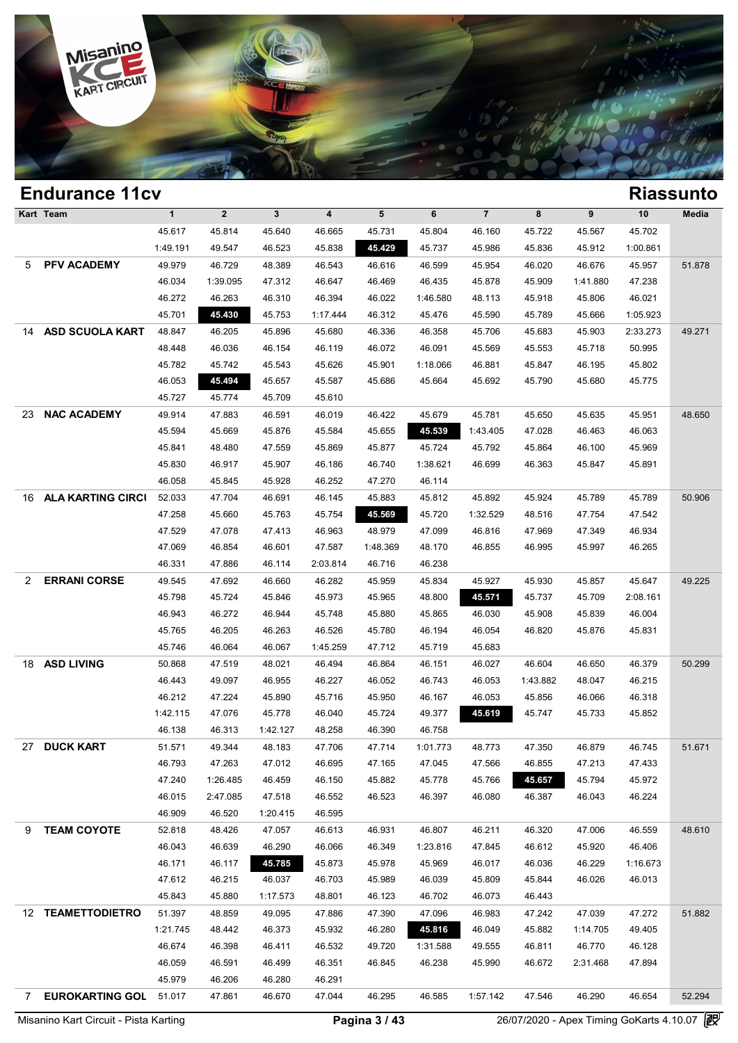

|                | <b>Endurance 11cv</b>    |              |             |              |                         |          |          |                |          |          |          | <b>Riassunto</b> |
|----------------|--------------------------|--------------|-------------|--------------|-------------------------|----------|----------|----------------|----------|----------|----------|------------------|
|                | Kart Team                | $\mathbf{1}$ | $\mathbf 2$ | $\mathbf{3}$ | $\overline{\mathbf{4}}$ | 5        | 6        | $\overline{7}$ | 8        | 9        | 10       | Media            |
|                |                          | 45.617       | 45.814      | 45.640       | 46.665                  | 45.731   | 45.804   | 46.160         | 45.722   | 45.567   | 45.702   |                  |
|                |                          | 1:49.191     | 49.547      | 46.523       | 45.838                  | 45.429   | 45.737   | 45.986         | 45.836   | 45.912   | 1:00.861 |                  |
| 5              | PFV ACADEMY              | 49.979       | 46.729      | 48.389       | 46.543                  | 46.616   | 46.599   | 45.954         | 46.020   | 46.676   | 45.957   | 51.878           |
|                |                          | 46.034       | 1:39.095    | 47.312       | 46.647                  | 46.469   | 46.435   | 45.878         | 45.909   | 1:41.880 | 47.238   |                  |
|                |                          | 46.272       | 46.263      | 46.310       | 46.394                  | 46.022   | 1:46.580 | 48.113         | 45.918   | 45.806   | 46.021   |                  |
|                |                          | 45.701       | 45.430      | 45.753       | 1:17.444                | 46.312   | 45.476   | 45.590         | 45.789   | 45.666   | 1:05.923 |                  |
| 14             | <b>ASD SCUOLA KART</b>   | 48.847       | 46.205      | 45.896       | 45.680                  | 46.336   | 46.358   | 45.706         | 45.683   | 45.903   | 2:33.273 | 49.271           |
|                |                          | 48.448       | 46.036      | 46.154       | 46.119                  | 46.072   | 46.091   | 45.569         | 45.553   | 45.718   | 50.995   |                  |
|                |                          | 45.782       | 45.742      | 45.543       | 45.626                  | 45.901   | 1:18.066 | 46.881         | 45.847   | 46.195   | 45.802   |                  |
|                |                          | 46.053       | 45.494      | 45.657       | 45.587                  | 45.686   | 45.664   | 45.692         | 45.790   | 45.680   | 45.775   |                  |
|                |                          | 45.727       | 45.774      | 45.709       | 45.610                  |          |          |                |          |          |          |                  |
| 23             | <b>NAC ACADEMY</b>       | 49.914       | 47.883      | 46.591       | 46.019                  | 46.422   | 45.679   | 45.781         | 45.650   | 45.635   | 45.951   | 48.650           |
|                |                          | 45.594       | 45.669      | 45.876       | 45.584                  | 45.655   | 45.539   | 1:43.405       | 47.028   | 46.463   | 46.063   |                  |
|                |                          | 45.841       | 48.480      | 47.559       | 45.869                  | 45.877   | 45.724   | 45.792         | 45.864   | 46.100   | 45.969   |                  |
|                |                          | 45.830       | 46.917      | 45.907       | 46.186                  | 46.740   | 1:38.621 | 46.699         | 46.363   | 45.847   | 45.891   |                  |
|                |                          | 46.058       | 45.845      | 45.928       | 46.252                  | 47.270   | 46.114   |                |          |          |          |                  |
| 16.            | <b>ALA KARTING CIRCI</b> | 52.033       | 47.704      | 46.691       | 46.145                  | 45.883   | 45.812   | 45.892         | 45.924   | 45.789   | 45.789   | 50.906           |
|                |                          | 47.258       | 45.660      | 45.763       | 45.754                  | 45.569   | 45.720   | 1:32.529       | 48.516   | 47.754   | 47.542   |                  |
|                |                          | 47.529       | 47.078      | 47.413       | 46.963                  | 48.979   | 47.099   | 46.816         | 47.969   | 47.349   | 46.934   |                  |
|                |                          | 47.069       | 46.854      | 46.601       | 47.587                  | 1:48.369 | 48.170   | 46.855         | 46.995   | 45.997   | 46.265   |                  |
|                |                          | 46.331       | 47.886      | 46.114       | 2:03.814                | 46.716   | 46.238   |                |          |          |          |                  |
| 2              | <b>ERRANI CORSE</b>      | 49.545       | 47.692      | 46.660       | 46.282                  | 45.959   | 45.834   | 45.927         | 45.930   | 45.857   | 45.647   | 49.225           |
|                |                          | 45.798       | 45.724      | 45.846       | 45.973                  | 45.965   | 48.800   | 45.571         | 45.737   | 45.709   | 2:08.161 |                  |
|                |                          | 46.943       | 46.272      | 46.944       | 45.748                  | 45.880   | 45.865   | 46.030         | 45.908   | 45.839   | 46.004   |                  |
|                |                          | 45.765       | 46.205      | 46.263       | 46.526                  | 45.780   | 46.194   | 46.054         | 46.820   | 45.876   | 45.831   |                  |
|                |                          | 45.746       | 46.064      | 46.067       | 1:45.259                | 47.712   | 45.719   | 45.683         |          |          |          |                  |
| 18             | <b>ASD LIVING</b>        | 50.868       | 47.519      | 48.021       | 46.494                  | 46.864   | 46.151   | 46.027         | 46.604   | 46.650   | 46.379   | 50.299           |
|                |                          | 46.443       | 49.097      | 46.955       | 46.227                  | 46.052   | 46.743   | 46.053         | 1:43.882 | 48.047   | 46.215   |                  |
|                |                          | 46.212       | 47.224      | 45.890       | 45.716                  | 45.950   | 46.167   | 46.053         | 45.856   | 46.066   | 46.318   |                  |
|                |                          | 1:42.115     | 47.076      | 45.778       | 46.040                  | 45.724   | 49.377   | 45.619         | 45.747   | 45.733   | 45.852   |                  |
|                |                          | 46.138       | 46.313      | 1:42.127     | 48.258                  | 46.390   | 46.758   |                |          |          |          |                  |
| 27             | <b>DUCK KART</b>         | 51.571       | 49.344      | 48.183       | 47.706                  | 47.714   | 1:01.773 | 48.773         | 47.350   | 46.879   | 46.745   | 51.671           |
|                |                          | 46.793       | 47.263      | 47.012       | 46.695                  | 47.165   | 47.045   | 47.566         | 46.855   | 47.213   | 47.433   |                  |
|                |                          | 47.240       | 1:26.485    | 46.459       | 46.150                  | 45.882   | 45.778   | 45.766         | 45.657   | 45.794   | 45.972   |                  |
|                |                          | 46.015       | 2:47.085    | 47.518       | 46.552                  | 46.523   | 46.397   | 46.080         | 46.387   | 46.043   | 46.224   |                  |
|                |                          | 46.909       | 46.520      | 1:20.415     | 46.595                  |          |          |                |          |          |          |                  |
| 9              | <b>TEAM COYOTE</b>       | 52.818       | 48.426      | 47.057       | 46.613                  | 46.931   | 46.807   | 46.211         | 46.320   | 47.006   | 46.559   | 48.610           |
|                |                          | 46.043       | 46.639      | 46.290       | 46.066                  | 46.349   | 1:23.816 | 47.845         | 46.612   | 45.920   | 46.406   |                  |
|                |                          | 46.171       | 46.117      | 45.785       | 45.873                  | 45.978   | 45.969   | 46.017         | 46.036   | 46.229   | 1:16.673 |                  |
|                |                          | 47.612       | 46.215      | 46.037       | 46.703                  | 45.989   | 46.039   | 45.809         | 45.844   | 46.026   | 46.013   |                  |
|                |                          | 45.843       | 45.880      | 1:17.573     | 48.801                  | 46.123   | 46.702   | 46.073         | 46.443   |          |          |                  |
|                | 12 TEAMETTODIETRO        | 51.397       | 48.859      | 49.095       | 47.886                  | 47.390   | 47.096   | 46.983         | 47.242   | 47.039   | 47.272   | 51.882           |
|                |                          | 1:21.745     | 48.442      | 46.373       | 45.932                  | 46.280   | 45.816   | 46.049         | 45.882   | 1:14.705 | 49.405   |                  |
|                |                          | 46.674       | 46.398      | 46.411       | 46.532                  | 49.720   | 1:31.588 | 49.555         | 46.811   | 46.770   | 46.128   |                  |
|                |                          | 46.059       | 46.591      | 46.499       | 46.351                  | 46.845   | 46.238   | 45.990         | 46.672   | 2:31.468 | 47.894   |                  |
|                |                          | 45.979       | 46.206      | 46.280       | 46.291                  |          |          |                |          |          |          |                  |
| $7\phantom{0}$ | <b>EUROKARTING GOL</b>   | 51.017       | 47.861      | 46.670       | 47.044                  | 46.295   | 46.585   | 1:57.142       | 47.546   | 46.290   | 46.654   | 52.294           |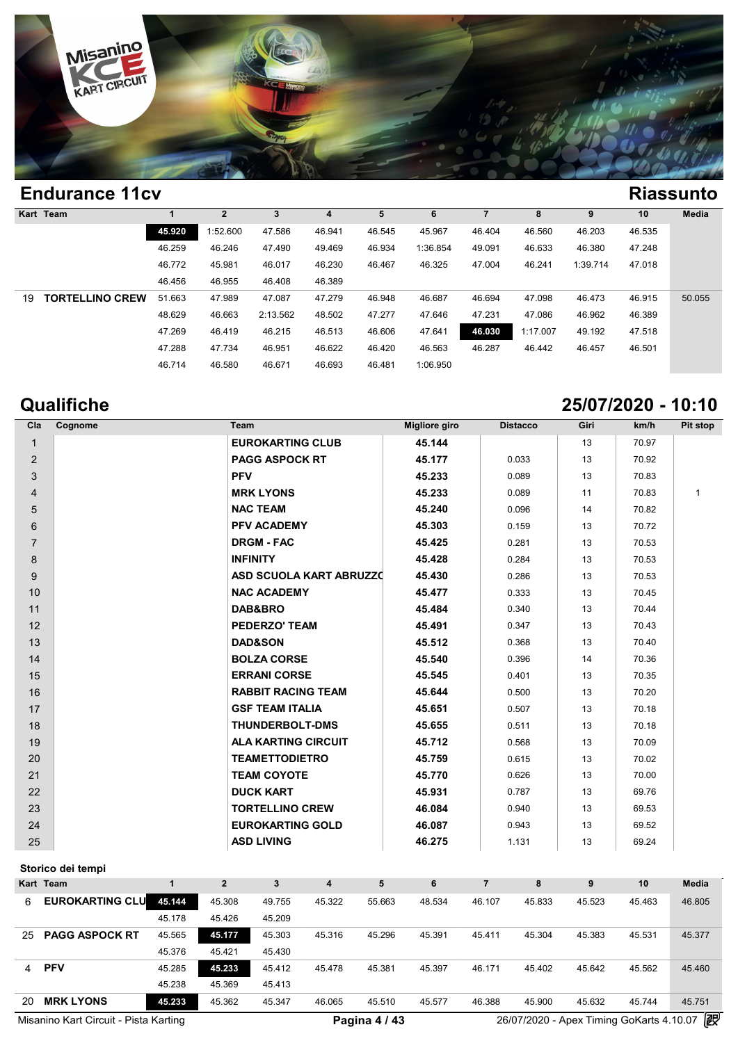

|    | <b>Endurance 11cv</b>  |        |                |          |        |        |          |        |          |          |        | <b>Riassunto</b> |
|----|------------------------|--------|----------------|----------|--------|--------|----------|--------|----------|----------|--------|------------------|
|    | Kart Team              |        | $\overline{2}$ | 3        | 4      | 5      | 6        |        | 8        | 9        | 10     | <b>Media</b>     |
|    |                        | 45.920 | 1:52.600       | 47.586   | 46.941 | 46.545 | 45.967   | 46.404 | 46.560   | 46.203   | 46.535 |                  |
|    |                        | 46.259 | 46.246         | 47.490   | 49.469 | 46.934 | 1:36.854 | 49.091 | 46.633   | 46.380   | 47.248 |                  |
|    |                        | 46.772 | 45.981         | 46.017   | 46.230 | 46.467 | 46.325   | 47.004 | 46.241   | 1:39.714 | 47.018 |                  |
|    |                        | 46.456 | 46.955         | 46.408   | 46.389 |        |          |        |          |          |        |                  |
| 19 | <b>TORTELLINO CREW</b> | 51.663 | 47.989         | 47.087   | 47.279 | 46.948 | 46.687   | 46.694 | 47.098   | 46.473   | 46.915 | 50.055           |
|    |                        | 48.629 | 46.663         | 2:13.562 | 48.502 | 47.277 | 47.646   | 47.231 | 47.086   | 46.962   | 46.389 |                  |
|    |                        | 47.269 | 46.419         | 46.215   | 46.513 | 46.606 | 47.641   | 46.030 | 1:17.007 | 49.192   | 47.518 |                  |
|    |                        | 47.288 | 47.734         | 46.951   | 46.622 | 46.420 | 46.563   | 46.287 | 46.442   | 46.457   | 46.501 |                  |
|    |                        | 46.714 | 46.580         | 46.671   | 46.693 | 46.481 | 1:06.950 |        |          |          |        |                  |

**Qualifiche 25/07/2020 - 10:10**

| Cla            | Cognome | Team                           | <b>Migliore giro</b> | <b>Distacco</b> | Giri | km/h  | Pit stop     |
|----------------|---------|--------------------------------|----------------------|-----------------|------|-------|--------------|
| $\mathbf{1}$   |         | <b>EUROKARTING CLUB</b>        | 45.144               |                 | 13   | 70.97 |              |
| $\overline{2}$ |         | <b>PAGG ASPOCK RT</b>          | 45.177               | 0.033           | 13   | 70.92 |              |
| 3              |         | <b>PFV</b>                     | 45.233               | 0.089           | 13   | 70.83 |              |
| 4              |         | <b>MRK LYONS</b>               | 45.233               | 0.089           | 11   | 70.83 | $\mathbf{1}$ |
| 5              |         | <b>NAC TEAM</b>                | 45.240               | 0.096           | 14   | 70.82 |              |
| 6              |         | <b>PFV ACADEMY</b>             | 45.303               | 0.159           | 13   | 70.72 |              |
| $\overline{7}$ |         | <b>DRGM - FAC</b>              | 45.425               | 0.281           | 13   | 70.53 |              |
| 8              |         | <b>INFINITY</b>                | 45.428               | 0.284           | 13   | 70.53 |              |
| 9              |         | <b>ASD SCUOLA KART ABRUZZO</b> | 45.430               | 0.286           | 13   | 70.53 |              |
| 10             |         | <b>NAC ACADEMY</b>             | 45.477               | 0.333           | 13   | 70.45 |              |
| 11             |         | DAB&BRO                        | 45.484               | 0.340           | 13   | 70.44 |              |
| 12             |         | <b>PEDERZO' TEAM</b>           | 45.491               | 0.347           | 13   | 70.43 |              |
| 13             |         | <b>DAD&amp;SON</b>             | 45.512               | 0.368           | 13   | 70.40 |              |
| 14             |         | <b>BOLZA CORSE</b>             | 45.540               | 0.396           | 14   | 70.36 |              |
| 15             |         | <b>ERRANI CORSE</b>            | 45.545               | 0.401           | 13   | 70.35 |              |
| 16             |         | <b>RABBIT RACING TEAM</b>      | 45.644               | 0.500           | 13   | 70.20 |              |
| 17             |         | <b>GSF TEAM ITALIA</b>         | 45.651               | 0.507           | 13   | 70.18 |              |
| 18             |         | <b>THUNDERBOLT-DMS</b>         | 45.655               | 0.511           | 13   | 70.18 |              |
| 19             |         | <b>ALA KARTING CIRCUIT</b>     | 45.712               | 0.568           | 13   | 70.09 |              |
| 20             |         | <b>TEAMETTODIETRO</b>          | 45.759               | 0.615           | 13   | 70.02 |              |
| 21             |         | <b>TEAM COYOTE</b>             | 45.770               | 0.626           | 13   | 70.00 |              |
| 22             |         | <b>DUCK KART</b>               | 45.931               | 0.787           | 13   | 69.76 |              |
| 23             |         | <b>TORTELLINO CREW</b>         | 46.084               | 0.940           | 13   | 69.53 |              |
| 24             |         | <b>EUROKARTING GOLD</b>        | 46.087               | 0.943           | 13   | 69.52 |              |
| 25             |         | <b>ASD LIVING</b>              | 46.275               | 1.131           | 13   | 69.24 |              |

### **Storico dei tempi**

|    | Storico dei tempi                     |        |        |        |        |               |        |        |        |        |                                          |              |
|----|---------------------------------------|--------|--------|--------|--------|---------------|--------|--------|--------|--------|------------------------------------------|--------------|
|    | Kart Team                             |        |        |        |        | 5             |        |        | 8      |        | 10                                       | <b>Media</b> |
| 6. | <b>EUROKARTING CLU</b>                | 45.144 | 45.308 | 49.755 | 45.322 | 55.663        | 48.534 | 46.107 | 45.833 | 45.523 | 45.463                                   | 46.805       |
|    |                                       | 45.178 | 45.426 | 45.209 |        |               |        |        |        |        |                                          |              |
| 25 | <b>PAGG ASPOCK RT</b>                 | 45.565 | 45.177 | 45.303 | 45.316 | 45.296        | 45.391 | 45.411 | 45.304 | 45.383 | 45.531                                   | 45.377       |
|    |                                       | 45.376 | 45.421 | 45.430 |        |               |        |        |        |        |                                          |              |
| 4  | <b>PFV</b>                            | 45.285 | 45.233 | 45.412 | 45.478 | 45.381        | 45.397 | 46.171 | 45.402 | 45.642 | 45.562                                   | 45.460       |
|    |                                       | 45.238 | 45.369 | 45.413 |        |               |        |        |        |        |                                          |              |
| 20 | <b>MRK LYONS</b>                      | 45.233 | 45.362 | 45.347 | 46.065 | 45.510        | 45.577 | 46.388 | 45.900 | 45.632 | 45.744                                   | 45.751       |
|    | Misanino Kart Circuit - Pista Karting |        |        |        |        | Pagina 4 / 43 |        |        |        |        | 26/07/2020 - Apex Timing GoKarts 4.10.07 | 霰            |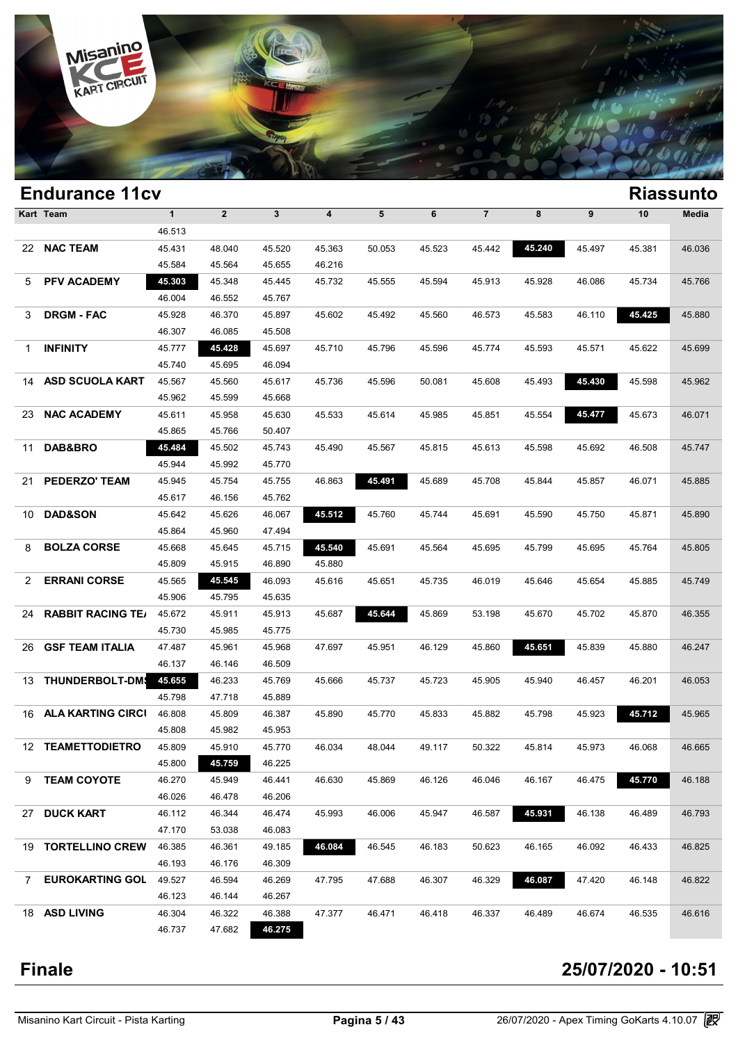

|             | <b>Endurance 11cv</b>    |              |                |              |        |        |        |                |        |                  |        | <b>Riassunto</b> |
|-------------|--------------------------|--------------|----------------|--------------|--------|--------|--------|----------------|--------|------------------|--------|------------------|
|             | Kart Team                | $\mathbf{1}$ | $\overline{2}$ | $\mathbf{3}$ | 4      | 5      | 6      | $\overline{7}$ | 8      | $\boldsymbol{9}$ | 10     | Media            |
|             |                          | 46.513       |                |              |        |        |        |                |        |                  |        |                  |
|             | 22 NAC TEAM              | 45.431       | 48.040         | 45.520       | 45.363 | 50.053 | 45.523 | 45.442         | 45.240 | 45.497           | 45.381 | 46.036           |
|             |                          | 45.584       | 45.564         | 45.655       | 46.216 |        |        |                |        |                  |        |                  |
| 5           | PFV ACADEMY              | 45.303       | 45.348         | 45.445       | 45.732 | 45.555 | 45.594 | 45.913         | 45.928 | 46.086           | 45.734 | 45.766           |
|             |                          | 46.004       | 46.552         | 45.767       |        |        |        |                |        |                  |        |                  |
| 3           | <b>DRGM - FAC</b>        | 45.928       | 46.370         | 45.897       | 45.602 | 45.492 | 45.560 | 46.573         | 45.583 | 46.110           | 45.425 | 45.880           |
|             |                          | 46.307       | 46.085         | 45.508       |        |        |        |                |        |                  |        |                  |
| 1           | <b>INFINITY</b>          | 45.777       | 45.428         | 45.697       | 45.710 | 45.796 | 45.596 | 45.774         | 45.593 | 45.571           | 45.622 | 45.699           |
|             |                          | 45.740       | 45.695         | 46.094       |        |        |        |                |        |                  |        |                  |
| 14          | <b>ASD SCUOLA KART</b>   | 45.567       | 45.560         | 45.617       | 45.736 | 45.596 | 50.081 | 45.608         | 45.493 | 45.430           | 45.598 | 45.962           |
|             |                          | 45.962       | 45.599         | 45.668       |        |        |        |                |        |                  |        |                  |
| 23          | <b>NAC ACADEMY</b>       | 45.611       | 45.958         | 45.630       | 45.533 | 45.614 | 45.985 | 45.851         | 45.554 | 45.477           | 45.673 | 46.071           |
|             |                          | 45.865       | 45.766         | 50.407       |        |        |        |                |        |                  |        |                  |
| 11          | DAB&BRO                  | 45.484       | 45.502         | 45.743       | 45.490 | 45.567 | 45.815 | 45.613         | 45.598 | 45.692           | 46.508 | 45.747           |
|             |                          | 45.944       | 45.992         | 45.770       |        |        |        |                |        |                  |        |                  |
| 21          | <b>PEDERZO' TEAM</b>     | 45.945       | 45.754         | 45.755       | 46.863 | 45.491 | 45.689 | 45.708         | 45.844 | 45.857           | 46.071 | 45.885           |
|             |                          | 45.617       | 46.156         | 45.762       |        |        |        |                |        |                  |        |                  |
| 10          | <b>DAD&amp;SON</b>       | 45.642       | 45.626         | 46.067       | 45.512 | 45.760 | 45.744 | 45.691         | 45.590 | 45.750           | 45.871 | 45.890           |
|             |                          | 45.864       | 45.960         | 47.494       |        |        |        |                |        |                  |        |                  |
| 8           | <b>BOLZA CORSE</b>       | 45.668       | 45.645         | 45.715       | 45.540 | 45.691 | 45.564 | 45.695         | 45.799 | 45.695           | 45.764 | 45.805           |
|             |                          | 45.809       | 45.915         | 46.890       | 45.880 |        |        |                |        |                  |        |                  |
| 2           | <b>ERRANI CORSE</b>      | 45.565       | 45.545         | 46.093       | 45.616 | 45.651 | 45.735 | 46.019         | 45.646 | 45.654           | 45.885 | 45.749           |
|             |                          | 45.906       | 45.795         | 45.635       |        |        |        |                |        |                  |        |                  |
| 24          | <b>RABBIT RACING TE/</b> | 45.672       | 45.911         | 45.913       | 45.687 | 45.644 | 45.869 | 53.198         | 45.670 | 45.702           | 45.870 | 46.355           |
|             |                          | 45.730       | 45.985         | 45.775       |        |        |        |                |        |                  |        |                  |
| 26          | <b>GSF TEAM ITALIA</b>   | 47.487       | 45.961         | 45.968       | 47.697 | 45.951 | 46.129 | 45.860         | 45.651 | 45.839           | 45.880 | 46.247           |
|             |                          | 46.137       | 46.146         | 46.509       |        |        |        |                |        |                  |        |                  |
| 13          | THUNDERBOLT-DM           | 45.655       | 46.233         | 45.769       | 45.666 | 45.737 | 45.723 | 45.905         | 45.940 | 46.457           | 46.201 | 46.053           |
|             |                          | 45.798       | 47.718         | 45.889       |        |        |        |                |        |                  |        |                  |
|             | 16 ALA KARTING CIRCI     | 46.808       | 45.809         | 46.387       | 45.890 | 45.770 | 45.833 | 45.882         | 45.798 | 45.923           | 45.712 | 45.965           |
|             |                          | 45.808       | 45.982         | 45.953       |        |        |        |                |        |                  |        |                  |
|             | 12 TEAMETTODIETRO        | 45.809       | 45.910         | 45.770       | 46.034 | 48.044 | 49.117 | 50.322         | 45.814 | 45.973           | 46.068 | 46.665           |
|             |                          | 45.800       | 45.759         | 46.225       |        |        |        |                |        |                  |        |                  |
| 9           | <b>TEAM COYOTE</b>       | 46.270       | 45.949         | 46.441       | 46.630 | 45.869 | 46.126 | 46.046         | 46.167 | 46.475           | 45.770 | 46.188           |
|             |                          | 46.026       | 46.478         | 46.206       |        |        |        |                |        |                  |        |                  |
| 27          | <b>DUCK KART</b>         | 46.112       | 46.344         | 46.474       | 45.993 | 46.006 | 45.947 | 46.587         | 45.931 | 46.138           | 46.489 | 46.793           |
|             |                          | 47.170       | 53.038         | 46.083       |        |        |        |                |        |                  |        |                  |
|             | 19 TORTELLINO CREW       | 46.385       | 46.361         | 49.185       | 46.084 | 46.545 | 46.183 | 50.623         | 46.165 | 46.092           | 46.433 | 46.825           |
|             |                          | 46.193       | 46.176         | 46.309       |        |        |        |                |        |                  |        |                  |
| $7^{\circ}$ | <b>EUROKARTING GOL</b>   | 49.527       | 46.594         | 46.269       | 47.795 | 47.688 | 46.307 | 46.329         | 46.087 | 47.420           | 46.148 | 46.822           |
|             |                          | 46.123       | 46.144         | 46.267       |        |        |        |                |        |                  |        |                  |
|             | 18 ASD LIVING            | 46.304       | 46.322         | 46.388       | 47.377 | 46.471 | 46.418 | 46.337         | 46.489 | 46.674           | 46.535 | 46.616           |
|             |                          | 46.737       | 47.682         | 46.275       |        |        |        |                |        |                  |        |                  |
|             |                          |              |                |              |        |        |        |                |        |                  |        |                  |

### **Finale 25/07/2020 - 10:51**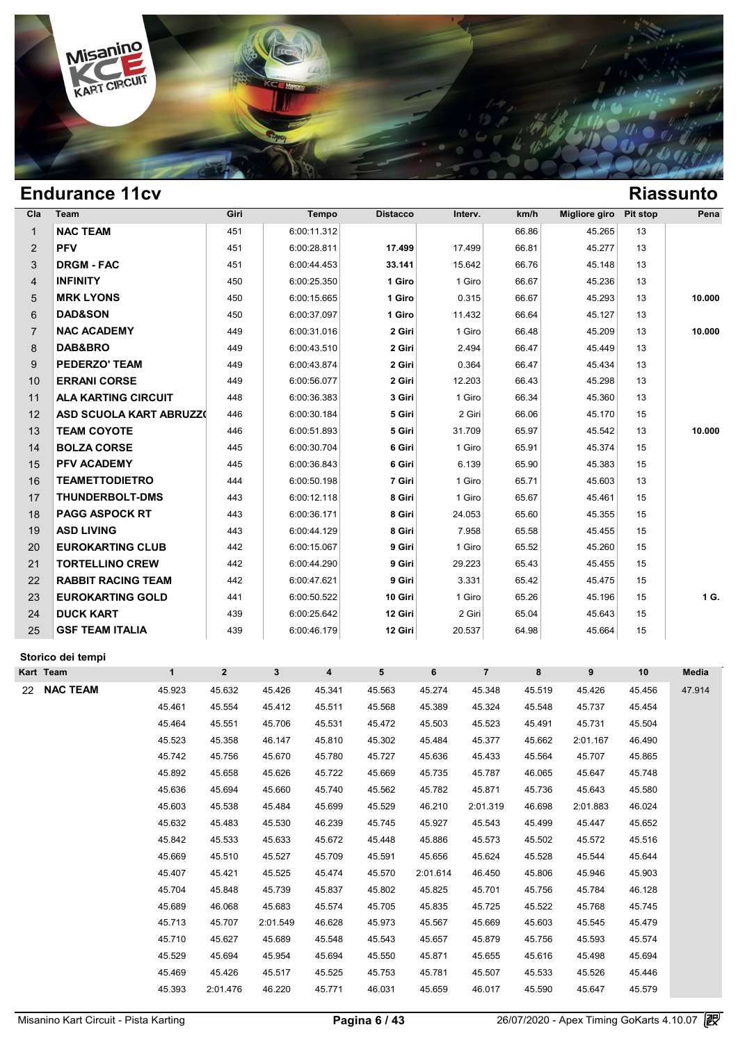

| Cla            | Team                           | Giri | Tempo       | <b>Distacco</b> | Interv. | km/h  | Migliore giro | Pit stop | Pena   |
|----------------|--------------------------------|------|-------------|-----------------|---------|-------|---------------|----------|--------|
| $\mathbf{1}$   | <b>NAC TEAM</b>                | 451  | 6:00:11.312 |                 |         | 66.86 | 45.265        | 13       |        |
| $\overline{2}$ | <b>PFV</b>                     | 451  | 6:00:28.811 | 17.499          | 17.499  | 66.81 | 45.277        | 13       |        |
| 3              | <b>DRGM - FAC</b>              | 451  | 6:00:44.453 | 33.141          | 15.642  | 66.76 | 45.148        | 13       |        |
| $\overline{4}$ | <b>INFINITY</b>                | 450  | 6:00:25.350 | 1 Giro          | 1 Giro  | 66.67 | 45.236        | 13       |        |
| 5              | <b>MRK LYONS</b>               | 450  | 6:00:15.665 | 1 Giro          | 0.315   | 66.67 | 45.293        | 13       | 10.000 |
| 6              | <b>DAD&amp;SON</b>             | 450  | 6:00:37.097 | 1 Giro          | 11.432  | 66.64 | 45.127        | 13       |        |
| $\overline{7}$ | <b>NAC ACADEMY</b>             | 449  | 6:00:31.016 | 2 Giri          | 1 Giro  | 66.48 | 45.209        | 13       | 10.000 |
| 8              | DAB&BRO                        | 449  | 6:00:43.510 | 2 Giri          | 2.494   | 66.47 | 45.449        | 13       |        |
| 9              | <b>PEDERZO' TEAM</b>           | 449  | 6:00:43.874 | 2 Giri          | 0.364   | 66.47 | 45.434        | 13       |        |
| 10             | <b>ERRANI CORSE</b>            | 449  | 6:00:56.077 | 2 Giri          | 12.203  | 66.43 | 45.298        | 13       |        |
| 11             | <b>ALA KARTING CIRCUIT</b>     | 448  | 6:00:36.383 | 3 Giri          | 1 Giro  | 66.34 | 45.360        | 13       |        |
| 12             | <b>ASD SCUOLA KART ABRUZZ0</b> | 446  | 6:00:30.184 | 5 Giri          | 2 Giri  | 66.06 | 45.170        | 15       |        |
| 13             | <b>TEAM COYOTE</b>             | 446  | 6:00:51.893 | 5 Giri          | 31.709  | 65.97 | 45.542        | 13       | 10.000 |
| 14             | <b>BOLZA CORSE</b>             | 445  | 6:00:30.704 | 6 Giri          | 1 Giro  | 65.91 | 45.374        | 15       |        |
| 15             | <b>PFV ACADEMY</b>             | 445  | 6:00:36.843 | 6 Giri          | 6.139   | 65.90 | 45.383        | 15       |        |
| 16             | <b>TEAMETTODIETRO</b>          | 444  | 6:00:50.198 | 7 Giri          | 1 Giro  | 65.71 | 45.603        | 13       |        |
| 17             | <b>THUNDERBOLT-DMS</b>         | 443  | 6:00:12.118 | 8 Giri          | 1 Giro  | 65.67 | 45.461        | 15       |        |
| 18             | <b>PAGG ASPOCK RT</b>          | 443  | 6:00:36.171 | 8 Giri          | 24.053  | 65.60 | 45.355        | 15       |        |
| 19             | <b>ASD LIVING</b>              | 443  | 6:00:44.129 | 8 Giri          | 7.958   | 65.58 | 45.455        | 15       |        |
| 20             | <b>EUROKARTING CLUB</b>        | 442  | 6:00:15.067 | 9 Giri          | 1 Giro  | 65.52 | 45.260        | 15       |        |
| 21             | <b>TORTELLINO CREW</b>         | 442  | 6:00:44.290 | 9 Giri          | 29.223  | 65.43 | 45.455        | 15       |        |
| 22             | <b>RABBIT RACING TEAM</b>      | 442  | 6:00:47.621 | 9 Giri          | 3.331   | 65.42 | 45.475        | 15       |        |
| 23             | <b>EUROKARTING GOLD</b>        | 441  | 6:00:50.522 | 10 Giri         | 1 Giro  | 65.26 | 45.196        | 15       | 1 G.   |
| 24             | <b>DUCK KART</b>               | 439  | 6:00:25.642 | 12 Giri         | 2 Giri  | 65.04 | 45.643        | 15       |        |
| 25             | <b>GSF TEAM ITALIA</b>         | 439  | 6:00:46.179 | 12 Giri         | 20.537  | 64.98 | 45.664        | 15       |        |

### **Storico dei tempi**

| Kart Team             | $\mathbf{1}$ | $\overline{2}$ | $\mathbf{3}$ | $\overline{4}$ | 5      | 6        | $\overline{7}$ | 8      | 9        | 10     | Media  |
|-----------------------|--------------|----------------|--------------|----------------|--------|----------|----------------|--------|----------|--------|--------|
| <b>NAC TEAM</b><br>22 | 45.923       | 45.632         | 45.426       | 45.341         | 45.563 | 45.274   | 45.348         | 45.519 | 45.426   | 45.456 | 47.914 |
|                       | 45.461       | 45.554         | 45.412       | 45.511         | 45.568 | 45.389   | 45.324         | 45.548 | 45.737   | 45.454 |        |
|                       | 45.464       | 45.551         | 45.706       | 45.531         | 45.472 | 45.503   | 45.523         | 45.491 | 45.731   | 45.504 |        |
|                       | 45.523       | 45.358         | 46.147       | 45.810         | 45.302 | 45.484   | 45.377         | 45.662 | 2:01.167 | 46.490 |        |
|                       | 45.742       | 45.756         | 45.670       | 45.780         | 45.727 | 45.636   | 45.433         | 45.564 | 45.707   | 45.865 |        |
|                       | 45.892       | 45.658         | 45.626       | 45.722         | 45.669 | 45.735   | 45.787         | 46.065 | 45.647   | 45.748 |        |
|                       | 45.636       | 45.694         | 45.660       | 45.740         | 45.562 | 45.782   | 45.871         | 45.736 | 45.643   | 45.580 |        |
|                       | 45.603       | 45.538         | 45.484       | 45.699         | 45.529 | 46.210   | 2:01.319       | 46.698 | 2:01.883 | 46.024 |        |
|                       | 45.632       | 45.483         | 45.530       | 46.239         | 45.745 | 45.927   | 45.543         | 45.499 | 45.447   | 45.652 |        |
|                       | 45.842       | 45.533         | 45.633       | 45.672         | 45.448 | 45.886   | 45.573         | 45.502 | 45.572   | 45.516 |        |
|                       | 45.669       | 45.510         | 45.527       | 45.709         | 45.591 | 45.656   | 45.624         | 45.528 | 45.544   | 45.644 |        |
|                       | 45.407       | 45.421         | 45.525       | 45.474         | 45.570 | 2:01.614 | 46.450         | 45.806 | 45.946   | 45.903 |        |
|                       | 45.704       | 45.848         | 45.739       | 45.837         | 45.802 | 45.825   | 45.701         | 45.756 | 45.784   | 46.128 |        |
|                       | 45.689       | 46.068         | 45.683       | 45.574         | 45.705 | 45.835   | 45.725         | 45.522 | 45.768   | 45.745 |        |
|                       | 45.713       | 45.707         | 2:01.549     | 46.628         | 45.973 | 45.567   | 45.669         | 45.603 | 45.545   | 45.479 |        |
|                       | 45.710       | 45.627         | 45.689       | 45.548         | 45.543 | 45.657   | 45.879         | 45.756 | 45.593   | 45.574 |        |
|                       | 45.529       | 45.694         | 45.954       | 45.694         | 45.550 | 45.871   | 45.655         | 45.616 | 45.498   | 45.694 |        |
|                       | 45.469       | 45.426         | 45.517       | 45.525         | 45.753 | 45.781   | 45.507         | 45.533 | 45.526   | 45.446 |        |
|                       | 45.393       | 2:01.476       | 46.220       | 45.771         | 46.031 | 45.659   | 46.017         | 45.590 | 45.647   | 45.579 |        |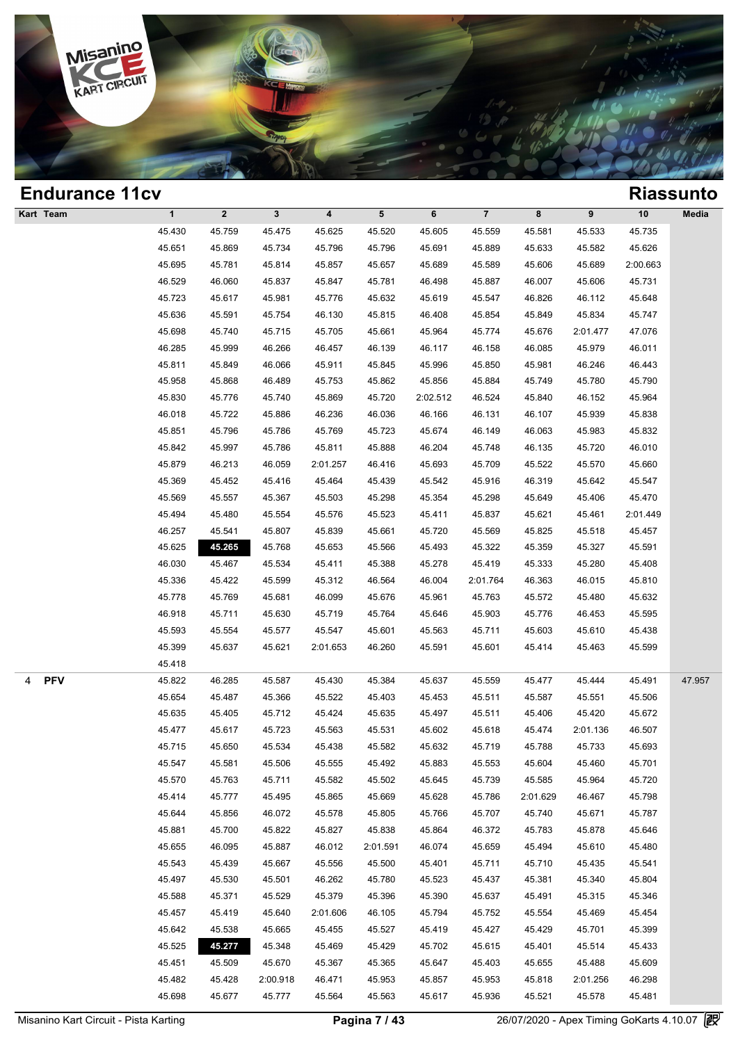

| <b>Endurance 11cv</b> |              |              |              |                         |          |          |                |          |          |          | <b>Riassunto</b> |
|-----------------------|--------------|--------------|--------------|-------------------------|----------|----------|----------------|----------|----------|----------|------------------|
| Kart Team             | $\mathbf{1}$ | $\mathbf{2}$ | $\mathbf{3}$ | $\overline{\mathbf{4}}$ | 5        | 6        | $\overline{7}$ | 8        | 9        | $10$     | Media            |
|                       | 45.430       | 45.759       | 45.475       | 45.625                  | 45.520   | 45.605   | 45.559         | 45.581   | 45.533   | 45.735   |                  |
|                       | 45.651       | 45.869       | 45.734       | 45.796                  | 45.796   | 45.691   | 45.889         | 45.633   | 45.582   | 45.626   |                  |
|                       | 45.695       | 45.781       | 45.814       | 45.857                  | 45.657   | 45.689   | 45.589         | 45.606   | 45.689   | 2:00.663 |                  |
|                       | 46.529       | 46.060       | 45.837       | 45.847                  | 45.781   | 46.498   | 45.887         | 46.007   | 45.606   | 45.731   |                  |
|                       | 45.723       | 45.617       | 45.981       | 45.776                  | 45.632   | 45.619   | 45.547         | 46.826   | 46.112   | 45.648   |                  |
|                       | 45.636       | 45.591       | 45.754       | 46.130                  | 45.815   | 46.408   | 45.854         | 45.849   | 45.834   | 45.747   |                  |
|                       | 45.698       | 45.740       | 45.715       | 45.705                  | 45.661   | 45.964   | 45.774         | 45.676   | 2:01.477 | 47.076   |                  |
|                       | 46.285       | 45.999       | 46.266       | 46.457                  | 46.139   | 46.117   | 46.158         | 46.085   | 45.979   | 46.011   |                  |
|                       | 45.811       | 45.849       | 46.066       | 45.911                  | 45.845   | 45.996   | 45.850         | 45.981   | 46.246   | 46.443   |                  |
|                       | 45.958       | 45.868       | 46.489       | 45.753                  | 45.862   | 45.856   | 45.884         | 45.749   | 45.780   | 45.790   |                  |
|                       | 45.830       | 45.776       | 45.740       | 45.869                  | 45.720   | 2:02.512 | 46.524         | 45.840   | 46.152   | 45.964   |                  |
|                       | 46.018       | 45.722       | 45.886       | 46.236                  | 46.036   | 46.166   | 46.131         | 46.107   | 45.939   | 45.838   |                  |
|                       | 45.851       | 45.796       | 45.786       | 45.769                  | 45.723   | 45.674   | 46.149         | 46.063   | 45.983   | 45.832   |                  |
|                       | 45.842       | 45.997       | 45.786       | 45.811                  | 45.888   | 46.204   | 45.748         | 46.135   | 45.720   | 46.010   |                  |
|                       | 45.879       | 46.213       | 46.059       | 2:01.257                | 46.416   | 45.693   | 45.709         | 45.522   | 45.570   | 45.660   |                  |
|                       | 45.369       | 45.452       | 45.416       | 45.464                  | 45.439   | 45.542   | 45.916         | 46.319   | 45.642   | 45.547   |                  |
|                       | 45.569       | 45.557       | 45.367       | 45.503                  | 45.298   | 45.354   | 45.298         | 45.649   | 45.406   | 45.470   |                  |
|                       | 45.494       | 45.480       | 45.554       | 45.576                  | 45.523   | 45.411   | 45.837         | 45.621   | 45.461   | 2:01.449 |                  |
|                       | 46.257       | 45.541       | 45.807       | 45.839                  | 45.661   | 45.720   | 45.569         | 45.825   | 45.518   | 45.457   |                  |
|                       | 45.625       | 45.265       | 45.768       | 45.653                  | 45.566   | 45.493   | 45.322         | 45.359   | 45.327   | 45.591   |                  |
|                       | 46.030       | 45.467       | 45.534       | 45.411                  | 45.388   | 45.278   | 45.419         | 45.333   | 45.280   | 45.408   |                  |
|                       | 45.336       | 45.422       | 45.599       | 45.312                  | 46.564   | 46.004   | 2:01.764       | 46.363   | 46.015   | 45.810   |                  |
|                       | 45.778       | 45.769       | 45.681       | 46.099                  | 45.676   | 45.961   | 45.763         | 45.572   | 45.480   | 45.632   |                  |
|                       | 46.918       | 45.711       | 45.630       | 45.719                  | 45.764   | 45.646   | 45.903         | 45.776   | 46.453   | 45.595   |                  |
|                       | 45.593       | 45.554       | 45.577       | 45.547                  | 45.601   | 45.563   | 45.711         | 45.603   | 45.610   | 45.438   |                  |
|                       | 45.399       | 45.637       | 45.621       | 2:01.653                | 46.260   | 45.591   | 45.601         | 45.414   | 45.463   | 45.599   |                  |
|                       | 45.418       |              |              |                         |          |          |                |          |          |          |                  |
| <b>PFV</b><br>4       | 45.822       | 46.285       | 45.587       | 45.430                  | 45.384   | 45.637   | 45.559         | 45.477   | 45.444   | 45.491   | 47.957           |
|                       | 45.654       | 45.487       | 45.366       | 45.522                  | 45.403   | 45.453   | 45.511         | 45.587   | 45.551   | 45.506   |                  |
|                       | 45.635       | 45.405       | 45.712       | 45.424                  | 45.635   | 45.497   | 45.511         | 45.406   | 45.420   | 45.672   |                  |
|                       | 45.477       | 45.617       | 45.723       | 45.563                  | 45.531   | 45.602   | 45.618         | 45.474   | 2:01.136 | 46.507   |                  |
|                       | 45.715       | 45.650       | 45.534       | 45.438                  | 45.582   | 45.632   | 45.719         | 45.788   | 45.733   | 45.693   |                  |
|                       | 45.547       | 45.581       | 45.506       | 45.555                  | 45.492   | 45.883   | 45.553         | 45.604   | 45.460   | 45.701   |                  |
|                       | 45.570       | 45.763       | 45.711       | 45.582                  | 45.502   | 45.645   | 45.739         | 45.585   | 45.964   | 45.720   |                  |
|                       | 45.414       | 45.777       | 45.495       | 45.865                  | 45.669   | 45.628   | 45.786         | 2:01.629 | 46.467   | 45.798   |                  |
|                       | 45.644       | 45.856       | 46.072       | 45.578                  | 45.805   | 45.766   | 45.707         | 45.740   | 45.671   | 45.787   |                  |
|                       | 45.881       | 45.700       | 45.822       | 45.827                  | 45.838   | 45.864   | 46.372         | 45.783   | 45.878   | 45.646   |                  |
|                       | 45.655       | 46.095       | 45.887       | 46.012                  | 2:01.591 | 46.074   | 45.659         | 45.494   | 45.610   | 45.480   |                  |
|                       | 45.543       | 45.439       | 45.667       | 45.556                  | 45.500   | 45.401   | 45.711         | 45.710   | 45.435   | 45.541   |                  |
|                       | 45.497       | 45.530       | 45.501       | 46.262                  | 45.780   | 45.523   | 45.437         | 45.381   | 45.340   | 45.804   |                  |
|                       | 45.588       | 45.371       | 45.529       | 45.379                  | 45.396   | 45.390   | 45.637         | 45.491   | 45.315   | 45.346   |                  |
|                       | 45.457       | 45.419       | 45.640       | 2:01.606                | 46.105   | 45.794   | 45.752         | 45.554   | 45.469   | 45.454   |                  |
|                       | 45.642       | 45.538       | 45.665       | 45.455                  | 45.527   | 45.419   | 45.427         | 45.429   | 45.701   | 45.399   |                  |
|                       | 45.525       | 45.277       | 45.348       | 45.469                  | 45.429   | 45.702   | 45.615         | 45.401   | 45.514   | 45.433   |                  |
|                       | 45.451       | 45.509       | 45.670       | 45.367                  | 45.365   | 45.647   | 45.403         | 45.655   | 45.488   | 45.609   |                  |
|                       | 45.482       | 45.428       | 2:00.918     | 46.471                  | 45.953   | 45.857   | 45.953         | 45.818   | 2:01.256 | 46.298   |                  |
|                       | 45.698       | 45.677       | 45.777       | 45.564                  | 45.563   | 45.617   | 45.936         | 45.521   | 45.578   | 45.481   |                  |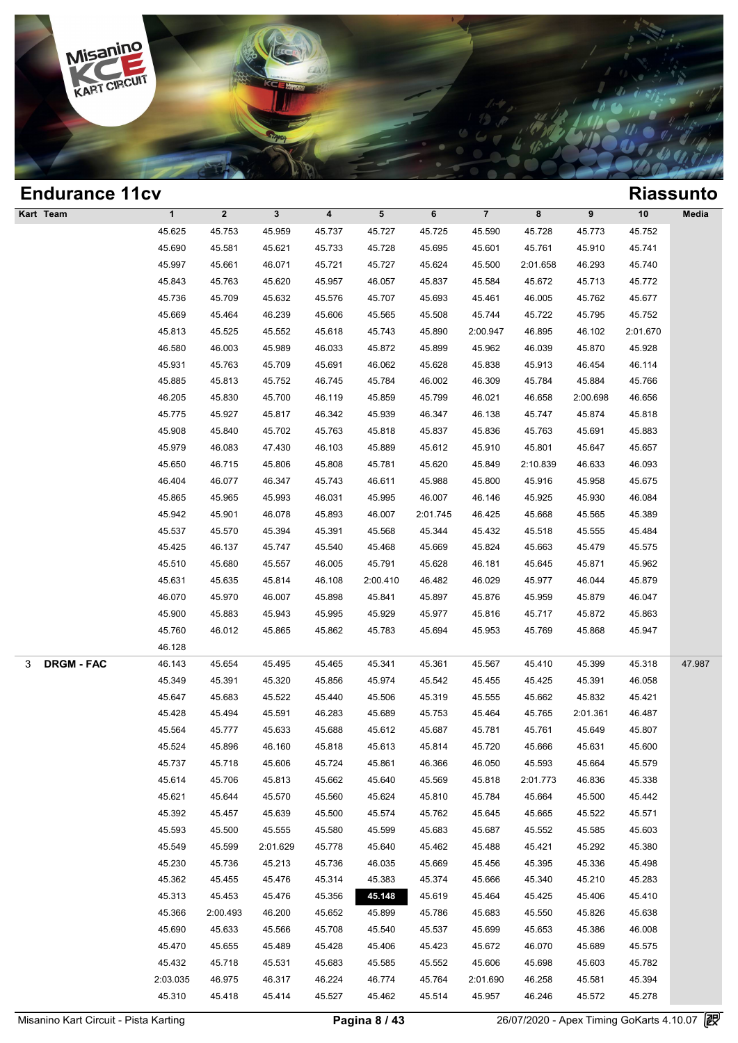

| <b>Endurance 11cv</b>  |              |                  |              |                         |          |          |                |          |          |          | <b>Riassunto</b> |
|------------------------|--------------|------------------|--------------|-------------------------|----------|----------|----------------|----------|----------|----------|------------------|
| Kart Team              | $\mathbf{1}$ | $\boldsymbol{2}$ | $\mathbf{3}$ | $\overline{\mathbf{4}}$ | 5        | 6        | $\overline{7}$ | 8        | 9        | 10       | Media            |
|                        | 45.625       | 45.753           | 45.959       | 45.737                  | 45.727   | 45.725   | 45.590         | 45.728   | 45.773   | 45.752   |                  |
|                        | 45.690       | 45.581           | 45.621       | 45.733                  | 45.728   | 45.695   | 45.601         | 45.761   | 45.910   | 45.741   |                  |
|                        | 45.997       | 45.661           | 46.071       | 45.721                  | 45.727   | 45.624   | 45.500         | 2:01.658 | 46.293   | 45.740   |                  |
|                        | 45.843       | 45.763           | 45.620       | 45.957                  | 46.057   | 45.837   | 45.584         | 45.672   | 45.713   | 45.772   |                  |
|                        | 45.736       | 45.709           | 45.632       | 45.576                  | 45.707   | 45.693   | 45.461         | 46.005   | 45.762   | 45.677   |                  |
|                        | 45.669       | 45.464           | 46.239       | 45.606                  | 45.565   | 45.508   | 45.744         | 45.722   | 45.795   | 45.752   |                  |
|                        | 45.813       | 45.525           | 45.552       | 45.618                  | 45.743   | 45.890   | 2:00.947       | 46.895   | 46.102   | 2:01.670 |                  |
|                        | 46.580       | 46.003           | 45.989       | 46.033                  | 45.872   | 45.899   | 45.962         | 46.039   | 45.870   | 45.928   |                  |
|                        | 45.931       | 45.763           | 45.709       | 45.691                  | 46.062   | 45.628   | 45.838         | 45.913   | 46.454   | 46.114   |                  |
|                        | 45.885       | 45.813           | 45.752       | 46.745                  | 45.784   | 46.002   | 46.309         | 45.784   | 45.884   | 45.766   |                  |
|                        | 46.205       | 45.830           | 45.700       | 46.119                  | 45.859   | 45.799   | 46.021         | 46.658   | 2:00.698 | 46.656   |                  |
|                        | 45.775       | 45.927           | 45.817       | 46.342                  | 45.939   | 46.347   | 46.138         | 45.747   | 45.874   | 45.818   |                  |
|                        | 45.908       | 45.840           | 45.702       | 45.763                  | 45.818   | 45.837   | 45.836         | 45.763   | 45.691   | 45.883   |                  |
|                        | 45.979       | 46.083           | 47.430       | 46.103                  | 45.889   | 45.612   | 45.910         | 45.801   | 45.647   | 45.657   |                  |
|                        | 45.650       | 46.715           | 45.806       | 45.808                  | 45.781   | 45.620   | 45.849         | 2:10.839 | 46.633   | 46.093   |                  |
|                        | 46.404       | 46.077           | 46.347       | 45.743                  | 46.611   | 45.988   | 45.800         | 45.916   | 45.958   | 45.675   |                  |
|                        | 45.865       | 45.965           | 45.993       | 46.031                  | 45.995   | 46.007   | 46.146         | 45.925   | 45.930   | 46.084   |                  |
|                        | 45.942       | 45.901           | 46.078       | 45.893                  | 46.007   | 2:01.745 | 46.425         | 45.668   | 45.565   | 45.389   |                  |
|                        | 45.537       | 45.570           | 45.394       | 45.391                  | 45.568   | 45.344   | 45.432         | 45.518   | 45.555   | 45.484   |                  |
|                        | 45.425       | 46.137           | 45.747       | 45.540                  | 45.468   | 45.669   | 45.824         | 45.663   | 45.479   | 45.575   |                  |
|                        | 45.510       | 45.680           | 45.557       | 46.005                  | 45.791   | 45.628   | 46.181         | 45.645   | 45.871   | 45.962   |                  |
|                        | 45.631       | 45.635           | 45.814       | 46.108                  | 2:00.410 | 46.482   | 46.029         | 45.977   | 46.044   | 45.879   |                  |
|                        | 46.070       | 45.970           | 46.007       | 45.898                  | 45.841   | 45.897   | 45.876         | 45.959   | 45.879   | 46.047   |                  |
|                        | 45.900       | 45.883           | 45.943       | 45.995                  | 45.929   | 45.977   | 45.816         | 45.717   | 45.872   | 45.863   |                  |
|                        | 45.760       | 46.012           | 45.865       | 45.862                  | 45.783   | 45.694   | 45.953         | 45.769   | 45.868   | 45.947   |                  |
|                        | 46.128       |                  |              |                         |          |          |                |          |          |          |                  |
| <b>DRGM - FAC</b><br>3 | 46.143       | 45.654           | 45.495       | 45.465                  | 45.341   | 45.361   | 45.567         | 45.410   | 45.399   | 45.318   | 47.987           |
|                        | 45.349       | 45.391           | 45.320       | 45.856                  | 45.974   | 45.542   | 45.455         | 45.425   | 45.391   | 46.058   |                  |
|                        | 45.647       | 45.683           | 45.522       | 45.440                  | 45.506   | 45.319   | 45.555         | 45.662   | 45.832   | 45.421   |                  |
|                        | 45.428       | 45.494           | 45.591       | 46.283                  | 45.689   | 45.753   | 45.464         | 45.765   | 2:01.361 | 46.487   |                  |
|                        | 45.564       | 45.777           | 45.633       | 45.688                  | 45.612   | 45.687   | 45.781         | 45.761   | 45.649   | 45.807   |                  |
|                        | 45.524       | 45.896           | 46.160       | 45.818                  | 45.613   | 45.814   | 45.720         | 45.666   | 45.631   | 45.600   |                  |
|                        | 45.737       | 45.718           | 45.606       | 45.724                  | 45.861   | 46.366   | 46.050         | 45.593   | 45.664   | 45.579   |                  |
|                        | 45.614       | 45.706           | 45.813       | 45.662                  | 45.640   | 45.569   | 45.818         | 2:01.773 | 46.836   | 45.338   |                  |
|                        | 45.621       | 45.644           | 45.570       | 45.560                  | 45.624   | 45.810   | 45.784         | 45.664   | 45.500   | 45.442   |                  |
|                        | 45.392       | 45.457           | 45.639       | 45.500                  | 45.574   | 45.762   | 45.645         | 45.665   | 45.522   | 45.571   |                  |
|                        | 45.593       | 45.500           | 45.555       | 45.580                  | 45.599   | 45.683   | 45.687         | 45.552   | 45.585   | 45.603   |                  |
|                        | 45.549       | 45.599           | 2:01.629     | 45.778                  | 45.640   | 45.462   | 45.488         | 45.421   | 45.292   | 45.380   |                  |
|                        | 45.230       | 45.736           | 45.213       | 45.736                  | 46.035   | 45.669   | 45.456         | 45.395   | 45.336   | 45.498   |                  |
|                        | 45.362       | 45.455           | 45.476       | 45.314                  | 45.383   | 45.374   | 45.666         | 45.340   | 45.210   | 45.283   |                  |
|                        | 45.313       | 45.453           | 45.476       | 45.356                  | 45.148   | 45.619   | 45.464         | 45.425   | 45.406   | 45.410   |                  |
|                        | 45.366       | 2:00.493         | 46.200       | 45.652                  | 45.899   | 45.786   | 45.683         | 45.550   | 45.826   | 45.638   |                  |
|                        | 45.690       | 45.633           | 45.566       | 45.708                  | 45.540   | 45.537   | 45.699         | 45.653   | 45.386   | 46.008   |                  |
|                        | 45.470       | 45.655           | 45.489       | 45.428                  | 45.406   | 45.423   | 45.672         | 46.070   | 45.689   | 45.575   |                  |
|                        | 45.432       | 45.718           | 45.531       | 45.683                  | 45.585   | 45.552   | 45.606         | 45.698   | 45.603   | 45.782   |                  |
|                        | 2:03.035     | 46.975           | 46.317       | 46.224                  | 46.774   | 45.764   | 2:01.690       | 46.258   | 45.581   | 45.394   |                  |
|                        | 45.310       | 45.418           | 45.414       | 45.527                  | 45.462   | 45.514   | 45.957         | 46.246   | 45.572   | 45.278   |                  |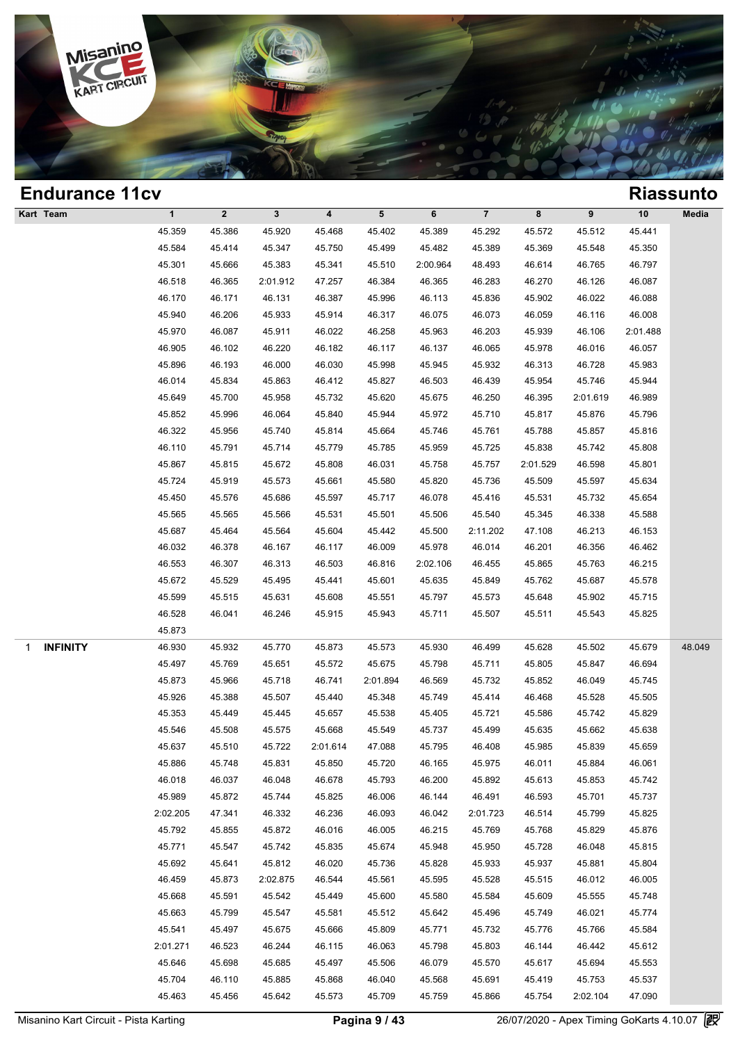

| <b>Endurance 11cv</b> |             |              |              |                         |          |          |                |          |          |          | <b>Riassunto</b> |
|-----------------------|-------------|--------------|--------------|-------------------------|----------|----------|----------------|----------|----------|----------|------------------|
| Kart Team             | $\mathbf 1$ | $\mathbf{2}$ | $\mathbf{3}$ | $\overline{\mathbf{4}}$ | 5        | 6        | $\overline{7}$ | 8        | 9        | 10       | Media            |
|                       | 45.359      | 45.386       | 45.920       | 45.468                  | 45.402   | 45.389   | 45.292         | 45.572   | 45.512   | 45.441   |                  |
|                       | 45.584      | 45.414       | 45.347       | 45.750                  | 45.499   | 45.482   | 45.389         | 45.369   | 45.548   | 45.350   |                  |
|                       | 45.301      | 45.666       | 45.383       | 45.341                  | 45.510   | 2:00.964 | 48.493         | 46.614   | 46.765   | 46.797   |                  |
|                       | 46.518      | 46.365       | 2:01.912     | 47.257                  | 46.384   | 46.365   | 46.283         | 46.270   | 46.126   | 46.087   |                  |
|                       | 46.170      | 46.171       | 46.131       | 46.387                  | 45.996   | 46.113   | 45.836         | 45.902   | 46.022   | 46.088   |                  |
|                       | 45.940      | 46.206       | 45.933       | 45.914                  | 46.317   | 46.075   | 46.073         | 46.059   | 46.116   | 46.008   |                  |
|                       | 45.970      | 46.087       | 45.911       | 46.022                  | 46.258   | 45.963   | 46.203         | 45.939   | 46.106   | 2:01.488 |                  |
|                       | 46.905      | 46.102       | 46.220       | 46.182                  | 46.117   | 46.137   | 46.065         | 45.978   | 46.016   | 46.057   |                  |
|                       | 45.896      | 46.193       | 46.000       | 46.030                  | 45.998   | 45.945   | 45.932         | 46.313   | 46.728   | 45.983   |                  |
|                       | 46.014      | 45.834       | 45.863       | 46.412                  | 45.827   | 46.503   | 46.439         | 45.954   | 45.746   | 45.944   |                  |
|                       | 45.649      | 45.700       | 45.958       | 45.732                  | 45.620   | 45.675   | 46.250         | 46.395   | 2:01.619 | 46.989   |                  |
|                       | 45.852      | 45.996       | 46.064       | 45.840                  | 45.944   | 45.972   | 45.710         | 45.817   | 45.876   | 45.796   |                  |
|                       | 46.322      | 45.956       | 45.740       | 45.814                  | 45.664   | 45.746   | 45.761         | 45.788   | 45.857   | 45.816   |                  |
|                       | 46.110      | 45.791       | 45.714       | 45.779                  | 45.785   | 45.959   | 45.725         | 45.838   | 45.742   | 45.808   |                  |
|                       | 45.867      | 45.815       | 45.672       | 45.808                  | 46.031   | 45.758   | 45.757         | 2:01.529 | 46.598   | 45.801   |                  |
|                       | 45.724      | 45.919       | 45.573       | 45.661                  | 45.580   | 45.820   | 45.736         | 45.509   | 45.597   | 45.634   |                  |
|                       | 45.450      | 45.576       | 45.686       | 45.597                  | 45.717   | 46.078   | 45.416         | 45.531   | 45.732   | 45.654   |                  |
|                       | 45.565      | 45.565       | 45.566       | 45.531                  | 45.501   | 45.506   | 45.540         | 45.345   | 46.338   | 45.588   |                  |
|                       | 45.687      | 45.464       | 45.564       | 45.604                  | 45.442   | 45.500   | 2:11.202       | 47.108   | 46.213   | 46.153   |                  |
|                       | 46.032      | 46.378       | 46.167       | 46.117                  | 46.009   | 45.978   | 46.014         | 46.201   | 46.356   | 46.462   |                  |
|                       | 46.553      | 46.307       | 46.313       | 46.503                  | 46.816   | 2:02.106 | 46.455         | 45.865   | 45.763   | 46.215   |                  |
|                       | 45.672      | 45.529       | 45.495       | 45.441                  | 45.601   | 45.635   | 45.849         | 45.762   | 45.687   | 45.578   |                  |
|                       | 45.599      | 45.515       | 45.631       | 45.608                  | 45.551   | 45.797   | 45.573         | 45.648   | 45.902   | 45.715   |                  |
|                       | 46.528      | 46.041       | 46.246       | 45.915                  | 45.943   | 45.711   | 45.507         | 45.511   | 45.543   | 45.825   |                  |
|                       | 45.873      |              |              |                         |          |          |                |          |          |          |                  |
| <b>INFINITY</b><br>1  | 46.930      | 45.932       | 45.770       | 45.873                  | 45.573   | 45.930   | 46.499         | 45.628   | 45.502   | 45.679   | 48.049           |
|                       | 45.497      | 45.769       | 45.651       | 45.572                  | 45.675   | 45.798   | 45.711         | 45.805   | 45.847   | 46.694   |                  |
|                       | 45.873      | 45.966       | 45.718       | 46.741                  | 2:01.894 | 46.569   | 45.732         | 45.852   | 46.049   | 45.745   |                  |
|                       | 45.926      | 45.388       | 45.507       | 45.440                  | 45.348   | 45.749   | 45.414         | 46.468   | 45.528   | 45.505   |                  |
|                       | 45.353      | 45.449       | 45.445       | 45.657                  | 45.538   | 45.405   | 45.721         | 45.586   | 45.742   | 45.829   |                  |
|                       | 45.546      | 45.508       | 45.575       | 45.668                  | 45.549   | 45.737   | 45.499         | 45.635   | 45.662   | 45.638   |                  |
|                       | 45.637      | 45.510       | 45.722       | 2:01.614                | 47.088   | 45.795   | 46.408         | 45.985   | 45.839   | 45.659   |                  |
|                       | 45.886      | 45.748       | 45.831       | 45.850                  | 45.720   | 46.165   | 45.975         | 46.011   | 45.884   | 46.061   |                  |
|                       | 46.018      | 46.037       | 46.048       | 46.678                  | 45.793   | 46.200   | 45.892         | 45.613   | 45.853   | 45.742   |                  |
|                       | 45.989      | 45.872       | 45.744       | 45.825                  | 46.006   | 46.144   | 46.491         | 46.593   | 45.701   | 45.737   |                  |
|                       | 2:02.205    | 47.341       | 46.332       | 46.236                  | 46.093   | 46.042   | 2:01.723       | 46.514   | 45.799   | 45.825   |                  |
|                       | 45.792      | 45.855       | 45.872       | 46.016                  | 46.005   | 46.215   | 45.769         | 45.768   | 45.829   | 45.876   |                  |
|                       | 45.771      | 45.547       | 45.742       | 45.835                  | 45.674   | 45.948   | 45.950         | 45.728   | 46.048   | 45.815   |                  |
|                       | 45.692      | 45.641       | 45.812       | 46.020                  | 45.736   | 45.828   | 45.933         | 45.937   | 45.881   | 45.804   |                  |
|                       | 46.459      | 45.873       | 2:02.875     | 46.544                  | 45.561   | 45.595   | 45.528         | 45.515   | 46.012   | 46.005   |                  |
|                       | 45.668      | 45.591       | 45.542       | 45.449                  | 45.600   | 45.580   | 45.584         | 45.609   | 45.555   | 45.748   |                  |
|                       | 45.663      | 45.799       | 45.547       | 45.581                  | 45.512   | 45.642   | 45.496         | 45.749   | 46.021   | 45.774   |                  |
|                       | 45.541      | 45.497       | 45.675       | 45.666                  | 45.809   | 45.771   | 45.732         | 45.776   | 45.766   | 45.584   |                  |
|                       | 2:01.271    | 46.523       | 46.244       | 46.115                  | 46.063   | 45.798   | 45.803         | 46.144   | 46.442   | 45.612   |                  |
|                       | 45.646      | 45.698       | 45.685       | 45.497                  | 45.506   | 46.079   | 45.570         | 45.617   | 45.694   | 45.553   |                  |
|                       | 45.704      | 46.110       | 45.885       | 45.868                  | 46.040   | 45.568   | 45.691         | 45.419   | 45.753   | 45.537   |                  |
|                       | 45.463      | 45.456       | 45.642       | 45.573                  | 45.709   | 45.759   | 45.866         | 45.754   | 2:02.104 | 47.090   |                  |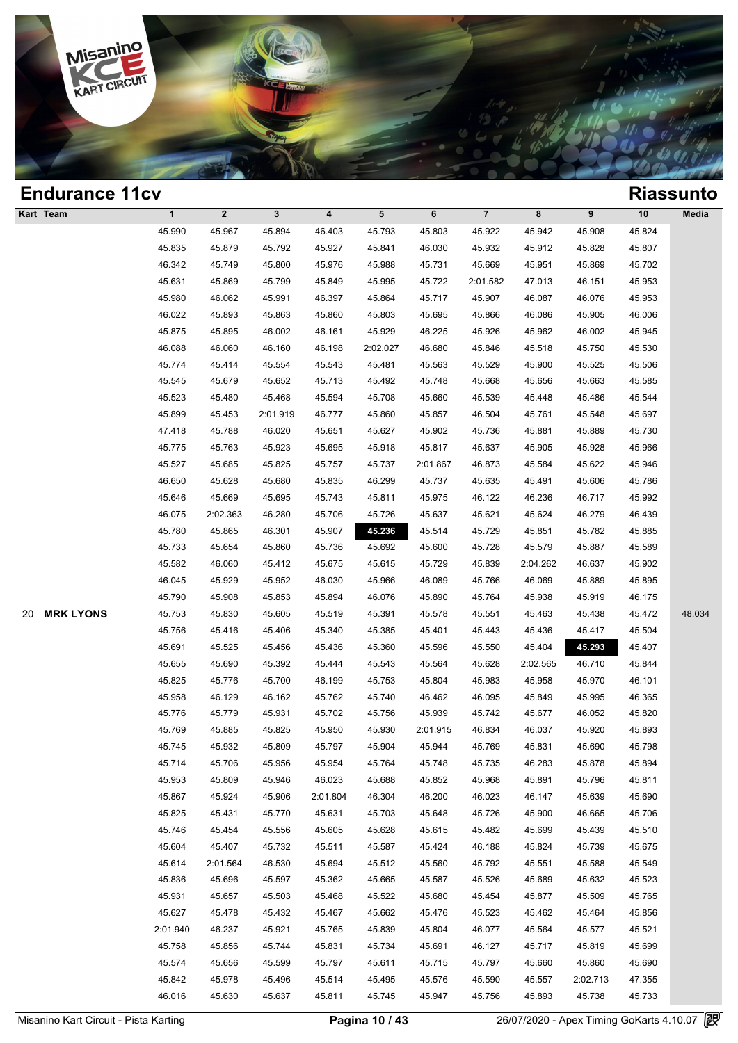

| <b>Endurance 11cv</b>  |              |                  |              |                         |          |          |                |          |          |        | <b>Riassunto</b> |
|------------------------|--------------|------------------|--------------|-------------------------|----------|----------|----------------|----------|----------|--------|------------------|
| Kart Team              | $\mathbf{1}$ | $\boldsymbol{2}$ | $\mathbf{3}$ | $\overline{\mathbf{4}}$ | 5        | 6        | $\overline{7}$ | 8        | 9        | 10     | Media            |
|                        | 45.990       | 45.967           | 45.894       | 46.403                  | 45.793   | 45.803   | 45.922         | 45.942   | 45.908   | 45.824 |                  |
|                        | 45.835       | 45.879           | 45.792       | 45.927                  | 45.841   | 46.030   | 45.932         | 45.912   | 45.828   | 45.807 |                  |
|                        | 46.342       | 45.749           | 45.800       | 45.976                  | 45.988   | 45.731   | 45.669         | 45.951   | 45.869   | 45.702 |                  |
|                        | 45.631       | 45.869           | 45.799       | 45.849                  | 45.995   | 45.722   | 2:01.582       | 47.013   | 46.151   | 45.953 |                  |
|                        | 45.980       | 46.062           | 45.991       | 46.397                  | 45.864   | 45.717   | 45.907         | 46.087   | 46.076   | 45.953 |                  |
|                        | 46.022       | 45.893           | 45.863       | 45.860                  | 45.803   | 45.695   | 45.866         | 46.086   | 45.905   | 46.006 |                  |
|                        | 45.875       | 45.895           | 46.002       | 46.161                  | 45.929   | 46.225   | 45.926         | 45.962   | 46.002   | 45.945 |                  |
|                        | 46.088       | 46.060           | 46.160       | 46.198                  | 2:02.027 | 46.680   | 45.846         | 45.518   | 45.750   | 45.530 |                  |
|                        | 45.774       | 45.414           | 45.554       | 45.543                  | 45.481   | 45.563   | 45.529         | 45.900   | 45.525   | 45.506 |                  |
|                        | 45.545       | 45.679           | 45.652       | 45.713                  | 45.492   | 45.748   | 45.668         | 45.656   | 45.663   | 45.585 |                  |
|                        | 45.523       | 45.480           | 45.468       | 45.594                  | 45.708   | 45.660   | 45.539         | 45.448   | 45.486   | 45.544 |                  |
|                        | 45.899       | 45.453           | 2:01.919     | 46.777                  | 45.860   | 45.857   | 46.504         | 45.761   | 45.548   | 45.697 |                  |
|                        | 47.418       | 45.788           | 46.020       | 45.651                  | 45.627   | 45.902   | 45.736         | 45.881   | 45.889   | 45.730 |                  |
|                        | 45.775       | 45.763           | 45.923       | 45.695                  | 45.918   | 45.817   | 45.637         | 45.905   | 45.928   | 45.966 |                  |
|                        | 45.527       | 45.685           | 45.825       | 45.757                  | 45.737   | 2:01.867 | 46.873         | 45.584   | 45.622   | 45.946 |                  |
|                        | 46.650       | 45.628           | 45.680       | 45.835                  | 46.299   | 45.737   | 45.635         | 45.491   | 45.606   | 45.786 |                  |
|                        | 45.646       | 45.669           | 45.695       | 45.743                  | 45.811   | 45.975   | 46.122         | 46.236   | 46.717   | 45.992 |                  |
|                        | 46.075       | 2:02.363         | 46.280       | 45.706                  | 45.726   | 45.637   | 45.621         | 45.624   | 46.279   | 46.439 |                  |
|                        | 45.780       | 45.865           | 46.301       | 45.907                  | 45.236   | 45.514   | 45.729         | 45.851   | 45.782   | 45.885 |                  |
|                        | 45.733       | 45.654           | 45.860       | 45.736                  | 45.692   | 45.600   | 45.728         | 45.579   | 45.887   | 45.589 |                  |
|                        | 45.582       | 46.060           | 45.412       | 45.675                  | 45.615   | 45.729   | 45.839         | 2:04.262 | 46.637   | 45.902 |                  |
|                        | 46.045       | 45.929           | 45.952       | 46.030                  | 45.966   | 46.089   | 45.766         | 46.069   | 45.889   | 45.895 |                  |
|                        | 45.790       | 45.908           | 45.853       | 45.894                  | 46.076   | 45.890   | 45.764         | 45.938   | 45.919   | 46.175 |                  |
| <b>MRK LYONS</b><br>20 | 45.753       | 45.830           | 45.605       | 45.519                  | 45.391   | 45.578   | 45.551         | 45.463   | 45.438   | 45.472 | 48.034           |
|                        | 45.756       | 45.416           | 45.406       | 45.340                  | 45.385   | 45.401   | 45.443         | 45.436   | 45.417   | 45.504 |                  |
|                        | 45.691       | 45.525           | 45.456       | 45.436                  | 45.360   | 45.596   | 45.550         | 45.404   | 45.293   | 45.407 |                  |
|                        | 45.655       | 45.690           | 45.392       | 45.444                  | 45.543   | 45.564   | 45.628         | 2:02.565 | 46.710   | 45.844 |                  |
|                        | 45.825       | 45.776           | 45.700       | 46.199                  | 45.753   | 45.804   | 45.983         | 45.958   | 45.970   | 46.101 |                  |
|                        | 45.958       | 46.129           | 46.162       | 45.762                  | 45.740   | 46.462   | 46.095         | 45.849   | 45.995   | 46.365 |                  |
|                        | 45.776       | 45.779           | 45.931       | 45.702                  | 45.756   | 45.939   | 45.742         | 45.677   | 46.052   | 45.820 |                  |
|                        | 45.769       | 45.885           | 45.825       | 45.950                  | 45.930   | 2:01.915 | 46.834         | 46.037   | 45.920   | 45.893 |                  |
|                        | 45.745       | 45.932           | 45.809       | 45.797                  | 45.904   | 45.944   | 45.769         | 45.831   | 45.690   | 45.798 |                  |
|                        | 45.714       | 45.706           | 45.956       | 45.954                  | 45.764   | 45.748   | 45.735         | 46.283   | 45.878   | 45.894 |                  |
|                        | 45.953       | 45.809           | 45.946       | 46.023                  | 45.688   | 45.852   | 45.968         | 45.891   | 45.796   | 45.811 |                  |
|                        | 45.867       | 45.924           | 45.906       | 2:01.804                | 46.304   | 46.200   | 46.023         | 46.147   | 45.639   | 45.690 |                  |
|                        | 45.825       | 45.431           | 45.770       | 45.631                  | 45.703   | 45.648   | 45.726         | 45.900   | 46.665   | 45.706 |                  |
|                        | 45.746       | 45.454           | 45.556       | 45.605                  | 45.628   | 45.615   | 45.482         | 45.699   | 45.439   | 45.510 |                  |
|                        | 45.604       | 45.407           | 45.732       | 45.511                  | 45.587   | 45.424   | 46.188         | 45.824   | 45.739   | 45.675 |                  |
|                        | 45.614       | 2:01.564         | 46.530       | 45.694                  | 45.512   | 45.560   | 45.792         | 45.551   | 45.588   | 45.549 |                  |
|                        | 45.836       | 45.696           | 45.597       | 45.362                  | 45.665   | 45.587   | 45.526         | 45.689   | 45.632   | 45.523 |                  |
|                        | 45.931       | 45.657           | 45.503       | 45.468                  | 45.522   | 45.680   | 45.454         | 45.877   | 45.509   | 45.765 |                  |
|                        | 45.627       | 45.478           | 45.432       | 45.467                  | 45.662   | 45.476   | 45.523         | 45.462   | 45.464   | 45.856 |                  |
|                        | 2:01.940     | 46.237           | 45.921       | 45.765                  | 45.839   | 45.804   | 46.077         | 45.564   | 45.577   | 45.521 |                  |
|                        | 45.758       | 45.856           | 45.744       | 45.831                  | 45.734   | 45.691   | 46.127         | 45.717   | 45.819   | 45.699 |                  |
|                        | 45.574       | 45.656           | 45.599       | 45.797                  | 45.611   | 45.715   | 45.797         | 45.660   | 45.860   | 45.690 |                  |
|                        | 45.842       | 45.978           | 45.496       | 45.514                  | 45.495   | 45.576   | 45.590         | 45.557   | 2:02.713 | 47.355 |                  |
|                        | 46.016       | 45.630           | 45.637       | 45.811                  | 45.745   | 45.947   | 45.756         | 45.893   | 45.738   | 45.733 |                  |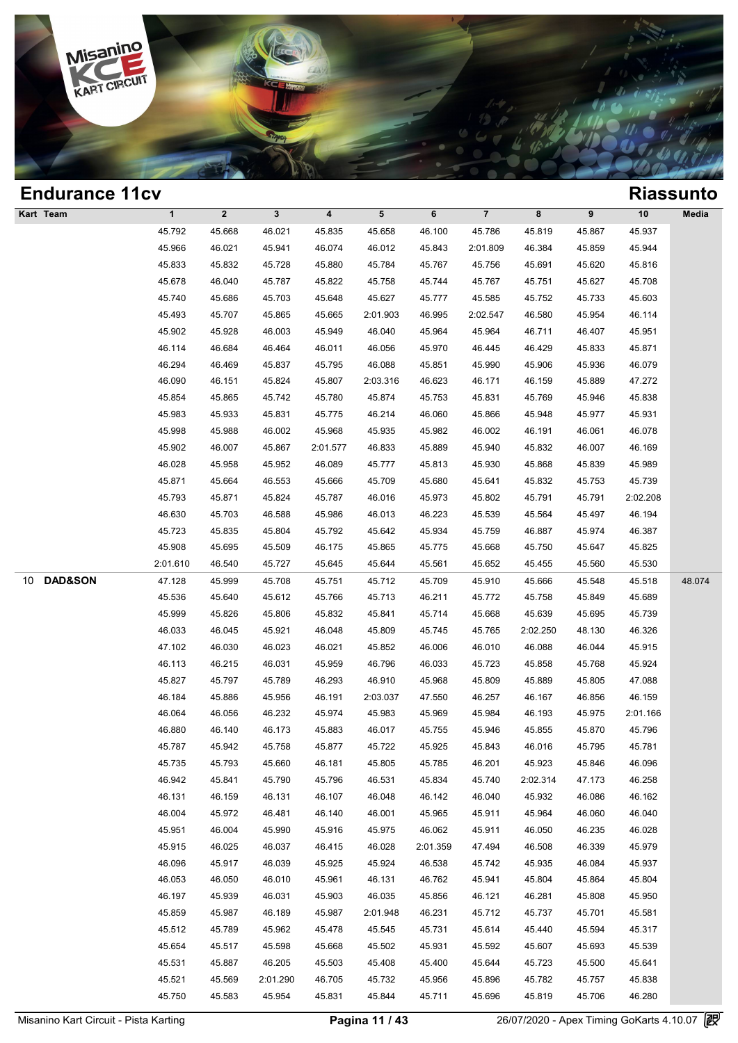

| <b>Endurance 11cv</b>    |              |              |              |                         |           |          |                |          |        |          | <b>Riassunto</b> |
|--------------------------|--------------|--------------|--------------|-------------------------|-----------|----------|----------------|----------|--------|----------|------------------|
| Kart Team                | $\mathbf{1}$ | $\mathbf{2}$ | $\mathbf{3}$ | $\overline{\mathbf{4}}$ | ${\bf 5}$ | 6        | $\overline{7}$ | 8        | 9      | $10$     | Media            |
|                          | 45.792       | 45.668       | 46.021       | 45.835                  | 45.658    | 46.100   | 45.786         | 45.819   | 45.867 | 45.937   |                  |
|                          | 45.966       | 46.021       | 45.941       | 46.074                  | 46.012    | 45.843   | 2:01.809       | 46.384   | 45.859 | 45.944   |                  |
|                          | 45.833       | 45.832       | 45.728       | 45.880                  | 45.784    | 45.767   | 45.756         | 45.691   | 45.620 | 45.816   |                  |
|                          | 45.678       | 46.040       | 45.787       | 45.822                  | 45.758    | 45.744   | 45.767         | 45.751   | 45.627 | 45.708   |                  |
|                          | 45.740       | 45.686       | 45.703       | 45.648                  | 45.627    | 45.777   | 45.585         | 45.752   | 45.733 | 45.603   |                  |
|                          | 45.493       | 45.707       | 45.865       | 45.665                  | 2:01.903  | 46.995   | 2:02.547       | 46.580   | 45.954 | 46.114   |                  |
|                          | 45.902       | 45.928       | 46.003       | 45.949                  | 46.040    | 45.964   | 45.964         | 46.711   | 46.407 | 45.951   |                  |
|                          | 46.114       | 46.684       | 46.464       | 46.011                  | 46.056    | 45.970   | 46.445         | 46.429   | 45.833 | 45.871   |                  |
|                          | 46.294       | 46.469       | 45.837       | 45.795                  | 46.088    | 45.851   | 45.990         | 45.906   | 45.936 | 46.079   |                  |
|                          | 46.090       | 46.151       | 45.824       | 45.807                  | 2:03.316  | 46.623   | 46.171         | 46.159   | 45.889 | 47.272   |                  |
|                          | 45.854       | 45.865       | 45.742       | 45.780                  | 45.874    | 45.753   | 45.831         | 45.769   | 45.946 | 45.838   |                  |
|                          | 45.983       | 45.933       | 45.831       | 45.775                  | 46.214    | 46.060   | 45.866         | 45.948   | 45.977 | 45.931   |                  |
|                          | 45.998       | 45.988       | 46.002       | 45.968                  | 45.935    | 45.982   | 46.002         | 46.191   | 46.061 | 46.078   |                  |
|                          | 45.902       | 46.007       | 45.867       | 2:01.577                | 46.833    | 45.889   | 45.940         | 45.832   | 46.007 | 46.169   |                  |
|                          | 46.028       | 45.958       | 45.952       | 46.089                  | 45.777    | 45.813   | 45.930         | 45.868   | 45.839 | 45.989   |                  |
|                          | 45.871       | 45.664       | 46.553       | 45.666                  | 45.709    | 45.680   | 45.641         | 45.832   | 45.753 | 45.739   |                  |
|                          | 45.793       | 45.871       | 45.824       | 45.787                  | 46.016    | 45.973   | 45.802         | 45.791   | 45.791 | 2:02.208 |                  |
|                          | 46.630       | 45.703       | 46.588       | 45.986                  | 46.013    | 46.223   | 45.539         | 45.564   | 45.497 | 46.194   |                  |
|                          | 45.723       | 45.835       | 45.804       | 45.792                  | 45.642    | 45.934   | 45.759         | 46.887   | 45.974 | 46.387   |                  |
|                          | 45.908       | 45.695       | 45.509       | 46.175                  | 45.865    | 45.775   | 45.668         | 45.750   | 45.647 | 45.825   |                  |
|                          | 2:01.610     | 46.540       | 45.727       | 45.645                  | 45.644    | 45.561   | 45.652         | 45.455   | 45.560 | 45.530   |                  |
| <b>DAD&amp;SON</b><br>10 | 47.128       | 45.999       | 45.708       | 45.751                  | 45.712    | 45.709   | 45.910         | 45.666   | 45.548 | 45.518   | 48.074           |
|                          | 45.536       | 45.640       | 45.612       | 45.766                  | 45.713    | 46.211   | 45.772         | 45.758   | 45.849 | 45.689   |                  |
|                          | 45.999       | 45.826       | 45.806       | 45.832                  | 45.841    | 45.714   | 45.668         | 45.639   | 45.695 | 45.739   |                  |
|                          | 46.033       | 46.045       | 45.921       | 46.048                  | 45.809    | 45.745   | 45.765         | 2:02.250 | 48.130 | 46.326   |                  |
|                          | 47.102       | 46.030       | 46.023       | 46.021                  | 45.852    | 46.006   | 46.010         | 46.088   | 46.044 | 45.915   |                  |
|                          | 46.113       | 46.215       | 46.031       | 45.959                  | 46.796    | 46.033   | 45.723         | 45.858   | 45.768 | 45.924   |                  |
|                          | 45.827       | 45.797       | 45.789       | 46.293                  | 46.910    | 45.968   | 45.809         | 45.889   | 45.805 | 47.088   |                  |
|                          | 46.184       | 45.886       | 45.956       | 46.191                  | 2:03.037  | 47.550   | 46.257         | 46.167   | 46.856 | 46.159   |                  |
|                          | 46.064       | 46.056       | 46.232       | 45.974                  | 45.983    | 45.969   | 45.984         | 46.193   | 45.975 | 2:01.166 |                  |
|                          | 46.880       | 46.140       | 46.173       | 45.883                  | 46.017    | 45.755   | 45.946         | 45.855   | 45.870 | 45.796   |                  |
|                          | 45.787       | 45.942       | 45.758       | 45.877                  | 45.722    | 45.925   | 45.843         | 46.016   | 45.795 | 45.781   |                  |
|                          | 45.735       | 45.793       | 45.660       | 46.181                  | 45.805    | 45.785   | 46.201         | 45.923   | 45.846 | 46.096   |                  |
|                          | 46.942       | 45.841       | 45.790       | 45.796                  | 46.531    | 45.834   | 45.740         | 2:02.314 | 47.173 | 46.258   |                  |
|                          | 46.131       | 46.159       | 46.131       | 46.107                  | 46.048    | 46.142   | 46.040         | 45.932   | 46.086 | 46.162   |                  |
|                          | 46.004       | 45.972       | 46.481       | 46.140                  | 46.001    | 45.965   | 45.911         | 45.964   | 46.060 | 46.040   |                  |
|                          | 45.951       | 46.004       | 45.990       | 45.916                  | 45.975    | 46.062   | 45.911         | 46.050   | 46.235 | 46.028   |                  |
|                          | 45.915       | 46.025       | 46.037       | 46.415                  | 46.028    | 2:01.359 | 47.494         | 46.508   | 46.339 | 45.979   |                  |
|                          | 46.096       | 45.917       | 46.039       | 45.925                  | 45.924    | 46.538   | 45.742         | 45.935   | 46.084 | 45.937   |                  |
|                          | 46.053       | 46.050       | 46.010       | 45.961                  | 46.131    | 46.762   | 45.941         | 45.804   | 45.864 | 45.804   |                  |
|                          | 46.197       | 45.939       | 46.031       | 45.903                  | 46.035    | 45.856   | 46.121         | 46.281   | 45.808 | 45.950   |                  |
|                          | 45.859       | 45.987       | 46.189       | 45.987                  | 2:01.948  | 46.231   | 45.712         | 45.737   | 45.701 | 45.581   |                  |
|                          | 45.512       | 45.789       | 45.962       | 45.478                  | 45.545    | 45.731   | 45.614         | 45.440   | 45.594 | 45.317   |                  |
|                          | 45.654       | 45.517       | 45.598       | 45.668                  | 45.502    | 45.931   | 45.592         | 45.607   | 45.693 | 45.539   |                  |
|                          | 45.531       | 45.887       | 46.205       | 45.503                  | 45.408    | 45.400   | 45.644         | 45.723   | 45.500 | 45.641   |                  |
|                          | 45.521       | 45.569       | 2:01.290     | 46.705                  | 45.732    | 45.956   | 45.896         | 45.782   | 45.757 | 45.838   |                  |
|                          | 45.750       | 45.583       | 45.954       | 45.831                  | 45.844    | 45.711   | 45.696         | 45.819   | 45.706 | 46.280   |                  |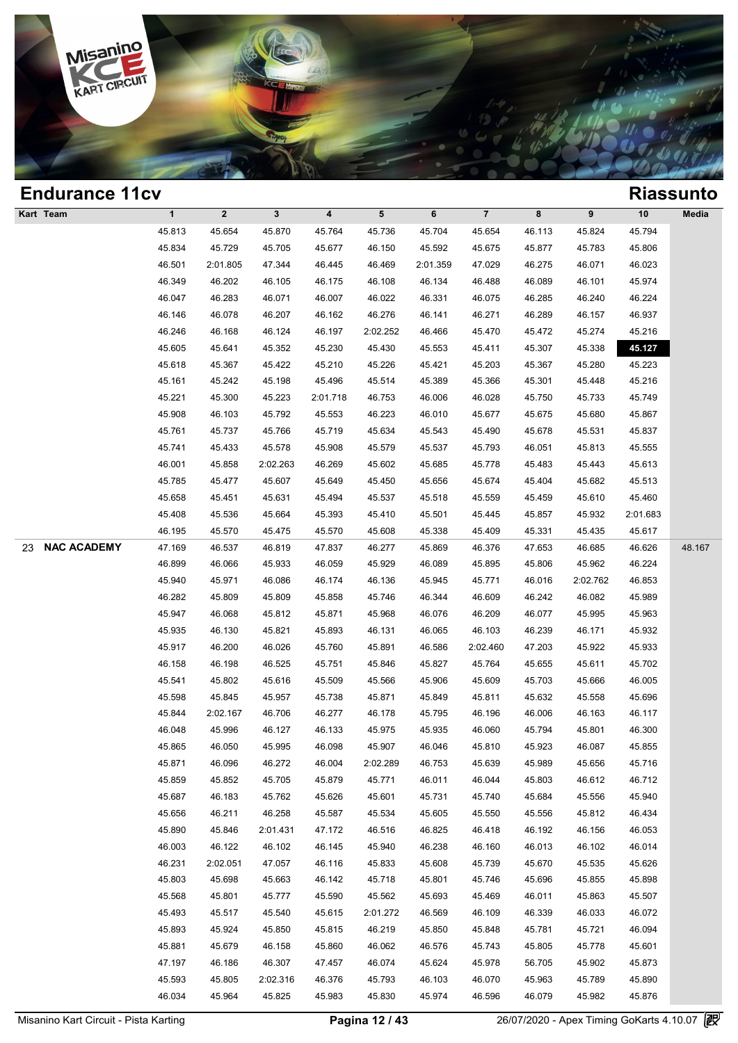

| <b>Endurance 11cv</b>    |             |              |              |                         |          |          |                |        |          |          | <b>Riassunto</b> |
|--------------------------|-------------|--------------|--------------|-------------------------|----------|----------|----------------|--------|----------|----------|------------------|
| Kart Team                | $\mathbf 1$ | $\mathbf{2}$ | $\mathbf{3}$ | $\overline{\mathbf{4}}$ | 5        | 6        | $\overline{7}$ | 8      | 9        | $10$     | Media            |
|                          | 45.813      | 45.654       | 45.870       | 45.764                  | 45.736   | 45.704   | 45.654         | 46.113 | 45.824   | 45.794   |                  |
|                          | 45.834      | 45.729       | 45.705       | 45.677                  | 46.150   | 45.592   | 45.675         | 45.877 | 45.783   | 45.806   |                  |
|                          | 46.501      | 2:01.805     | 47.344       | 46.445                  | 46.469   | 2:01.359 | 47.029         | 46.275 | 46.071   | 46.023   |                  |
|                          | 46.349      | 46.202       | 46.105       | 46.175                  | 46.108   | 46.134   | 46.488         | 46.089 | 46.101   | 45.974   |                  |
|                          | 46.047      | 46.283       | 46.071       | 46.007                  | 46.022   | 46.331   | 46.075         | 46.285 | 46.240   | 46.224   |                  |
|                          | 46.146      | 46.078       | 46.207       | 46.162                  | 46.276   | 46.141   | 46.271         | 46.289 | 46.157   | 46.937   |                  |
|                          | 46.246      | 46.168       | 46.124       | 46.197                  | 2:02.252 | 46.466   | 45.470         | 45.472 | 45.274   | 45.216   |                  |
|                          | 45.605      | 45.641       | 45.352       | 45.230                  | 45.430   | 45.553   | 45.411         | 45.307 | 45.338   | 45.127   |                  |
|                          | 45.618      | 45.367       | 45.422       | 45.210                  | 45.226   | 45.421   | 45.203         | 45.367 | 45.280   | 45.223   |                  |
|                          | 45.161      | 45.242       | 45.198       | 45.496                  | 45.514   | 45.389   | 45.366         | 45.301 | 45.448   | 45.216   |                  |
|                          | 45.221      | 45.300       | 45.223       | 2:01.718                | 46.753   | 46.006   | 46.028         | 45.750 | 45.733   | 45.749   |                  |
|                          | 45.908      | 46.103       | 45.792       | 45.553                  | 46.223   | 46.010   | 45.677         | 45.675 | 45.680   | 45.867   |                  |
|                          | 45.761      | 45.737       | 45.766       | 45.719                  | 45.634   | 45.543   | 45.490         | 45.678 | 45.531   | 45.837   |                  |
|                          | 45.741      | 45.433       | 45.578       | 45.908                  | 45.579   | 45.537   | 45.793         | 46.051 | 45.813   | 45.555   |                  |
|                          | 46.001      | 45.858       | 2:02.263     | 46.269                  | 45.602   | 45.685   | 45.778         | 45.483 | 45.443   | 45.613   |                  |
|                          | 45.785      | 45.477       | 45.607       | 45.649                  | 45.450   | 45.656   | 45.674         | 45.404 | 45.682   | 45.513   |                  |
|                          | 45.658      | 45.451       | 45.631       | 45.494                  | 45.537   | 45.518   | 45.559         | 45.459 | 45.610   | 45.460   |                  |
|                          | 45.408      | 45.536       | 45.664       | 45.393                  | 45.410   | 45.501   | 45.445         | 45.857 | 45.932   | 2:01.683 |                  |
|                          | 46.195      | 45.570       | 45.475       | 45.570                  | 45.608   | 45.338   | 45.409         | 45.331 | 45.435   | 45.617   |                  |
| <b>NAC ACADEMY</b><br>23 | 47.169      | 46.537       | 46.819       | 47.837                  | 46.277   | 45.869   | 46.376         | 47.653 | 46.685   | 46.626   | 48.167           |
|                          | 46.899      | 46.066       | 45.933       | 46.059                  | 45.929   | 46.089   | 45.895         | 45.806 | 45.962   | 46.224   |                  |
|                          | 45.940      | 45.971       | 46.086       | 46.174                  | 46.136   | 45.945   | 45.771         | 46.016 | 2:02.762 | 46.853   |                  |
|                          | 46.282      | 45.809       | 45.809       | 45.858                  | 45.746   | 46.344   | 46.609         | 46.242 | 46.082   | 45.989   |                  |
|                          | 45.947      | 46.068       | 45.812       | 45.871                  | 45.968   | 46.076   | 46.209         | 46.077 | 45.995   | 45.963   |                  |
|                          | 45.935      | 46.130       | 45.821       | 45.893                  | 46.131   | 46.065   | 46.103         | 46.239 | 46.171   | 45.932   |                  |
|                          | 45.917      | 46.200       | 46.026       | 45.760                  | 45.891   | 46.586   | 2:02.460       | 47.203 | 45.922   | 45.933   |                  |
|                          | 46.158      | 46.198       | 46.525       | 45.751                  | 45.846   | 45.827   | 45.764         | 45.655 | 45.611   | 45.702   |                  |
|                          | 45.541      | 45.802       | 45.616       | 45.509                  | 45.566   | 45.906   | 45.609         | 45.703 | 45.666   | 46.005   |                  |
|                          | 45.598      | 45.845       | 45.957       | 45.738                  | 45.871   | 45.849   | 45.811         | 45.632 | 45.558   | 45.696   |                  |
|                          | 45.844      | 2:02.167     | 46.706       | 46.277                  | 46.178   | 45.795   | 46.196         | 46.006 | 46.163   | 46.117   |                  |
|                          | 46.048      | 45.996       | 46.127       | 46.133                  | 45.975   | 45.935   | 46.060         | 45.794 | 45.801   | 46.300   |                  |
|                          | 45.865      | 46.050       | 45.995       | 46.098                  | 45.907   | 46.046   | 45.810         | 45.923 | 46.087   | 45.855   |                  |
|                          | 45.871      | 46.096       | 46.272       | 46.004                  | 2:02.289 | 46.753   | 45.639         | 45.989 | 45.656   | 45.716   |                  |
|                          | 45.859      | 45.852       | 45.705       | 45.879                  | 45.771   | 46.011   | 46.044         | 45.803 | 46.612   | 46.712   |                  |
|                          | 45.687      | 46.183       | 45.762       | 45.626                  | 45.601   | 45.731   | 45.740         | 45.684 | 45.556   | 45.940   |                  |
|                          | 45.656      | 46.211       | 46.258       | 45.587                  | 45.534   | 45.605   | 45.550         | 45.556 | 45.812   | 46.434   |                  |
|                          | 45.890      | 45.846       | 2:01.431     | 47.172                  | 46.516   | 46.825   | 46.418         | 46.192 | 46.156   | 46.053   |                  |
|                          | 46.003      | 46.122       | 46.102       | 46.145                  | 45.940   | 46.238   | 46.160         | 46.013 | 46.102   | 46.014   |                  |
|                          | 46.231      | 2:02.051     | 47.057       | 46.116                  | 45.833   | 45.608   | 45.739         | 45.670 | 45.535   | 45.626   |                  |
|                          | 45.803      | 45.698       | 45.663       | 46.142                  | 45.718   | 45.801   | 45.746         | 45.696 | 45.855   | 45.898   |                  |
|                          | 45.568      | 45.801       | 45.777       | 45.590                  | 45.562   | 45.693   | 45.469         | 46.011 | 45.863   | 45.507   |                  |
|                          |             |              |              |                         |          |          |                |        |          |          |                  |
|                          | 45.493      | 45.517       | 45.540       | 45.615                  | 2:01.272 | 46.569   | 46.109         | 46.339 | 46.033   | 46.072   |                  |
|                          | 45.893      | 45.924       | 45.850       | 45.815                  | 46.219   | 45.850   | 45.848         | 45.781 | 45.721   | 46.094   |                  |
|                          | 45.881      | 45.679       | 46.158       | 45.860                  | 46.062   | 46.576   | 45.743         | 45.805 | 45.778   | 45.601   |                  |
|                          | 47.197      | 46.186       | 46.307       | 47.457                  | 46.074   | 45.624   | 45.978         | 56.705 | 45.902   | 45.873   |                  |
|                          | 45.593      | 45.805       | 2:02.316     | 46.376                  | 45.793   | 46.103   | 46.070         | 45.963 | 45.789   | 45.890   |                  |
|                          | 46.034      | 45.964       | 45.825       | 45.983                  | 45.830   | 45.974   | 46.596         | 46.079 | 45.982   | 45.876   |                  |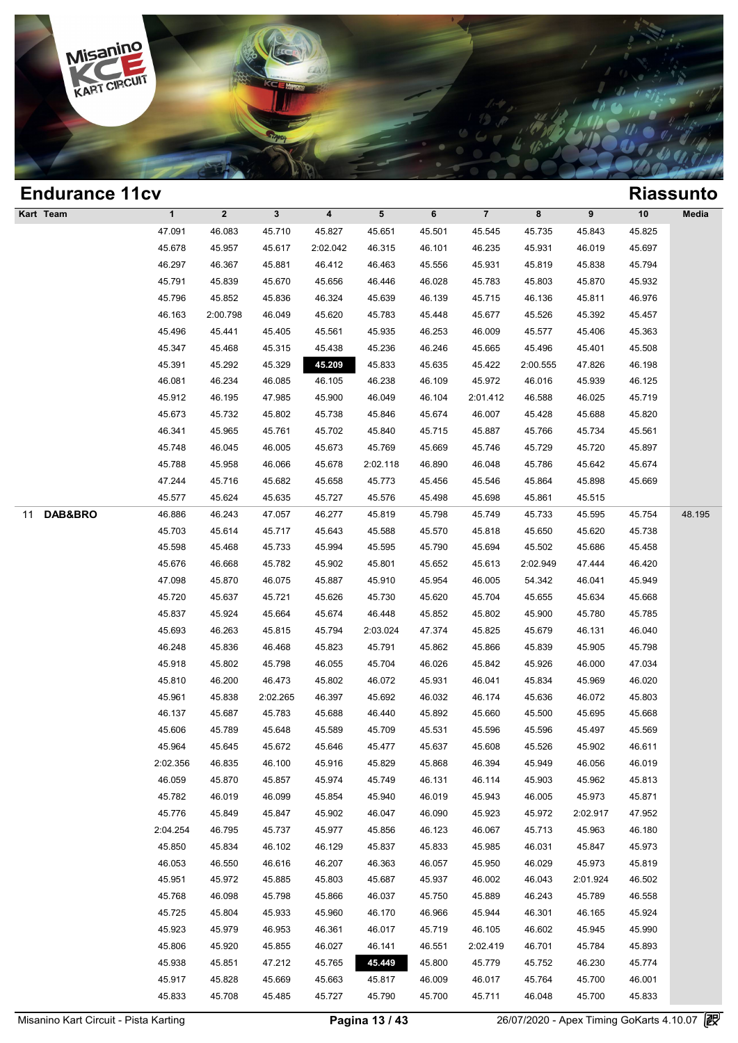

### **Endurance 11cv Riassunto Kart Team 1 2 3 4 5 6 7 8 9 10 Media Process 25.825 46.083 45.710 45.827 45.651 45.501 46.325 45.843 45.825 45.825 45.825**<br>47.091 46.083 45.710 45.827 45.651 45.501 45.545 45.735 45.843 45.825 45.825 1 2 3 4 5 6 7 8 9 10 Med<br>47.091 46.083 45.710 45.827 45.651 45.501 45.545 45.735 45.843 45.825<br>45.678 45.957 45.617 2:02.042 46.315 46.101 46.235 45.931 46.019 45.697<br>46.207 46.267 45.891 46.412 46.462 45.556 45.931 46.910 1 2 3 4 5 6 7 8 9 10 Med<br>47.091 46.083 45.710 45.827 45.651 45.501 45.545 45.735 45.843 45.825<br>45.678 45.957 45.617 2:02.042 46.315 46.101 46.235 45.931 46.019 45.697<br>46.297 46.367 45.881 46.412 46.463 45.556 45.931 45.819 46.083 45.710 45.827 45.651 45.501 45.545 45.735 45.843 45.825<br>45.678 45.957 45.617 2:02.042 46.315 46.101 46.235 45.931 46.019 45.697<br>46.297 46.367 45.881 46.412 46.463 45.556 45.931 45.819 45.838 45.794<br>45.791 45.839 45. 45.678 45.957 45.617 2:02.042 46.315 46.101 46.235 45.931 46.019 45.697<br>46.297 46.367 45.881 46.412 46.463 45.556 45.931 45.819 45.838 45.794<br>45.791 45.839 45.670 45.656 46.446 46.028 45.783 45.803 45.870 45.932<br>45.796 45. 46.297 46.367 45.881 46.412 46.463 45.556 45.931 45.819 45.838 45.794<br>45.791 45.839 45.670 45.656 46.446 46.028 45.783 45.803 45.870 45.932<br>45.796 45.852 45.836 46.324 45.639 46.139 45.715 46.136 45.811 46.976<br>46.163 2:00. 45.796 45.839 45.670 45.656 46.446 46.028 45.783 45.803 45.870 45.932<br>45.796 45.852 45.836 46.324 45.639 46.139 45.715 46.136 45.811 46.976<br>46.163 2:00.798 46.049 45.620 45.783 45.448 45.677 45.526 45.392 45.457<br>45.496 45. 46.796 45.852 45.836 46.324 45.639 46.139 45.715 46.136 45.811 46.976<br>46.163 2:00.798 46.049 45.620 45.783 45.448 45.677 45.526 45.392 45.457<br>45.496 45.441 45.405 45.561 45.935 46.253 46.009 45.577 45.406 45.363<br>45.347 45. 46.163 2:00.798 46.049 45.620 45.783 45.448 45.677 45.526 45.392 45.457<br>45.496 45.441 45.405 45.561 45.935 46.253 46.009 45.577 45.406 45.363<br>45.347 45.468 45.315 45.438 45.236 46.246 45.665 45.496 46.496 45.441 45.405 45.561 45.935 46.253 46.009 45.577 45.406 45.363<br>45.347 45.468 45.315 45.438 45.236 46.246 45.665 45.496 45.401 45.508<br>45.391 45.292 45.329 45.209 45.833 45.635 45.422 2:00.555 47.826 46.198<br>46.081 46.2 45.347 45.468 45.315 45.438 45.236 46.246 45.665 45.496 45.401 45.508<br>45.391 45.292 45.329 45.209 45.833 45.635 45.422 2:00.555 47.826 46.198<br>46.081 46.234 46.085 46.105 46.238 46.109 45.972 46.016 45.939 46.125<br>45.912 46. 45.391 45.292 45.329 45.209 45.833 45.635 45.422 2:00.555 47.826 46.198<br>46.081 46.234 46.085 46.105 46.238 46.109 45.972 46.016 45.939 46.125<br>45.912 46.195 47.985 45.900 46.049 46.104 2:01.412 46.588 46.025 45.719<br>45.673 45 46.081 46.234 46.085 46.105 46.238 46.109 45.972 46.016 45.939 46.125<br>45.912 46.195 47.985 45.900 46.049 46.104 2:01.412 46.588 46.025 45.719<br>45.673 45.732 45.802 45.738 45.846 45.674 46.007 45.428 45.688 45.820<br>46.341 45. 46.912 46.195 47.985 45.900 46.049 46.104 2:01.412 46.588 46.025 45.719<br>45.673 45.732 45.802 45.738 45.846 45.674 46.007 45.428 45.688 45.820<br>46.341 45.965 45.761 45.702 45.840 45.715 45.887 45.766 45.734 45.561<br>45.748 46. 45.673 45.732 45.802 45.738 45.846 45.674 46.007 45.428 45.688 45.820<br>46.341 45.965 45.761 45.702 45.840 45.715 45.887 45.766 45.734 45.561<br>45.748 46.045 46.005 45.673 45.769 45.669 45.746 45.729 45.720 45.897<br>45.788 45.95 46.341 45.965 45.761 45.702 45.840 45.715 45.887 45.766 45.734 45.561<br>45.748 46.045 46.005 45.673 45.769 45.669 45.746 45.729 45.720 45.897<br>45.788 45.958 46.066 45.678 2:02.118 46.890 46.048 45.786 45.642 45.674<br>47.244 45. 45.748 46.045 46.005 45.673 45.769 45.669 45.746 45.729 45.720 45.8<br>45.788 45.958 46.066 45.678 2:02.118 46.890 46.048 45.786 45.642 45.6<br>47.244 45.716 45.682 45.658 45.773 45.456 45.546 45.864 45.898 45.61<br>45.577 45.624 4 11 **DAB&BRO** 46.886 46.243 47.057 46.277 45.819 45.798 45.749 45.733 45.595 45.754 48.195 47.244 45.716 45.682 45.658 45.773 45.456 45.546 45.864 45.898 45.669<br>45.577 45.624 45.635 45.727 45.576 45.498 45.698 45.861 45.515<br>46.886 46.243 47.057 46.277 45.819 45.798 45.749 45.733 45.595 45.754 48.1<br>45.703 45.614 45.577 45.624 45.635 45.727 45.576 45.498 45.698 45.861 45.515<br>46.886 46.243 47.057 46.277 45.819 45.798 45.749 45.733 45.595 45.754 48.1<br>45.703 45.614 45.717 45.643 45.588 45.570 45.818 45.650 45.620 45.738<br>45.598 45.468 46.886 46.243 47.057 46.277 45.819 45.798 45.749 45.733 45.595 45.754 48.1<br>45.703 45.614 45.717 45.643 45.588 45.570 45.818 45.650 45.620 45.738<br>45.598 45.468 45.733 45.994 45.595 45.790 45.694 45.502 45.686 45.458<br>45.676 45.703 45.614 45.717 45.643 45.588 45.570 45.818 45.650 45.620 45.738<br>45.598 45.468 45.733 45.994 45.595 45.790 45.694 45.502 45.686 45.458<br>45.676 46.668 45.782 45.902 45.801 45.652 45.613 2:02.949 47.444 46.420<br>47.098 45. 45.598 45.468 45.733 45.994 45.595 45.790 45.694 45.502 45.686 45.458<br>45.676 46.668 45.782 45.902 45.801 45.652 45.613 2:02.949 47.444 46.420<br>47.098 45.870 46.075 45.887 45.910 45.954 46.005 54.342 46.041 45.949<br>45.720 45. 45.676 46.668 45.782 45.902 45.801 45.652 45.613 2:02.949 47.444 46.420<br>47.098 45.870 46.075 45.887 45.910 45.954 46.005 54.342 46.041 45.949<br>45.720 45.637 45.721 45.626 45.730 45.620 45.704 45.655 45.634 45.668<br>45.837 45. 46.075 46.87 46.975 46.887 46.910 46.954 46.005 54.342 46.041 45.949<br>45.720 45.637 45.721 45.626 45.730 45.620 45.704 45.655 45.634 45.668<br>45.837 45.924 45.664 45.674 46.448 45.852 45.802 45.900 45.780 45.785<br>45.693 46.263 45.720 45.637 45.721 45.626 45.730 45.620 45.704 45.655 45.634 45.668<br>45.837 45.924 45.664 45.674 46.448 45.852 45.802 45.900 45.780 45.785<br>45.693 46.263 45.815 45.794 2:03.024 47.374 45.825 45.679 46.131 46.040<br>46.248 45. 45.837 45.924 45.664 45.674 46.448 45.852 45.802 45.900 45.780 45.785<br>45.693 46.263 45.815 45.794 2:03.024 47.374 45.825 45.679 46.131 46.040<br>46.248 45.836 46.468 45.823 45.791 45.862 45.866 45.839 45.905 45.798<br>45.918 45. 46.248 46.263 45.815 45.794 2:03.024 47.374 45.825 45.679 46.131 46.040<br>46.248 45.836 46.468 45.823 45.791 45.862 45.866 45.839 45.905 45.798<br>45.918 45.802 45.798 46.055 45.704 46.026 45.842 45.926 46.000 47.034<br>45.810 46. 46.248 45.836 46.468 45.823 45.791 45.862 45.866 45.839 45.905 45.798<br>45.918 45.802 45.798 46.055 45.704 46.026 45.842 45.926 46.000 47.034<br>45.810 46.200 46.473 45.802 46.072 45.931 46.041 45.834 45.969 46.020<br>45.961 45.83 46.918 46.802 45.798 46.055 45.704 46.026 45.842 45.926 46.000 47.034<br>45.810 46.200 46.473 45.802 46.072 45.931 46.041 45.834 45.969 46.020<br>45.961 45.838 2:02.265 46.397 45.692 46.032 46.174 45.636 46.072 45.803<br>46.137 45. 46.810 46.200 46.473 45.802 46.072 45.931 46.041 45.834 45.969 46.020<br>45.961 45.838 2:02.265 46.397 45.692 46.032 46.174 45.636 46.072 45.803<br>46.137 45.687 45.783 45.688 46.440 45.892 45.660 45.500 45.695 45.668<br>45.606 45. 45.961 45.838 2:02.265 46.397 45.692 46.032 46.174 45.636 46.072 45.803<br>46.137 45.687 45.783 45.688 46.440 45.892 45.660 45.500 45.695 45.668<br>45.606 45.789 45.648 45.589 45.709 45.531 45.596 45.596 45.497 45.569<br>45.964 45. 46.137 45.687 45.783 45.688 46.440 45.892 45.660 45.500 45.695 45.668<br>45.606 45.789 45.648 45.589 45.709 45.531 45.596 45.596 45.497 45.569<br>45.964 45.645 45.672 45.646 45.477 45.637 45.608 45.526 45.902 46.611<br>2:02.356 46. 45.606 45.789 45.648 45.589 45.709 45.531 45.596 45.596 45.497 45.569<br>45.964 45.645 45.672 45.646 45.477 45.637 45.608 45.526 45.902 46.611<br>:02.356 46.835 46.100 45.916 45.829 45.868 46.394 45.949 46.056 46.019<br>46.059 45.87 45.964 45.645 45.672 45.646 45.477 45.637 45.608 45.526 45.902 46.611<br>
2.02.356 46.835 46.100 45.916 45.829 45.868 46.394 45.949 46.056 46.019<br>
46.059 45.870 45.857 45.974 45.749 46.131 46.114 45.903 45.962 45.813<br>
45.782  $45.856$   $46.835$   $46.100$   $45.916$   $45.829$   $45.868$   $46.394$   $45.949$   $46.056$   $46.019$ <br>  $45.870$   $45.857$   $45.974$   $45.749$   $46.131$   $46.114$   $45.903$   $45.962$   $45.813$ <br>  $45.782$   $46.019$   $46.099$   $45.854$   $45.940$   $46$ 46.059 45.870 45.857 45.974 45.749 46.0131 46.114 45.903 45.962 45.813<br>45.782 46.019 46.099 45.854 45.940 46.019 45.943 46.005 45.973 45.871<br>45.776 45.849 45.847 45.902 46.047 46.090 45.923 45.972 2:02.917 47.952<br>2:04.254 46.782 46.019 46.099 45.854 45.940 46.019 45.943 46.005 45.973 45.871<br>45.776 45.849 45.847 45.902 46.047 46.090 45.923 45.972 2:02.917 47.952<br>1:04.254 46.795 45.737 45.977 45.856 46.123 46.067 45.713 45.963 46.180<br>45.850 4 46.776 45.849 45.847 45.902 46.047 46.090 45.923 45.972 2:02.917 47.952<br>
2:04.254 46.795 45.737 45.977 45.856 46.123 46.067 45.713 45.963 46.180<br>
45.850 45.834 46.102 46.129 45.837 45.833 45.985 46.031 45.847 45.973<br>
46.05 45.850 46.795 45.737 45.977 45.856 46.123 46.067 45.713 45.963 46.180<br>45.850 45.834 46.102 46.129 45.837 45.833 45.985 46.031 45.847 45.973<br>46.053 46.550 46.616 46.207 46.363 46.057 45.950 46.029 45.973 45.819<br>45.951 45.9 45.850 45.834 46.102 46.129 45.837 45.833 45.985 46.031 45.847 45.973<br>46.053 46.550 46.616 46.207 46.363 46.057 45.950 46.029 45.973 45.819<br>45.951 45.972 45.885 45.803 45.687 45.937 46.002 46.043 2:01.924 46.502<br>45.768 46. 46.053 46.550 46.616 46.207 46.363 46.057 45.950 46.029 45.973 45.819<br>45.951 45.972 45.885 45.803 45.687 45.937 46.002 46.043 2:01.924 46.502<br>45.768 46.098 45.798 45.866 46.037 45.750 45.889 46.243 45.789 46.558<br>45.725 45. 45.951 45.972 45.885 45.803 45.687 45.937 46.002 46.043 2:01.924 46.502<br>45.768 46.098 45.798 45.866 46.037 45.750 45.889 46.243 45.789 46.558<br>45.725 45.804 45.933 45.960 46.170 46.966 45.944 46.301 46.165 45.924<br>45.923 45. 46.768 46.098 45.798 45.866 46.037 45.750 45.889 46.243 45.789 46.558<br>45.725 45.804 45.933 45.960 46.170 46.966 45.944 46.301 46.165 45.924<br>45.923 45.979 46.953 46.361 46.017 45.719 46.105 46.602 45.945 45.990<br>45.806 45.92 45.725 45.804 45.933 45.960 46.170 46.966 45.944 46.301 46.165 45.924<br>45.923 45.979 46.953 46.361 46.017 45.719 46.105 46.602 45.945 45.990<br>45.806 45.920 45.855 46.027 46.141 46.551 2:02.419 46.701 45.784 45.893<br>45.938 45. 45.923 45.979 46.953 46.361 46.017 45.719 46.105 46.602 45.945 45.990<br>45.806 45.920 45.855 46.027 46.141 46.551 2:02.419 46.701 45.784 45.893<br>45.938 45.851 47.212 45.765 45.4129 45.800 45.779 45.752 46.230 45.774<br>45.917 45 45.806 45.920 45.855 46.027 46.141 46.551 2:02.419 46.701 45.784 45.893<br>45.938 45.851 47.212 45.765 45.449 45.800 45.779 45.752 46.230 45.774<br>45.917 45.828 45.669 45.663 45.817 46.009 46.017 45.764 45.700 46.001<br>45.833 45.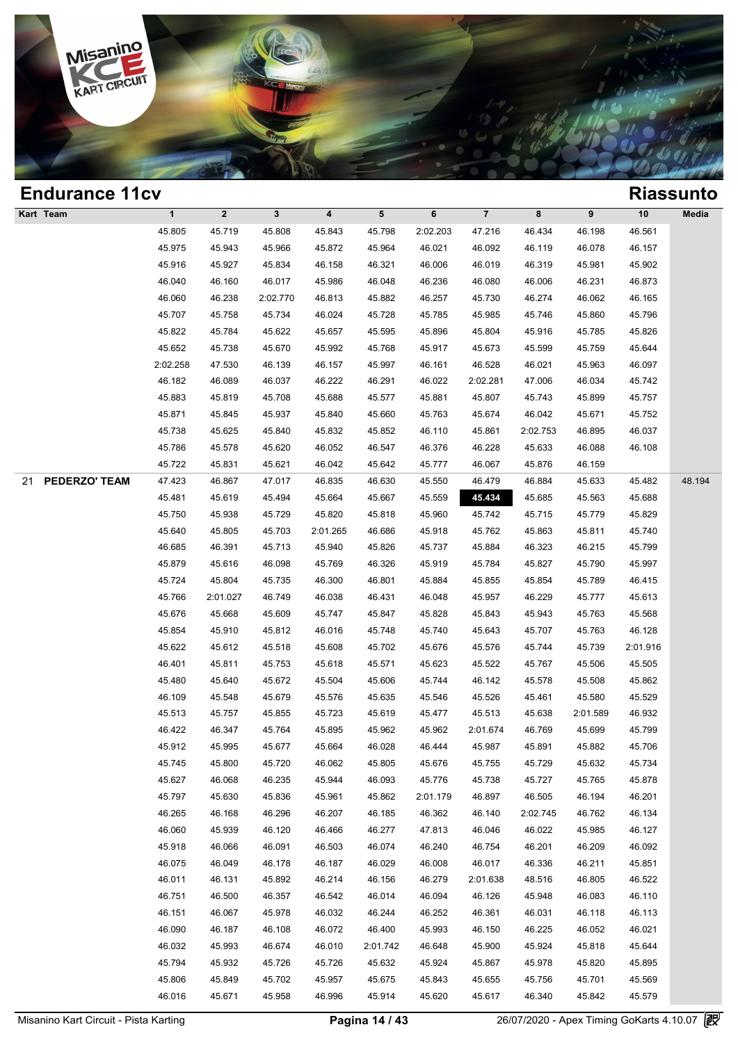

| <b>Endurance 11cv</b> |              |              |              |                         |           |          |                |          |          |          | <b>Riassunto</b> |
|-----------------------|--------------|--------------|--------------|-------------------------|-----------|----------|----------------|----------|----------|----------|------------------|
| Kart Team             | $\mathbf{1}$ | $\mathbf{2}$ | $\mathbf{3}$ | $\overline{\mathbf{4}}$ | ${\bf 5}$ | 6        | $\overline{7}$ | 8        | 9        | 10       | Media            |
|                       | 45.805       | 45.719       | 45.808       | 45.843                  | 45.798    | 2:02.203 | 47.216         | 46.434   | 46.198   | 46.561   |                  |
|                       | 45.975       | 45.943       | 45.966       | 45.872                  | 45.964    | 46.021   | 46.092         | 46.119   | 46.078   | 46.157   |                  |
|                       | 45.916       | 45.927       | 45.834       | 46.158                  | 46.321    | 46.006   | 46.019         | 46.319   | 45.981   | 45.902   |                  |
|                       | 46.040       | 46.160       | 46.017       | 45.986                  | 46.048    | 46.236   | 46.080         | 46.006   | 46.231   | 46.873   |                  |
|                       | 46.060       | 46.238       | 2:02.770     | 46.813                  | 45.882    | 46.257   | 45.730         | 46.274   | 46.062   | 46.165   |                  |
|                       | 45.707       | 45.758       | 45.734       | 46.024                  | 45.728    | 45.785   | 45.985         | 45.746   | 45.860   | 45.796   |                  |
|                       | 45.822       | 45.784       | 45.622       | 45.657                  | 45.595    | 45.896   | 45.804         | 45.916   | 45.785   | 45.826   |                  |
|                       | 45.652       | 45.738       | 45.670       | 45.992                  | 45.768    | 45.917   | 45.673         | 45.599   | 45.759   | 45.644   |                  |
|                       | 2:02.258     | 47.530       | 46.139       | 46.157                  | 45.997    | 46.161   | 46.528         | 46.021   | 45.963   | 46.097   |                  |
|                       | 46.182       | 46.089       | 46.037       | 46.222                  | 46.291    | 46.022   | 2:02.281       | 47.006   | 46.034   | 45.742   |                  |
|                       | 45.883       | 45.819       | 45.708       | 45.688                  | 45.577    | 45.881   | 45.807         | 45.743   | 45.899   | 45.757   |                  |
|                       | 45.871       | 45.845       | 45.937       | 45.840                  | 45.660    | 45.763   | 45.674         | 46.042   | 45.671   | 45.752   |                  |
|                       | 45.738       | 45.625       | 45.840       | 45.832                  | 45.852    | 46.110   | 45.861         | 2:02.753 | 46.895   | 46.037   |                  |
|                       | 45.786       | 45.578       | 45.620       | 46.052                  | 46.547    | 46.376   | 46.228         | 45.633   | 46.088   | 46.108   |                  |
|                       | 45.722       | 45.831       | 45.621       | 46.042                  | 45.642    | 45.777   | 46.067         | 45.876   | 46.159   |          |                  |
| PEDERZO' TEAM<br>21   | 47.423       | 46.867       | 47.017       | 46.835                  | 46.630    | 45.550   | 46.479         | 46.884   | 45.633   | 45.482   | 48.194           |
|                       | 45.481       | 45.619       | 45.494       | 45.664                  | 45.667    | 45.559   | 45.434         | 45.685   | 45.563   | 45.688   |                  |
|                       | 45.750       | 45.938       | 45.729       | 45.820                  | 45.818    | 45.960   | 45.742         | 45.715   | 45.779   | 45.829   |                  |
|                       | 45.640       | 45.805       | 45.703       | 2:01.265                | 46.686    | 45.918   | 45.762         | 45.863   | 45.811   | 45.740   |                  |
|                       | 46.685       | 46.391       | 45.713       | 45.940                  | 45.826    | 45.737   | 45.884         | 46.323   | 46.215   | 45.799   |                  |
|                       | 45.879       | 45.616       | 46.098       | 45.769                  | 46.326    | 45.919   | 45.784         | 45.827   | 45.790   | 45.997   |                  |
|                       | 45.724       | 45.804       | 45.735       | 46.300                  | 46.801    | 45.884   | 45.855         | 45.854   | 45.789   | 46.415   |                  |
|                       | 45.766       | 2:01.027     | 46.749       | 46.038                  | 46.431    | 46.048   | 45.957         | 46.229   | 45.777   | 45.613   |                  |
|                       | 45.676       | 45.668       | 45.609       | 45.747                  | 45.847    | 45.828   | 45.843         | 45.943   | 45.763   | 45.568   |                  |
|                       | 45.854       | 45.910       | 45.812       | 46.016                  | 45.748    | 45.740   | 45.643         | 45.707   | 45.763   | 46.128   |                  |
|                       | 45.622       | 45.612       | 45.518       | 45.608                  | 45.702    | 45.676   | 45.576         | 45.744   | 45.739   | 2:01.916 |                  |
|                       | 46.401       | 45.811       | 45.753       | 45.618                  | 45.571    | 45.623   | 45.522         | 45.767   | 45.506   | 45.505   |                  |
|                       | 45.480       | 45.640       | 45.672       | 45.504                  | 45.606    | 45.744   | 46.142         | 45.578   | 45.508   | 45.862   |                  |
|                       | 46.109       | 45.548       | 45.679       | 45.576                  | 45.635    | 45.546   | 45.526         | 45.461   | 45.580   | 45.529   |                  |
|                       | 45.513       | 45.757       | 45.855       | 45.723                  | 45.619    | 45.477   | 45.513         | 45.638   | 2:01.589 | 46.932   |                  |
|                       | 46.422       | 46.347       | 45.764       | 45.895                  | 45.962    | 45.962   | 2:01.674       | 46.769   | 45.699   | 45.799   |                  |
|                       | 45.912       | 45.995       | 45.677       | 45.664                  | 46.028    | 46.444   | 45.987         | 45.891   | 45.882   | 45.706   |                  |
|                       | 45.745       | 45.800       | 45.720       | 46.062                  | 45.805    | 45.676   | 45.755         | 45.729   | 45.632   | 45.734   |                  |
|                       | 45.627       | 46.068       | 46.235       | 45.944                  | 46.093    | 45.776   | 45.738         | 45.727   | 45.765   | 45.878   |                  |
|                       | 45.797       | 45.630       | 45.836       | 45.961                  | 45.862    | 2:01.179 | 46.897         | 46.505   | 46.194   | 46.201   |                  |
|                       | 46.265       | 46.168       | 46.296       | 46.207                  | 46.185    | 46.362   | 46.140         | 2:02.745 | 46.762   | 46.134   |                  |
|                       | 46.060       | 45.939       | 46.120       | 46.466                  | 46.277    | 47.813   | 46.046         | 46.022   | 45.985   | 46.127   |                  |
|                       | 45.918       | 46.066       | 46.091       | 46.503                  | 46.074    | 46.240   | 46.754         | 46.201   | 46.209   | 46.092   |                  |
|                       | 46.075       | 46.049       | 46.178       | 46.187                  | 46.029    | 46.008   | 46.017         | 46.336   | 46.211   | 45.851   |                  |
|                       | 46.011       | 46.131       | 45.892       | 46.214                  | 46.156    | 46.279   | 2:01.638       | 48.516   | 46.805   | 46.522   |                  |
|                       | 46.751       | 46.500       | 46.357       | 46.542                  | 46.014    | 46.094   | 46.126         | 45.948   | 46.083   | 46.110   |                  |
|                       | 46.151       | 46.067       | 45.978       | 46.032                  | 46.244    | 46.252   | 46.361         | 46.031   | 46.118   | 46.113   |                  |
|                       | 46.090       | 46.187       | 46.108       | 46.072                  | 46.400    | 45.993   | 46.150         | 46.225   | 46.052   | 46.021   |                  |
|                       | 46.032       | 45.993       | 46.674       | 46.010                  | 2:01.742  | 46.648   | 45.900         | 45.924   | 45.818   | 45.644   |                  |
|                       | 45.794       | 45.932       | 45.726       | 45.726                  | 45.632    | 45.924   | 45.867         | 45.978   | 45.820   | 45.895   |                  |
|                       | 45.806       | 45.849       | 45.702       | 45.957                  | 45.675    | 45.843   | 45.655         | 45.756   | 45.701   | 45.569   |                  |
|                       | 46.016       | 45.671       | 45.958       | 46.996                  | 45.914    | 45.620   | 45.617         | 46.340   | 45.842   | 45.579   |                  |
|                       |              |              |              |                         |           |          |                |          |          |          |                  |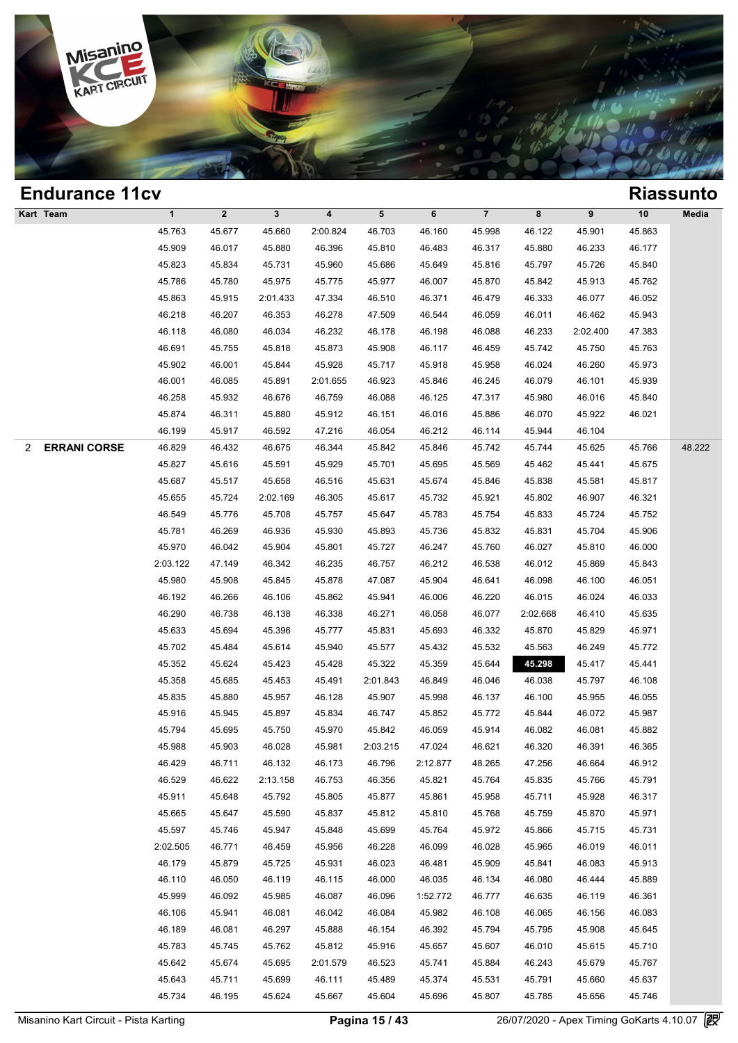

### **Endurance 11cv Riassunto Kart Team 1 2 3 4 5 6 7 8 9 10 Media Process 25.677 46.660 2:00.824 46.763 46.160 45.998 46.122 45.901 46.933 46.977 46.990 46.996 46.996 46.999 46.999 46.999 46.999 46.977 45.863** 1 2 3 4 5 6 7 8 9 10 Med<br>45.763 45.677 45.660 2:00.824 46.703 46.160 45.998 46.122 45.901 45.863<br>45.909 46.017 45.880 46.396 45.810 46.483 46.317 45.880 46.233 46.177<br>45.923 45.924 45.731 45.960 45.686 45.640 45.916 45.727 1 2 3 4 5 6 7 8 9 10 Med<br>45.763 45.677 45.660 2:00.824 46.703 46.160 45.998 46.122 45.901 45.863<br>45.909 46.017 45.880 46.396 45.810 46.483 46.317 45.880 46.233 46.177<br>45.823 45.834 45.731 45.960 45.686 45.649 45.816 45.797 45.763 45.677 45.660 2:00.824 46.703 46.160 45.998 46.122 45.901 45.863<br>45.909 46.017 45.880 46.396 45.810 46.483 46.317 45.880 46.233 46.177<br>45.823 45.834 45.731 45.960 45.686 45.649 45.816 45.797 45.726 45.840<br>45.786 45. 46.899 46.017 45.880 46.396 45.810 46.483 46.317 45.880 46.233 46.177<br>45.823 45.834 45.731 45.960 45.686 45.649 45.816 45.797 45.726 45.840<br>45.786 45.780 45.975 45.775 45.977 46.007 45.870 45.842 45.913 45.762<br>45.863 45.915 46.823 45.834 45.731 45.960 45.686 45.649 45.816 45.797 45.726 45.840<br>45.786 45.780 45.975 45.775 45.977 46.007 45.870 45.842 45.913 45.762<br>45.863 45.915 2:01.433 47.334 46.510 46.371 46.479 46.333 46.077 46.052<br>46.218 46.2 46.786 45.780 45.975 45.775 46.977 46.007 45.870 45.842 45.913 45.762<br>45.863 45.915 2:01.433 47.334 46.510 46.371 46.479 46.333 46.077 46.052<br>46.218 46.207 46.353 46.278 47.509 46.544 46.059 46.011 46.462 45.943<br>46.118 46. 46.83 45.915 2:01.433 47.334 46.510 46.371 46.479 46.333 46.077 46.052<br>46.218 46.207 46.353 46.278 47.509 46.544 46.059 46.011 46.462 45.943<br>46.118 46.080 46.034 46.232 46.178 46.198 46.088 46.233 2:02.400 47.383<br>46.691 45 46.218 46.207 46.353 46.278 47.509 46.544 46.059 46.011 46.462 45.943<br>46.118 46.080 46.034 46.232 46.178 46.198 46.088 46.233 2:02.400 47.383<br>46.691 45.755 45.818 45.873 45.908 46.117 46.459 45.742 45.750 45.763<br>45.902 46. 46.118 46.080 46.034 46.232 46.178 46.198 46.088 46.233 2:02.400 47.383<br>46.691 45.755 45.818 45.873 45.908 46.117 46.459 45.742 45.750 45.763<br>45.902 46.001 45.844 45.928 45.717 45.918 45.958 46.024 46.260 45.973<br>46.001 46. 46.691 45.755 45.818 45.873 45.908 46.117 46.459 45.742 45.750 45.763<br>45.902 46.001 45.844 45.928 45.717 45.918 45.958 46.024 46.260 45.973<br>46.001 46.085 45.891 2:01.655 46.923 45.846 46.245 46.079 46.101 45.939<br>46.258 45. 46.902 46.001 45.844 45.928 45.717 45.918 45.958 46.024 46.260 45.973<br>46.001 46.085 45.891 2:01.655 46.923 45.846 46.245 46.079 46.101 45.939<br>46.258 45.932 46.676 46.759 46.088 46.125 47.317 45.980 46.016 45.840<br>45.874 46. 46.001 46.085 45.891 2:01.655 46.923 45.846 46.245 46.079 46.101 45.91<br>46.258 45.932 46.676 46.759 46.088 46.125 47.317 45.980 46.016 45.8<br>45.874 46.311 45.880 45.912 46.151 46.016 45.886 46.070 45.922 46.01<br>46.199 45.917 2 **ERRANI CORSE** 46.829 46.432 46.675 46.344 45.842 45.846 45.742 45.744 45.625 45.766 48.222 46.829 46.917 46.592 47.216 46.054 46.212 46.114 45.944 46.104<br>46.829 46.432 46.675 46.344 45.842 45.846 45.742 45.744 45.625 45.766 48.2<br>45.827 45.616 45.591 45.929 45.701 45.695 45.569 45.441 45.675<br>45.687 45.517 45.658 46.199 45.917 46.592 47.216 46.054 46.212 46.114 45.944 46.104<br>46.829 46.432 46.675 46.344 45.842 45.846 45.742 45.744 45.625 45.766 48.2<br>45.827 45.616 45.591 45.929 45.701 45.695 45.569 45.462 45.441 45.675<br>45.687 45.517 4 46.829 46.432 46.675 46.344 45.842 45.846 45.742 45.744 45.625 45.766 48.2<br>45.827 45.616 45.591 45.929 45.701 45.695 45.569 45.462 45.441 45.675<br>45.687 45.517 45.658 46.516 45.631 45.674 45.846 45.838 45.581 45.817<br>45.655 4 45.827 45.616 45.591 45.929 45.701 45.695 45.569 45.462 45.441 45.675<br>45.687 45.517 45.658 46.516 45.631 45.674 45.846 45.838 45.581 45.817<br>45.655 45.724 2:02.169 46.305 45.617 45.732 45.921 45.802 46.907 46.321<br>46.549 45. 45.687 45.517 45.658 46.516 45.631 45.674 45.846 45.838 45.581 45.817<br>45.655 45.724 2:02.169 46.305 45.617 45.732 45.921 45.802 46.907 46.321<br>46.549 45.776 45.708 45.757 45.647 45.783 45.754 45.833 45.724 45.752<br>45.781 46. 45.655 45.724 2:02.169 46.305 45.617 45.732 45.921 45.802 46.907 46.321<br>46.549 45.776 45.708 45.757 45.647 45.783 45.754 45.833 45.724 45.752<br>45.781 46.269 46.936 45.930 45.893 45.736 45.832 45.831 45.704 45.906<br>45.970 46. 45.781 46.269 46.936 45.767 45.893 45.783 45.754 45.833 45.724 45.762<br>45.781 46.269 46.936 45.930 45.893 45.736 45.832 45.831 45.704 45.906<br>45.970 46.042 45.904 45.801 45.727 46.247 45.760 46.027 45.810 46.000<br>2:03.122 47.1 46.781 46.269 46.936 45.930 45.893 45.736 45.832 45.831 45.704 45.906<br>45.970 46.042 45.904 45.801 45.727 46.247 45.760 46.027 45.810 46.000<br>1:03.122 47.149 46.342 46.235 46.757 46.212 46.538 46.012 45.869 45.843<br>45.980 45. 46.970 46.042 45.904 45.801 45.727 46.247 45.760 46.027 45.810 46.000<br>
46.312 47.149 46.342 46.235 46.757 46.212 46.538 46.012 45.869 45.843<br>
45.980 45.908 45.845 45.878 47.087 45.904 46.641 46.098 46.100 46.051<br>
46.192 46 46.290 46.286 46.342 46.338 46.757 46.212 46.538 46.012 45.869 45.843<br>45.980 45.908 45.845 45.878 47.087 45.904 46.641 46.098 46.100 46.051<br>46.192 46.266 46.106 45.862 45.941 46.006 46.220 46.015 46.024 46.033<br>46.290 46.7 45.980 45.908 45.845 45.878 47.087 45.904 46.641 46.098 46.100 46.051<br>46.192 46.266 46.106 45.862 45.941 46.006 46.220 46.015 46.024 46.033<br>46.290 46.738 46.138 46.338 46.271 46.058 46.077 2:02.668 46.410 45.635<br>45.633 45. 46.192 46.266 46.106 45.862 45.941 46.006 46.220 46.015 46.024 46.033<br>46.290 46.738 46.138 46.338 46.271 46.058 46.077 2:02.668 46.410 45.635<br>45.633 45.694 45.396 45.777 45.831 45.693 46.332 45.870 45.829 45.971<br>45.702 45. 46.290 46.738 46.138 46.338 46.271 46.058 46.077 2:02.668 46.410 45.635<br>45.633 45.694 45.396 45.777 45.831 45.693 46.332 45.870 45.829 45.971<br>45.702 45.484 45.614 45.940 45.577 45.432 45.532 45.563 46.249 45.772<br>45.352 45. 45.633 45.694 45.396 45.777 45.831 45.693 46.332 45.870 45.829 45.971<br>45.702 45.484 45.614 45.940 45.577 45.432 45.532 45.563 46.249 45.772<br>45.352 45.624 45.423 45.428 45.322 45.359 45.644 45.792 45.441<br>45.358 45.685 45.45 45.702 45.484 45.614 45.940 45.577 45.432 45.532 45.563 46.249 45.772<br>45.352 45.624 45.423 45.428 45.322 45.359 45.644 45.298 45.417 45.441<br>45.358 45.685 45.453 45.491 2:01.843 46.849 46.046 46.038 45.797 46.108<br>45.835 45.8 45.352 45.624 45.423 45.428 45.322 45.359 45.644 45.298 45.417 45.441<br>45.358 45.685 45.453 45.491 2:01.843 46.849 46.046 46.038 45.797 46.108<br>45.835 45.880 45.957 46.128 45.907 45.998 46.137 46.100 45.955 46.055<br>45.916 45.9 45.358 45.685 45.453 45.491 2:01.843 46.849 46.046 46.038 45.797 46.108<br>45.835 45.880 45.957 46.128 45.907 45.998 46.137 46.100 45.955 46.055<br>45.916 45.945 45.897 45.834 46.747 45.852 45.772 45.844 46.072 45.987<br>45.794 45. 45.835 45.880 45.957 46.128 45.907 45.998 46.137 46.100 45.955 46.055<br>45.916 45.945 45.897 45.834 46.747 45.852 45.772 45.844 46.072 45.987<br>45.794 45.695 45.750 45.970 45.842 46.059 45.914 46.082 46.081 45.882<br>45.988 45.903 45.916 45.945 45.897 45.834 46.747 45.852 45.772 45.844 46.072 45.987<br>45.794 45.695 45.750 45.970 45.842 46.059 45.914 46.082 46.081 45.882<br>45.988 45.903 46.028 45.981 2:03.215 47.024 46.621 46.320 46.391 46.365<br>46.429 46. 46.794 45.695 45.750 45.970 45.842 46.059 45.914 46.082 46.081 45.882<br>45.988 45.903 46.028 45.981 2:03.215 47.024 46.621 46.320 46.391 46.365<br>46.429 46.711 46.132 46.173 46.796 2:12.877 48.265 47.256 46.664 46.912<br>46.529 4 45.988 45.903 46.028 45.981 2:03.215 47.024 46.621 46.320 46.391 46.365<br>46.429 46.711 46.132 46.173 46.796 2:12.877 48.265 47.256 46.664 46.912<br>46.529 46.622 2:13.158 46.753 46.356 45.821 45.764 45.835 45.766 45.791<br>45.911 46.429 46.711 46.132 46.173 46.796 2:12.877 48.265 47.256 46.664 46.912<br>46.529 46.622 2:13.158 46.753 46.356 45.821 45.764 45.835 45.766 45.791<br>45.911 45.648 45.792 45.805 45.877 45.861 45.958 45.711 45.928 46.317<br>45.665 4 46.529 46.622 2:13.158 46.753 46.356 45.821 45.764 45.835 45.766 45.791<br>45.911 45.648 45.792 45.805 45.877 45.861 45.958 45.711 45.928 46.317<br>45.665 45.647 45.590 45.837 45.812 45.810 45.768 45.759 45.870 45.971<br>45.597 45. 45.911 45.648 45.792 45.805 45.877 45.861 45.958 45.711 45.928 46.317<br>45.665 45.647 45.590 45.837 45.812 45.810 45.768 45.759 45.870 45.971<br>45.597 45.746 45.947 45.848 45.699 45.764 45.972 45.866 45.715 45.731<br>2:02.505 46. 45.665 45.647 45.590 45.837 45.812 45.810 45.768 45.759 45.870 45.971<br>45.597 45.746 45.947 45.848 45.699 45.764 45.972 45.866 45.715 45.731<br>1:02.505 46.771 46.459 45.956 46.228 46.099 46.028 45.965 46.019 46.011<br>46.179 45. 46.597 46.746 45.947 45.848 45.699 45.764 45.972 45.866 45.715 45.731<br>
2.02.505 46.771 46.459 45.956 46.228 46.099 46.028 45.965 46.019 46.011<br>
46.179 45.879 45.725 45.931 46.023 46.481 45.909 45.841 46.083 45.913<br>
46.110  $46.179$   $45.879$   $45.725$   $45.931$   $46.028$   $46.481$   $45.909$   $45.841$   $46.083$   $45.913$ <br>  $46.110$   $46.050$   $46.119$   $46.115$   $46.000$   $46.035$   $46.134$   $46.080$   $46.444$   $45.889$ <br>  $45.999$   $46.092$   $45.985$   $46.087$   $46$ 46.179 45.879 45.725 45.931 46.023 46.481 45.909 45.841 46.083 45.913<br>46.110 46.050 46.119 46.115 46.000 46.035 46.134 46.080 46.444 45.889<br>45.999 46.092 45.985 46.087 46.096 1:52.772 46.777 46.635 46.119 46.361<br>46.106 45. 46.110 46.050 46.119 46.115 46.000 46.035 46.134 46.080 46.444 45.889<br>45.999 46.092 45.985 46.087 46.096 1:52.772 46.777 46.635 46.119 46.361<br>46.106 45.941 46.081 46.042 46.084 45.982 46.108 46.065 46.156 46.083<br>46.189 46. 46.999 46.092 45.985 46.087 46.096 1:52.772 46.777 46.635 46.119 46.361<br>46.106 45.941 46.081 46.042 46.084 45.982 46.108 46.065 46.156 46.083<br>46.189 46.081 46.297 45.888 46.154 46.392 45.794 45.795 45.908 45.645<br>45.783 45. 46.106 45.941 46.081 46.042 46.084 45.982 46.108 46.065 46.156 46.083<br>46.189 46.081 46.297 45.888 46.154 46.392 45.794 45.795 45.908 45.645<br>45.783 45.745 45.762 45.812 45.916 45.657 45.607 46.010 45.615 45.710<br>45.642 45.674 46.189 46.081 46.297 45.888 46.154 46.392 45.794 45.795 45.908 45.645<br>45.783 45.745 45.762 45.812 45.916 45.657 45.607 46.010 45.615 45.710<br>45.642 45.674 45.695 2:01.579 46.523 45.741 45.884 46.243 45.679 45.767<br>45.643 45. 45.783 45.745 45.762 45.812 45.916 45.657 45.607 46.010 45.615 45.710<br>45.642 45.674 45.695 2:01.579 46.523 45.741 45.884 46.243 45.679 45.767<br>45.643 45.711 45.699 46.111 45.489 45.374 45.531 45.791 45.660 45.637<br>45.734 46.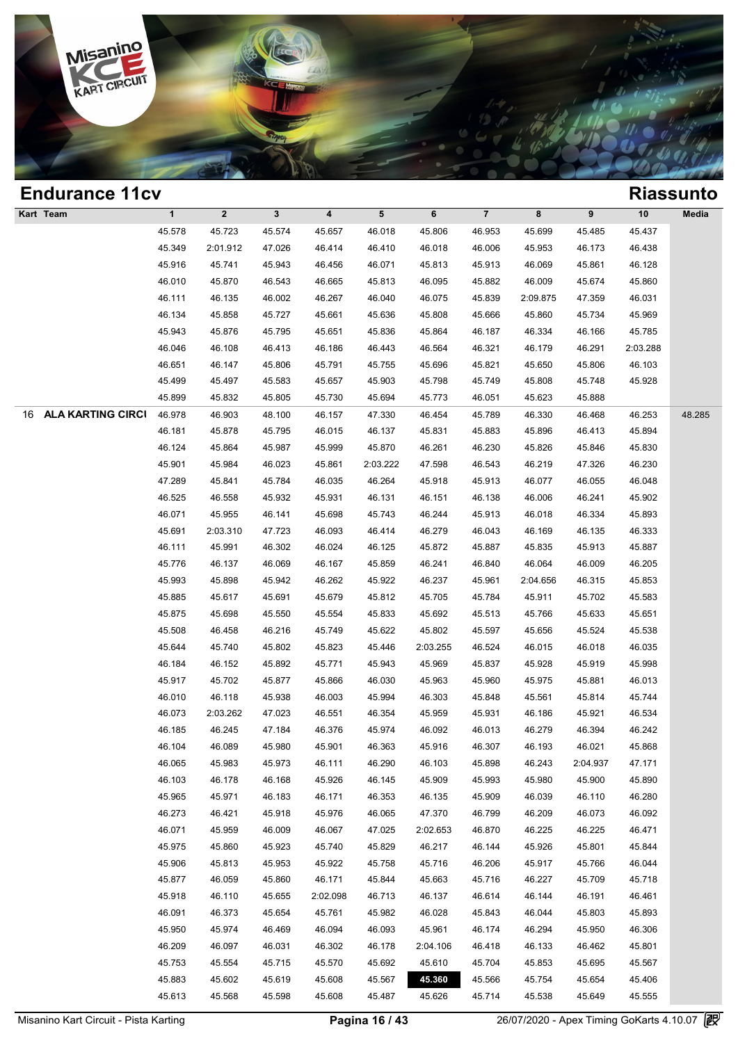

| <b>Endurance 11cv</b>          |              |              |              |                         |           |          |                |          |          |          | <b>Riassunto</b> |
|--------------------------------|--------------|--------------|--------------|-------------------------|-----------|----------|----------------|----------|----------|----------|------------------|
| Kart Team                      | $\mathbf{1}$ | $\mathbf{2}$ | $\mathbf{3}$ | $\overline{\mathbf{4}}$ | ${\bf 5}$ | 6        | $\overline{7}$ | 8        | 9        | $10$     | Media            |
|                                | 45.578       | 45.723       | 45.574       | 45.657                  | 46.018    | 45.806   | 46.953         | 45.699   | 45.485   | 45.437   |                  |
|                                | 45.349       | 2:01.912     | 47.026       | 46.414                  | 46.410    | 46.018   | 46.006         | 45.953   | 46.173   | 46.438   |                  |
|                                | 45.916       | 45.741       | 45.943       | 46.456                  | 46.071    | 45.813   | 45.913         | 46.069   | 45.861   | 46.128   |                  |
|                                | 46.010       | 45.870       | 46.543       | 46.665                  | 45.813    | 46.095   | 45.882         | 46.009   | 45.674   | 45.860   |                  |
|                                | 46.111       | 46.135       | 46.002       | 46.267                  | 46.040    | 46.075   | 45.839         | 2:09.875 | 47.359   | 46.031   |                  |
|                                | 46.134       | 45.858       | 45.727       | 45.661                  | 45.636    | 45.808   | 45.666         | 45.860   | 45.734   | 45.969   |                  |
|                                | 45.943       | 45.876       | 45.795       | 45.651                  | 45.836    | 45.864   | 46.187         | 46.334   | 46.166   | 45.785   |                  |
|                                | 46.046       | 46.108       | 46.413       | 46.186                  | 46.443    | 46.564   | 46.321         | 46.179   | 46.291   | 2:03.288 |                  |
|                                | 46.651       | 46.147       | 45.806       | 45.791                  | 45.755    | 45.696   | 45.821         | 45.650   | 45.806   | 46.103   |                  |
|                                | 45.499       | 45.497       | 45.583       | 45.657                  | 45.903    | 45.798   | 45.749         | 45.808   | 45.748   | 45.928   |                  |
|                                | 45.899       | 45.832       | 45.805       | 45.730                  | 45.694    | 45.773   | 46.051         | 45.623   | 45.888   |          |                  |
| <b>ALA KARTING CIRCI</b><br>16 | 46.978       | 46.903       | 48.100       | 46.157                  | 47.330    | 46.454   | 45.789         | 46.330   | 46.468   | 46.253   | 48.285           |
|                                | 46.181       | 45.878       | 45.795       | 46.015                  | 46.137    | 45.831   | 45.883         | 45.896   | 46.413   | 45.894   |                  |
|                                | 46.124       | 45.864       | 45.987       | 45.999                  | 45.870    | 46.261   | 46.230         | 45.826   | 45.846   | 45.830   |                  |
|                                | 45.901       | 45.984       | 46.023       | 45.861                  | 2:03.222  | 47.598   | 46.543         | 46.219   | 47.326   | 46.230   |                  |
|                                | 47.289       | 45.841       | 45.784       | 46.035                  | 46.264    | 45.918   | 45.913         | 46.077   | 46.055   | 46.048   |                  |
|                                | 46.525       | 46.558       | 45.932       | 45.931                  | 46.131    | 46.151   | 46.138         | 46.006   | 46.241   | 45.902   |                  |
|                                | 46.071       | 45.955       | 46.141       | 45.698                  | 45.743    | 46.244   | 45.913         | 46.018   | 46.334   | 45.893   |                  |
|                                | 45.691       | 2:03.310     | 47.723       | 46.093                  | 46.414    | 46.279   | 46.043         | 46.169   | 46.135   | 46.333   |                  |
|                                | 46.111       | 45.991       | 46.302       | 46.024                  | 46.125    | 45.872   | 45.887         | 45.835   | 45.913   | 45.887   |                  |
|                                | 45.776       | 46.137       | 46.069       | 46.167                  | 45.859    | 46.241   | 46.840         | 46.064   | 46.009   | 46.205   |                  |
|                                | 45.993       | 45.898       | 45.942       | 46.262                  | 45.922    | 46.237   | 45.961         | 2:04.656 | 46.315   | 45.853   |                  |
|                                | 45.885       | 45.617       | 45.691       | 45.679                  | 45.812    | 45.705   | 45.784         | 45.911   | 45.702   | 45.583   |                  |
|                                | 45.875       | 45.698       | 45.550       | 45.554                  | 45.833    | 45.692   | 45.513         | 45.766   | 45.633   | 45.651   |                  |
|                                | 45.508       | 46.458       | 46.216       | 45.749                  | 45.622    | 45.802   | 45.597         | 45.656   | 45.524   | 45.538   |                  |
|                                | 45.644       | 45.740       | 45.802       | 45.823                  | 45.446    | 2:03.255 | 46.524         | 46.015   | 46.018   | 46.035   |                  |
|                                | 46.184       | 46.152       | 45.892       | 45.771                  | 45.943    | 45.969   | 45.837         | 45.928   | 45.919   | 45.998   |                  |
|                                | 45.917       | 45.702       | 45.877       | 45.866                  | 46.030    | 45.963   | 45.960         | 45.975   | 45.881   | 46.013   |                  |
|                                | 46.010       | 46.118       | 45.938       | 46.003                  | 45.994    | 46.303   | 45.848         | 45.561   | 45.814   | 45.744   |                  |
|                                | 46.073       | 2:03.262     | 47.023       | 46.551                  | 46.354    | 45.959   | 45.931         | 46.186   | 45.921   | 46.534   |                  |
|                                | 46.185       | 46.245       | 47.184       | 46.376                  | 45.974    | 46.092   | 46.013         | 46.279   | 46.394   | 46.242   |                  |
|                                | 46.104       | 46.089       | 45.980       | 45.901                  | 46.363    | 45.916   | 46.307         | 46.193   | 46.021   | 45.868   |                  |
|                                | 46.065       | 45.983       | 45.973       | 46.111                  | 46.290    | 46.103   | 45.898         | 46.243   | 2:04.937 | 47.171   |                  |
|                                | 46.103       | 46.178       | 46.168       | 45.926                  | 46.145    | 45.909   | 45.993         | 45.980   | 45.900   | 45.890   |                  |
|                                | 45.965       | 45.971       | 46.183       | 46.171                  | 46.353    | 46.135   | 45.909         | 46.039   | 46.110   | 46.280   |                  |
|                                | 46.273       | 46.421       | 45.918       | 45.976                  | 46.065    | 47.370   | 46.799         | 46.209   | 46.073   | 46.092   |                  |
|                                | 46.071       | 45.959       | 46.009       | 46.067                  | 47.025    | 2:02.653 | 46.870         | 46.225   | 46.225   | 46.471   |                  |
|                                | 45.975       | 45.860       | 45.923       | 45.740                  | 45.829    | 46.217   | 46.144         | 45.926   | 45.801   | 45.844   |                  |
|                                | 45.906       | 45.813       | 45.953       | 45.922                  | 45.758    | 45.716   | 46.206         | 45.917   | 45.766   | 46.044   |                  |
|                                | 45.877       | 46.059       | 45.860       | 46.171                  | 45.844    | 45.663   | 45.716         | 46.227   | 45.709   | 45.718   |                  |
|                                | 45.918       | 46.110       | 45.655       | 2:02.098                | 46.713    | 46.137   | 46.614         | 46.144   | 46.191   | 46.461   |                  |
|                                | 46.091       | 46.373       | 45.654       | 45.761                  | 45.982    | 46.028   | 45.843         | 46.044   | 45.803   | 45.893   |                  |
|                                | 45.950       | 45.974       | 46.469       | 46.094                  | 46.093    | 45.961   | 46.174         | 46.294   | 45.950   | 46.306   |                  |
|                                | 46.209       | 46.097       | 46.031       | 46.302                  | 46.178    | 2:04.106 | 46.418         | 46.133   | 46.462   | 45.801   |                  |
|                                | 45.753       | 45.554       | 45.715       | 45.570                  | 45.692    | 45.610   | 45.704         | 45.853   | 45.695   | 45.567   |                  |
|                                | 45.883       | 45.602       | 45.619       | 45.608                  | 45.567    | 45.360   | 45.566         | 45.754   | 45.654   | 45.406   |                  |
|                                | 45.613       | 45.568       | 45.598       | 45.608                  | 45.487    | 45.626   | 45.714         | 45.538   | 45.649   | 45.555   |                  |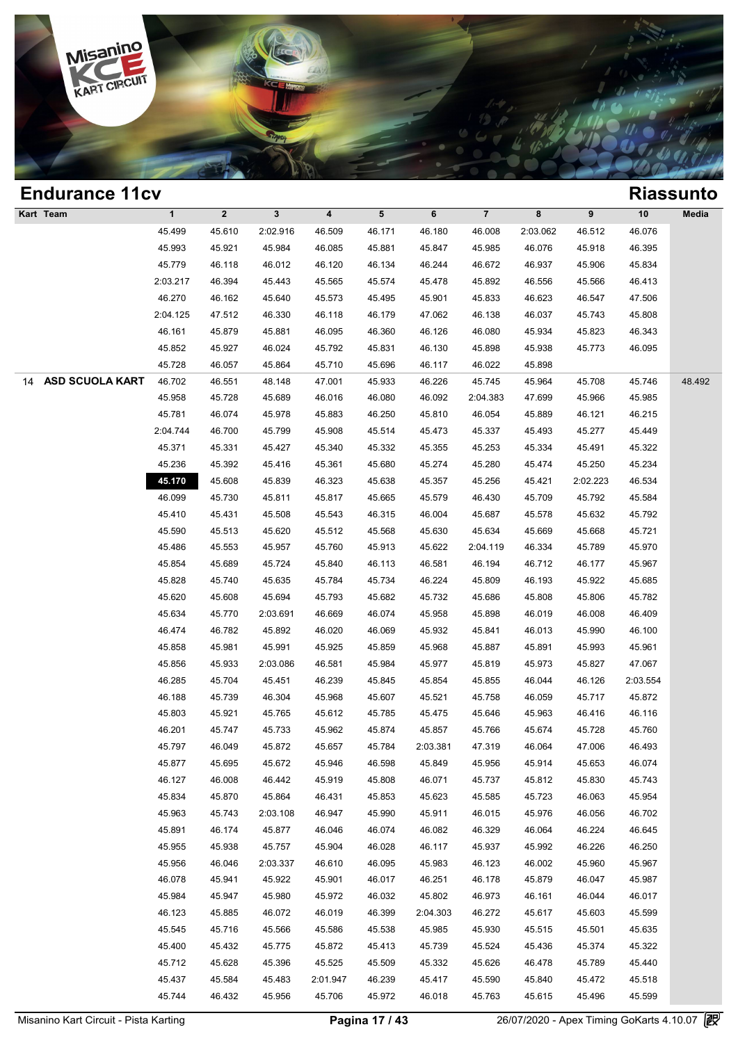

| <b>Endurance 11cv</b> |              |              |              |          |        |          |                |          |          |          | <b>Riassunto</b> |
|-----------------------|--------------|--------------|--------------|----------|--------|----------|----------------|----------|----------|----------|------------------|
| Kart Team             | $\mathbf{1}$ | $\mathbf{2}$ | $\mathbf{3}$ | 4        | 5      | 6        | $\overline{7}$ | 8        | 9        | 10       | Media            |
|                       | 45.499       | 45.610       | 2:02.916     | 46.509   | 46.171 | 46.180   | 46.008         | 2:03.062 | 46.512   | 46.076   |                  |
|                       | 45.993       | 45.921       | 45.984       | 46.085   | 45.881 | 45.847   | 45.985         | 46.076   | 45.918   | 46.395   |                  |
|                       | 45.779       | 46.118       | 46.012       | 46.120   | 46.134 | 46.244   | 46.672         | 46.937   | 45.906   | 45.834   |                  |
|                       | 2:03.217     | 46.394       | 45.443       | 45.565   | 45.574 | 45.478   | 45.892         | 46.556   | 45.566   | 46.413   |                  |
|                       | 46.270       | 46.162       | 45.640       | 45.573   | 45.495 | 45.901   | 45.833         | 46.623   | 46.547   | 47.506   |                  |
|                       | 2:04.125     | 47.512       | 46.330       | 46.118   | 46.179 | 47.062   | 46.138         | 46.037   | 45.743   | 45.808   |                  |
|                       | 46.161       | 45.879       | 45.881       | 46.095   | 46.360 | 46.126   | 46.080         | 45.934   | 45.823   | 46.343   |                  |
|                       | 45.852       | 45.927       | 46.024       | 45.792   | 45.831 | 46.130   | 45.898         | 45.938   | 45.773   | 46.095   |                  |
|                       | 45.728       | 46.057       | 45.864       | 45.710   | 45.696 | 46.117   | 46.022         | 45.898   |          |          |                  |
| 14 ASD SCUOLA KART    | 46.702       | 46.551       | 48.148       | 47.001   | 45.933 | 46.226   | 45.745         | 45.964   | 45.708   | 45.746   | 48.492           |
|                       | 45.958       | 45.728       | 45.689       | 46.016   | 46.080 | 46.092   | 2:04.383       | 47.699   | 45.966   | 45.985   |                  |
|                       | 45.781       | 46.074       | 45.978       | 45.883   | 46.250 | 45.810   | 46.054         | 45.889   | 46.121   | 46.215   |                  |
|                       | 2:04.744     | 46.700       | 45.799       | 45.908   | 45.514 | 45.473   | 45.337         | 45.493   | 45.277   | 45.449   |                  |
|                       | 45.371       | 45.331       | 45.427       | 45.340   | 45.332 | 45.355   | 45.253         | 45.334   | 45.491   | 45.322   |                  |
|                       | 45.236       | 45.392       | 45.416       | 45.361   | 45.680 | 45.274   | 45.280         | 45.474   | 45.250   | 45.234   |                  |
|                       | 45.170       | 45.608       | 45.839       | 46.323   | 45.638 | 45.357   | 45.256         | 45.421   | 2:02.223 | 46.534   |                  |
|                       | 46.099       | 45.730       | 45.811       | 45.817   | 45.665 | 45.579   | 46.430         | 45.709   | 45.792   | 45.584   |                  |
|                       | 45.410       | 45.431       | 45.508       | 45.543   | 46.315 | 46.004   | 45.687         | 45.578   | 45.632   | 45.792   |                  |
|                       | 45.590       | 45.513       | 45.620       | 45.512   | 45.568 | 45.630   | 45.634         | 45.669   | 45.668   | 45.721   |                  |
|                       | 45.486       | 45.553       | 45.957       | 45.760   | 45.913 | 45.622   | 2:04.119       | 46.334   | 45.789   | 45.970   |                  |
|                       | 45.854       | 45.689       | 45.724       | 45.840   | 46.113 | 46.581   | 46.194         | 46.712   | 46.177   | 45.967   |                  |
|                       | 45.828       | 45.740       | 45.635       | 45.784   | 45.734 | 46.224   | 45.809         | 46.193   | 45.922   | 45.685   |                  |
|                       | 45.620       | 45.608       | 45.694       | 45.793   | 45.682 | 45.732   | 45.686         | 45.808   | 45.806   | 45.782   |                  |
|                       | 45.634       | 45.770       | 2:03.691     | 46.669   | 46.074 | 45.958   | 45.898         | 46.019   | 46.008   | 46.409   |                  |
|                       | 46.474       | 46.782       | 45.892       | 46.020   | 46.069 | 45.932   | 45.841         | 46.013   | 45.990   | 46.100   |                  |
|                       | 45.858       | 45.981       | 45.991       | 45.925   | 45.859 | 45.968   | 45.887         | 45.891   | 45.993   | 45.961   |                  |
|                       | 45.856       | 45.933       | 2:03.086     | 46.581   | 45.984 | 45.977   | 45.819         | 45.973   | 45.827   | 47.067   |                  |
|                       | 46.285       | 45.704       | 45.451       | 46.239   | 45.845 | 45.854   | 45.855         | 46.044   | 46.126   | 2:03.554 |                  |
|                       | 46.188       | 45.739       | 46.304       | 45.968   | 45.607 | 45.521   | 45.758         | 46.059   | 45.717   | 45.872   |                  |
|                       | 45.803       | 45.921       | 45.765       | 45.612   | 45.785 | 45.475   | 45.646         | 45.963   | 46.416   | 46.116   |                  |
|                       | 46.201       | 45.747       | 45.733       | 45.962   | 45.874 | 45.857   | 45.766         | 45.674   | 45.728   | 45.760   |                  |
|                       | 45.797       | 46.049       | 45.872       | 45.657   | 45.784 | 2:03.381 | 47.319         | 46.064   | 47.006   | 46.493   |                  |
|                       | 45.877       | 45.695       | 45.672       | 45.946   | 46.598 | 45.849   | 45.956         | 45.914   | 45.653   | 46.074   |                  |
|                       | 46.127       | 46.008       | 46.442       | 45.919   | 45.808 | 46.071   | 45.737         | 45.812   | 45.830   | 45.743   |                  |
|                       | 45.834       | 45.870       | 45.864       | 46.431   | 45.853 | 45.623   | 45.585         | 45.723   | 46.063   | 45.954   |                  |
|                       | 45.963       | 45.743       | 2:03.108     | 46.947   | 45.990 | 45.911   | 46.015         | 45.976   | 46.056   | 46.702   |                  |
|                       | 45.891       | 46.174       | 45.877       | 46.046   | 46.074 | 46.082   | 46.329         | 46.064   | 46.224   | 46.645   |                  |
|                       | 45.955       | 45.938       | 45.757       | 45.904   | 46.028 | 46.117   | 45.937         | 45.992   | 46.226   | 46.250   |                  |
|                       | 45.956       | 46.046       | 2:03.337     | 46.610   | 46.095 | 45.983   | 46.123         | 46.002   | 45.960   | 45.967   |                  |
|                       | 46.078       | 45.941       | 45.922       | 45.901   | 46.017 | 46.251   | 46.178         | 45.879   | 46.047   | 45.987   |                  |
|                       | 45.984       | 45.947       | 45.980       | 45.972   | 46.032 | 45.802   | 46.973         | 46.161   | 46.044   | 46.017   |                  |
|                       | 46.123       | 45.885       | 46.072       | 46.019   | 46.399 | 2:04.303 | 46.272         | 45.617   | 45.603   | 45.599   |                  |
|                       | 45.545       | 45.716       | 45.566       | 45.586   | 45.538 | 45.985   | 45.930         | 45.515   | 45.501   | 45.635   |                  |
|                       | 45.400       | 45.432       | 45.775       | 45.872   | 45.413 | 45.739   | 45.524         | 45.436   | 45.374   | 45.322   |                  |
|                       | 45.712       | 45.628       | 45.396       | 45.525   | 45.509 | 45.332   | 45.626         | 46.478   | 45.789   | 45.440   |                  |
|                       | 45.437       | 45.584       | 45.483       | 2:01.947 | 46.239 | 45.417   | 45.590         | 45.840   | 45.472   | 45.518   |                  |
|                       | 45.744       | 46.432       | 45.956       | 45.706   | 45.972 | 46.018   | 45.763         | 45.615   | 45.496   | 45.599   |                  |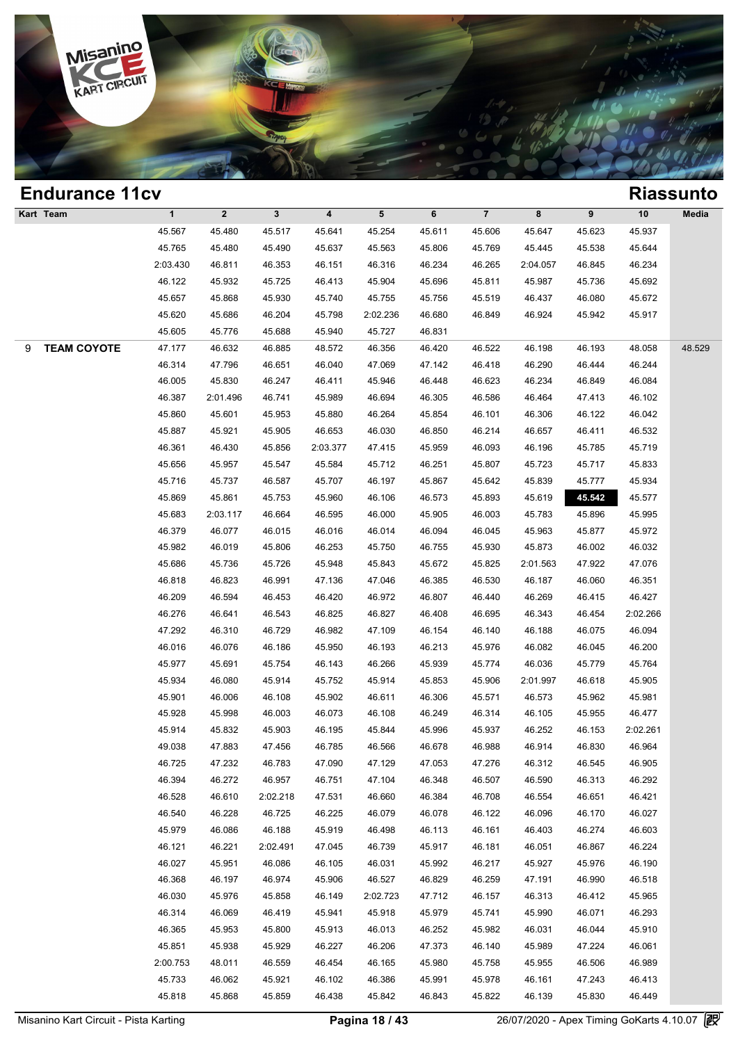

### **Endurance 11cv Riassunto Kart Team 1 2 3 4 5 6 7 8 9 10 Media Process 25.480 45.517 45.641 45.254 45.611 45.606 45.647 45.623 45.937 45.756 45.480 45.641 45.623 45.937** 1 2 3 4 5 6 7 8 9 10 Med<br>45.567 45.480 45.517 45.641 45.254 45.611 45.606 45.647 45.623 45.937<br>45.765 45.480 45.490 45.637 45.563 45.806 45.769 45.445 45.538 45.644<br>102.420 46.811 46.353 46.151 46.316 46.324 46.324 46.365 1 2 3 4 5 6 7 8 9 10 Med<br>
45.567 45.480 45.517 45.641 45.254 45.611 45.606 45.647 45.623 45.937<br>
45.765 45.480 45.490 45.637 45.563 45.806 45.769 45.445 45.538 45.644<br>
2:03.430 46.811 46.353 46.151 46.316 46.234 46.265 2:0 45.567 45.480 45.517 45.641 45.254 45.611 45.606 45.647 45.623 45.937<br>45.765 45.480 45.490 45.637 45.563 45.806 45.769 45.445 45.538 45.644<br>2:03.430 46.811 46.353 46.151 46.316 46.234 46.265 2:04.057 46.845 46.234<br>46.122 4 45.765 45.480 45.490 45.637 45.563 45.806 45.769 45.445 45.538 45.644<br>
1.03.430 46.811 46.353 46.151 46.316 46.234 46.265 2:04.057 46.845 46.234<br>
46.122 45.932 45.725 46.413 45.904 45.696 45.811 45.987 45.736 45.692<br>
45.65 46.122 45.932 45.725 46.413 46.934 46.204 45.896 45.811 46.924 46.204 45.657 46.868 45.930 45.740 45.755 45.756 45.519 46.413 46.924 45.692 45.667 45.868 45.930 45.740 45.755 45.756 45.519 46.413 46.924 45.692 45.620 45.6 46.122 45.932 45.725 46.413 45.904 45.696 45.8<br>45.657 45.868 45.930 45.740 45.755 45.756 45.5<br>45.620 45.686 46.204 45.798 2:02.236 46.680 46.8<br>45.605 45.776 45.688 45.940 45.727 46.831 9 **TEAM COYOTE** 47.177 46.632 46.885 48.572 46.356 46.420 46.522 46.198 46.193 48.058 48.529 46.620 46.686 46.204 45.798 2:02.236 46.680 46.849 46.924 45.942 45.917<br>45.605 45.776 45.688 45.940 45.727 46.831<br>47.177 46.632 46.885 48.572 46.356 46.420 46.522 46.198 46.193 48.058 48.5<br>46.314 47.796 46.651 46.040 47.06 46.605 45.776 45.688 45.940 45.727 46.831<br>47.177 46.632 46.885 48.572 46.356 46.420 46.522 46.198 46.193 48.058 48.5<br>46.314 47.796 46.651 46.040 47.069 47.142 46.418 46.290 46.444 46.244<br>46.005 45.830 46.247 46.411 45.946 46.314 46.632 46.885 48.572 46.356 46.420 46.522 46.198 46.193 48.058 48.5<br>46.314 47.796 46.651 46.040 47.069 47.142 46.418 46.290 46.444 46.244<br>46.005 45.830 46.247 46.411 45.946 46.448 46.623 46.234 46.849 46.084<br>46.387 46.314 47.796 46.651 46.040 47.069 47.142 46.418 46.290 46.444 46.244<br>46.005 45.830 46.247 46.411 45.946 46.448 46.623 46.234 46.849 46.084<br>46.387 2:01.496 46.741 45.989 46.694 46.305 46.586 46.464 47.413 46.102<br>45.860 45. 46.005 45.830 46.247 46.411 45.946 46.448 46.623 46.234 46.849 46.084<br>46.387 2:01.496 46.741 45.989 46.694 46.305 46.586 46.464 47.413 46.102<br>45.860 45.601 45.953 45.880 46.264 45.854 46.101 46.306 46.122 46.042<br>45.887 45.9 46.387 2:01.496 46.741 45.989 46.694 46.305 46.586 46.464 47.413 46.102<br>45.860 45.601 45.953 45.880 46.264 45.854 46.101 46.306 46.122 46.042<br>45.887 45.921 45.905 46.653 46.030 46.850 46.214 46.657 46.411 46.532<br>46.361 46. 45.860 45.601 45.953 45.880 46.264 45.854 46.101 46.306 46.122 46.042<br>45.887 45.921 45.905 46.653 46.030 46.850 46.214 46.657 46.411 46.532<br>46.361 46.430 45.856 2:03.377 47.415 45.959 46.093 46.196 45.785 45.719<br>45.656 45. 45.887 45.921 45.905 46.653 46.030 46.850 46.214 46.657 46.411 46.532<br>46.361 46.430 45.856 2:03.377 47.415 45.959 46.093 46.196 45.785 45.719<br>45.656 45.957 45.547 45.584 45.712 46.251 45.807 45.723 45.717 45.833<br>45.716 45. 46.361 46.430 45.856 2:03.377 47.415 45.959 46.093 46.196 45.785 45.719<br>45.656 45.957 45.547 45.584 45.712 46.251 45.807 45.723 45.717 45.833<br>45.716 45.737 46.587 45.707 46.197 45.867 45.642 45.839 45.777 45.934<br>45.869 45. 45.656 45.957 45.547 45.584 45.712 46.251 45.807 45.723 45.717 45.833<br>45.716 45.737 46.587 45.707 46.197 45.867 45.642 45.839 45.777 45.934<br>45.869 45.861 45.753 45.960 46.106 46.573 45.893 45.619 45.577 45.577<br>45.683 2:03. 46.379 46.687 46.587 46.197 46.197 46.867 46.642 45.839 45.777 46.934<br>45.869 45.861 45.753 45.960 46.106 46.573 45.893 45.619 45.542 45.577<br>45.683 2:03.117 46.664 46.595 46.000 45.905 46.003 45.783 45.896 45.995<br>46.379 46.0 45.869 45.861 45.753 45.960 46.106 46.573 45.893 45.619 45.542 45.577<br>45.683 2:03.117 46.664 46.595 46.000 45.905 46.003 45.783 45.896 45.995<br>46.379 46.077 46.015 46.016 46.014 46.094 46.045 45.963 45.877 45.972<br>45.982 46.0 45.683 2:03.117 46.664 46.595 46.000 45.905 46.003 45.783 45.896 45.995<br>46.379 46.077 46.015 46.016 46.014 46.094 46.045 45.963 45.877 45.972<br>45.982 46.019 45.806 46.253 45.750 46.755 45.930 45.873 46.002 46.032<br>45.686 45. 46.379 46.077 46.015 46.016 46.014 46.094 46.045 45.963 45.877 45.972<br>45.982 46.019 45.806 46.253 45.750 46.755 45.930 45.873 46.002 46.032<br>45.686 45.736 45.726 45.948 45.843 45.672 45.825 2:01.563 47.922 47.076<br>46.818 46. 46.982 46.019 45.806 46.253 45.750 46.755 45.930 45.873 46.002 46.032<br>45.686 45.736 45.726 45.948 45.843 45.672 45.825 2:01.563 47.922 47.076<br>46.818 46.823 46.991 47.136 47.046 46.385 46.530 46.187 46.060 46.351<br>46.209 46. 46.818 46.736 45.726 45.948 45.843 45.672 45.825 2:01.563 47.922 47.076<br>46.818 46.823 46.991 47.136 47.046 46.385 46.530 46.187 46.060 46.351<br>46.209 46.594 46.453 46.420 46.972 46.807 46.440 46.269 46.415 46.427<br>46.276 46.6 46.818 46.823 46.991 47.136 47.046 46.385 46.530 46.187 46.060 46.351<br>46.209 46.594 46.453 46.420 46.972 46.807 46.440 46.269 46.415 46.427<br>46.276 46.641 46.543 46.825 46.827 46.408 46.695 46.343 46.454 2:02.266<br>47.292 46. 46.209 46.594 46.453 46.420 46.972 46.807 46.440 46.269 46.415 46.427<br>46.276 46.641 46.543 46.825 46.827 46.408 46.695 46.343 46.454 2:02.266<br>47.292 46.310 46.729 46.982 47.109 46.154 46.140 46.188 46.075 46.094<br>46.016 46. 46.276 46.641 46.543 46.825 46.827 46.408 46.695 46.343 46.454 2:02.266<br>47.292 46.310 46.729 46.982 47.109 46.154 46.140 46.188 46.075 46.094<br>46.016 46.076 46.186 45.950 46.193 46.213 45.976 46.082 46.045 46.200<br>45.977 45. 46.016 46.076 46.186 45.950 46.193 46.193 46.213 46.082 46.082 46.045 46.076 46.076 46.076 46.186 45.950 46.193 46.213 45.976 46.082 46.045 46.200<br>45.977 45.691 45.754 46.143 46.266 45.939 45.774 46.036 45.779 45.764<br>45.93 46.016 46.076 46.186 45.950 46.193 46.213 45.976 46.082 46.045 46.200<br>45.977 45.691 45.754 46.143 46.266 45.939 45.774 46.036 45.779 45.764<br>45.934 46.080 45.914 45.752 45.914 45.853 45.906 2:01.997 46.618 45.905<br>45.901 46.0 45.977 45.691 45.754 46.143 46.266 45.939 45.774 46.036 45.779 45.764<br>45.934 46.080 45.914 45.752 45.914 45.853 45.906 2:01.997 46.618 45.905<br>45.901 46.006 46.108 45.902 46.611 46.306 45.571 46.573 45.962 45.981<br>45.928 45. 45.934 46.080 45.914 45.752 45.914 45.853 45.906 2:01.997 46.618 45.905<br>45.901 46.006 46.108 45.902 46.611 46.306 45.571 46.573 45.962 45.981<br>45.928 45.998 46.003 46.073 46.108 46.249 46.314 46.105 45.955 46.477<br>45.914 45.8 45.901 46.006 46.108 45.902 46.611 46.306 45.571 46.573 45.962 45.981<br>45.928 45.998 46.003 46.073 46.108 46.249 46.314 46.105 45.955 46.477<br>45.914 45.832 45.903 46.195 45.844 45.996 45.937 46.252 46.153 2:02.261<br>49.038 47.8 46.928 46.998 46.003 46.073 46.108 46.249 46.314 46.105 45.955 46.477<br>45.914 45.832 45.903 46.195 45.844 45.996 45.937 46.252 46.153 2:02.261<br>49.038 47.883 47.456 46.785 46.566 46.678 46.988 46.914 46.830 46.964<br>46.725 47. 46.914 45.832 45.903 46.195 45.844 45.996 45.937 46.252 46.153 2:02.261<br>49.038 47.883 47.456 46.785 46.566 46.678 46.988 46.914 46.830 46.964<br>46.725 47.232 46.783 47.090 47.129 47.053 47.276 46.312 46.545 46.905<br>46.394 46. 46.725 47.883 47.456 46.785 46.566 46.678 46.988 46.914 46.830 46.964<br>46.725 47.232 46.783 47.090 47.129 47.053 47.276 46.312 46.545 46.905<br>46.394 46.272 46.957 46.751 47.104 46.348 46.507 46.590 46.313 46.292<br>46.528 46.61 46.725 47.232 46.783 47.090 47.129 47.053 47.276 46.312 46.545 46.905<br>46.394 46.272 46.957 46.751 47.104 46.348 46.507 46.590 46.313 46.292<br>46.528 46.610 2:02.218 47.531 46.660 46.384 46.708 46.554 46.651 46.421<br>46.540 46. 46.394 46.272 46.957 46.751 47.104 46.348 46.507 46.590 46.313 46.292<br>46.528 46.610 2:02.218 47.531 46.660 46.384 46.708 46.554 46.651 46.421<br>46.540 46.228 46.725 46.225 46.079 46.078 46.122 46.096 46.170 46.027<br>45.979 46. 46.528 46.610 2:02.218 47.531 46.660 46.384 46.708 46.554 46.651 46.421<br>46.540 46.228 46.725 46.225 46.079 46.078 46.122 46.096 46.170 46.027<br>45.979 46.086 46.188 45.919 46.498 46.113 46.161 46.403 46.274 46.603<br>46.121 46.2 46.540 46.228 46.725 46.225 46.079 46.078 46.122 46.096 46.170 46.027<br>45.979 46.086 46.188 45.919 46.498 46.113 46.161 46.403 46.274 46.603<br>46.121 46.221 2:02.491 47.045 46.739 45.917 46.181 46.051 46.867 46.224<br>46.027 45. 46.979 46.086 46.188 45.919 46.498 46.113 46.161 46.403 46.274 46.603<br>46.121 46.221 2:02.491 47.045 46.739 45.917 46.181 46.051 46.867 46.224<br>46.027 45.951 46.086 46.105 46.031 45.992 46.217 45.927 45.976 46.190<br>46.368 46. 46.121 46.221 2:02.491 47.045 46.739 45.917 46.181 46.051 46.867 46.224<br>46.027 45.951 46.086 46.105 46.031 45.992 46.217 45.927 45.976 46.190<br>46.368 46.197 46.974 45.906 46.527 46.829 46.259 47.191 46.990 46.518<br>46.030 45. 46.027 45.951 46.086 46.105 46.031 45.992 46.217 45.927 45.976 46.190<br>46.368 46.197 46.974 45.906 46.527 46.829 46.259 47.191 46.990 46.518<br>46.030 45.976 45.858 46.149 2:02.723 47.712 46.157 46.313 46.412 45.965<br>46.314 46. 46.368 46.197 46.974 45.906 46.527 46.829 46.259 47.191 46.990 46.518<br>46.030 45.976 45.858 46.149 2:02.723 47.712 46.157 46.313 46.412 45.965<br>46.314 46.069 46.419 45.941 45.918 45.979 45.741 45.990 46.071 46.293<br>46.365 45. 46.030 45.976 45.858 46.149 2:02.723 47.712 46.157 46.313 46.412 45.965<br>46.314 46.069 46.419 45.941 45.918 45.979 45.741 45.990 46.071 46.293<br>46.365 45.953 45.800 45.913 46.013 46.252 45.982 46.031 46.044 45.910<br>45.851 45. 46.314 46.069 46.419 45.914 45.918 45.979 45.741 45.990 46.071 46.293<br>46.365 45.953 45.800 45.913 46.013 46.252 45.982 46.031 46.044 45.910<br>45.851 45.938 45.929 46.227 46.206 47.373 46.140 45.989 47.224 46.061<br>2:00.753 48. 46.365 45.953 45.800 45.913 46.013 46.252 45.982 46.031 46.044 45.910<br>45.851 45.938 45.929 46.227 46.206 47.373 46.140 45.989 47.224 46.061<br>200.753 48.011 46.559 46.454 46.165 45.980 45.758 45.955 46.506 46.989<br>45.733 46.0 45.851 45.938 45.929 46.227 46.206 47.373 46.140 45.989 47.224 46.061<br>
1.00.753 48.011 46.559 46.454 46.165 45.980 45.758 45.955 46.506 46.989<br>
45.733 46.062 45.921 46.102 46.386 45.991 45.978 46.161 47.243 46.413<br>
45.818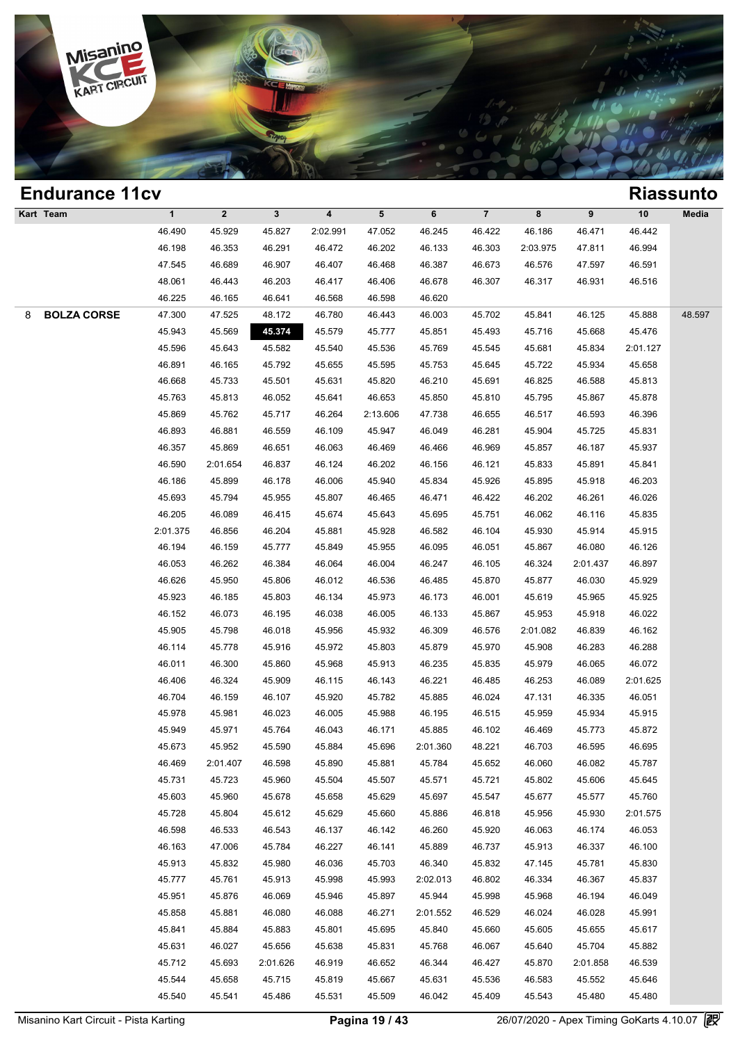

### **Endurance 11cv Riassunto Kart Team 1 2 3 4 5 6 7 8 9 10 Media 1**<br>
46.490 45.929 45.827 2:02.991 47.052 46.245 46.422 46.186 46.471 46.442<br>
46.198 46.352 46.201 46.472 46.202 46.132 46.303 2:03.075 47.811 46.004 1 2 3 4 5 6 7 8 9 10 Med<br>46.490 45.929 45.827 2:02.991 47.052 46.245 46.422 46.186 46.471 46.442<br>46.198 46.353 46.291 46.472 46.202 46.133 46.303 2:03.975 47.811 46.994<br>47.545 46.680 46.007 46.407 46.468 46.397 46.573 46.5 46.490 45.929 45.827 2:02.991 47.052 46.245 46.422 46.186 46.471 46.442<br>46.198 46.353 46.291 46.472 46.202 46.133 46.303 2:03.975 47.811 46.994<br>47.545 46.689 46.907 46.407 46.468 46.387 46.573 46.576 47.597 46.591<br>48.961 46.490 45.929 45.827 2:02.991 47.052 46.245 46.422 46.186 46.471 46.442<br>46.198 46.353 46.291 46.472 46.202 46.133 46.303 2:03.975 47.811 46.994<br>47.545 46.689 46.907 46.407 46.468 46.387 46.673 46.576 47.597 46.591<br>48.061 4 46.198 46.353 46.291 46.472 46.202 46.133 46.31<br>47.545 46.689 46.907 46.407 46.468 46.387 46.6<br>48.061 46.443 46.203 46.417 46.406 46.678 46.31<br>46.225 46.165 46.641 46.568 46.598 46.620 8 **BOLZA CORSE** 47.300 47.525 48.172 46.780 46.443 46.003 45.702 45.841 46.125 45.888 48.597 46.061 46.443 46.203 46.417 46.406 46.678 46.307 46.317 46.931 46.516<br>46.225 46.165 46.641 46.568 46.598 46.620<br>47.300 47.525 48.172 46.780 46.443 46.003 45.702 45.841 46.125 45.888 48.5<br>45.943 45.569 45.874 45.579 45.777 46.225 46.165 46.641 46.568 46.598 46.620<br>47.300 47.525 48.172 46.780 46.443 46.003 45.702 45.841 46.125 45.888 48.4<br>45.943 45.569 45.674 45.579 45.777 45.851 45.493 45.716 45.668 45.476<br>45.596 45.643 45.582 45.540 45.536 47.300 47.525 48.172 46.780 46.443 46.003 45.702 45.841 46.125 45.888 48.5<br>45.943 45.569 45.374 45.579 45.777 45.851 45.493 45.716 45.668 45.476<br>45.596 45.643 45.582 45.540 45.536 45.769 45.545 45.681 45.834 2:01.127<br>46.891 45.506 45.668 45.374 45.579 45.777 45.851 45.493 45.716 45.668 45.476<br>45.596 45.643 45.582 45.540 45.536 45.769 45.545 45.681 45.834 2:01.127<br>46.891 46.165 45.792 45.655 45.595 45.753 45.645 45.722 45.934 45.658<br>46.668 45.7 45.596 45.643 45.582 45.540 45.536 45.769 45.545 45.681 45.834 2:01.127<br>46.891 46.165 45.792 45.655 45.595 45.753 45.645 45.722 45.934 45.658<br>46.668 45.733 45.501 45.631 45.820 46.210 45.691 46.825 46.588 45.813<br>45.763 45. 46.891 46.165 45.792 45.655 45.595 45.753 45.645 45.722 45.934 45.658<br>46.668 45.733 45.501 45.631 45.820 46.210 45.691 46.825 46.588 45.813<br>45.763 45.813 46.052 45.641 46.653 45.850 45.810 45.795 45.867 45.878<br>45.869 45.762 46.668 45.733 45.501 45.631 45.820 46.210 45.691 46.825 46.588 45.813<br>45.763 45.813 46.052 45.641 46.653 45.850 45.810 45.795 45.867 45.878<br>45.869 45.762 45.717 46.264 2:13.606 47.738 46.655 46.517 46.593 46.396<br>46.893 46. 46.763 45.813 46.052 45.641 46.653 45.850 45.810 45.795 45.867 45.878<br>45.869 45.762 45.717 46.264 2:13.606 47.738 46.655 46.517 46.593 46.396<br>46.893 46.881 46.559 46.109 45.947 46.049 46.281 45.904 45.725 45.831<br>46.357 45. 46.890 45.762 45.717 46.264 2:13.606 47.738 46.655 46.517 46.593 46.396<br>46.893 46.881 46.559 46.109 45.947 46.049 46.281 45.904 45.725 45.831<br>46.357 45.869 46.651 46.063 46.469 46.466 46.969 45.857 46.187 45.937<br>46.590 2:01 46.893 46.881 46.559 46.109 45.947 46.049 46.281 45.904 45.725 45.831<br>46.357 45.869 46.651 46.063 46.469 46.466 46.969 45.857 46.187 45.937<br>46.590 2:01.654 46.837 46.124 46.202 46.156 46.121 45.833 45.891 45.841<br>46.186 45. 46.357 45.869 46.651 46.063 46.469 46.466 46.969 45.857 46.187 45.937<br>46.590 2:01.654 46.837 46.124 46.202 46.156 46.121 45.833 45.891 45.841<br>46.186 45.899 46.178 46.006 45.940 45.834 45.926 45.895 45.918 46.203<br>45.693 45. 46.590 2:01.654 46.837 46.124 46.202 46.156 46.121 45.833 45.891 45.841<br>46.186 45.899 46.178 46.006 45.940 45.834 45.926 45.895 45.918 46.203<br>45.693 45.794 45.955 45.807 46.465 46.471 46.422 46.202 46.261 46.026<br>46.205 46. 46.186 45.899 46.178 46.006 45.940 45.834 45.926 45.895 45.918 46.203<br>45.693 45.794 45.955 45.807 46.465 46.471 46.422 46.202 46.261 46.026<br>46.205 46.089 46.415 45.674 45.643 45.695 45.751 46.062 46.116 45.835<br>2:01.375 46. 46.205 46.794 45.955 45.807 46.465 46.471 46.422 46.202 46.261 46.026<br>46.205 46.089 46.415 45.674 45.643 45.695 45.751 46.062 46.116 45.835<br>:01.375 46.856 46.204 45.881 45.928 46.582 46.104 45.930 45.914 45.915<br>46.194 46.1 46.205 46.089 46.415 45.674 45.643 45.695 45.751 46.062 46.116 45.835<br>
2:01.375 46.856 46.204 45.881 45.928 46.582 46.104 45.930 45.914 45.915<br>
46.194 46.159 45.777 45.849 45.955 46.095 46.051 45.867 46.080 46.126<br>
46.053 46.194 46.856 46.204 45.881 45.928 46.582 46.104 45.930 45.914 45.915<br>
46.194 46.159 45.777 45.849 45.955 46.095 46.051 45.867 46.080 46.126<br>
46.053 46.262 46.384 46.064 46.004 46.247 46.105 46.324 2:01.437 46.897<br>
46.626 46.194 46.159 45.777 45.849 45.955 46.095 46.051 45.867 46.080 46.126<br>46.053 46.262 46.384 46.064 46.004 46.247 46.105 46.324 2:01.437 46.897<br>46.626 45.950 45.806 46.012 46.536 46.485 45.870 45.877 46.030 45.929<br>45.923 46. 46.053 46.262 46.384 46.064 46.004 46.247 46.105 46.324 2:01.437 46.897<br>46.626 45.950 45.806 46.012 46.536 46.485 45.870 45.877 46.030 45.929<br>45.923 46.185 45.803 46.134 45.973 46.173 46.001 45.619 45.965 45.925<br>46.152 46. 46.626 45.950 45.806 46.012 46.536 46.485 45.870 45.877 46.030 45.929<br>45.923 46.185 45.803 46.134 45.973 46.173 46.001 45.619 45.965 45.925<br>46.152 46.073 46.195 46.038 46.005 46.133 45.867 45.953 45.918 46.022<br>45.905 45.798 46.152 46.185 45.803 46.134 45.973 46.173 46.001 45.619 45.965 45.925<br>46.152 46.073 46.195 46.038 46.005 46.133 45.867 45.953 45.918 46.022<br>45.905 45.798 46.018 45.956 45.932 46.309 46.576 2:01.082 46.839 46.162<br>46.114 45. 46.152 46.073 46.195 46.038 46.005 46.133 45.867 45.953 45.918 46.022<br>45.905 45.798 46.018 45.956 45.932 46.309 46.576 2:01.082 46.839 46.162<br>46.114 45.778 45.916 45.972 45.803 45.879 45.970 45.908 46.283 46.288<br>46.011 46. 46.905 45.798 46.018 45.956 45.932 46.309 46.576 2:01.082 46.839 46.162<br>46.114 45.778 45.916 45.972 45.803 45.879 45.970 45.908 46.283 46.288<br>46.011 46.300 45.860 45.968 45.913 46.235 45.835 45.979 46.065 46.072<br>46.406 46.3 46.114 45.778 45.916 45.972 45.803 45.879 45.970 45.908 46.283 46.288<br>46.011 46.300 45.860 45.968 45.913 46.235 45.835 45.979 46.065 46.072<br>46.406 46.324 45.909 46.115 46.143 46.221 46.485 46.253 46.089 2:01.625<br>46.704 46. 46.011 46.300 45.860 45.968 45.913 46.235 45.835 45.979 46.065 46.072<br>46.406 46.324 45.909 46.115 46.143 46.221 46.485 46.253 46.089 2:01.625<br>46.704 46.159 46.107 45.920 45.782 45.885 46.024 47.131 46.335 46.051<br>45.978 45. 46.406 46.324 45.909 46.115 46.143 46.221 46.485 46.253 46.089 2:01.625<br>46.704 46.159 46.107 45.920 45.782 45.885 46.024 47.131 46.335 46.051<br>45.978 45.981 46.023 46.005 45.988 46.195 46.515 45.959 45.934 45.915<br>45.949 45.9 46.704 46.159 46.107 45.920 45.782 45.885 46.024 47.131 46.335 46.051<br>45.978 45.981 46.023 46.005 45.988 46.195 46.515 45.959 45.934 45.915<br>45.949 45.971 45.764 46.043 46.171 45.885 46.102 46.469 45.773 45.872<br>45.673 45.952 46.978 46.981 46.023 46.005 45.988 46.195 46.515 45.959 45.934 45.915<br>45.949 45.971 45.764 46.043 46.171 45.885 46.102 46.469 45.773 45.872<br>45.673 45.952 45.590 45.884 45.696 2:01.360 48.221 46.703 46.595 46.695<br>46.469 2:0 45.949 45.971 45.764 46.043 46.171 45.885 46.102 46.469 45.773 45.872<br>45.673 45.952 45.590 45.884 45.696 2:01.360 48.221 46.703 46.595 46.695<br>46.469 2:01.407 46.598 45.890 45.881 45.784 45.652 46.060 46.082 45.787<br>45.731 45 45.673 45.952 45.590 45.884 45.696 2:01.360 48.221 46.703 46.595 46.695<br>46.469 2:01.407 46.598 45.890 45.881 45.784 45.652 46.060 46.082 45.787<br>45.731 45.723 45.960 45.504 45.507 45.571 45.721 45.802 45.606 45.645<br>45.603 4 46.469 2:01.407 46.598 45.890 45.881 45.784 45.652 46.060 46.082 45.787<br>45.731 45.723 45.960 45.504 45.507 45.571 45.721 45.802 45.606 45.645<br>45.603 45.960 45.678 45.658 45.629 45.660 45.886 46.818 45.956 45.930 2:01.575<br>45 46.721 45.723 45.960 45.504 45.507 45.571 45.721 45.802 45.606 45.645<br>45.603 45.960 45.678 45.658 45.629 45.697 45.547 45.677 45.577 45.760<br>45.728 45.804 45.612 45.629 45.660 45.886 46.818 45.956 45.930 2:01.575<br>46.598 46.5 46.603 46.960 45.678 45.658 45.629 45.697 45.547 45.677 45.577 45.760<br>45.728 45.804 45.612 45.629 45.660 45.886 46.818 45.956 45.930 2:01.575<br>46.598 46.533 46.543 46.137 46.142 46.260 45.920 46.063 46.174 46.053<br>46.163 47. 46.728 45.804 45.612 45.629 45.660 45.886 46.818 45.956 45.930 2:01.575<br>46.598 46.533 46.543 46.137 46.142 46.260 45.920 46.063 46.174 46.053<br>46.163 47.006 45.784 46.227 46.141 45.889 46.737 45.913 46.337 46.100<br>45.913 45. 46.598 46.533 46.543 46.137 46.142 46.260 45.920 46.063 46.174 46.053<br>46.163 47.006 45.784 46.227 46.141 45.889 46.737 45.913 46.337 46.100<br>45.913 45.832 45.980 46.036 45.703 46.340 45.832 47.145 45.781 45.830<br>45.777 45.76 46.163 47.006 45.784 46.227 46.141 45.889 46.737 45.913 46.337 46.100<br>45.913 45.832 45.980 46.036 45.703 46.340 45.832 47.145 45.781 45.830<br>45.777 45.761 45.913 45.998 45.993 2:02.013 46.802 46.334 46.367 45.837<br>45.951 45. 45.913 45.832 45.980 46.036 45.703 46.340 45.832 47.145 45.781 45.830<br>45.777 45.761 45.913 45.998 45.993 2:02.013 46.802 46.334 46.367 45.837<br>45.951 45.876 46.069 45.946 45.897 45.944 45.998 45.968 46.194 46.049<br>45.858 45. 45.777 45.761 45.913 45.998 45.993 2:02.013 46.802 46.334 46.367 45.837<br>45.951 45.876 46.069 45.946 45.897 45.944 45.998 45.968 46.194 46.049<br>45.858 45.881 46.080 46.088 46.271 2:01.552 46.529 46.024 46.028 45.991<br>45.841 4 45.951 45.876 46.069 45.946 45.897 45.944 45.998 45.968 46.194 46.049<br>45.858 45.881 46.080 46.088 46.271 2:01.552 46.529 46.024 46.028 45.991<br>45.841 45.884 45.883 45.801 45.695 45.840 45.660 45.605 45.655 45.617<br>45.631 46. 45.858 45.881 46.080 46.088 46.271 2:01.552 46.529 46.024 46.028 45.991<br>45.841 45.884 45.883 45.801 45.695 45.840 45.660 45.605 45.655 45.617<br>45.631 46.027 45.656 45.638 45.831 45.768 46.067 45.640 45.704 45.882<br>45.712 45. 45.841 45.884 45.883 45.801 45.695 45.840 45.660 45.605 45.655 45.617<br>45.631 46.027 45.656 45.638 45.831 45.768 46.067 45.640 45.704 45.882<br>45.712 45.693 2:01.626 46.919 46.652 46.344 46.427 45.870 2:01.858 46.539<br>45.544 45 45.631 46.027 45.656 45.638 45.831 45.768 46.067 45.640 45.704 45.882<br>45.712 45.693 2:01.626 46.919 46.652 46.344 46.427 45.870 2:01.858 46.539<br>45.544 45.658 45.715 45.819 45.667 45.631 45.536 46.583 45.552 45.646<br>45.540 4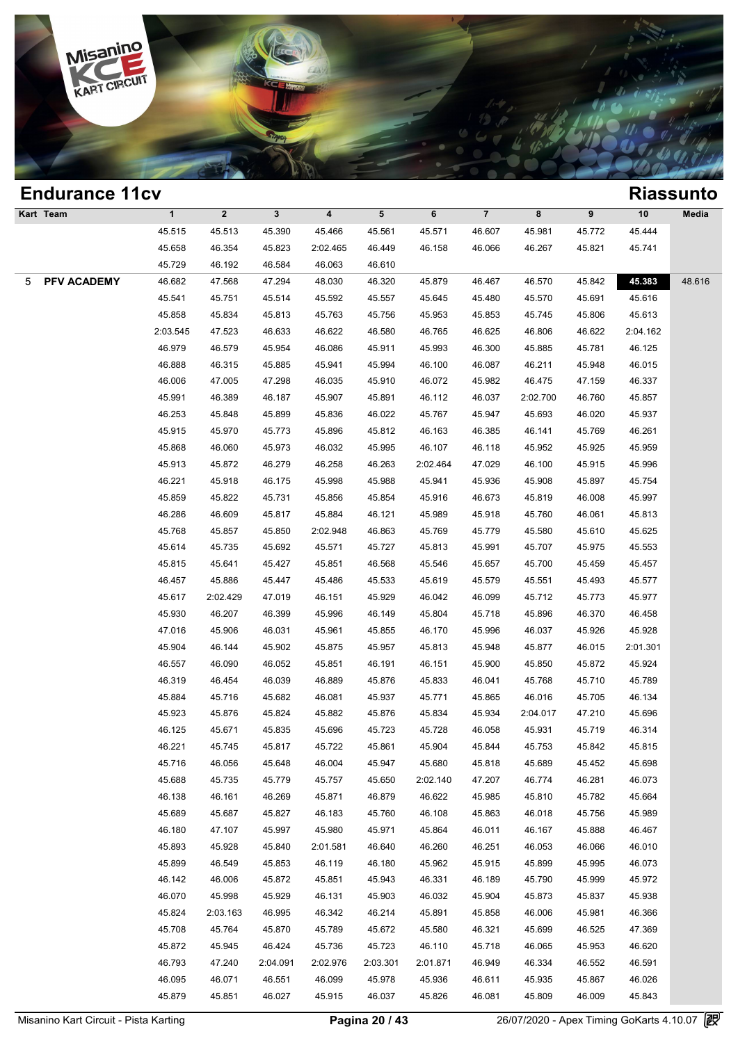

|   | <b>Endurance 11cv</b> |              |              |                |                         |          |          |                |          |        |          | <b>Riassunto</b> |
|---|-----------------------|--------------|--------------|----------------|-------------------------|----------|----------|----------------|----------|--------|----------|------------------|
|   | Kart Team             | $\mathbf{1}$ | $\mathbf{2}$ | 3 <sup>1</sup> | $\overline{\mathbf{4}}$ | 5        | 6        | $\overline{7}$ | 8        | 9      | 10       | Media            |
|   |                       | 45.515       | 45.513       | 45.390         | 45.466                  | 45.561   | 45.571   | 46.607         | 45.981   | 45.772 | 45.444   |                  |
|   |                       | 45.658       | 46.354       | 45.823         | 2:02.465                | 46.449   | 46.158   | 46.066         | 46.267   | 45.821 | 45.741   |                  |
|   |                       | 45.729       | 46.192       | 46.584         | 46.063                  | 46.610   |          |                |          |        |          |                  |
| 5 | PFV ACADEMY           | 46.682       | 47.568       | 47.294         | 48.030                  | 46.320   | 45.879   | 46.467         | 46.570   | 45.842 | 45.383   | 48.616           |
|   |                       | 45.541       | 45.751       | 45.514         | 45.592                  | 45.557   | 45.645   | 45.480         | 45.570   | 45.691 | 45.616   |                  |
|   |                       | 45.858       | 45.834       | 45.813         | 45.763                  | 45.756   | 45.953   | 45.853         | 45.745   | 45.806 | 45.613   |                  |
|   |                       | 2:03.545     | 47.523       | 46.633         | 46.622                  | 46.580   | 46.765   | 46.625         | 46.806   | 46.622 | 2:04.162 |                  |
|   |                       | 46.979       | 46.579       | 45.954         | 46.086                  | 45.911   | 45.993   | 46.300         | 45.885   | 45.781 | 46.125   |                  |
|   |                       | 46.888       | 46.315       | 45.885         | 45.941                  | 45.994   | 46.100   | 46.087         | 46.211   | 45.948 | 46.015   |                  |
|   |                       | 46.006       | 47.005       | 47.298         | 46.035                  | 45.910   | 46.072   | 45.982         | 46.475   | 47.159 | 46.337   |                  |
|   |                       | 45.991       | 46.389       | 46.187         | 45.907                  | 45.891   | 46.112   | 46.037         | 2:02.700 | 46.760 | 45.857   |                  |
|   |                       | 46.253       | 45.848       | 45.899         | 45.836                  | 46.022   | 45.767   | 45.947         | 45.693   | 46.020 | 45.937   |                  |
|   |                       | 45.915       | 45.970       | 45.773         | 45.896                  | 45.812   | 46.163   | 46.385         | 46.141   | 45.769 | 46.261   |                  |
|   |                       | 45.868       | 46.060       | 45.973         | 46.032                  | 45.995   | 46.107   | 46.118         | 45.952   | 45.925 | 45.959   |                  |
|   |                       | 45.913       | 45.872       | 46.279         | 46.258                  | 46.263   | 2:02.464 | 47.029         | 46.100   | 45.915 | 45.996   |                  |
|   |                       | 46.221       | 45.918       | 46.175         | 45.998                  | 45.988   | 45.941   | 45.936         | 45.908   | 45.897 | 45.754   |                  |
|   |                       | 45.859       | 45.822       | 45.731         | 45.856                  | 45.854   | 45.916   | 46.673         | 45.819   | 46.008 | 45.997   |                  |
|   |                       | 46.286       | 46.609       | 45.817         | 45.884                  | 46.121   | 45.989   | 45.918         | 45.760   | 46.061 | 45.813   |                  |
|   |                       | 45.768       | 45.857       | 45.850         | 2:02.948                | 46.863   | 45.769   | 45.779         | 45.580   | 45.610 | 45.625   |                  |
|   |                       | 45.614       | 45.735       | 45.692         | 45.571                  | 45.727   | 45.813   | 45.991         | 45.707   | 45.975 | 45.553   |                  |
|   |                       | 45.815       | 45.641       | 45.427         | 45.851                  | 46.568   | 45.546   | 45.657         | 45.700   | 45.459 | 45.457   |                  |
|   |                       | 46.457       | 45.886       | 45.447         | 45.486                  | 45.533   | 45.619   | 45.579         | 45.551   | 45.493 | 45.577   |                  |
|   |                       | 45.617       | 2:02.429     | 47.019         | 46.151                  | 45.929   | 46.042   | 46.099         | 45.712   | 45.773 | 45.977   |                  |
|   |                       | 45.930       | 46.207       | 46.399         | 45.996                  | 46.149   | 45.804   | 45.718         | 45.896   | 46.370 | 46.458   |                  |
|   |                       | 47.016       | 45.906       | 46.031         | 45.961                  | 45.855   | 46.170   | 45.996         | 46.037   | 45.926 | 45.928   |                  |
|   |                       | 45.904       | 46.144       | 45.902         | 45.875                  | 45.957   | 45.813   | 45.948         | 45.877   | 46.015 | 2:01.301 |                  |
|   |                       | 46.557       | 46.090       | 46.052         | 45.851                  | 46.191   | 46.151   | 45.900         | 45.850   | 45.872 | 45.924   |                  |
|   |                       | 46.319       | 46.454       | 46.039         | 46.889                  | 45.876   | 45.833   | 46.041         | 45.768   | 45.710 | 45.789   |                  |
|   |                       | 45.884       | 45.716       | 45.682         | 46.081                  | 45.937   | 45.771   | 45.865         | 46.016   | 45.705 | 46.134   |                  |
|   |                       | 45.923       | 45.876       | 45.824         | 45.882                  | 45.876   | 45.834   | 45.934         | 2:04.017 | 47.210 | 45.696   |                  |
|   |                       | 46.125       | 45.671       | 45.835         | 45.696                  | 45.723   | 45.728   | 46.058         | 45.931   | 45.719 | 46.314   |                  |
|   |                       | 46.221       | 45.745       | 45.817         | 45.722                  | 45.861   | 45.904   | 45.844         | 45.753   | 45.842 | 45.815   |                  |
|   |                       | 45.716       | 46.056       | 45.648         | 46.004                  | 45.947   | 45.680   | 45.818         | 45.689   | 45.452 | 45.698   |                  |
|   |                       | 45.688       | 45.735       | 45.779         | 45.757                  | 45.650   | 2:02.140 | 47.207         | 46.774   | 46.281 | 46.073   |                  |
|   |                       | 46.138       | 46.161       | 46.269         | 45.871                  | 46.879   | 46.622   | 45.985         | 45.810   | 45.782 | 45.664   |                  |
|   |                       | 45.689       | 45.687       | 45.827         | 46.183                  | 45.760   | 46.108   | 45.863         | 46.018   | 45.756 | 45.989   |                  |
|   |                       | 46.180       | 47.107       | 45.997         | 45.980                  | 45.971   | 45.864   | 46.011         | 46.167   | 45.888 | 46.467   |                  |
|   |                       | 45.893       | 45.928       | 45.840         | 2:01.581                | 46.640   | 46.260   | 46.251         | 46.053   | 46.066 | 46.010   |                  |
|   |                       | 45.899       | 46.549       | 45.853         | 46.119                  | 46.180   | 45.962   | 45.915         | 45.899   | 45.995 | 46.073   |                  |
|   |                       | 46.142       | 46.006       | 45.872         | 45.851                  | 45.943   | 46.331   | 46.189         | 45.790   | 45.999 | 45.972   |                  |
|   |                       | 46.070       | 45.998       | 45.929         | 46.131                  | 45.903   | 46.032   | 45.904         | 45.873   | 45.837 | 45.938   |                  |
|   |                       | 45.824       | 2:03.163     | 46.995         | 46.342                  | 46.214   | 45.891   | 45.858         | 46.006   | 45.981 | 46.366   |                  |
|   |                       | 45.708       | 45.764       | 45.870         | 45.789                  | 45.672   | 45.580   | 46.321         | 45.699   | 46.525 | 47.369   |                  |
|   |                       | 45.872       | 45.945       | 46.424         | 45.736                  | 45.723   | 46.110   | 45.718         | 46.065   | 45.953 | 46.620   |                  |
|   |                       | 46.793       | 47.240       | 2:04.091       | 2:02.976                | 2:03.301 | 2:01.871 | 46.949         | 46.334   | 46.552 | 46.591   |                  |
|   |                       | 46.095       | 46.071       | 46.551         | 46.099                  | 45.978   | 45.936   | 46.611         | 45.935   | 45.867 | 46.026   |                  |
|   |                       | 45.879       | 45.851       | 46.027         | 45.915                  | 46.037   | 45.826   | 46.081         | 45.809   | 46.009 | 45.843   |                  |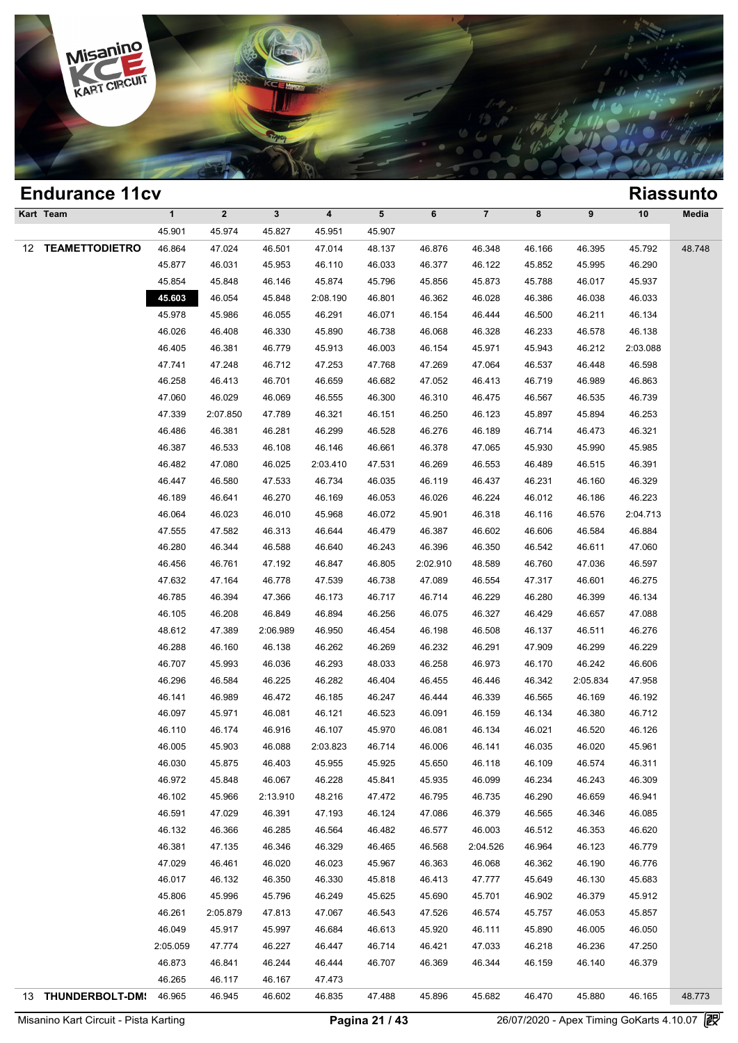

|    | <b>Endurance 11cv</b> |                  |                  |                    |                  |                  |                  |                  |                  |                  |                  | <b>Riassunto</b> |
|----|-----------------------|------------------|------------------|--------------------|------------------|------------------|------------------|------------------|------------------|------------------|------------------|------------------|
|    | Kart Team             | $\mathbf{1}$     | $\mathbf{2}$     | $\mathbf{3}$       | 4                | 5                | 6                | $\overline{7}$   | 8                | 9                | 10               | Media            |
|    |                       | 45.901           | 45.974           | 45.827             | 45.951           | 45.907           |                  |                  |                  |                  |                  |                  |
| 12 | <b>TEAMETTODIETRO</b> | 46.864           | 47.024           | 46.501             | 47.014           | 48.137           | 46.876           | 46.348           | 46.166           | 46.395           | 45.792           | 48.748           |
|    |                       | 45.877           | 46.031           | 45.953             | 46.110           | 46.033           | 46.377           | 46.122           | 45.852           | 45.995           | 46.290           |                  |
|    |                       | 45.854           | 45.848           | 46.146             | 45.874           | 45.796           | 45.856           | 45.873           | 45.788           | 46.017           | 45.937           |                  |
|    |                       | 45.603           | 46.054           | 45.848             | 2:08.190         | 46.801           | 46.362           | 46.028           | 46.386           | 46.038           | 46.033           |                  |
|    |                       | 45.978           | 45.986           | 46.055             | 46.291           | 46.071           | 46.154           | 46.444           | 46.500           | 46.211           | 46.134           |                  |
|    |                       | 46.026           | 46.408           | 46.330             | 45.890           | 46.738           | 46.068           | 46.328           | 46.233           | 46.578           | 46.138           |                  |
|    |                       | 46.405           | 46.381           | 46.779             | 45.913           | 46.003           | 46.154           | 45.971           | 45.943           | 46.212           | 2:03.088         |                  |
|    |                       | 47.741           | 47.248           | 46.712             | 47.253           | 47.768           | 47.269           | 47.064           | 46.537           | 46.448           | 46.598           |                  |
|    |                       | 46.258           | 46.413           | 46.701             | 46.659           | 46.682           | 47.052           | 46.413           | 46.719           | 46.989           | 46.863           |                  |
|    |                       | 47.060           | 46.029           | 46.069             | 46.555           | 46.300           | 46.310           | 46.475           | 46.567           | 46.535           | 46.739           |                  |
|    |                       | 47.339           | 2:07.850         | 47.789             | 46.321           | 46.151           | 46.250           | 46.123           | 45.897           | 45.894           | 46.253           |                  |
|    |                       | 46.486           | 46.381           | 46.281             | 46.299           | 46.528           | 46.276           | 46.189           | 46.714           | 46.473           | 46.321           |                  |
|    |                       | 46.387           | 46.533           | 46.108             | 46.146           | 46.661           | 46.378           | 47.065           | 45.930           | 45.990           | 45.985           |                  |
|    |                       | 46.482           | 47.080           | 46.025             | 2:03.410         | 47.531           | 46.269           | 46.553           | 46.489           | 46.515           | 46.391           |                  |
|    |                       | 46.447           | 46.580           | 47.533             | 46.734           | 46.035           | 46.119           | 46.437           | 46.231           | 46.160           | 46.329           |                  |
|    |                       | 46.189           | 46.641           | 46.270             | 46.169           | 46.053           | 46.026           | 46.224           | 46.012           | 46.186           | 46.223           |                  |
|    |                       | 46.064           | 46.023           | 46.010             | 45.968           | 46.072           | 45.901           | 46.318           | 46.116           | 46.576           | 2:04.713         |                  |
|    |                       | 47.555           | 47.582           | 46.313             | 46.644           | 46.479           | 46.387           | 46.602           | 46.606           | 46.584           | 46.884           |                  |
|    |                       | 46.280           | 46.344           | 46.588             | 46.640           | 46.243           | 46.396           | 46.350           | 46.542           | 46.611           | 47.060           |                  |
|    |                       | 46.456           | 46.761           | 47.192             | 46.847           | 46.805           | 2:02.910         | 48.589           | 46.760           | 47.036           | 46.597           |                  |
|    |                       | 47.632           | 47.164           | 46.778             | 47.539           | 46.738           | 47.089           | 46.554           | 47.317           | 46.601           | 46.275           |                  |
|    |                       | 46.785           | 46.394           | 47.366             | 46.173           | 46.717           | 46.714           | 46.229           | 46.280           | 46.399           | 46.134           |                  |
|    |                       | 46.105           | 46.208           | 46.849             | 46.894           | 46.256           | 46.075           | 46.327           | 46.429           | 46.657           | 47.088           |                  |
|    |                       | 48.612<br>46.288 | 47.389<br>46.160 | 2:06.989<br>46.138 | 46.950<br>46.262 | 46.454<br>46.269 | 46.198<br>46.232 | 46.508<br>46.291 | 46.137           | 46.511<br>46.299 | 46.276<br>46.229 |                  |
|    |                       | 46.707           | 45.993           | 46.036             | 46.293           | 48.033           | 46.258           | 46.973           | 47.909<br>46.170 | 46.242           | 46.606           |                  |
|    |                       | 46.296           | 46.584           | 46.225             | 46.282           | 46.404           | 46.455           | 46.446           | 46.342           | 2:05.834         | 47.958           |                  |
|    |                       | 46.141           | 46.989           | 46.472             | 46.185           | 46.247           | 46.444           | 46.339           | 46.565           | 46.169           | 46.192           |                  |
|    |                       | 46.097           | 45.971           | 46.081             | 46.121           | 46.523           | 46.091           | 46.159           | 46.134           | 46.380           | 46.712           |                  |
|    |                       | 46.110           | 46.174           | 46.916             | 46.107           | 45.970           | 46.081           | 46.134           | 46.021           | 46.520           | 46.126           |                  |
|    |                       | 46.005           | 45.903           | 46.088             | 2:03.823         | 46.714           | 46.006           | 46.141           | 46.035           | 46.020           | 45.961           |                  |
|    |                       | 46.030           | 45.875           | 46.403             | 45.955           | 45.925           | 45.650           | 46.118           | 46.109           | 46.574           | 46.311           |                  |
|    |                       | 46.972           | 45.848           | 46.067             | 46.228           | 45.841           | 45.935           | 46.099           | 46.234           | 46.243           | 46.309           |                  |
|    |                       | 46.102           | 45.966           | 2:13.910           | 48.216           | 47.472           | 46.795           | 46.735           | 46.290           | 46.659           | 46.941           |                  |
|    |                       | 46.591           | 47.029           | 46.391             | 47.193           | 46.124           | 47.086           | 46.379           | 46.565           | 46.346           | 46.085           |                  |
|    |                       | 46.132           | 46.366           | 46.285             | 46.564           | 46.482           | 46.577           | 46.003           | 46.512           | 46.353           | 46.620           |                  |
|    |                       | 46.381           | 47.135           | 46.346             | 46.329           | 46.465           | 46.568           | 2:04.526         | 46.964           | 46.123           | 46.779           |                  |
|    |                       | 47.029           | 46.461           | 46.020             | 46.023           | 45.967           | 46.363           | 46.068           | 46.362           | 46.190           | 46.776           |                  |
|    |                       | 46.017           | 46.132           | 46.350             | 46.330           | 45.818           | 46.413           | 47.777           | 45.649           | 46.130           | 45.683           |                  |
|    |                       | 45.806           | 45.996           | 45.796             | 46.249           | 45.625           | 45.690           | 45.701           | 46.902           | 46.379           | 45.912           |                  |
|    |                       | 46.261           | 2:05.879         | 47.813             | 47.067           | 46.543           | 47.526           | 46.574           | 45.757           | 46.053           | 45.857           |                  |
|    |                       | 46.049           | 45.917           | 45.997             | 46.684           | 46.613           | 45.920           | 46.111           | 45.890           | 46.005           | 46.050           |                  |
|    |                       | 2:05.059         | 47.774           | 46.227             | 46.447           | 46.714           | 46.421           | 47.033           | 46.218           | 46.236           | 47.250           |                  |
|    |                       | 46.873           | 46.841           | 46.244             | 46.444           | 46.707           | 46.369           | 46.344           | 46.159           | 46.140           | 46.379           |                  |
|    |                       | 46.265           | 46.117           | 46.167             | 47.473           |                  |                  |                  |                  |                  |                  |                  |
|    | 13 THUNDERBOLT-DM     | 46.965           | 46.945           | 46.602             | 46.835           | 47.488           | 45.896           | 45.682           | 46.470           | 45.880           | 46.165           | 48.773           |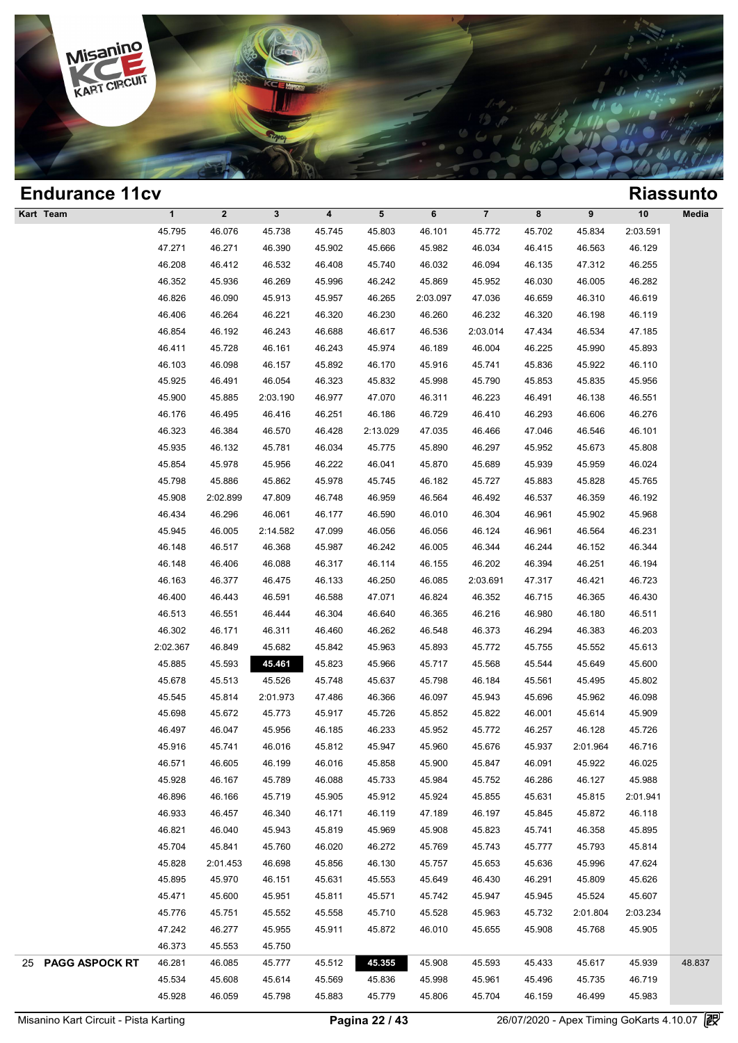

| <b>Endurance 11cv</b> |              |              |              |        |           |          |          |        |          |          | <b>Riassunto</b> |
|-----------------------|--------------|--------------|--------------|--------|-----------|----------|----------|--------|----------|----------|------------------|
| Kart Team             | $\mathbf{1}$ | $\mathbf{2}$ | $\mathbf{3}$ | 4      | ${\bf 5}$ | 6        | $\bf 7$  | 8      | 9        | 10       | Media            |
|                       | 45.795       | 46.076       | 45.738       | 45.745 | 45.803    | 46.101   | 45.772   | 45.702 | 45.834   | 2:03.591 |                  |
|                       | 47.271       | 46.271       | 46.390       | 45.902 | 45.666    | 45.982   | 46.034   | 46.415 | 46.563   | 46.129   |                  |
|                       | 46.208       | 46.412       | 46.532       | 46.408 | 45.740    | 46.032   | 46.094   | 46.135 | 47.312   | 46.255   |                  |
|                       | 46.352       | 45.936       | 46.269       | 45.996 | 46.242    | 45.869   | 45.952   | 46.030 | 46.005   | 46.282   |                  |
|                       | 46.826       | 46.090       | 45.913       | 45.957 | 46.265    | 2:03.097 | 47.036   | 46.659 | 46.310   | 46.619   |                  |
|                       | 46.406       | 46.264       | 46.221       | 46.320 | 46.230    | 46.260   | 46.232   | 46.320 | 46.198   | 46.119   |                  |
|                       | 46.854       | 46.192       | 46.243       | 46.688 | 46.617    | 46.536   | 2:03.014 | 47.434 | 46.534   | 47.185   |                  |
|                       | 46.411       | 45.728       | 46.161       | 46.243 | 45.974    | 46.189   | 46.004   | 46.225 | 45.990   | 45.893   |                  |
|                       | 46.103       | 46.098       | 46.157       | 45.892 | 46.170    | 45.916   | 45.741   | 45.836 | 45.922   | 46.110   |                  |
|                       | 45.925       | 46.491       | 46.054       | 46.323 | 45.832    | 45.998   | 45.790   | 45.853 | 45.835   | 45.956   |                  |
|                       | 45.900       | 45.885       | 2:03.190     | 46.977 | 47.070    | 46.311   | 46.223   | 46.491 | 46.138   | 46.551   |                  |
|                       | 46.176       | 46.495       | 46.416       | 46.251 | 46.186    | 46.729   | 46.410   | 46.293 | 46.606   | 46.276   |                  |
|                       | 46.323       | 46.384       | 46.570       | 46.428 | 2:13.029  | 47.035   | 46.466   | 47.046 | 46.546   | 46.101   |                  |
|                       | 45.935       | 46.132       | 45.781       | 46.034 | 45.775    | 45.890   | 46.297   | 45.952 | 45.673   | 45.808   |                  |
|                       | 45.854       | 45.978       | 45.956       | 46.222 | 46.041    | 45.870   | 45.689   | 45.939 | 45.959   | 46.024   |                  |
|                       | 45.798       | 45.886       | 45.862       | 45.978 | 45.745    | 46.182   | 45.727   | 45.883 | 45.828   | 45.765   |                  |
|                       | 45.908       | 2:02.899     | 47.809       | 46.748 | 46.959    | 46.564   | 46.492   | 46.537 | 46.359   | 46.192   |                  |
|                       | 46.434       | 46.296       | 46.061       | 46.177 | 46.590    | 46.010   | 46.304   | 46.961 | 45.902   | 45.968   |                  |
|                       | 45.945       | 46.005       | 2:14.582     | 47.099 | 46.056    | 46.056   | 46.124   | 46.961 | 46.564   | 46.231   |                  |
|                       | 46.148       | 46.517       | 46.368       | 45.987 | 46.242    | 46.005   | 46.344   | 46.244 | 46.152   | 46.344   |                  |
|                       | 46.148       | 46.406       | 46.088       | 46.317 | 46.114    | 46.155   | 46.202   | 46.394 | 46.251   | 46.194   |                  |
|                       | 46.163       | 46.377       | 46.475       | 46.133 | 46.250    | 46.085   | 2:03.691 | 47.317 | 46.421   | 46.723   |                  |
|                       | 46.400       | 46.443       | 46.591       | 46.588 | 47.071    | 46.824   | 46.352   | 46.715 | 46.365   | 46.430   |                  |
|                       | 46.513       | 46.551       | 46.444       | 46.304 | 46.640    | 46.365   | 46.216   | 46.980 | 46.180   | 46.511   |                  |
|                       | 46.302       | 46.171       | 46.311       | 46.460 | 46.262    | 46.548   | 46.373   | 46.294 | 46.383   | 46.203   |                  |
|                       | 2:02.367     | 46.849       | 45.682       | 45.842 | 45.963    | 45.893   | 45.772   | 45.755 | 45.552   | 45.613   |                  |
|                       | 45.885       | 45.593       | 45.461       | 45.823 | 45.966    | 45.717   | 45.568   | 45.544 | 45.649   | 45.600   |                  |
|                       | 45.678       | 45.513       | 45.526       | 45.748 | 45.637    | 45.798   | 46.184   | 45.561 | 45.495   | 45.802   |                  |
|                       | 45.545       | 45.814       | 2:01.973     | 47.486 | 46.366    | 46.097   | 45.943   | 45.696 | 45.962   | 46.098   |                  |
|                       | 45.698       | 45.672       | 45.773       | 45.917 | 45.726    | 45.852   | 45.822   | 46.001 | 45.614   | 45.909   |                  |
|                       | 46.497       | 46.047       | 45.956       | 46.185 | 46.233    | 45.952   | 45.772   | 46.257 | 46.128   | 45.726   |                  |
|                       | 45.916       | 45.741       | 46.016       | 45.812 | 45.947    | 45.960   | 45.676   | 45.937 | 2:01.964 | 46.716   |                  |
|                       | 46.571       | 46.605       | 46.199       | 46.016 | 45.858    | 45.900   | 45.847   | 46.091 | 45.922   | 46.025   |                  |
|                       | 45.928       | 46.167       | 45.789       | 46.088 | 45.733    | 45.984   | 45.752   | 46.286 | 46.127   | 45.988   |                  |
|                       | 46.896       | 46.166       | 45.719       | 45.905 | 45.912    | 45.924   | 45.855   | 45.631 | 45.815   | 2:01.941 |                  |
|                       | 46.933       | 46.457       | 46.340       | 46.171 | 46.119    | 47.189   | 46.197   | 45.845 | 45.872   | 46.118   |                  |
|                       | 46.821       | 46.040       | 45.943       | 45.819 | 45.969    | 45.908   | 45.823   | 45.741 | 46.358   | 45.895   |                  |
|                       | 45.704       | 45.841       | 45.760       | 46.020 | 46.272    | 45.769   | 45.743   | 45.777 | 45.793   | 45.814   |                  |
|                       | 45.828       | 2:01.453     | 46.698       | 45.856 | 46.130    | 45.757   | 45.653   | 45.636 | 45.996   | 47.624   |                  |
|                       | 45.895       | 45.970       | 46.151       | 45.631 | 45.553    | 45.649   | 46.430   | 46.291 | 45.809   | 45.626   |                  |
|                       | 45.471       | 45.600       | 45.951       | 45.811 | 45.571    | 45.742   | 45.947   | 45.945 | 45.524   | 45.607   |                  |
|                       | 45.776       | 45.751       | 45.552       | 45.558 | 45.710    | 45.528   | 45.963   | 45.732 | 2:01.804 | 2:03.234 |                  |
|                       | 47.242       | 46.277       | 45.955       | 45.911 | 45.872    | 46.010   | 45.655   | 45.908 | 45.768   | 45.905   |                  |
|                       | 46.373       | 45.553       | 45.750       |        |           |          |          |        |          |          |                  |
| 25 PAGG ASPOCK RT     | 46.281       | 46.085       | 45.777       | 45.512 | 45.355    | 45.908   | 45.593   | 45.433 | 45.617   | 45.939   | 48.837           |
|                       | 45.534       | 45.608       | 45.614       | 45.569 | 45.836    | 45.998   | 45.961   | 45.496 | 45.735   | 46.719   |                  |
|                       | 45.928       | 46.059       | 45.798       | 45.883 | 45.779    | 45.806   | 45.704   | 46.159 | 46.499   | 45.983   |                  |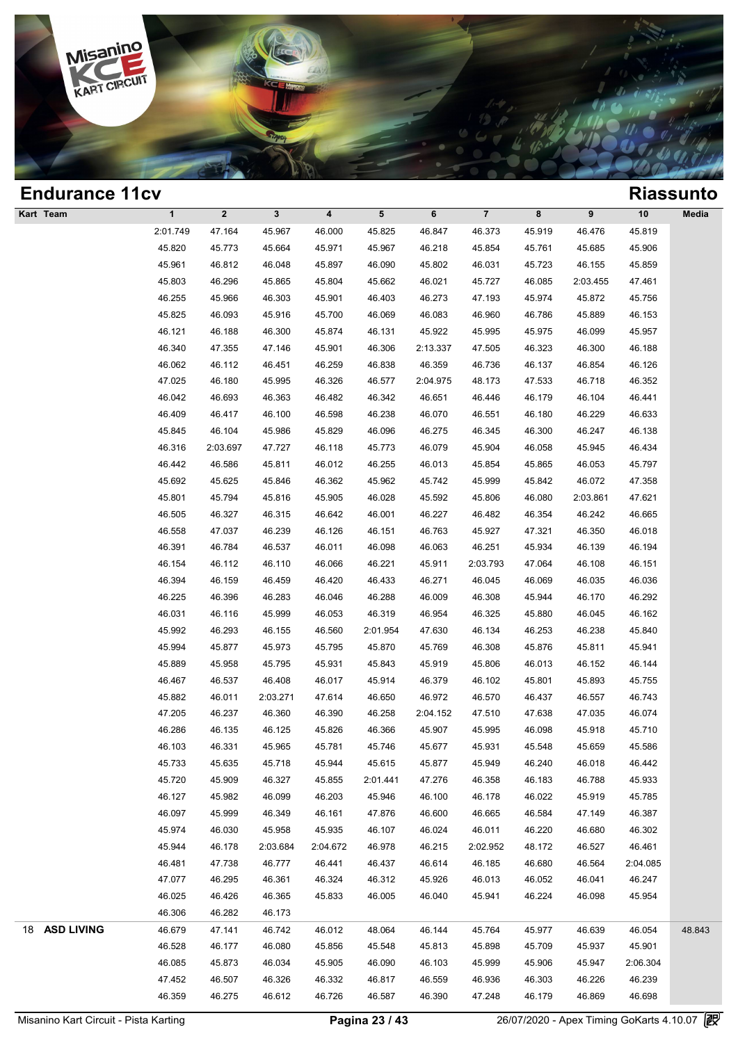

| <b>Endurance 11cv</b> |              |              |             |                         |          |          |                         |        |          |          | <b>Riassunto</b> |
|-----------------------|--------------|--------------|-------------|-------------------------|----------|----------|-------------------------|--------|----------|----------|------------------|
| Kart Team             | $\mathbf{1}$ | $\mathbf{2}$ | $\mathbf 3$ | $\overline{\mathbf{4}}$ | 5        | 6        | $\overline{\mathbf{7}}$ | 8      | 9        | 10       | Media            |
|                       | 2:01.749     | 47.164       | 45.967      | 46.000                  | 45.825   | 46.847   | 46.373                  | 45.919 | 46.476   | 45.819   |                  |
|                       | 45.820       | 45.773       | 45.664      | 45.971                  | 45.967   | 46.218   | 45.854                  | 45.761 | 45.685   | 45.906   |                  |
|                       | 45.961       | 46.812       | 46.048      | 45.897                  | 46.090   | 45.802   | 46.031                  | 45.723 | 46.155   | 45.859   |                  |
|                       | 45.803       | 46.296       | 45.865      | 45.804                  | 45.662   | 46.021   | 45.727                  | 46.085 | 2:03.455 | 47.461   |                  |
|                       | 46.255       | 45.966       | 46.303      | 45.901                  | 46.403   | 46.273   | 47.193                  | 45.974 | 45.872   | 45.756   |                  |
|                       | 45.825       | 46.093       | 45.916      | 45.700                  | 46.069   | 46.083   | 46.960                  | 46.786 | 45.889   | 46.153   |                  |
|                       | 46.121       | 46.188       | 46.300      | 45.874                  | 46.131   | 45.922   | 45.995                  | 45.975 | 46.099   | 45.957   |                  |
|                       | 46.340       | 47.355       | 47.146      | 45.901                  | 46.306   | 2:13.337 | 47.505                  | 46.323 | 46.300   | 46.188   |                  |
|                       | 46.062       | 46.112       | 46.451      | 46.259                  | 46.838   | 46.359   | 46.736                  | 46.137 | 46.854   | 46.126   |                  |
|                       | 47.025       | 46.180       | 45.995      | 46.326                  | 46.577   | 2:04.975 | 48.173                  | 47.533 | 46.718   | 46.352   |                  |
|                       | 46.042       | 46.693       | 46.363      | 46.482                  | 46.342   | 46.651   | 46.446                  | 46.179 | 46.104   | 46.441   |                  |
|                       | 46.409       | 46.417       | 46.100      | 46.598                  | 46.238   | 46.070   | 46.551                  | 46.180 | 46.229   | 46.633   |                  |
|                       | 45.845       | 46.104       | 45.986      | 45.829                  | 46.096   | 46.275   | 46.345                  | 46.300 | 46.247   | 46.138   |                  |
|                       | 46.316       | 2:03.697     | 47.727      | 46.118                  | 45.773   | 46.079   | 45.904                  | 46.058 | 45.945   | 46.434   |                  |
|                       | 46.442       | 46.586       | 45.811      | 46.012                  | 46.255   | 46.013   | 45.854                  | 45.865 | 46.053   | 45.797   |                  |
|                       | 45.692       | 45.625       | 45.846      | 46.362                  | 45.962   | 45.742   | 45.999                  | 45.842 | 46.072   | 47.358   |                  |
|                       | 45.801       | 45.794       | 45.816      | 45.905                  | 46.028   | 45.592   | 45.806                  | 46.080 | 2:03.861 | 47.621   |                  |
|                       | 46.505       | 46.327       | 46.315      | 46.642                  | 46.001   | 46.227   | 46.482                  | 46.354 | 46.242   | 46.665   |                  |
|                       | 46.558       | 47.037       | 46.239      | 46.126                  | 46.151   | 46.763   | 45.927                  | 47.321 | 46.350   | 46.018   |                  |
|                       | 46.391       | 46.784       | 46.537      | 46.011                  | 46.098   | 46.063   | 46.251                  | 45.934 | 46.139   | 46.194   |                  |
|                       | 46.154       | 46.112       | 46.110      | 46.066                  | 46.221   | 45.911   | 2:03.793                | 47.064 | 46.108   | 46.151   |                  |
|                       | 46.394       | 46.159       | 46.459      | 46.420                  | 46.433   | 46.271   | 46.045                  | 46.069 | 46.035   | 46.036   |                  |
|                       | 46.225       | 46.396       | 46.283      | 46.046                  | 46.288   | 46.009   | 46.308                  | 45.944 | 46.170   | 46.292   |                  |
|                       | 46.031       | 46.116       | 45.999      | 46.053                  | 46.319   | 46.954   | 46.325                  | 45.880 | 46.045   | 46.162   |                  |
|                       | 45.992       | 46.293       | 46.155      | 46.560                  | 2:01.954 | 47.630   | 46.134                  | 46.253 | 46.238   | 45.840   |                  |
|                       | 45.994       | 45.877       | 45.973      | 45.795                  | 45.870   | 45.769   | 46.308                  | 45.876 | 45.811   | 45.941   |                  |
|                       | 45.889       | 45.958       | 45.795      | 45.931                  | 45.843   | 45.919   | 45.806                  | 46.013 | 46.152   | 46.144   |                  |
|                       | 46.467       | 46.537       | 46.408      | 46.017                  | 45.914   | 46.379   | 46.102                  | 45.801 | 45.893   | 45.755   |                  |
|                       | 45.882       | 46.011       | 2:03.271    | 47.614                  | 46.650   | 46.972   | 46.570                  | 46.437 | 46.557   | 46.743   |                  |
|                       | 47.205       | 46.237       | 46.360      | 46.390                  | 46.258   | 2:04.152 | 47.510                  | 47.638 | 47.035   | 46.074   |                  |
|                       | 46.286       | 46.135       | 46.125      | 45.826                  | 46.366   | 45.907   | 45.995                  | 46.098 | 45.918   | 45.710   |                  |
|                       | 46.103       | 46.331       | 45.965      | 45.781                  | 45.746   | 45.677   | 45.931                  | 45.548 | 45.659   | 45.586   |                  |
|                       | 45.733       | 45.635       | 45.718      | 45.944                  | 45.615   | 45.877   | 45.949                  | 46.240 | 46.018   | 46.442   |                  |
|                       | 45.720       | 45.909       | 46.327      | 45.855                  | 2:01.441 | 47.276   | 46.358                  | 46.183 | 46.788   | 45.933   |                  |
|                       | 46.127       | 45.982       | 46.099      | 46.203                  | 45.946   | 46.100   | 46.178                  | 46.022 | 45.919   | 45.785   |                  |
|                       | 46.097       | 45.999       | 46.349      | 46.161                  | 47.876   | 46.600   | 46.665                  | 46.584 | 47.149   | 46.387   |                  |
|                       | 45.974       | 46.030       | 45.958      | 45.935                  | 46.107   | 46.024   | 46.011                  | 46.220 | 46.680   | 46.302   |                  |
|                       | 45.944       | 46.178       | 2:03.684    | 2:04.672                | 46.978   | 46.215   | 2:02.952                | 48.172 | 46.527   | 46.461   |                  |
|                       | 46.481       | 47.738       | 46.777      | 46.441                  | 46.437   | 46.614   | 46.185                  | 46.680 | 46.564   | 2:04.085 |                  |
|                       | 47.077       | 46.295       | 46.361      | 46.324                  | 46.312   | 45.926   | 46.013                  | 46.052 | 46.041   | 46.247   |                  |
|                       | 46.025       | 46.426       | 46.365      | 45.833                  | 46.005   | 46.040   | 45.941                  | 46.224 | 46.098   | 45.954   |                  |
|                       | 46.306       | 46.282       |             |                         |          |          |                         |        |          |          |                  |
|                       |              |              | 46.173      |                         |          |          |                         |        |          |          |                  |
| 18 ASD LIVING         | 46.679       | 47.141       | 46.742      | 46.012                  | 48.064   | 46.144   | 45.764                  | 45.977 | 46.639   | 46.054   | 48.843           |
|                       | 46.528       | 46.177       | 46.080      | 45.856                  | 45.548   | 45.813   | 45.898                  | 45.709 | 45.937   | 45.901   |                  |
|                       | 46.085       | 45.873       | 46.034      | 45.905                  | 46.090   | 46.103   | 45.999                  | 45.906 | 45.947   | 2:06.304 |                  |
|                       | 47.452       | 46.507       | 46.326      | 46.332                  | 46.817   | 46.559   | 46.936                  | 46.303 | 46.226   | 46.239   |                  |
|                       | 46.359       | 46.275       | 46.612      | 46.726                  | 46.587   | 46.390   | 47.248                  | 46.179 | 46.869   | 46.698   |                  |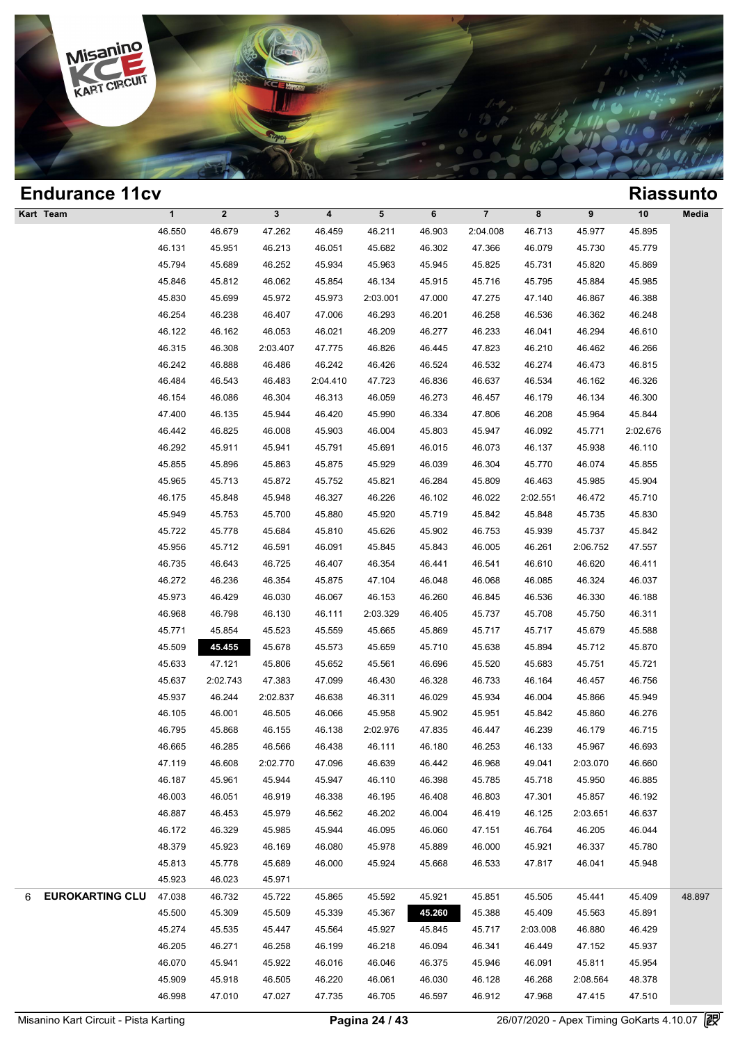

| <b>Endurance 11cv</b>       |              |              |             |                         |          |        |                         |          |          |          | <b>Riassunto</b> |
|-----------------------------|--------------|--------------|-------------|-------------------------|----------|--------|-------------------------|----------|----------|----------|------------------|
| Kart Team                   | $\mathbf{1}$ | $\mathbf{2}$ | $\mathbf 3$ | $\overline{\mathbf{4}}$ | 5        | 6      | $\overline{\mathbf{7}}$ | 8        | 9        | 10       | Media            |
|                             | 46.550       | 46.679       | 47.262      | 46.459                  | 46.211   | 46.903 | 2:04.008                | 46.713   | 45.977   | 45.895   |                  |
|                             | 46.131       | 45.951       | 46.213      | 46.051                  | 45.682   | 46.302 | 47.366                  | 46.079   | 45.730   | 45.779   |                  |
|                             | 45.794       | 45.689       | 46.252      | 45.934                  | 45.963   | 45.945 | 45.825                  | 45.731   | 45.820   | 45.869   |                  |
|                             | 45.846       | 45.812       | 46.062      | 45.854                  | 46.134   | 45.915 | 45.716                  | 45.795   | 45.884   | 45.985   |                  |
|                             | 45.830       | 45.699       | 45.972      | 45.973                  | 2:03.001 | 47.000 | 47.275                  | 47.140   | 46.867   | 46.388   |                  |
|                             | 46.254       | 46.238       | 46.407      | 47.006                  | 46.293   | 46.201 | 46.258                  | 46.536   | 46.362   | 46.248   |                  |
|                             | 46.122       | 46.162       | 46.053      | 46.021                  | 46.209   | 46.277 | 46.233                  | 46.041   | 46.294   | 46.610   |                  |
|                             | 46.315       | 46.308       | 2:03.407    | 47.775                  | 46.826   | 46.445 | 47.823                  | 46.210   | 46.462   | 46.266   |                  |
|                             | 46.242       | 46.888       | 46.486      | 46.242                  | 46.426   | 46.524 | 46.532                  | 46.274   | 46.473   | 46.815   |                  |
|                             | 46.484       | 46.543       | 46.483      | 2:04.410                | 47.723   | 46.836 | 46.637                  | 46.534   | 46.162   | 46.326   |                  |
|                             | 46.154       | 46.086       | 46.304      | 46.313                  | 46.059   | 46.273 | 46.457                  | 46.179   | 46.134   | 46.300   |                  |
|                             | 47.400       | 46.135       | 45.944      | 46.420                  | 45.990   | 46.334 | 47.806                  | 46.208   | 45.964   | 45.844   |                  |
|                             | 46.442       | 46.825       | 46.008      | 45.903                  | 46.004   | 45.803 | 45.947                  | 46.092   | 45.771   | 2:02.676 |                  |
|                             | 46.292       | 45.911       | 45.941      | 45.791                  | 45.691   | 46.015 | 46.073                  | 46.137   | 45.938   | 46.110   |                  |
|                             | 45.855       | 45.896       | 45.863      | 45.875                  | 45.929   | 46.039 | 46.304                  | 45.770   | 46.074   | 45.855   |                  |
|                             | 45.965       | 45.713       | 45.872      | 45.752                  | 45.821   | 46.284 | 45.809                  | 46.463   | 45.985   | 45.904   |                  |
|                             | 46.175       | 45.848       | 45.948      | 46.327                  | 46.226   | 46.102 | 46.022                  | 2:02.551 | 46.472   | 45.710   |                  |
|                             | 45.949       | 45.753       | 45.700      | 45.880                  | 45.920   | 45.719 | 45.842                  | 45.848   | 45.735   | 45.830   |                  |
|                             | 45.722       | 45.778       | 45.684      | 45.810                  | 45.626   | 45.902 | 46.753                  | 45.939   | 45.737   | 45.842   |                  |
|                             | 45.956       | 45.712       | 46.591      | 46.091                  | 45.845   | 45.843 | 46.005                  | 46.261   | 2:06.752 | 47.557   |                  |
|                             | 46.735       | 46.643       | 46.725      | 46.407                  | 46.354   | 46.441 | 46.541                  | 46.610   | 46.620   | 46.411   |                  |
|                             | 46.272       | 46.236       | 46.354      | 45.875                  | 47.104   | 46.048 | 46.068                  | 46.085   | 46.324   | 46.037   |                  |
|                             | 45.973       | 46.429       | 46.030      | 46.067                  | 46.153   | 46.260 | 46.845                  | 46.536   | 46.330   | 46.188   |                  |
|                             | 46.968       | 46.798       | 46.130      | 46.111                  | 2:03.329 | 46.405 | 45.737                  | 45.708   | 45.750   | 46.311   |                  |
|                             | 45.771       | 45.854       | 45.523      | 45.559                  | 45.665   | 45.869 | 45.717                  | 45.717   | 45.679   | 45.588   |                  |
|                             | 45.509       | 45.455       | 45.678      | 45.573                  | 45.659   | 45.710 | 45.638                  | 45.894   | 45.712   | 45.870   |                  |
|                             | 45.633       | 47.121       | 45.806      | 45.652                  | 45.561   | 46.696 | 45.520                  | 45.683   | 45.751   | 45.721   |                  |
|                             | 45.637       | 2:02.743     | 47.383      | 47.099                  | 46.430   | 46.328 | 46.733                  | 46.164   | 46.457   | 46.756   |                  |
|                             | 45.937       | 46.244       | 2:02.837    | 46.638                  | 46.311   | 46.029 | 45.934                  | 46.004   | 45.866   | 45.949   |                  |
|                             | 46.105       | 46.001       | 46.505      | 46.066                  | 45.958   | 45.902 | 45.951                  | 45.842   | 45.860   | 46.276   |                  |
|                             | 46.795       | 45.868       | 46.155      | 46.138                  | 2:02.976 | 47.835 | 46.447                  | 46.239   | 46.179   | 46.715   |                  |
|                             | 46.665       | 46.285       | 46.566      | 46.438                  | 46.111   | 46.180 | 46.253                  | 46.133   | 45.967   | 46.693   |                  |
|                             | 47.119       | 46.608       | 2:02.770    | 47.096                  | 46.639   | 46.442 | 46.968                  | 49.041   | 2:03.070 | 46.660   |                  |
|                             | 46.187       | 45.961       | 45.944      | 45.947                  | 46.110   | 46.398 | 45.785                  | 45.718   | 45.950   | 46.885   |                  |
|                             | 46.003       | 46.051       | 46.919      | 46.338                  | 46.195   | 46.408 | 46.803                  | 47.301   | 45.857   | 46.192   |                  |
|                             | 46.887       | 46.453       | 45.979      | 46.562                  | 46.202   | 46.004 | 46.419                  | 46.125   | 2:03.651 | 46.637   |                  |
|                             | 46.172       | 46.329       | 45.985      | 45.944                  | 46.095   | 46.060 | 47.151                  | 46.764   | 46.205   | 46.044   |                  |
|                             | 48.379       | 45.923       | 46.169      | 46.080                  | 45.978   | 45.889 | 46.000                  | 45.921   | 46.337   | 45.780   |                  |
|                             | 45.813       | 45.778       | 45.689      | 46.000                  | 45.924   | 45.668 | 46.533                  | 47.817   | 46.041   | 45.948   |                  |
|                             | 45.923       | 46.023       | 45.971      |                         |          |        |                         |          |          |          |                  |
| <b>EUROKARTING CLU</b><br>6 | 47.038       | 46.732       | 45.722      | 45.865                  | 45.592   | 45.921 | 45.851                  | 45.505   | 45.441   | 45.409   | 48.897           |
|                             | 45.500       | 45.309       | 45.509      | 45.339                  | 45.367   | 45.260 | 45.388                  | 45.409   | 45.563   | 45.891   |                  |
|                             | 45.274       | 45.535       | 45.447      | 45.564                  | 45.927   | 45.845 | 45.717                  | 2:03.008 | 46.880   | 46.429   |                  |
|                             | 46.205       | 46.271       | 46.258      | 46.199                  | 46.218   | 46.094 | 46.341                  | 46.449   | 47.152   | 45.937   |                  |
|                             | 46.070       | 45.941       | 45.922      | 46.016                  | 46.046   | 46.375 | 45.946                  | 46.091   | 45.811   | 45.954   |                  |
|                             | 45.909       | 45.918       | 46.505      | 46.220                  | 46.061   | 46.030 | 46.128                  | 46.268   | 2:08.564 | 48.378   |                  |
|                             | 46.998       | 47.010       | 47.027      | 47.735                  | 46.705   | 46.597 | 46.912                  | 47.968   | 47.415   | 47.510   |                  |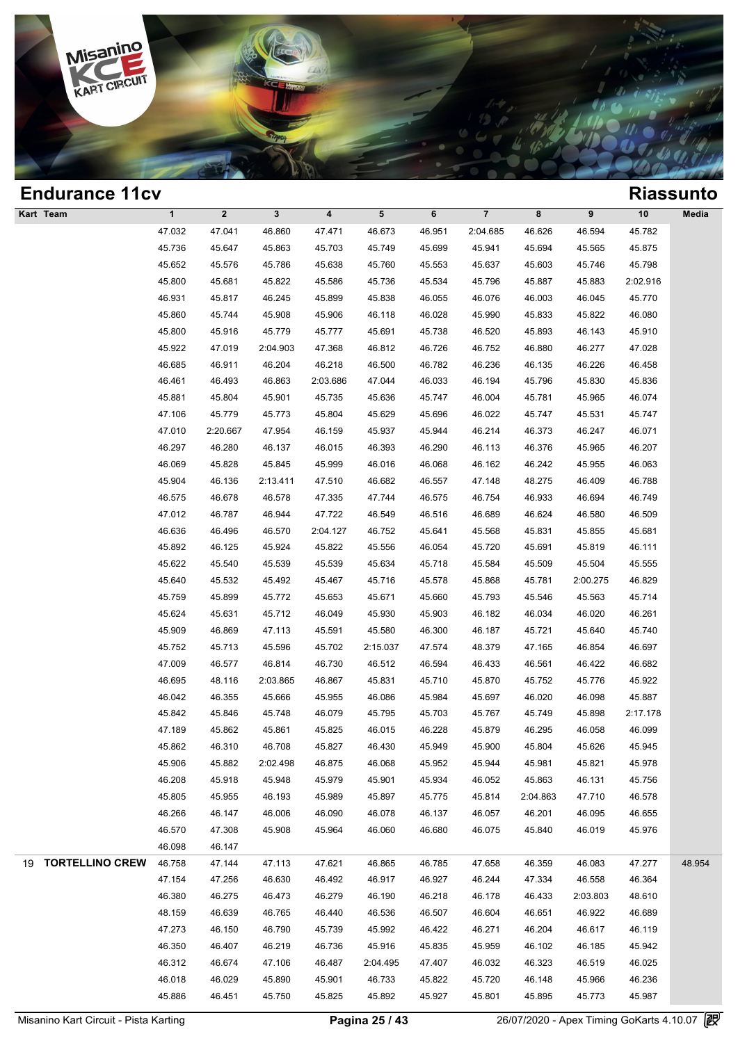

| <b>Endurance 11cv</b> |              |              |          |          |           |        |                |          |          |          | <b>Riassunto</b> |
|-----------------------|--------------|--------------|----------|----------|-----------|--------|----------------|----------|----------|----------|------------------|
| Kart Team             | $\mathbf{1}$ | $\mathbf{2}$ | 3        | 4        | ${\bf 5}$ | 6      | $\overline{7}$ | 8        | 9        | 10       | Media            |
|                       | 47.032       | 47.041       | 46.860   | 47.471   | 46.673    | 46.951 | 2:04.685       | 46.626   | 46.594   | 45.782   |                  |
|                       | 45.736       | 45.647       | 45.863   | 45.703   | 45.749    | 45.699 | 45.941         | 45.694   | 45.565   | 45.875   |                  |
|                       | 45.652       | 45.576       | 45.786   | 45.638   | 45.760    | 45.553 | 45.637         | 45.603   | 45.746   | 45.798   |                  |
|                       | 45.800       | 45.681       | 45.822   | 45.586   | 45.736    | 45.534 | 45.796         | 45.887   | 45.883   | 2:02.916 |                  |
|                       | 46.931       | 45.817       | 46.245   | 45.899   | 45.838    | 46.055 | 46.076         | 46.003   | 46.045   | 45.770   |                  |
|                       | 45.860       | 45.744       | 45.908   | 45.906   | 46.118    | 46.028 | 45.990         | 45.833   | 45.822   | 46.080   |                  |
|                       | 45.800       | 45.916       | 45.779   | 45.777   | 45.691    | 45.738 | 46.520         | 45.893   | 46.143   | 45.910   |                  |
|                       | 45.922       | 47.019       | 2:04.903 | 47.368   | 46.812    | 46.726 | 46.752         | 46.880   | 46.277   | 47.028   |                  |
|                       | 46.685       | 46.911       | 46.204   | 46.218   | 46.500    | 46.782 | 46.236         | 46.135   | 46.226   | 46.458   |                  |
|                       | 46.461       | 46.493       | 46.863   | 2:03.686 | 47.044    | 46.033 | 46.194         | 45.796   | 45.830   | 45.836   |                  |
|                       | 45.881       | 45.804       | 45.901   | 45.735   | 45.636    | 45.747 | 46.004         | 45.781   | 45.965   | 46.074   |                  |
|                       | 47.106       | 45.779       | 45.773   | 45.804   | 45.629    | 45.696 | 46.022         | 45.747   | 45.531   | 45.747   |                  |
|                       | 47.010       | 2:20.667     | 47.954   | 46.159   | 45.937    | 45.944 | 46.214         | 46.373   | 46.247   | 46.071   |                  |
|                       | 46.297       | 46.280       | 46.137   | 46.015   | 46.393    | 46.290 | 46.113         | 46.376   | 45.965   | 46.207   |                  |
|                       | 46.069       | 45.828       | 45.845   | 45.999   | 46.016    | 46.068 | 46.162         | 46.242   | 45.955   | 46.063   |                  |
|                       | 45.904       | 46.136       | 2:13.411 | 47.510   | 46.682    | 46.557 | 47.148         | 48.275   | 46.409   | 46.788   |                  |
|                       | 46.575       | 46.678       | 46.578   | 47.335   | 47.744    | 46.575 | 46.754         | 46.933   | 46.694   | 46.749   |                  |
|                       | 47.012       | 46.787       | 46.944   | 47.722   | 46.549    | 46.516 | 46.689         | 46.624   | 46.580   | 46.509   |                  |
|                       | 46.636       | 46.496       | 46.570   | 2:04.127 | 46.752    | 45.641 | 45.568         | 45.831   | 45.855   | 45.681   |                  |
|                       | 45.892       | 46.125       | 45.924   | 45.822   | 45.556    | 46.054 | 45.720         | 45.691   | 45.819   | 46.111   |                  |
|                       | 45.622       | 45.540       | 45.539   | 45.539   | 45.634    | 45.718 | 45.584         | 45.509   | 45.504   | 45.555   |                  |
|                       | 45.640       | 45.532       | 45.492   | 45.467   | 45.716    | 45.578 | 45.868         | 45.781   | 2:00.275 | 46.829   |                  |
|                       | 45.759       | 45.899       | 45.772   | 45.653   | 45.671    | 45.660 | 45.793         | 45.546   | 45.563   | 45.714   |                  |
|                       | 45.624       | 45.631       | 45.712   | 46.049   | 45.930    | 45.903 | 46.182         | 46.034   | 46.020   | 46.261   |                  |
|                       | 45.909       | 46.869       | 47.113   | 45.591   | 45.580    | 46.300 | 46.187         | 45.721   | 45.640   | 45.740   |                  |
|                       | 45.752       | 45.713       | 45.596   | 45.702   | 2:15.037  | 47.574 | 48.379         | 47.165   | 46.854   | 46.697   |                  |
|                       | 47.009       | 46.577       | 46.814   | 46.730   | 46.512    | 46.594 | 46.433         | 46.561   | 46.422   | 46.682   |                  |
|                       | 46.695       | 48.116       | 2:03.865 | 46.867   | 45.831    | 45.710 | 45.870         | 45.752   | 45.776   | 45.922   |                  |
|                       | 46.042       | 46.355       | 45.666   | 45.955   | 46.086    | 45.984 | 45.697         | 46.020   | 46.098   | 45.887   |                  |
|                       | 45.842       | 45.846       | 45.748   | 46.079   | 45.795    | 45.703 | 45.767         | 45.749   | 45.898   | 2:17.178 |                  |
|                       | 47.189       | 45.862       | 45.861   | 45.825   | 46.015    | 46.228 | 45.879         | 46.295   | 46.058   | 46.099   |                  |
|                       | 45.862       | 46.310       | 46.708   | 45.827   | 46.430    | 45.949 | 45.900         | 45.804   | 45.626   | 45.945   |                  |
|                       | 45.906       | 45.882       | 2:02.498 | 46.875   | 46.068    | 45.952 | 45.944         | 45.981   | 45.821   | 45.978   |                  |
|                       | 46.208       | 45.918       | 45.948   | 45.979   | 45.901    | 45.934 | 46.052         | 45.863   | 46.131   | 45.756   |                  |
|                       | 45.805       | 45.955       | 46.193   | 45.989   | 45.897    | 45.775 | 45.814         | 2:04.863 | 47.710   | 46.578   |                  |
|                       | 46.266       | 46.147       | 46.006   | 46.090   | 46.078    | 46.137 | 46.057         | 46.201   | 46.095   | 46.655   |                  |
|                       | 46.570       | 47.308       | 45.908   | 45.964   | 46.060    | 46.680 | 46.075         | 45.840   | 46.019   | 45.976   |                  |
|                       | 46.098       | 46.147       |          |          |           |        |                |          |          |          |                  |
| 19 TORTELLINO CREW    | 46.758       | 47.144       | 47.113   | 47.621   | 46.865    | 46.785 | 47.658         | 46.359   | 46.083   | 47.277   | 48.954           |
|                       | 47.154       | 47.256       | 46.630   | 46.492   | 46.917    | 46.927 | 46.244         | 47.334   | 46.558   | 46.364   |                  |
|                       | 46.380       | 46.275       | 46.473   | 46.279   | 46.190    | 46.218 | 46.178         | 46.433   | 2:03.803 | 48.610   |                  |
|                       | 48.159       | 46.639       | 46.765   | 46.440   | 46.536    | 46.507 | 46.604         | 46.651   | 46.922   | 46.689   |                  |
|                       | 47.273       | 46.150       | 46.790   | 45.739   | 45.992    | 46.422 | 46.271         | 46.204   | 46.617   | 46.119   |                  |
|                       | 46.350       | 46.407       | 46.219   | 46.736   | 45.916    | 45.835 | 45.959         | 46.102   | 46.185   | 45.942   |                  |
|                       | 46.312       | 46.674       | 47.106   | 46.487   | 2:04.495  | 47.407 | 46.032         | 46.323   | 46.519   | 46.025   |                  |
|                       | 46.018       | 46.029       | 45.890   | 45.901   | 46.733    | 45.822 | 45.720         | 46.148   | 45.966   | 46.236   |                  |
|                       | 45.886       | 46.451       | 45.750   | 45.825   | 45.892    | 45.927 | 45.801         | 45.895   | 45.773   | 45.987   |                  |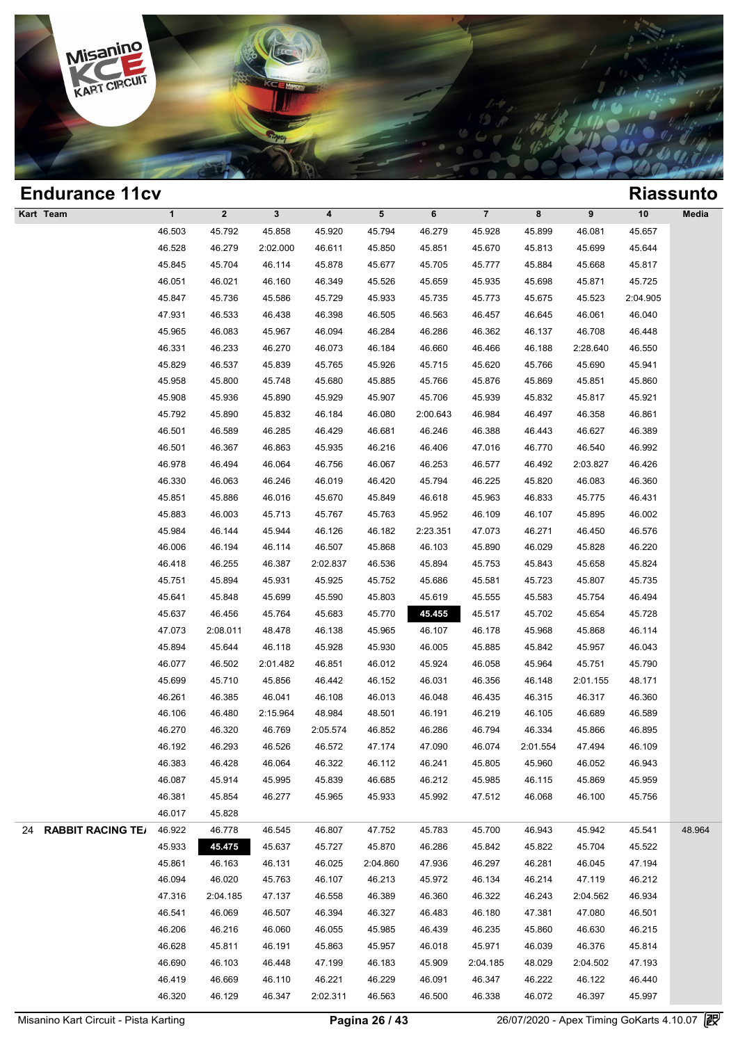

| <b>Endurance 11cv</b> |              |                  |          |          |           |          |          |          |          |          | <b>Riassunto</b> |
|-----------------------|--------------|------------------|----------|----------|-----------|----------|----------|----------|----------|----------|------------------|
| Kart Team             | $\mathbf{1}$ | $\boldsymbol{2}$ | 3        | 4        | ${\bf 5}$ | 6        | $\bf 7$  | 8        | 9        | $10$     | Media            |
|                       | 46.503       | 45.792           | 45.858   | 45.920   | 45.794    | 46.279   | 45.928   | 45.899   | 46.081   | 45.657   |                  |
|                       | 46.528       | 46.279           | 2:02.000 | 46.611   | 45.850    | 45.851   | 45.670   | 45.813   | 45.699   | 45.644   |                  |
|                       | 45.845       | 45.704           | 46.114   | 45.878   | 45.677    | 45.705   | 45.777   | 45.884   | 45.668   | 45.817   |                  |
|                       | 46.051       | 46.021           | 46.160   | 46.349   | 45.526    | 45.659   | 45.935   | 45.698   | 45.871   | 45.725   |                  |
|                       | 45.847       | 45.736           | 45.586   | 45.729   | 45.933    | 45.735   | 45.773   | 45.675   | 45.523   | 2:04.905 |                  |
|                       | 47.931       | 46.533           | 46.438   | 46.398   | 46.505    | 46.563   | 46.457   | 46.645   | 46.061   | 46.040   |                  |
|                       | 45.965       | 46.083           | 45.967   | 46.094   | 46.284    | 46.286   | 46.362   | 46.137   | 46.708   | 46.448   |                  |
|                       | 46.331       | 46.233           | 46.270   | 46.073   | 46.184    | 46.660   | 46.466   | 46.188   | 2:28.640 | 46.550   |                  |
|                       | 45.829       | 46.537           | 45.839   | 45.765   | 45.926    | 45.715   | 45.620   | 45.766   | 45.690   | 45.941   |                  |
|                       | 45.958       | 45.800           | 45.748   | 45.680   | 45.885    | 45.766   | 45.876   | 45.869   | 45.851   | 45.860   |                  |
|                       | 45.908       | 45.936           | 45.890   | 45.929   | 45.907    | 45.706   | 45.939   | 45.832   | 45.817   | 45.921   |                  |
|                       | 45.792       | 45.890           | 45.832   | 46.184   | 46.080    | 2:00.643 | 46.984   | 46.497   | 46.358   | 46.861   |                  |
|                       | 46.501       | 46.589           | 46.285   | 46.429   | 46.681    | 46.246   | 46.388   | 46.443   | 46.627   | 46.389   |                  |
|                       | 46.501       | 46.367           | 46.863   | 45.935   | 46.216    | 46.406   | 47.016   | 46.770   | 46.540   | 46.992   |                  |
|                       | 46.978       | 46.494           | 46.064   | 46.756   | 46.067    | 46.253   | 46.577   | 46.492   | 2:03.827 | 46.426   |                  |
|                       | 46.330       | 46.063           | 46.246   | 46.019   | 46.420    | 45.794   | 46.225   | 45.820   | 46.083   | 46.360   |                  |
|                       | 45.851       | 45.886           | 46.016   | 45.670   | 45.849    | 46.618   | 45.963   | 46.833   | 45.775   | 46.431   |                  |
|                       | 45.883       | 46.003           | 45.713   | 45.767   | 45.763    | 45.952   | 46.109   | 46.107   | 45.895   | 46.002   |                  |
|                       | 45.984       | 46.144           | 45.944   | 46.126   | 46.182    | 2:23.351 | 47.073   | 46.271   | 46.450   | 46.576   |                  |
|                       | 46.006       | 46.194           | 46.114   | 46.507   | 45.868    | 46.103   | 45.890   | 46.029   | 45.828   | 46.220   |                  |
|                       | 46.418       | 46.255           | 46.387   | 2:02.837 | 46.536    | 45.894   | 45.753   | 45.843   | 45.658   | 45.824   |                  |
|                       | 45.751       | 45.894           | 45.931   | 45.925   | 45.752    | 45.686   | 45.581   | 45.723   | 45.807   | 45.735   |                  |
|                       | 45.641       | 45.848           | 45.699   | 45.590   | 45.803    | 45.619   | 45.555   | 45.583   | 45.754   | 46.494   |                  |
|                       | 45.637       | 46.456           | 45.764   | 45.683   | 45.770    | 45.455   | 45.517   | 45.702   | 45.654   | 45.728   |                  |
|                       | 47.073       | 2:08.011         | 48.478   | 46.138   | 45.965    | 46.107   | 46.178   | 45.968   | 45.868   | 46.114   |                  |
|                       | 45.894       | 45.644           | 46.118   | 45.928   | 45.930    | 46.005   | 45.885   | 45.842   | 45.957   | 46.043   |                  |
|                       | 46.077       | 46.502           | 2:01.482 | 46.851   | 46.012    | 45.924   | 46.058   | 45.964   | 45.751   | 45.790   |                  |
|                       | 45.699       | 45.710           | 45.856   | 46.442   | 46.152    | 46.031   | 46.356   | 46.148   | 2:01.155 | 48.171   |                  |
|                       | 46.261       | 46.385           | 46.041   | 46.108   | 46.013    | 46.048   | 46.435   | 46.315   | 46.317   | 46.360   |                  |
|                       | 46.106       | 46.480           | 2:15.964 | 48.984   | 48.501    | 46.191   | 46.219   | 46.105   | 46.689   | 46.589   |                  |
|                       | 46.270       | 46.320           | 46.769   | 2:05.574 | 46.852    | 46.286   | 46.794   | 46.334   | 45.866   | 46.895   |                  |
|                       | 46.192       | 46.293           | 46.526   | 46.572   | 47.174    | 47.090   | 46.074   | 2:01.554 | 47.494   | 46.109   |                  |
|                       | 46.383       | 46.428           | 46.064   | 46.322   | 46.112    | 46.241   | 45.805   | 45.960   | 46.052   | 46.943   |                  |
|                       | 46.087       | 45.914           | 45.995   | 45.839   | 46.685    | 46.212   | 45.985   | 46.115   | 45.869   | 45.959   |                  |
|                       | 46.381       | 45.854           | 46.277   | 45.965   | 45.933    | 45.992   | 47.512   | 46.068   | 46.100   | 45.756   |                  |
|                       | 46.017       | 45.828           |          |          |           |          |          |          |          |          |                  |
| 24 RABBIT RACING TE/  | 46.922       | 46.778           | 46.545   | 46.807   | 47.752    | 45.783   | 45.700   | 46.943   | 45.942   | 45.541   | 48.964           |
|                       | 45.933       | 45.475           | 45.637   | 45.727   | 45.870    | 46.286   | 45.842   | 45.822   | 45.704   | 45.522   |                  |
|                       | 45.861       | 46.163           | 46.131   | 46.025   | 2:04.860  | 47.936   | 46.297   | 46.281   | 46.045   | 47.194   |                  |
|                       | 46.094       | 46.020           | 45.763   | 46.107   | 46.213    | 45.972   | 46.134   | 46.214   | 47.119   | 46.212   |                  |
|                       | 47.316       | 2:04.185         | 47.137   | 46.558   | 46.389    | 46.360   | 46.322   | 46.243   | 2:04.562 | 46.934   |                  |
|                       | 46.541       | 46.069           | 46.507   | 46.394   | 46.327    | 46.483   | 46.180   | 47.381   | 47.080   | 46.501   |                  |
|                       | 46.206       | 46.216           | 46.060   | 46.055   | 45.985    | 46.439   | 46.235   | 45.860   | 46.630   | 46.215   |                  |
|                       | 46.628       | 45.811           | 46.191   | 45.863   | 45.957    | 46.018   | 45.971   | 46.039   | 46.376   | 45.814   |                  |
|                       | 46.690       | 46.103           | 46.448   | 47.199   | 46.183    | 45.909   | 2:04.185 | 48.029   | 2:04.502 | 47.193   |                  |
|                       | 46.419       | 46.669           | 46.110   | 46.221   | 46.229    | 46.091   | 46.347   | 46.222   | 46.122   | 46.440   |                  |
|                       | 46.320       | 46.129           | 46.347   | 2:02.311 | 46.563    | 46.500   | 46.338   | 46.072   | 46.397   | 45.997   |                  |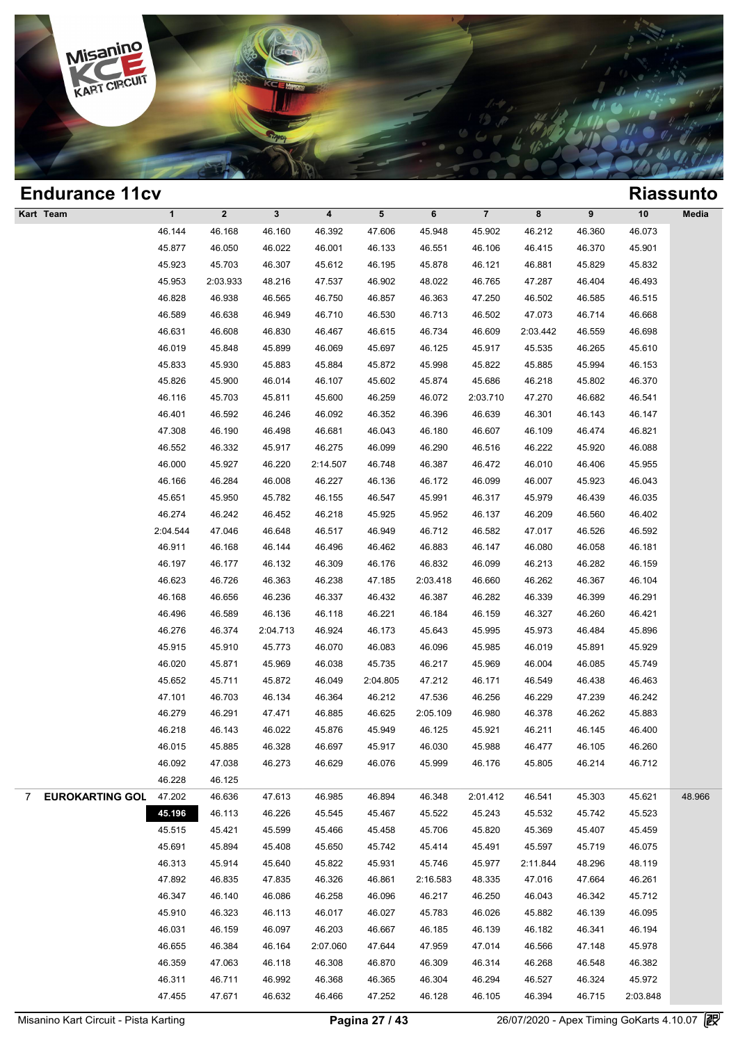

| <b>Endurance 11cv</b> |              |                         |          |                         |          |          |                |          |        |          | <b>Riassunto</b> |
|-----------------------|--------------|-------------------------|----------|-------------------------|----------|----------|----------------|----------|--------|----------|------------------|
| Kart Team             | $\mathbf{1}$ | $\overline{\mathbf{2}}$ | 3        | $\overline{\mathbf{4}}$ | 5        | 6        | $\overline{7}$ | 8        | 9      | $10$     | Media            |
|                       | 46.144       | 46.168                  | 46.160   | 46.392                  | 47.606   | 45.948   | 45.902         | 46.212   | 46.360 | 46.073   |                  |
|                       | 45.877       | 46.050                  | 46.022   | 46.001                  | 46.133   | 46.551   | 46.106         | 46.415   | 46.370 | 45.901   |                  |
|                       | 45.923       | 45.703                  | 46.307   | 45.612                  | 46.195   | 45.878   | 46.121         | 46.881   | 45.829 | 45.832   |                  |
|                       | 45.953       | 2:03.933                | 48.216   | 47.537                  | 46.902   | 48.022   | 46.765         | 47.287   | 46.404 | 46.493   |                  |
|                       | 46.828       | 46.938                  | 46.565   | 46.750                  | 46.857   | 46.363   | 47.250         | 46.502   | 46.585 | 46.515   |                  |
|                       | 46.589       | 46.638                  | 46.949   | 46.710                  | 46.530   | 46.713   | 46.502         | 47.073   | 46.714 | 46.668   |                  |
|                       | 46.631       | 46.608                  | 46.830   | 46.467                  | 46.615   | 46.734   | 46.609         | 2:03.442 | 46.559 | 46.698   |                  |
|                       | 46.019       | 45.848                  | 45.899   | 46.069                  | 45.697   | 46.125   | 45.917         | 45.535   | 46.265 | 45.610   |                  |
|                       | 45.833       | 45.930                  | 45.883   | 45.884                  | 45.872   | 45.998   | 45.822         | 45.885   | 45.994 | 46.153   |                  |
|                       | 45.826       | 45.900                  | 46.014   | 46.107                  | 45.602   | 45.874   | 45.686         | 46.218   | 45.802 | 46.370   |                  |
|                       | 46.116       | 45.703                  | 45.811   | 45.600                  | 46.259   | 46.072   | 2:03.710       | 47.270   | 46.682 | 46.541   |                  |
|                       | 46.401       | 46.592                  | 46.246   | 46.092                  | 46.352   | 46.396   | 46.639         | 46.301   | 46.143 | 46.147   |                  |
|                       | 47.308       | 46.190                  | 46.498   | 46.681                  | 46.043   | 46.180   | 46.607         | 46.109   | 46.474 | 46.821   |                  |
|                       | 46.552       | 46.332                  | 45.917   | 46.275                  | 46.099   | 46.290   | 46.516         | 46.222   | 45.920 | 46.088   |                  |
|                       | 46.000       | 45.927                  | 46.220   | 2:14.507                | 46.748   | 46.387   | 46.472         | 46.010   | 46.406 | 45.955   |                  |
|                       | 46.166       | 46.284                  | 46.008   | 46.227                  | 46.136   | 46.172   | 46.099         | 46.007   | 45.923 | 46.043   |                  |
|                       | 45.651       | 45.950                  | 45.782   | 46.155                  | 46.547   | 45.991   | 46.317         | 45.979   | 46.439 | 46.035   |                  |
|                       | 46.274       | 46.242                  | 46.452   | 46.218                  | 45.925   | 45.952   | 46.137         | 46.209   | 46.560 | 46.402   |                  |
|                       | 2:04.544     | 47.046                  | 46.648   | 46.517                  | 46.949   | 46.712   | 46.582         | 47.017   | 46.526 | 46.592   |                  |
|                       | 46.911       | 46.168                  | 46.144   | 46.496                  | 46.462   | 46.883   | 46.147         | 46.080   | 46.058 | 46.181   |                  |
|                       | 46.197       | 46.177                  | 46.132   | 46.309                  | 46.176   | 46.832   | 46.099         | 46.213   | 46.282 | 46.159   |                  |
|                       | 46.623       | 46.726                  | 46.363   | 46.238                  | 47.185   | 2:03.418 | 46.660         | 46.262   | 46.367 | 46.104   |                  |
|                       | 46.168       | 46.656                  | 46.236   | 46.337                  | 46.432   | 46.387   | 46.282         | 46.339   | 46.399 | 46.291   |                  |
|                       | 46.496       | 46.589                  | 46.136   | 46.118                  | 46.221   | 46.184   | 46.159         | 46.327   | 46.260 | 46.421   |                  |
|                       | 46.276       | 46.374                  | 2:04.713 | 46.924                  | 46.173   | 45.643   | 45.995         | 45.973   | 46.484 | 45.896   |                  |
|                       | 45.915       | 45.910                  | 45.773   | 46.070                  | 46.083   | 46.096   | 45.985         | 46.019   | 45.891 | 45.929   |                  |
|                       | 46.020       | 45.871                  | 45.969   | 46.038                  | 45.735   | 46.217   | 45.969         | 46.004   | 46.085 | 45.749   |                  |
|                       | 45.652       | 45.711                  | 45.872   | 46.049                  | 2:04.805 | 47.212   | 46.171         | 46.549   | 46.438 | 46.463   |                  |
|                       | 47.101       | 46.703                  | 46.134   | 46.364                  | 46.212   | 47.536   | 46.256         | 46.229   | 47.239 | 46.242   |                  |
|                       | 46.279       | 46.291                  | 47.471   | 46.885                  | 46.625   | 2:05.109 | 46.980         | 46.378   | 46.262 | 45.883   |                  |
|                       | 46.218       | 46.143                  | 46.022   | 45.876                  | 45.949   | 46.125   | 45.921         | 46.211   | 46.145 | 46.400   |                  |
|                       | 46.015       | 45.885                  | 46.328   | 46.697                  | 45.917   | 46.030   | 45.988         | 46.477   | 46.105 | 46.260   |                  |
|                       | 46.092       | 47.038                  | 46.273   | 46.629                  | 46.076   | 45.999   | 46.176         | 45.805   | 46.214 | 46.712   |                  |
|                       | 46.228       | 46.125                  |          |                         |          |          |                |          |        |          |                  |
| 7 EUROKARTING GOL     | 47.202       | 46.636                  | 47.613   | 46.985                  | 46.894   | 46.348   | 2:01.412       | 46.541   | 45.303 | 45.621   | 48.966           |
|                       | 45.196       | 46.113                  | 46.226   | 45.545                  | 45.467   | 45.522   | 45.243         | 45.532   | 45.742 | 45.523   |                  |
|                       | 45.515       | 45.421                  | 45.599   | 45.466                  | 45.458   | 45.706   | 45.820         | 45.369   | 45.407 | 45.459   |                  |
|                       | 45.691       | 45.894                  | 45.408   | 45.650                  | 45.742   | 45.414   | 45.491         | 45.597   | 45.719 | 46.075   |                  |
|                       | 46.313       | 45.914                  | 45.640   | 45.822                  | 45.931   | 45.746   | 45.977         | 2:11.844 | 48.296 | 48.119   |                  |
|                       | 47.892       | 46.835                  | 47.835   | 46.326                  | 46.861   | 2:16.583 | 48.335         | 47.016   | 47.664 | 46.261   |                  |
|                       | 46.347       | 46.140                  | 46.086   | 46.258                  | 46.096   | 46.217   | 46.250         | 46.043   | 46.342 | 45.712   |                  |
|                       | 45.910       | 46.323                  | 46.113   | 46.017                  | 46.027   | 45.783   | 46.026         | 45.882   | 46.139 | 46.095   |                  |
|                       | 46.031       | 46.159                  | 46.097   | 46.203                  | 46.667   | 46.185   | 46.139         | 46.182   | 46.341 | 46.194   |                  |
|                       | 46.655       | 46.384                  | 46.164   | 2:07.060                | 47.644   | 47.959   | 47.014         | 46.566   | 47.148 | 45.978   |                  |
|                       | 46.359       | 47.063                  | 46.118   | 46.308                  | 46.870   | 46.309   | 46.314         | 46.268   | 46.548 | 46.382   |                  |
|                       | 46.311       | 46.711                  | 46.992   | 46.368                  | 46.365   | 46.304   | 46.294         | 46.527   | 46.324 | 45.972   |                  |
|                       | 47.455       | 47.671                  | 46.632   | 46.466                  | 47.252   | 46.128   | 46.105         | 46.394   | 46.715 | 2:03.848 |                  |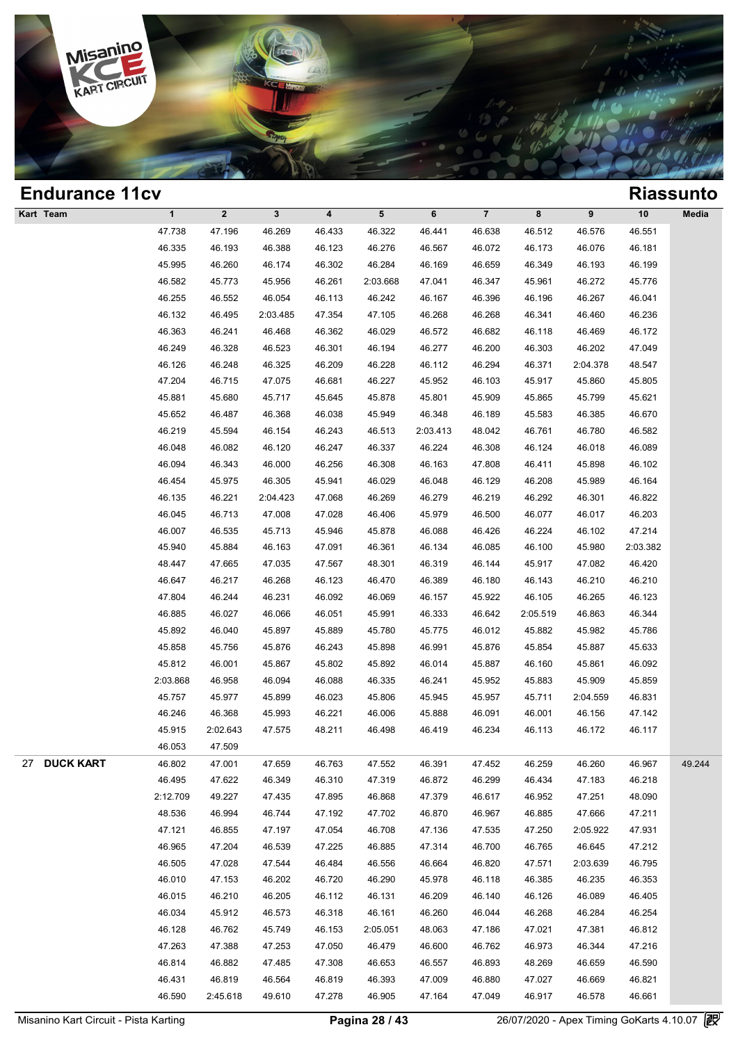

| <b>Endurance 11cv</b>  |              |              |              |                         |           |          |                |          |          |          | <b>Riassunto</b> |
|------------------------|--------------|--------------|--------------|-------------------------|-----------|----------|----------------|----------|----------|----------|------------------|
| Kart Team              | $\mathbf{1}$ | $\mathbf{2}$ | $\mathbf{3}$ | $\overline{\mathbf{4}}$ | ${\bf 5}$ | 6        | $\overline{7}$ | 8        | 9        | $10$     | Media            |
|                        | 47.738       | 47.196       | 46.269       | 46.433                  | 46.322    | 46.441   | 46.638         | 46.512   | 46.576   | 46.551   |                  |
|                        | 46.335       | 46.193       | 46.388       | 46.123                  | 46.276    | 46.567   | 46.072         | 46.173   | 46.076   | 46.181   |                  |
|                        | 45.995       | 46.260       | 46.174       | 46.302                  | 46.284    | 46.169   | 46.659         | 46.349   | 46.193   | 46.199   |                  |
|                        | 46.582       | 45.773       | 45.956       | 46.261                  | 2:03.668  | 47.041   | 46.347         | 45.961   | 46.272   | 45.776   |                  |
|                        | 46.255       | 46.552       | 46.054       | 46.113                  | 46.242    | 46.167   | 46.396         | 46.196   | 46.267   | 46.041   |                  |
|                        | 46.132       | 46.495       | 2:03.485     | 47.354                  | 47.105    | 46.268   | 46.268         | 46.341   | 46.460   | 46.236   |                  |
|                        | 46.363       | 46.241       | 46.468       | 46.362                  | 46.029    | 46.572   | 46.682         | 46.118   | 46.469   | 46.172   |                  |
|                        | 46.249       | 46.328       | 46.523       | 46.301                  | 46.194    | 46.277   | 46.200         | 46.303   | 46.202   | 47.049   |                  |
|                        | 46.126       | 46.248       | 46.325       | 46.209                  | 46.228    | 46.112   | 46.294         | 46.371   | 2:04.378 | 48.547   |                  |
|                        | 47.204       | 46.715       | 47.075       | 46.681                  | 46.227    | 45.952   | 46.103         | 45.917   | 45.860   | 45.805   |                  |
|                        | 45.881       | 45.680       | 45.717       | 45.645                  | 45.878    | 45.801   | 45.909         | 45.865   | 45.799   | 45.621   |                  |
|                        | 45.652       | 46.487       | 46.368       | 46.038                  | 45.949    | 46.348   | 46.189         | 45.583   | 46.385   | 46.670   |                  |
|                        | 46.219       | 45.594       | 46.154       | 46.243                  | 46.513    | 2:03.413 | 48.042         | 46.761   | 46.780   | 46.582   |                  |
|                        | 46.048       | 46.082       | 46.120       | 46.247                  | 46.337    | 46.224   | 46.308         | 46.124   | 46.018   | 46.089   |                  |
|                        | 46.094       | 46.343       | 46.000       | 46.256                  | 46.308    | 46.163   | 47.808         | 46.411   | 45.898   | 46.102   |                  |
|                        | 46.454       | 45.975       | 46.305       | 45.941                  | 46.029    | 46.048   | 46.129         | 46.208   | 45.989   | 46.164   |                  |
|                        | 46.135       | 46.221       | 2:04.423     | 47.068                  | 46.269    | 46.279   | 46.219         | 46.292   | 46.301   | 46.822   |                  |
|                        | 46.045       | 46.713       | 47.008       | 47.028                  | 46.406    | 45.979   | 46.500         | 46.077   | 46.017   | 46.203   |                  |
|                        | 46.007       | 46.535       | 45.713       | 45.946                  | 45.878    | 46.088   | 46.426         | 46.224   | 46.102   | 47.214   |                  |
|                        | 45.940       | 45.884       | 46.163       | 47.091                  | 46.361    | 46.134   | 46.085         | 46.100   | 45.980   | 2:03.382 |                  |
|                        | 48.447       | 47.665       | 47.035       | 47.567                  | 48.301    | 46.319   | 46.144         | 45.917   | 47.082   | 46.420   |                  |
|                        | 46.647       | 46.217       | 46.268       | 46.123                  | 46.470    | 46.389   | 46.180         | 46.143   | 46.210   | 46.210   |                  |
|                        | 47.804       | 46.244       | 46.231       | 46.092                  | 46.069    | 46.157   | 45.922         | 46.105   | 46.265   | 46.123   |                  |
|                        | 46.885       | 46.027       | 46.066       | 46.051                  | 45.991    | 46.333   | 46.642         | 2:05.519 | 46.863   | 46.344   |                  |
|                        | 45.892       | 46.040       | 45.897       | 45.889                  | 45.780    | 45.775   | 46.012         | 45.882   | 45.982   | 45.786   |                  |
|                        | 45.858       | 45.756       | 45.876       | 46.243                  | 45.898    | 46.991   | 45.876         | 45.854   | 45.887   | 45.633   |                  |
|                        | 45.812       | 46.001       | 45.867       | 45.802                  | 45.892    | 46.014   | 45.887         | 46.160   | 45.861   | 46.092   |                  |
|                        | 2:03.868     | 46.958       | 46.094       | 46.088                  | 46.335    | 46.241   | 45.952         | 45.883   | 45.909   | 45.859   |                  |
|                        | 45.757       | 45.977       | 45.899       | 46.023                  | 45.806    | 45.945   | 45.957         | 45.711   | 2:04.559 | 46.831   |                  |
|                        | 46.246       | 46.368       | 45.993       | 46.221                  | 46.006    | 45.888   | 46.091         | 46.001   | 46.156   | 47.142   |                  |
|                        | 45.915       | 2:02.643     | 47.575       | 48.211                  | 46.498    | 46.419   | 46.234         | 46.113   | 46.172   | 46.117   |                  |
|                        | 46.053       | 47.509       |              |                         |           |          |                |          |          |          |                  |
| <b>DUCK KART</b><br>27 | 46.802       | 47.001       | 47.659       | 46.763                  | 47.552    | 46.391   | 47.452         | 46.259   | 46.260   | 46.967   | 49.244           |
|                        | 46.495       | 47.622       | 46.349       | 46.310                  | 47.319    | 46.872   | 46.299         | 46.434   | 47.183   | 46.218   |                  |
|                        | 2:12.709     | 49.227       | 47.435       | 47.895                  | 46.868    | 47.379   | 46.617         | 46.952   | 47.251   | 48.090   |                  |
|                        | 48.536       | 46.994       | 46.744       | 47.192                  | 47.702    | 46.870   | 46.967         | 46.885   | 47.666   | 47.211   |                  |
|                        | 47.121       | 46.855       | 47.197       | 47.054                  | 46.708    | 47.136   | 47.535         | 47.250   | 2:05.922 | 47.931   |                  |
|                        | 46.965       | 47.204       | 46.539       | 47.225                  | 46.885    | 47.314   | 46.700         | 46.765   | 46.645   | 47.212   |                  |
|                        | 46.505       | 47.028       | 47.544       | 46.484                  | 46.556    | 46.664   | 46.820         | 47.571   | 2:03.639 | 46.795   |                  |
|                        | 46.010       | 47.153       | 46.202       | 46.720                  | 46.290    | 45.978   | 46.118         | 46.385   | 46.235   | 46.353   |                  |
|                        | 46.015       | 46.210       | 46.205       | 46.112                  | 46.131    | 46.209   | 46.140         | 46.126   | 46.089   | 46.405   |                  |
|                        | 46.034       | 45.912       | 46.573       | 46.318                  | 46.161    | 46.260   | 46.044         | 46.268   | 46.284   | 46.254   |                  |
|                        | 46.128       | 46.762       | 45.749       | 46.153                  | 2:05.051  | 48.063   | 47.186         | 47.021   | 47.381   | 46.812   |                  |
|                        | 47.263       | 47.388       | 47.253       | 47.050                  | 46.479    | 46.600   | 46.762         | 46.973   | 46.344   | 47.216   |                  |
|                        | 46.814       | 46.882       | 47.485       | 47.308                  | 46.653    | 46.557   | 46.893         | 48.269   | 46.659   | 46.590   |                  |
|                        | 46.431       | 46.819       | 46.564       | 46.819                  | 46.393    | 47.009   | 46.880         | 47.027   | 46.669   | 46.821   |                  |
|                        | 46.590       | 2:45.618     | 49.610       | 47.278                  | 46.905    | 47.164   | 47.049         | 46.917   | 46.578   | 46.661   |                  |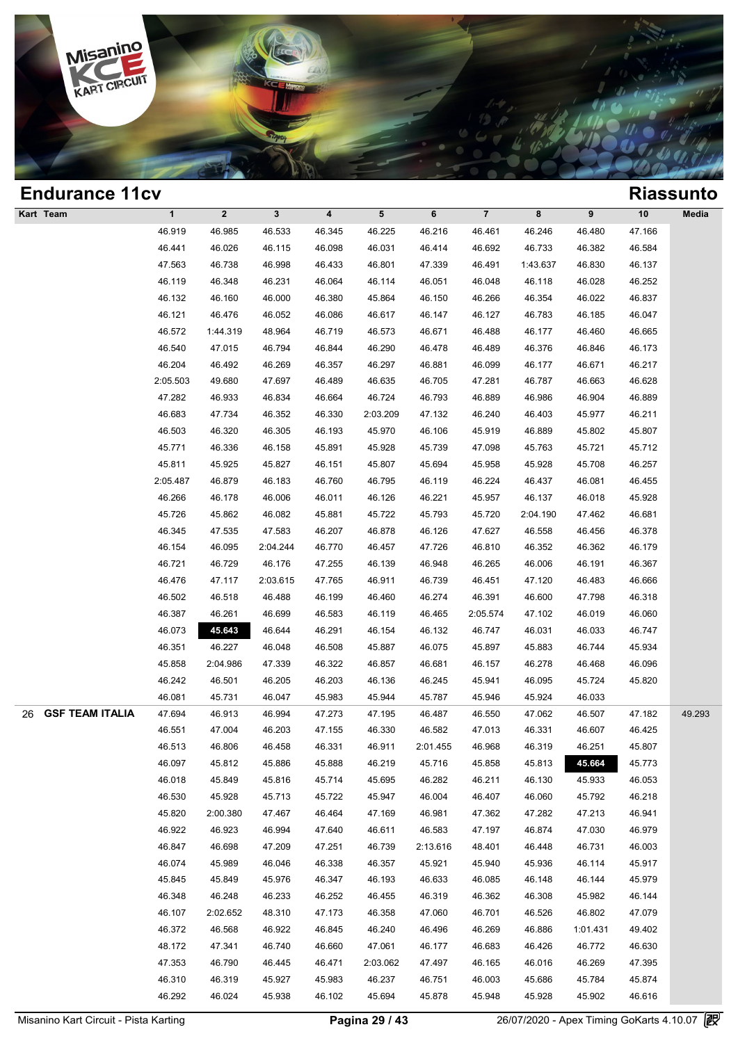

| <b>Endurance 11cv</b>        |              |                  |              |        |          |          |                |          |          |        | <b>Riassunto</b> |
|------------------------------|--------------|------------------|--------------|--------|----------|----------|----------------|----------|----------|--------|------------------|
| Kart Team                    | $\mathbf{1}$ | $\boldsymbol{2}$ | $\mathbf{3}$ | 4      | 5        | 6        | $\overline{7}$ | 8        | 9        | $10$   | Media            |
|                              | 46.919       | 46.985           | 46.533       | 46.345 | 46.225   | 46.216   | 46.461         | 46.246   | 46.480   | 47.166 |                  |
|                              | 46.441       | 46.026           | 46.115       | 46.098 | 46.031   | 46.414   | 46.692         | 46.733   | 46.382   | 46.584 |                  |
|                              | 47.563       | 46.738           | 46.998       | 46.433 | 46.801   | 47.339   | 46.491         | 1:43.637 | 46.830   | 46.137 |                  |
|                              | 46.119       | 46.348           | 46.231       | 46.064 | 46.114   | 46.051   | 46.048         | 46.118   | 46.028   | 46.252 |                  |
|                              | 46.132       | 46.160           | 46.000       | 46.380 | 45.864   | 46.150   | 46.266         | 46.354   | 46.022   | 46.837 |                  |
|                              | 46.121       | 46.476           | 46.052       | 46.086 | 46.617   | 46.147   | 46.127         | 46.783   | 46.185   | 46.047 |                  |
|                              | 46.572       | 1:44.319         | 48.964       | 46.719 | 46.573   | 46.671   | 46.488         | 46.177   | 46.460   | 46.665 |                  |
|                              | 46.540       | 47.015           | 46.794       | 46.844 | 46.290   | 46.478   | 46.489         | 46.376   | 46.846   | 46.173 |                  |
|                              | 46.204       | 46.492           | 46.269       | 46.357 | 46.297   | 46.881   | 46.099         | 46.177   | 46.671   | 46.217 |                  |
|                              | 2:05.503     | 49.680           | 47.697       | 46.489 | 46.635   | 46.705   | 47.281         | 46.787   | 46.663   | 46.628 |                  |
|                              | 47.282       | 46.933           | 46.834       | 46.664 | 46.724   | 46.793   | 46.889         | 46.986   | 46.904   | 46.889 |                  |
|                              | 46.683       | 47.734           | 46.352       | 46.330 | 2:03.209 | 47.132   | 46.240         | 46.403   | 45.977   | 46.211 |                  |
|                              | 46.503       | 46.320           | 46.305       | 46.193 | 45.970   | 46.106   | 45.919         | 46.889   | 45.802   | 45.807 |                  |
|                              | 45.771       | 46.336           | 46.158       | 45.891 | 45.928   | 45.739   | 47.098         | 45.763   | 45.721   | 45.712 |                  |
|                              | 45.811       | 45.925           | 45.827       | 46.151 | 45.807   | 45.694   | 45.958         | 45.928   | 45.708   | 46.257 |                  |
|                              | 2:05.487     | 46.879           | 46.183       | 46.760 | 46.795   | 46.119   | 46.224         | 46.437   | 46.081   | 46.455 |                  |
|                              | 46.266       | 46.178           | 46.006       | 46.011 | 46.126   | 46.221   | 45.957         | 46.137   | 46.018   | 45.928 |                  |
|                              | 45.726       | 45.862           | 46.082       | 45.881 | 45.722   | 45.793   | 45.720         | 2:04.190 | 47.462   | 46.681 |                  |
|                              | 46.345       | 47.535           | 47.583       | 46.207 | 46.878   | 46.126   | 47.627         | 46.558   | 46.456   | 46.378 |                  |
|                              | 46.154       | 46.095           | 2:04.244     | 46.770 | 46.457   | 47.726   | 46.810         | 46.352   | 46.362   | 46.179 |                  |
|                              | 46.721       | 46.729           | 46.176       | 47.255 | 46.139   | 46.948   | 46.265         | 46.006   | 46.191   | 46.367 |                  |
|                              | 46.476       | 47.117           | 2:03.615     | 47.765 | 46.911   | 46.739   | 46.451         | 47.120   | 46.483   | 46.666 |                  |
|                              | 46.502       | 46.518           | 46.488       | 46.199 | 46.460   | 46.274   | 46.391         | 46.600   | 47.798   | 46.318 |                  |
|                              | 46.387       | 46.261           | 46.699       | 46.583 | 46.119   | 46.465   | 2:05.574       | 47.102   | 46.019   | 46.060 |                  |
|                              | 46.073       | 45.643           | 46.644       | 46.291 | 46.154   | 46.132   | 46.747         | 46.031   | 46.033   | 46.747 |                  |
|                              | 46.351       | 46.227           | 46.048       | 46.508 | 45.887   | 46.075   | 45.897         | 45.883   | 46.744   | 45.934 |                  |
|                              | 45.858       | 2:04.986         | 47.339       | 46.322 | 46.857   | 46.681   | 46.157         | 46.278   | 46.468   | 46.096 |                  |
|                              | 46.242       | 46.501           | 46.205       | 46.203 | 46.136   | 46.245   | 45.941         | 46.095   | 45.724   | 45.820 |                  |
|                              | 46.081       | 45.731           | 46.047       | 45.983 | 45.944   | 45.787   | 45.946         | 45.924   | 46.033   |        |                  |
| <b>GSF TEAM ITALIA</b><br>26 | 47.694       | 46.913           | 46.994       | 47.273 | 47.195   | 46.487   | 46.550         | 47.062   | 46.507   | 47.182 | 49.293           |
|                              | 46.551       | 47.004           | 46.203       | 47.155 | 46.330   | 46.582   | 47.013         | 46.331   | 46.607   | 46.425 |                  |
|                              | 46.513       | 46.806           | 46.458       | 46.331 | 46.911   | 2:01.455 | 46.968         | 46.319   | 46.251   | 45.807 |                  |
|                              | 46.097       | 45.812           | 45.886       | 45.888 | 46.219   | 45.716   | 45.858         | 45.813   | 45.664   | 45.773 |                  |
|                              | 46.018       | 45.849           | 45.816       | 45.714 | 45.695   | 46.282   | 46.211         | 46.130   | 45.933   | 46.053 |                  |
|                              | 46.530       | 45.928           | 45.713       | 45.722 | 45.947   | 46.004   | 46.407         | 46.060   | 45.792   | 46.218 |                  |
|                              | 45.820       | 2:00.380         | 47.467       | 46.464 | 47.169   | 46.981   | 47.362         | 47.282   | 47.213   | 46.941 |                  |
|                              | 46.922       | 46.923           | 46.994       | 47.640 | 46.611   | 46.583   | 47.197         | 46.874   | 47.030   | 46.979 |                  |
|                              | 46.847       | 46.698           | 47.209       | 47.251 | 46.739   | 2:13.616 | 48.401         | 46.448   | 46.731   | 46.003 |                  |
|                              | 46.074       | 45.989           | 46.046       | 46.338 | 46.357   | 45.921   | 45.940         | 45.936   | 46.114   | 45.917 |                  |
|                              | 45.845       | 45.849           | 45.976       | 46.347 | 46.193   | 46.633   | 46.085         | 46.148   | 46.144   | 45.979 |                  |
|                              | 46.348       | 46.248           | 46.233       | 46.252 | 46.455   | 46.319   | 46.362         | 46.308   | 45.982   | 46.144 |                  |
|                              | 46.107       | 2:02.652         | 48.310       | 47.173 | 46.358   | 47.060   | 46.701         | 46.526   | 46.802   | 47.079 |                  |
|                              | 46.372       | 46.568           | 46.922       | 46.845 | 46.240   | 46.496   | 46.269         | 46.886   | 1:01.431 | 49.402 |                  |
|                              | 48.172       | 47.341           | 46.740       | 46.660 | 47.061   | 46.177   | 46.683         | 46.426   | 46.772   | 46.630 |                  |
|                              | 47.353       | 46.790           | 46.445       | 46.471 | 2:03.062 | 47.497   | 46.165         | 46.016   | 46.269   | 47.395 |                  |
|                              | 46.310       | 46.319           | 45.927       | 45.983 | 46.237   | 46.751   | 46.003         | 45.686   | 45.784   | 45.874 |                  |
|                              |              |                  |              |        |          |          |                |          |          |        |                  |
|                              | 46.292       | 46.024           | 45.938       | 46.102 | 45.694   | 45.878   | 45.948         | 45.928   | 45.902   | 46.616 |                  |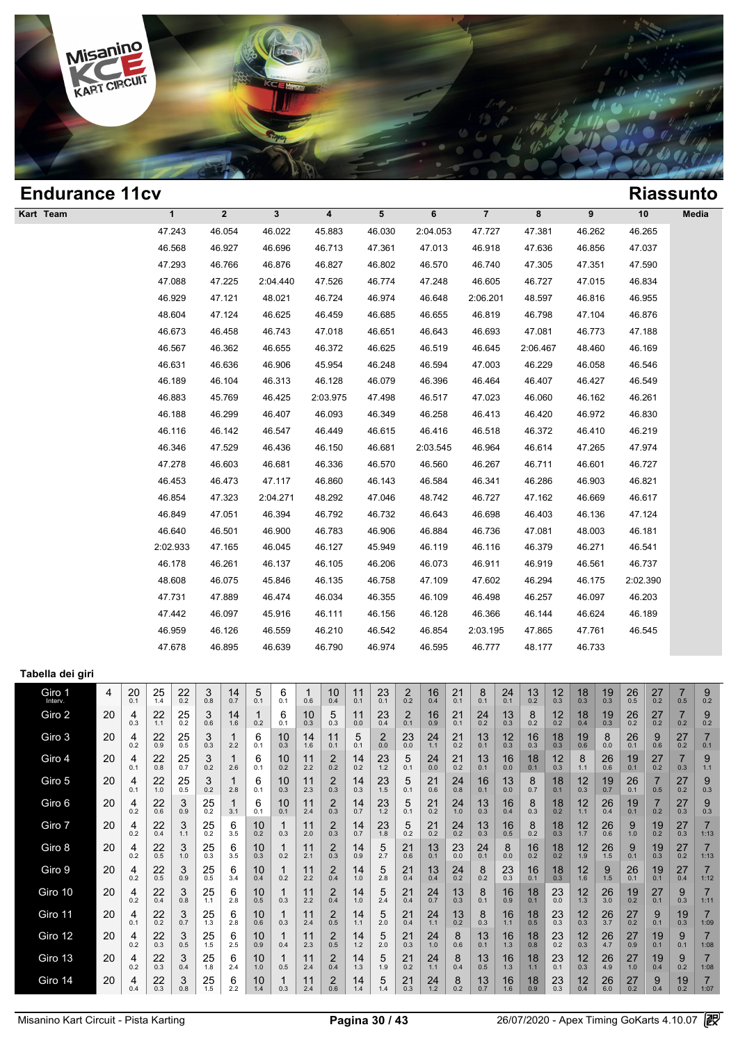

| <b>Endurance 11cv</b>      |    |          |                      |                  |                      |                     |           |                    |           |                           |               |                  |                |                  |                      |                  |                      |                      |                         |                       |                          |                      |                | <b>Riassunto</b>     |                        |
|----------------------------|----|----------|----------------------|------------------|----------------------|---------------------|-----------|--------------------|-----------|---------------------------|---------------|------------------|----------------|------------------|----------------------|------------------|----------------------|----------------------|-------------------------|-----------------------|--------------------------|----------------------|----------------|----------------------|------------------------|
| Kart Team                  |    |          |                      | $\mathbf{1}$     |                      | $\mathbf{2}$        |           | 3                  |           | $\overline{\mathbf{4}}$   |               | 5                |                | $\bf 6$          |                      | $\overline{7}$   |                      | 8                    |                         | 9                     |                          | 10                   |                |                      | Media                  |
|                            |    |          |                      | 47.243           |                      | 46.054              |           | 46.022             |           | 45.883                    |               | 46.030           |                | 2:04.053         |                      | 47.727           |                      | 47.381               |                         | 46.262                |                          | 46.265               |                |                      |                        |
|                            |    |          |                      | 46.568           |                      | 46.927              |           | 46.696             |           | 46.713                    |               | 47.361           |                | 47.013           |                      | 46.918           |                      | 47.636               |                         | 46.856                |                          | 47.037               |                |                      |                        |
|                            |    |          |                      | 47.293           |                      | 46.766              |           | 46.876             |           | 46.827                    |               | 46.802           |                | 46.570           |                      | 46.740           |                      | 47.305               |                         | 47.351                |                          | 47.590               |                |                      |                        |
|                            |    |          |                      | 47.088           |                      | 47.225              |           | 2:04.440           |           | 47.526                    |               | 46.774           |                | 47.248           |                      | 46.605           |                      | 46.727               |                         | 47.015                |                          | 46.834               |                |                      |                        |
|                            |    |          |                      | 46.929           |                      | 47.121              |           | 48.021             |           | 46.724                    |               | 46.974           |                | 46.648           |                      | 2:06.201         |                      | 48.597               |                         | 46.816                |                          | 46.955               |                |                      |                        |
|                            |    |          |                      | 48.604           |                      | 47.124              |           | 46.625             |           | 46.459                    |               | 46.685           |                | 46.655           |                      | 46.819           |                      | 46.798               |                         | 47.104                |                          | 46.876               |                |                      |                        |
|                            |    |          |                      | 46.673           |                      | 46.458              |           | 46.743             |           | 47.018                    |               | 46.651           |                | 46.643           |                      | 46.693           |                      | 47.081               |                         | 46.773                |                          | 47.188               |                |                      |                        |
|                            |    |          |                      | 46.567           |                      | 46.362              |           | 46.655             |           | 46.372                    |               | 46.625           |                | 46.519           |                      | 46.645           |                      | 2:06.467             |                         | 48.460                |                          | 46.169               |                |                      |                        |
|                            |    |          |                      | 46.631           |                      | 46.636              |           | 46.906             |           | 45.954                    |               | 46.248           |                | 46.594           |                      | 47.003           |                      | 46.229               |                         | 46.058                |                          | 46.546               |                |                      |                        |
|                            |    |          |                      | 46.189           |                      | 46.104              |           | 46.313             |           | 46.128                    |               | 46.079           |                | 46.396           |                      | 46.464           |                      | 46.407               |                         | 46.427                |                          | 46.549               |                |                      |                        |
|                            |    |          |                      | 46.883           |                      | 45.769              |           | 46.425             |           | 2:03.975                  |               | 47.498           |                | 46.517           |                      | 47.023           |                      | 46.060               |                         | 46.162                |                          | 46.261               |                |                      |                        |
|                            |    |          |                      | 46.188           |                      | 46.299              |           | 46.407             |           | 46.093                    |               | 46.349           |                | 46.258           |                      | 46.413           |                      | 46.420               |                         | 46.972                |                          | 46.830               |                |                      |                        |
|                            |    |          |                      | 46.116           |                      | 46.142              |           | 46.547             |           | 46.449                    |               | 46.615           |                | 46.416           |                      | 46.518           |                      | 46.372               |                         | 46.410                |                          | 46.219               |                |                      |                        |
|                            |    |          |                      | 46.346           |                      | 47.529              |           | 46.436             |           | 46.150                    |               | 46.681           |                | 2:03.545         |                      | 46.964           |                      | 46.614               |                         | 47.265                |                          | 47.974               |                |                      |                        |
|                            |    |          |                      | 47.278           |                      | 46.603              |           | 46.681             |           | 46.336                    |               | 46.570           |                | 46.560           |                      | 46.267           |                      | 46.711               |                         | 46.601                |                          | 46.727               |                |                      |                        |
|                            |    |          |                      | 46.453<br>46.854 |                      | 46.473<br>47.323    |           | 47.117<br>2:04.271 |           | 46.860<br>48.292          |               | 46.143           |                | 46.584<br>48.742 |                      | 46.341<br>46.727 |                      | 46.286               |                         | 46.903<br>46.669      |                          | 46.821<br>46.617     |                |                      |                        |
|                            |    |          |                      | 46.849           |                      | 47.051              |           | 46.394             |           | 46.792                    |               | 47.046<br>46.732 |                | 46.643           |                      | 46.698           |                      | 47.162<br>46.403     |                         | 46.136                |                          | 47.124               |                |                      |                        |
|                            |    |          |                      | 46.640           |                      | 46.501              |           | 46.900             |           | 46.783                    |               | 46.906           |                | 46.884           |                      | 46.736           |                      | 47.081               |                         | 48.003                |                          | 46.181               |                |                      |                        |
|                            |    |          |                      | 2:02.933         |                      | 47.165              |           | 46.045             |           | 46.127                    |               | 45.949           |                | 46.119           |                      | 46.116           |                      | 46.379               |                         | 46.271                |                          | 46.541               |                |                      |                        |
|                            |    |          |                      | 46.178           |                      | 46.261              |           | 46.137             |           | 46.105                    |               | 46.206           |                | 46.073           |                      | 46.911           |                      | 46.919               |                         | 46.561                |                          | 46.737               |                |                      |                        |
|                            |    |          |                      | 48.608           |                      | 46.075              |           | 45.846             |           | 46.135                    |               | 46.758           |                | 47.109           |                      | 47.602           |                      | 46.294               |                         | 46.175                |                          | 2:02.390             |                |                      |                        |
|                            |    |          |                      | 47.731           |                      | 47.889              |           | 46.474             |           | 46.034                    |               | 46.355           |                | 46.109           |                      | 46.498           |                      | 46.257               |                         | 46.097                |                          | 46.203               |                |                      |                        |
|                            |    |          |                      | 47.442           |                      | 46.097              |           | 45.916             |           | 46.111                    |               | 46.156           |                | 46.128           |                      | 46.366           |                      | 46.144               |                         | 46.624                |                          | 46.189               |                |                      |                        |
|                            |    |          |                      | 46.959           |                      | 46.126              |           | 46.559             |           | 46.210                    |               | 46.542           |                | 46.854           |                      | 2:03.195         |                      | 47.865               |                         | 47.761                |                          | 46.545               |                |                      |                        |
|                            |    |          |                      | 47.678           |                      | 46.895              |           | 46.639             |           | 46.790                    |               | 46.974           |                | 46.595           |                      | 46.777           |                      | 48.177               |                         | 46.733                |                          |                      |                |                      |                        |
|                            |    |          |                      |                  |                      |                     |           |                    |           |                           |               |                  |                |                  |                      |                  |                      |                      |                         |                       |                          |                      |                |                      |                        |
| Tabella dei giri<br>Giro 1 | 4  | 20       | 25                   |                  | 3                    | 14                  | 5         | 6                  | 1         | 10                        | 11            | 23               | $\overline{c}$ | 16               | 21                   | 8                | 24                   | 13                   | 12                      | 18                    | 19                       |                      | 27             | 7                    | 9                      |
| Interv.                    |    | 0.1      | 1.4                  | $^{22}_{0.2}$    | 0.8                  | 0.7                 | 0.1       | 0.1                | 0.6       | 0.4                       | 0.1           | 0.1              | 0.2            | 0.4              | 0.1                  | 0.1              | 0.1                  | 0.2                  | 0.3                     | 0.3                   | 0.3                      | $^{26}_{0.5}$        | 0.2            | 0.5                  | 0.2                    |
| Giro 2                     | 20 | 4<br>0.3 | 22<br>1.1            | 25<br>0.2        | 3<br>0.6             | 14<br>1.6           | 0.2       | 6<br>0.1           | 10<br>0.3 | 5<br>0.3                  | 11<br>$0.0\,$ | 23<br>0.4        | $^{2}_{0.1}$   | 16<br>0.9        | 21<br>0.1            | 24<br>0.2        | 13<br>0.3            | 8<br>0.2             | 12<br>0.2               | 18<br>0.4             | 19<br>0.3                | $^{26}_{0.2}$        | 27<br>0.2      | 7<br>0.2             | 9<br>0.2               |
| Giro 3                     | 20 | 4<br>0.2 | 22<br>0.9            | 25<br>0.5        | 3<br>0.3             | 2.2                 | 6<br>0.1  | 10<br>0.3          | 14<br>1.6 | 11<br>0.1                 | 5<br>0.1      | 2<br>$0.0\,$     | 23<br>0.0      | 24<br>$1.1$      | $^{21}_{0.2}$        | 13<br>0.1        | 12<br>0.3            | 16<br>0.3            | 18<br>0.3               | 19<br>0.6             | 8<br>0.0                 | 26<br>0.1            | 9<br>0.6       | 27<br>$0.2\,$        | 0.1                    |
| Giro 4                     | 20 | 4<br>0.1 | 22<br>0.8            | 25<br>0.7        | 3<br>0.2             | 1<br>2.6            | 6<br>0.1  | 10<br>0.2          | 11<br>2.2 | 2<br>0.2                  | 14<br>$0.2\,$ | 23<br>$1.2$      | 5<br>0.1       | 24<br>0.0        | 21<br>0.2            | 13<br>0.1        | 16<br>0.0            | 18<br>0.1            | 12<br>0.3               | 8<br>1.1              | 26<br>0.6                | 19<br>0.1            | 27<br>0.2      | 7<br>0.3             | 9<br>1.1               |
| Giro 5                     | 20 | 4        | 22                   | 25<br>0.5        | 3                    | $\mathbf{1}$        | 6         | 10                 | 11        | 2                         | 14            | 23<br>1.5        | 5              | 21               | 24                   | 16               | 13                   | 8                    | 18<br>0.1               | 12                    | 19                       | 26                   | $\overline{7}$ | 27                   | 9                      |
| Giro 6                     | 20 | 0.1<br>4 | 1.0<br>22            | 3                | 0.2<br>25            | 2.8<br>$\mathbf{1}$ | 0.1<br>6  | 0.3<br>10          | 2.3<br>11 | 0.3<br>$^{2}_{0.3}$       | 0.3<br>14     | 23               | 0.1<br>5       | 0.6<br>21        | 0.8<br>24            | 0.1<br>13        | 0.0<br>16            | 0.7<br>8             | $\frac{18}{0.2}$        | 0.3<br>12             | 0.7<br>26                | 0.1<br>19            | 0.5            | 0.2<br>$^{27}_{0.3}$ | 0.3<br>9               |
| Giro 7                     | 20 | 0.2<br>4 | 0.6<br>22            | 0.9<br>3         | 0.2<br>25            | 3.1<br>6            | 0.1<br>10 | 0.1<br>1           | 2.4<br>11 | $^{2}_{0.3}$              | 0.7<br>14     | $1.2$<br>23      | 0.1<br>5       | 0.2<br>21        | 1.0<br>24            | 0.3<br>13        | 0.4<br>16            | 0.3<br>8             | $18_{0.3}$              | 1.1<br>$12 \atop 1.7$ | 0.4<br>26                | 0.1<br>9             | 0.2<br>19      | $^{27}_{0.3}$        | 0.3<br>$\overline{7}$  |
| Giro 8                     | 20 | 0.2<br>4 | 0.4<br>22            | 1.1<br>3         | 0.2<br>25            | 3.5<br>6            | 0.2<br>10 | 0.3<br>1           | 2.0<br>11 | 2                         | 0.7<br>14     | 1.8<br>5         | 0.2<br>21      | 0.2<br>13        | 0.2<br>23            | 0.3<br>24        | 0.5<br>8             | 0.2<br>16            | 18                      | 12                    | 0.6<br>26                | 1.0<br>9             | 0.2<br>19      | 27                   | 1:13<br>$\overline{7}$ |
| Giro 9                     | 20 | 0.2<br>4 | 0.5<br>$^{22}_{0.5}$ | $1.0$<br>3       | 0.3<br>$^{25}_{0.5}$ | 3.5<br>6            | 0.3<br>10 | 0.2<br>1           | 2.1<br>11 | 0.3<br>$^{2}_{0.4}$       | 0.9<br>14     | 2.7<br>5         | 0.6<br>21      | 0.1<br>13        | 0.0<br>$^{24}_{0.2}$ | 0.1<br>8         | 0.0<br>$^{23}_{0.3}$ | 0.2<br>$^{16}_{0.1}$ | 0.2<br>$\frac{18}{0.3}$ | 1.9<br>12             | $1.5$<br>$\frac{9}{1.5}$ | 0.1<br>$^{26}_{0.1}$ | 0.3<br>19      | 0.2<br>$^{27}_{0.4}$ | 1:13<br>$\mathbf{7}$   |
| Giro 10                    | 20 | 0.2<br>4 | 22                   | 0.9<br>3         | 25                   | 3.4<br>6            | 0.4<br>10 | 0.2<br>1           | 2.2<br>11 | 2                         | 1.0<br>14     | 2.8<br>5         | 0.4            | 0.4<br>24        |                      | 0.2<br>8         | 16                   | 18                   |                         | 1.6                   |                          |                      | 0.1<br>27      | 9                    | 1:12<br>7              |
|                            |    | 0.2      | 0.4                  | 0.8              | 1.1                  | 2.8                 | 0.5       | 0.3                | 2.2       | 0.4                       | 1.0           | 2.4              | $^{21}_{0.4}$  | 0.7              | $13_{0.3}$           | 0.1              | 0.9                  | 0.1                  | $^{23}_{0.0}$           | $12 \atop 1.3$        | $\frac{26}{3.0}$         | $^{19}_{0.2}$        | 0.1            | 0.3                  | 1:11                   |
| Giro 11                    | 20 | 4<br>0.1 | 22<br>0.2            | 3<br>0.7         | 25<br>1.3            | 6<br>2.8            | 10<br>0.6 | 1<br>0.3           | 11<br>2.4 | $\overline{2}$<br>$0.5\,$ | 14<br>1.1     | 5<br>$2.0\,$     | 21<br>0.4      | 24<br>1.1        | 13<br>0.2            | 8<br>0.3         | 16<br>1.1            | 18<br>0.5            | 23<br>0.3               | 12<br>0.3             | $\frac{26}{3.7}$         | 27<br>0.2            | 9<br>0.1       | 19<br>0.3            | $\overline{7}$<br>1:09 |

Giro 13 20  $4 \atop{0.2}$ 

Giro 12 20  $\begin{array}{|c|c|c|c|}\n\hline\n & 20 & 4 & 22 & 3 \\
\hline\n0.2 & 0.3 & 0.5 & \n\end{array}$ 

Giro 14 20  $\begin{array}{|c|c|c|c|}\n\hline\n3 & 20 & 4 & 22 & 3 \\
\hline\n0.4 & 0.3 & 0.8 & 0.8\n\end{array}$ 

 $\begin{array}{c|c}\n 22 & 3 \\
 22 & 3 \\
 0.3 & 0.4\n\end{array}$ 

 $22$ <sub>0.3</sub>

 $\frac{22}{0.3}$ 

 $\begin{array}{|c|c|c|c|c|}\hline 22 & 3 & 25 & 6 & 25 \ \hline 0.3 & 0.5 & 1.5 & 2.5 & 6 \ \hline \end{array}$ 

 $\begin{array}{|c|c|c|c|c|}\n 22 & 3 & 25 & 6 & 3 & 0.4 & 1.8 & 2.4 & 3\n \end{array}$ 

 $\begin{array}{|c|c|c|c|c|}\hline 22 & 3 & 25 & 6 & 23 \ \hline 0.3 & 0.8 & 1.5 & 2.2 & \ \hline \end{array}$ 

 $\begin{bmatrix} 6 & 10 & 1 \\ 2.5 & 0.9 & 0.4 \\ 6 & 10 & 1 \\ 2.4 & 1.0 & 0.5 \\ 6 & 10 & 1 \\ 2.2 & 1.4 & 0.3 \end{bmatrix}$  $10^{0.9}$ 

1.8 <sup>6</sup> 2.4 <sup>10</sup>

 $25 \begin{array}{|c|c|c|c|c|} \hline 6 & 10 & 1 & 1 \ \hline 1.5 & 2.2 & 1.4 & 0.3 \ \hline \end{array}$ 

 $11$ <sub>2.3</sub>  $\begin{array}{|c|c|c|c|}\n1 & 11 & 2 \\
\hline\n2.3 & 0.5 & \n\end{array}$ 

1.0 <sup>1</sup> 0.5 <sup>11</sup>

 $\begin{array}{|c|c|c|}\n1 & 11 \\
0.3 & 2.4\n\end{array}$ 

 $\begin{array}{c|cc}\n 14 & 5 \\
 1.9 & 1.9 \\
 1.4 & 5 \\
 1.4 & 1.4\n\end{array}$ 

2.3 <sup>2</sup> 0.5 <sup>14</sup>

 $14 \atop 1.4$ 

 $\begin{array}{|c|c|c|c|}\n 11 & 2 & 14 \\
 2.4 & 0.4 & 1.3\n \end{array}$ 

 $\begin{array}{|c|c|c|c|c|}\n1 & 11 & 2 & 14 \\
0.3 & 2.4 & 0.6 & 1.4\n\end{array}$ 

 $\begin{array}{c|c} 5 & 21 \\ 2.0 & 0.3 \end{array}$ 

 $\begin{array}{|c|c|c|c|c|}\n 1.4 & 5 & 21 & 24 \\
 \hline\n & 1.9 & 0.2 & 1.1\n \end{array}$ 

 $^{21}_{0.3}$  $\begin{array}{|c|c|c|c|c|}\n5 & 21 & 24 & 8 & 31 & 32 & 33 & 32 & 33\n\end{array}$ 

2.0 <sup>21</sup> 0.3 <sup>24</sup>

 $\begin{array}{c|c} 24 & 8 \\ 1.1 & 0.4 \end{array}$ 

 $24$   $8$   $13$   $16$  3

 $24$   $8$   $13$   $16$  3

 $\begin{array}{c|c} 8 & 13 \\ 0.2 & 0.7 \end{array}$ 

 $\begin{array}{c|c}\n 16 & 18 \\
 \hline\n 1.3 & 0.8 \\
 \hline\n 16 & 18 \\
 \hline\n 1.3 & 1.1\n \end{array}$ 

 $16$ <sub>1.3</sub>

 $\begin{array}{|c|c|c|c|c|}\n 8 & 13 & 16 & 18 & 2 \\
\hline\n0.2 & 0.7 & 1.6 & 0.9 & \n\end{array}$ 

 $\begin{array}{|c|c|c|c|c|}\n 16 & 18 & 23 & 12 & 3 \\
\hline\n & 0.8 & 0.2 & 0.3 & \n\end{array}$ 

 $\begin{array}{|c|c|c|c|c|}\n 16 & 18 & 23 & 12 & 3 \\
\hline\n & 1.1 & 0.1 & 0.3 & \n\end{array}$ 

 $\begin{array}{|c|c|c|c|c|}\n 16 & 18 & 23 & 12 & 3 \\
 \hline\n 1.6 & 0.9 & 0.3 & 0.4 & \n \end{array}$ 

 $\begin{array}{|c|c|c|c|c|}\hline 23 & 12 & 26 & 27 & 28 & 29 \ \hline 0.2 & 0.3 & 4.7 & 0.9 & \ \hline \end{array}$ 

0.1 <sup>12</sup> 0.3 <sup>26</sup>

 $\begin{array}{|c|c|c|c|}\hline 23 & 12 & 26 & 27 \ \hline 0.3 & 0.4 & 6.0 & 0.2 \ \hline \end{array}$ 

 $26$   $27$   $19$ <br>4.7 0.9 0.1

 $26$  27 19<br>4.9 1.0 0.4

 $\begin{array}{c|cc}\n 27 & 19 \\
 \hline\n 1.0 & 0.4 \\
 \hline\n 27 & 9 \\
 \hline\n 0.2 & 0.4\n \end{array}$ 

 $\begin{array}{|c|c|c|c|}\hline 27 & 19 & 9 \ \hline 0.9 & 0.1 & 0.1 \ \hline \end{array}$ 

 $27$   $19$   $9$ <br>1.0 0.4 0.2

 $\begin{array}{|c|c|c|c|c|}\n 27 & 9 & 19 & 7 \\
 \hline\n0.2 & 0.4 & 0.2 & 1:07\n \end{array}$ 

19 9 7<br>0.1 0.1 1:08

 $\begin{array}{c|c} 19 & 9 & 7 \\ 0.4 & 0.2 & 1:08 \end{array}$ 

 $\begin{array}{|c|c|} \hline 19 & 7 \\ 0.2 & 1:07 \end{array}$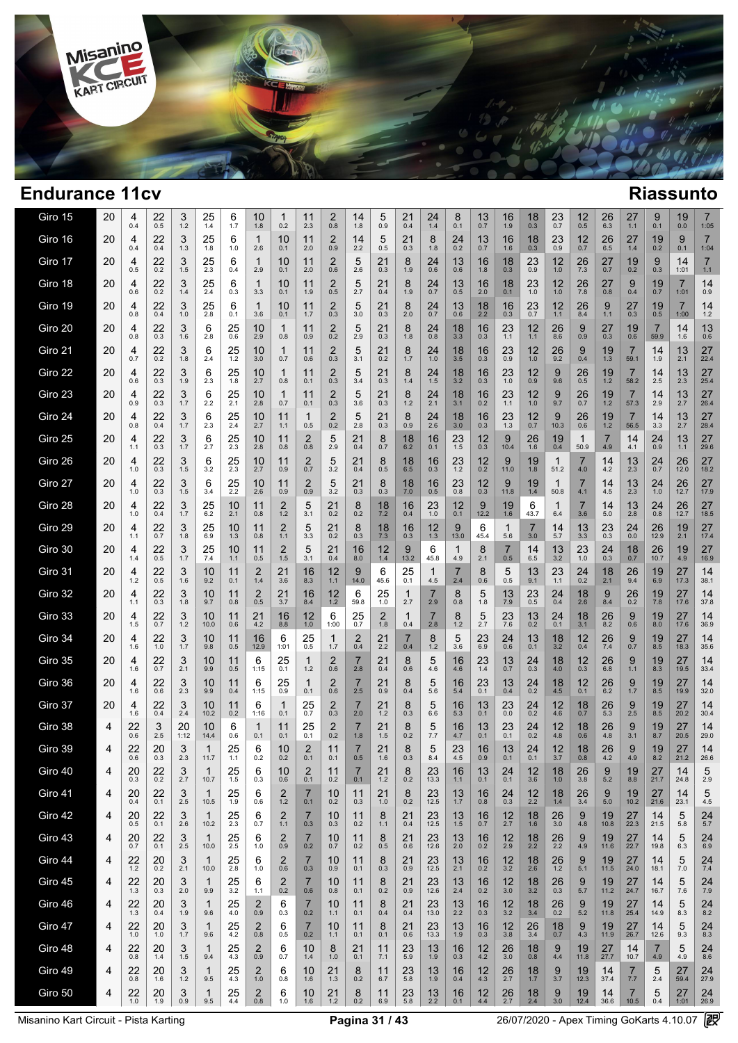

| Giro 15 | 20 | 4<br>0.4  | 22<br>0.5     | 3<br>1.2     | 25<br>1.4     | 6<br>1.7         | 10<br>1.8                      | 1<br>0.2                       | 11<br>2.3             | 2<br>0.8                       | 14<br>1.8             | 5<br>0.9              | 21<br>0.4           | 24<br>1.4            | 8<br>0.1         | 13<br>0.7           | 16<br>1.9              | 18<br>0.3             | 23<br>0.7              | 12<br>0.5             | $26$ <sub>6.3</sub>    | 27<br>1.1              | 9<br>0.1               | 19<br>0.0            | $\overline{7}$<br>1:05 |
|---------|----|-----------|---------------|--------------|---------------|------------------|--------------------------------|--------------------------------|-----------------------|--------------------------------|-----------------------|-----------------------|---------------------|----------------------|------------------|---------------------|------------------------|-----------------------|------------------------|-----------------------|------------------------|------------------------|------------------------|----------------------|------------------------|
| Giro 16 | 20 | 4<br>0.4  | 22<br>0.4     | 3<br>1.3     | $^{25}_{1.8}$ | 6<br>1.0         | $\mathbf{1}$<br>2.6            | 10<br>0.1                      | 11<br>2.0             | $\overline{2}$<br>0.9          | 14<br>2.2             | 5<br>0.5              | 21<br>0.3           | 8<br>1.8             | $^{24}_{0.2}$    | 13<br>0.7           | 16<br>1.6              | 18<br>0.3             | $^{23}_{0.9}$          | 12<br>0.7             | $26$ <sub>6.5</sub>    | 27<br>1.4              | 19<br>0.2              | $9 \n0.1$            | $\overline{7}$<br>1:04 |
| Giro 17 | 20 | 4<br>0.5  | 22<br>0.2     | 3<br>1.5     | 25<br>2.3     | 6<br>0.4         | 1<br>2.9                       | 10<br>0.1                      | 11<br>2.0             | $\overline{2}$<br>0.6          | 5<br>2.6              | 21<br>0.3             | 8<br>1.9            | 24<br>0.6            | 13<br>0.6        | 16<br>1.8           | 18<br>0.3              | 23<br>0.9             | 12<br>1.0              | 26<br>7.3             | 27<br>0.7              | 19<br>0.2              | 9<br>0.3               | 14<br>1:01           | $\overline{7}$<br>1.1  |
| Giro 18 | 20 | 4<br>0.6  | 22<br>0.2     | 3<br>1.4     | 25<br>2.4     | 6<br>0.3         | 1<br>3.3                       | 10<br>0.1                      | 11<br>1.9             | $\overline{2}$<br>0.5          | 5<br>2.7              | 21<br>0.4             | 8<br>1.9            | 24<br>0.7            | 13<br>0.5        | 16<br>2.0           | 18<br>0.1              | 23<br>1.0             | 12<br>1.0              | 26<br>7.8             | 27<br>0.8              | 9<br>0.4               | 19<br>0.7              | 7<br>1:01            | 14<br>0.9              |
| Giro 19 | 20 | 4<br>0.8  | 22<br>0.4     | 3<br>1.0     | 25<br>2.8     | 6<br>0.1         | 1<br>3.6                       | 10<br>0.1                      | 11<br>1.7             | $\overline{2}$<br>0.3          | 5<br>3.0              | 21<br>0.3             | 8<br>2.0            | $^{24}_{0.7}$        | 13<br>0.6        | 18<br>2.2           | 16<br>$0.\overline{3}$ | 23<br>0.7             | 12<br>1.1              | 26<br>8.4             | 9<br>1.1               | 27<br>0.3              | 19<br>0.5              | 7<br>1:00            | 14<br>$1.2$            |
| Giro 20 | 20 | 4<br>0.8  | 22<br>0.3     | 3<br>1.6     | 6<br>2.8      | 25<br>0.6        | 10<br>2.9                      | $\mathbf 1$<br>0.8             | 11<br>0.9             | $\overline{2}$<br>0.2          | 5<br>2.9              | 21<br>0.3             | 8<br>1.8            | 24<br>0.8            | 18<br>3.3        | 16<br>0.3           | $23$ <sub>1.1</sub>    | 12<br>1.1             | 26<br>8.6              | 9<br>0.9              | $27_{0.3}$             | 19<br>0.6              | 7<br>59.9              | 14<br>1.6            | 13<br>0.6              |
| Giro 21 | 20 | 4<br>0.7  | 22<br>0.2     | 3<br>1.8     | 6<br>2.4      | 25<br>$1.2$      | 10<br>3.0                      | 1<br>0.7                       | 11<br>0.6             | 2<br>0.3                       | 5<br>3.1              | 21<br>0.2             | 8<br>1.7            | 24<br>$1.0$          | 18<br>3.5        | 16<br>0.3           | 23<br>0.9              | 12<br>1.0             | 26<br>9.2              | 9<br>0.4              | 19<br>1.3              | $\overline{7}$<br>59.1 | 14<br>1.9              | 13<br>2.1            | 27<br>22.4             |
| Giro 22 | 20 | 4<br>0.6  | 22<br>0.3     | 3<br>1.9     | 6<br>2.3      | 25<br>1.8        | 10<br>2.7                      | $\mathbf 1$<br>0.8             | 11<br>0.1             | $\overline{2}$<br>0.3          | 5<br>3.4              | 21<br>0.3             | 8<br>1.4            | 24<br>1.5            | 18<br>3.2        | 16<br>0.3           | 23<br>$1.0$            | 12<br>0.9             | 9<br>9.6               | 26<br>0.5             | 19<br>1.2              | 7<br>58.2              | 14<br>2.5              | 13<br>2.3            | 27<br>25.4             |
| Giro 23 | 20 | 4<br>0.9  | $^{22}_{0.3}$ | 3<br>1.7     | 6<br>2.2      | 25<br>2.1        | 10<br>2.8                      | 1<br>0.7                       | 11<br>0.1             | $\overline{\mathbf{c}}$<br>0.3 | 5<br>3.6              | 21<br>0.3             | 8<br>1.2            | 24<br>2.1            | 18<br>3.1        | 16<br>0.2           | 23<br>1.1              | 12<br>1.0             | 9<br>9.7               | 26<br>0.7             | 19<br>1.2              | 7<br>57.3              | 14<br>2.9              | 13<br>2.7            | 27<br>26.4             |
| Giro 24 | 20 | 4<br>0.8  | 22<br>0.4     | 3<br>1.7     | 6<br>2.3      | 25<br>2.4        | 10<br>2.7                      | 11<br>1.1                      | 1<br>0.5              | $^{2}_{0.2}$                   | 5<br>2.8              | 21<br>0.3             | 8<br>0.9            | 24<br>2.6            | 18<br>3.0        | 16<br>0.3           | 23<br>1.3              | 12<br>0.7             | 9<br>10.3              | 26<br>0.6             | 19<br>1.2              | 7<br>56.5              | 14<br>3.3              | 13<br>2.7            | 27<br>28.4             |
| Giro 25 | 20 | 4<br>1.1  | 22<br>0.3     | 3<br>1.7     | 6<br>2.7      | 25<br>2.3        | 10<br>2.8                      | 11<br>0.8                      | 2<br>0.8              | 5<br>2.9                       | 21<br>0.4             | 8<br>0.7              | 18<br>6.2           | 16<br>0.1            | 23<br>1.5        | 12<br>0.3           | 9<br>10.4              | 26<br>1.6             | 19<br>0.4              | $\mathbf{1}$<br>50.9  | 7<br>4.9               | 14<br>4.1              | 24<br>0.9              | 13<br>1.1            | 27<br>29.6             |
| Giro 26 | 20 | 4<br>1.0  | 22<br>0.3     | 3<br>1.5     | 6<br>3.2      | 25<br>2.3        | 10<br>2.7                      | 11<br>0.9                      | 2<br>0.7              | 5<br>3.2                       | 21<br>0.4             | 8<br>0.5              | 18<br>6.5           | 16<br>0.3            | $23$<br>1.2      | 12<br>0.2           | 9<br>11.0              | 19<br>1.8             | 1<br>51.2              | 7<br>4.0              | 14<br>4.2              | 13<br>2.3              | 24<br>0.7              | 26<br>12.0           | 27<br>18.2             |
| Giro 27 | 20 | 4<br>1.0  | 22<br>0.3     | 3<br>1.5     | 6<br>3.4      | 25<br>2.2        | 10<br>2.6                      | 11<br>0.9                      | 2<br>0.9              | $\frac{5}{3.2}$                | 21<br>0.3             | 8<br>0.3              | 18<br>7.0           | 16<br>0.5            | 23<br>0.8        | 12<br>0.3           | 9<br>11.8              | 19<br>1.4             | 1<br>50.8              | $\overline{7}$<br>4.1 | 14<br>4.5              | 13<br>2.3              | 24<br>1.0              | 26<br>12.7           | 27<br>17.9             |
| Giro 28 | 20 | 4<br>1.0  | 22<br>0.4     | 3<br>1.7     | 25<br>6.2     | 10<br>2.1        | 11<br>0.8                      | 2<br>1.2                       | 5<br>3.1              | 21<br>0.2                      | 8<br>0.2              | 18<br>7.2             | 16<br>0.4           | 23<br>1.0            | 12<br>0.1        | 9<br>12.2           | 19<br>1.6              | 6<br>43.7             | 1<br>6.4               | $\overline{7}$<br>3.6 | 14<br>5.0              | 13<br>2.8              | 24<br>0.8              | 26<br>12.7           | 27<br>18.5             |
| Giro 29 | 20 | 4<br>1.1  | 22<br>0.7     | 3<br>1.8     | 25<br>6.9     | 10<br>1.3        | 11<br>0.8                      | 2<br>1.1                       | 5<br>3.3              | 21<br>0.2                      | 8<br>0.3              | $\frac{18}{7.3}$      | 16<br>0.3           | $12 \atop 1.3$       | 9<br>13.0        | 6<br>45.4           | 1<br>5.6               | $\overline{7}$<br>3.0 | 14<br>5.7              | $13 \choose 3.3$      | $^{23}_{0.3}$          | 24<br>0.0              | 26<br>12.9             | $19$ <sub>2.1</sub>  | 27<br>17.4             |
| Giro 30 | 20 | 4<br>1.4  | $^{22}_{0.5}$ | 3<br>1.7     | 25<br>7.4     | 10<br>1.1        | 11<br>0.5                      | $\overline{\mathbf{c}}$<br>1.5 | $\frac{5}{3.1}$       | 21<br>0.4                      | 16<br>8.0             | $12 \atop 1.4$        | $9 \atop 13.2$      | 6<br>45.8            | 1<br>4.9         | 8<br>2.1            | 0.5                    | 14<br>6.5             | $13 \choose 3.2$       | 23<br>1.0             | $^{24}_{0.3}$          | $18$ <sub>0.7</sub>    | $26$<br>10.7           | 19<br>4.9            | 27<br>16.9             |
| Giro 31 | 20 | 4<br>1.2  | $^{22}_{0.5}$ | 3<br>1.6     | 10<br>9.2     | 11<br>0.1        | $\overline{\mathbf{c}}$<br>1.4 | 21<br>3.6                      | 16<br>8.3             | 12<br>$1.1$                    | 9<br>14.0             | 6<br>45.6             | 25<br>0.1           | 1<br>4.5             | 7<br>2.4         | 8<br>0.6            | 5<br>0.5               | 13<br>9.1             | $23$ <sub>1.1</sub>    | 24<br>0.2             | $18$ <sub>2.1</sub>    | 26<br>9.4              | 196.9                  | $27$ <sub>17.3</sub> | 14<br>38.1             |
| Giro 32 | 20 | 4<br>1.1  | 22<br>0.3     | 3<br>1.8     | 10<br>9.7     | 11<br>0.8        | $\overline{2}$<br>0.5          | 21<br>3.7                      | 16<br>8.4             | 12<br>$1.2$                    | 6<br>59.8             | 25<br>1.0             | 1<br>2.7            | 7<br>2.9             | 8<br>0.8         | 5<br>1.8            | 13<br>7.9              | $^{23}_{0.5}$         | 24<br>0.4              | 18<br>2.6             | 9<br>8.4               | 26<br>0.2              | 19<br>7.8              | 27<br>17.6           | 14<br>37.8             |
| Giro 33 | 20 | 4<br>1.5  | 22<br>0.7     | 3<br>1.2     | 10<br>10.0    | 11<br>0.6        | 21<br>4.2                      | 16<br>8.8                      | 12<br>1.0             | 6<br>1:00                      | $25$ <sub>0.7</sub>   | $\overline{2}$<br>1.8 | $\mathbf{1}$<br>0.4 | 7<br>2.8             | 8<br>1.2         | 5<br>2.7            | $^{23}_{7.6}$          | 13<br>0.2             | $^{24}_{0.1}$          | 18<br>3.1             | 26<br>$8.\overline{2}$ | 9<br>0.6               | 19<br>$8.\overline{0}$ | 27<br>17.6           | 14<br>36.9             |
| Giro 34 | 20 | 4<br>1.6  | 22<br>1.0     | 3<br>1.7     | 10<br>9.8     | 11<br>0.5        | 16<br>12.9                     | 6<br>1:01                      | 25<br>0.5             | 1<br>1.7                       | $^{2}_{0.4}$          | $^{21}_{2.2}$         | 7<br>0.4            | 8<br>1.2             | 5<br>3.6         | $23$ <sub>6.9</sub> | 24<br>0.6              | $13$ <sub>0.1</sub>   | 18<br>$3.\overline{2}$ | 12<br>0.4             | $\frac{26}{7.4}$       | 9<br>0.7               | $19_{8.5}$             | 27<br>18.3           | 14<br>35.6             |
| Giro 35 | 20 | 4<br>1.6  | 22<br>0.7     | 3<br>2.1     | 10<br>9.9     | 11<br>0.5        | 6<br>1:15                      | 25<br>0.1                      | $\mathbf{1}$<br>1.2   | $\overline{2}$<br>0.6          | $\overline{7}$<br>2.8 | 21<br>0.4             | 8<br>0.6            | 5<br>4.6             | 16<br>4.6        | 23<br>1.4           | 13<br>0.7              | 24<br>0.3             | 18<br>4.0              | 12<br>0.3             | 26<br>6.8              | 9<br>1.1               | 19<br>8.3              | 27<br>19.5           | 14<br>33.4             |
| Giro 36 | 20 | 4<br>1.6  | 22<br>0.6     | 3<br>2.3     | 10<br>9.9     | 11<br>0.4        | 6<br>1:15                      | 25<br>0.9                      | 1<br>0.1              | 2<br>0.6                       | $\overline{7}$<br>2.5 | 21<br>0.9             | 8<br>0.4            | 5<br>5.6             | 16<br>5.4        | $^{23}_{0.1}$       | 13<br>0.4              | $^{24}_{0.2}$         | 18<br>4.5              | 12<br>0.1             | $26$ <sub>6.2</sub>    | 9<br>1.7               | 19<br>8.5              | 27<br>19.9           | 14<br>32.0             |
| Giro 37 | 20 | 4<br>1.6  | 22<br>0.4     | 3<br>2.4     | 10<br>10.2    | 11<br>0.2        | 6<br>1:16                      | $\mathbf 1$<br>0.1             | 25<br>0.7             | $\overline{2}$<br>0.3          | $\overline{7}$<br>2.0 | 21<br>1.2             | 8<br>0.3            | 5<br>6.6             | 16<br>5.3        | 13<br>0.1           | 23<br>0.0              | 24<br>0.2             | 12<br>4.6              | 18<br>0.7             | 26<br>5.3              | 9<br>2.5               | 19<br>8.5              | 27<br>20.2           | 14<br>30.4             |
| Giro 38 | 4  | 22<br>0.6 | 3<br>2.5      | 20<br>1:12   | 10<br>14.4    | 6<br>0.6         | $\mathbf{1}$<br>0.1            | 11<br>0.1                      | 25<br>0.1             | $^{2}_{0.2}$                   | $\overline{7}$<br>1.8 | 21<br>1.5             | 8<br>0.2            | 5<br>7.7             | 16<br>4.7        | 13<br>0.1           | 23<br>0.1              | 24<br>0.2             | 12<br>4.8              | 18<br>0.6             | 26<br>4.8              | 9<br>3.1               | 19<br>8.7              | 27<br>20.5           | 14<br>29.0             |
| Giro 39 | 4  | 22<br>0.6 | 20<br>0.3     | 3<br>2.3     | 1<br>11.7     | 25<br>1.1        | 6<br>0.2                       | 10<br>0.2                      | 2<br>0.1              | 11<br>0.1                      | $\overline{7}$<br>0.5 | 21<br>1.6             | 8<br>0.3            | 5<br>8.4             | 23<br>4.5        | 16<br>0.9           | 13<br>0.1              | 24<br>0.1             | 12<br>3.7              | 18<br>0.8             | 26<br>4.2              | 9<br>4.9               | 19<br>8.2              | 27<br>21.2           | 14<br>26.6             |
| Giro 40 | 4  | 20<br>0.3 | $^{22}_{0.2}$ | 3<br>$2.7\,$ | 10.7          | 25<br>1.5        | 6<br>0.3                       | 10<br>0.6                      | 2<br>0.1              | 11<br>0.2                      | 0.1                   | $21$<br>$1.2$         | 8<br>$0.2\,$        | $23$ <sub>13.3</sub> | $16$<br>1.1      | 13<br>0.1           | $^{24}_{0.1}$          | 12<br>3.6             | $18$<br>1.0            | $\frac{26}{3.8}$      | 9<br>$5.2\,$           | 19<br>$8.8\,$          | 27<br>21.7             | 14<br>24.8           | 5<br>2.9               |
| Giro 41 | 4  | 20<br>0.4 | 22<br>0.1     | 3<br>2.5     | 1<br>10.5     | 25<br>1.9        | 6<br>0.6                       | 2<br>$1.2$                     | 7<br>0.1              | 10<br>0.2                      | 11<br>0.3             | 21<br>1.0             | 8<br>0.2            | 23<br>12.5           | 13<br>1.7        | 16<br>0.8           | 24<br>0.3              | 12<br>2.2             | $18 \atop 1.4$         | 26<br>3.4             | 9<br>5.0               | 19<br>10.2             | $27_{21.6}$            | 14<br>23.1           | 5<br>4.5               |
| Giro 42 | 4  | 20<br>0.5 | 22<br>0.1     | 3<br>2.6     | 1<br>10.2     | 25<br>2.3        | 6<br>0.7                       | $\overline{c}$<br>1.1          | 7<br>0.3              | 10<br>0.3                      | 11<br>0.2             | 8<br>1.1              | 21<br>0.4           | 23<br>12.5           | 13<br>1.5        | 16<br>0.7           | 12<br>2.7              | 18<br>1.6             | 26<br>3.0              | 9<br>4.8              | 19<br>10.8             | 27<br>22.3             | 14<br>21.5             | 5<br>5.8             | 24<br>5.7              |
| Giro 43 | 4  | 20<br>0.7 | 22<br>0.1     | 3<br>2.5     | 1<br>10.0     | $\frac{25}{2.5}$ | 6<br>1.0                       | $\overline{c}$<br>0.9          | $\frac{7}{0.2}$       | 10<br>0.7                      | 11<br>0.2             | 8<br>0.5              | $^{21}_{0.6}$       | 23<br>12.6           | $13 \atop 2.0$   | $\frac{16}{0.2}$    | $\frac{12}{2.9}$       | 18<br>2.2             | $\frac{26}{2.2}$       | 9<br>4.9              | 19<br>11.6             | 27<br>22.7             | 14<br>19.8             | 5<br>6.3             | 24<br>6.9              |
| Giro 44 | 4  | 22<br>1.2 | 20<br>0.2     | 3<br>2.1     | 1<br>10.0     | 25<br>2.8        | 6<br>1.0                       | $\overline{c}$<br>0.6          | 7<br>0.3              | 10<br>0.9                      | 11<br>0.1             | 8<br>0.3              | 21<br>0.9           | 23<br>12.5           | $\frac{13}{2.1}$ | 16<br>0.2           | $\frac{12}{3.2}$       | 18<br>2.6             | $^{26}_{1.2}$          | 9<br>5.1              | 19<br>11.5             | 27<br>24.0             | 14<br>18.1             | 5<br>7.0             | 24<br>7.4              |
| Giro 45 | 4  | 22<br>1.3 | 20<br>0.3     | 3<br>2.0     | 1<br>9.9      | 25<br>3.2        | 6<br>1.1                       | $^{2}_{0.2}$                   | $\overline{7}$<br>0.6 | 10<br>0.8                      | 11<br>0.1             | 8<br>0.2              | $^{21}_{0.9}$       | 23<br>12.6           | 13<br>2.4        | 16<br>0.2           | $\frac{12}{3.0}$       | 18<br>3.2             | 26<br>0.3              | 9<br>5.7              | $19 \atop 11.2$        | 27<br>24.7             | 14<br>16.7             | 5<br>7.6             | 24<br>7.9              |
| Giro 46 | 4  | 22<br>1.3 | 20<br>0.4     | 3<br>1.9     | 1<br>9.6      | 25<br>4.0        | $\overline{2}$<br>0.9          | 6<br>0.3                       | 7<br>0.2              | 10<br>1.1                      | 11<br>0.1             | 8<br>0.4              | 21<br>0.4           | 23<br>13.0           | 13<br>2.2        | 16<br>0.3           | 12<br>3.2              | 18<br>3.4             | 26<br>0.2              | 9<br>5.2              | 19<br>11.8             | 27<br>25.4             | 14<br>14.9             | 5<br>8.3             | 24<br>8.2              |
| Giro 47 | 4  | 22<br>1.0 | $^{20}_{1.0}$ | 3<br>1.7     | 1<br>9.6      | $^{25}_{4.2}$    | $^{2}_{0.8}$                   | 6<br>0.5                       | $\overline{7}$<br>0.2 | 10<br>1.1                      | 11<br>0.1             | 8<br>0.1              | $^{21}_{0.6}$       | $23$ <sub>13.3</sub> | $13 \atop 1.9$   | $\frac{16}{0.3}$    | $\frac{12}{3.8}$       | $\frac{26}{3.4}$      | $^{18}_{0.7}$          | 9<br>4.3              | 19<br>11.9             | $\frac{27}{26.7}$      | 14<br>12.6             | 5<br>9.3             | 24<br>8.3              |
| Giro 48 | 4  | 22<br>0.8 | 20<br>1.4     | 3<br>$1.5$   | 1<br>9.4      | $^{25}_{4.3}$    | 2<br>0.9                       | 6<br>0.7                       | 10<br>1.4             | 8<br>1.0                       | 21<br>0.1             | 11<br>7.1             | 23<br>5.9           | $13 \atop 1.9$       | 16<br>0.3        | $12\n4.2$           | $\frac{26}{3.0}$       | 18<br>0.8             | 9<br>4.4               | 19<br>11.8            | 27<br>27.7             | 14<br>10.7             | 7<br>4.9               | $\frac{5}{4.9}$      | 24<br>8.6              |
| Giro 49 | 4  | 22<br>0.8 | 20<br>1.6     | 3<br>1.2     | 1<br>9.5      | 25<br>4.3        | 2<br>$1.0$                     | 6<br>0.8                       | 10<br>1.6             | 21<br>1.3                      | 8<br>0.2              | 11<br>6.7             | 23<br>5.8           | 13<br>1.9            | 16<br>0.4        | 12<br>4.3           | 26<br>2.7              | 18<br>1.7             | 9<br>3.7               | 19<br>12.3            | 14<br>37.4             | $\overline{7}$<br>7.7  | 5<br>2.4               | 27<br>59.4           | 24<br>27.9             |
| Giro 50 | 4  | 22<br>1.0 | 20<br>1.9     | 3<br>0.9     | 1<br>9.5      | $^{25}_{4.4}$    | 2<br>0.8                       | 6<br>$1.0\,$                   | 10<br>1.6             | 21<br>$1.2$                    | 8<br>0.2              | 11<br>6.9             | 23<br>5.8           | 13<br>2.2            | 16<br>0.1        | 12<br>4.4           | 26<br>2.7              | 18<br>$2.4$           | 9<br>3.0               | 19<br>12.4            | 14<br>36.6             | $\overline{7}$<br>10.5 | 5<br>0.4               | 27<br>1:01           | 24<br>26.9             |
|         |    |           |               |              |               |                  |                                |                                |                       |                                |                       |                       |                     |                      |                  |                     |                        |                       |                        |                       |                        |                        |                        |                      |                        |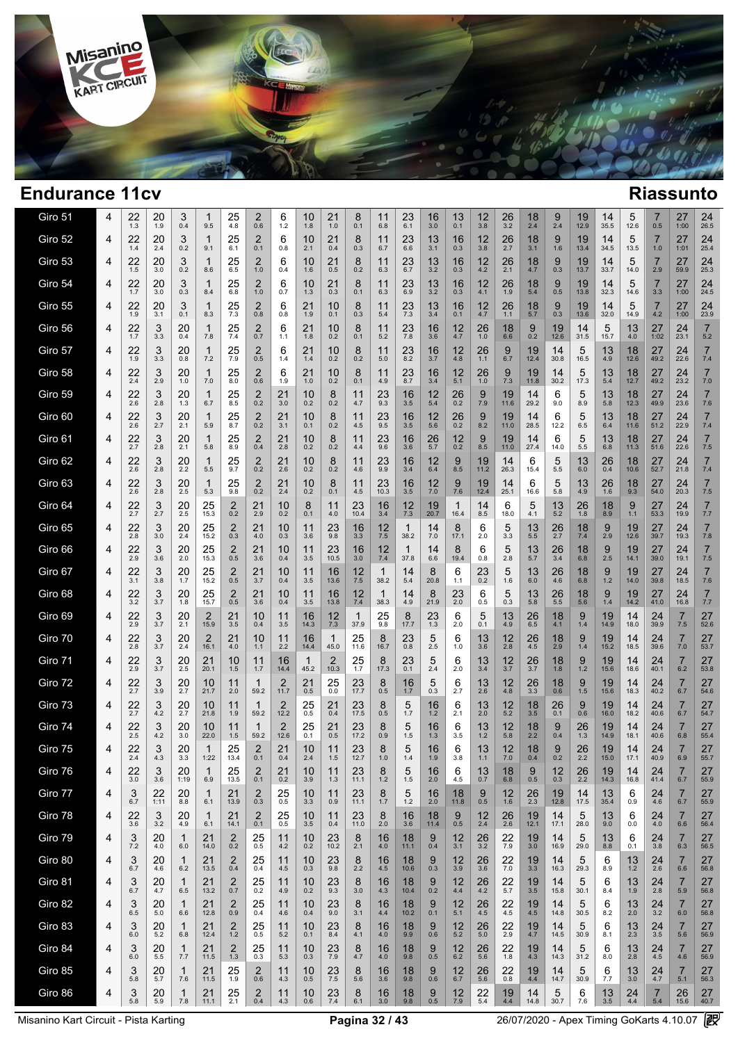

 $\sim$ 

| Giro 51 | 4 | 22<br>1.3 | 20<br>1.9       | 3<br>0.4                | 1<br>9.5           | 25<br>4.8             | 2<br>0.6              | 6<br>1.2    | 10<br>1.8  | 21<br>1.0     | 8<br>0.1             | 11<br>6.8            | 23<br>6.1       | 16<br>3.0           | 13<br>0.1           | 12<br>3.8                               | 26<br>3.2        | 18<br>2.4     | 9<br>2.4      | 19<br>12.9       | 14<br>35.5       | 5<br>12.6     | 0.5              | 27<br>1:00              | 24<br>26.5            |
|---------|---|-----------|-----------------|-------------------------|--------------------|-----------------------|-----------------------|-------------|------------|---------------|----------------------|----------------------|-----------------|---------------------|---------------------|-----------------------------------------|------------------|---------------|---------------|------------------|------------------|---------------|------------------|-------------------------|-----------------------|
| Giro 52 | 4 | 22<br>1.4 | 20<br>2.4       | 3<br>0.2                | 1<br>9.1           | 25<br>6.1             | 2<br>0.1              | 6<br>0.8    | 10<br>2.1  | 21<br>0.4     | 8<br>0.3             | 11<br>6.7            | 23<br>6.6       | 13<br>3.1           | 16<br>0.3           | 12<br>3.8                               | $\frac{26}{2.7}$ | 18<br>3.1     | 9<br>1.6      | 19<br>13.4       | 14<br>34.5       | 5<br>13.5     | 7<br>1.0         | 27<br>1:01              | 24<br>25.4            |
| Giro 53 | 4 | 22<br>1.5 | 20<br>3.0       | 3<br>0.2                | 1<br>8.6           | 25<br>6.5             | 2<br>1.0              | 6<br>0.4    | 10<br>1.6  | 21<br>0.5     | 8<br>0.2             | 11<br>6.3            | 23<br>6.7       | 13<br>3.2           | 16<br>0.3           | 12<br>4.2                               | 26<br>2.1        | 18<br>4.7     | 9<br>0.3      | 19<br>13.7       | 14<br>33.7       | 5<br>14.0     | 7<br>2.9         | 27<br>59.9              | 24<br>25.3            |
| Giro 54 | 4 | 22<br>1.7 | 20<br>3.0       | 3<br>0.3                | 1<br>8.4           | 25<br>6.8             | 2<br>1.0              | 6<br>0.7    | 10<br>1.3  | 21<br>0.3     | 8<br>0.1             | 11<br>6.3            | 23<br>6.9       | 13<br>3.2           | 16<br>0.3           | 12<br>4.1                               | 26<br>1.9        | 18<br>5.4     | 9<br>0.5      | 19<br>13.8       | 14<br>32.3       | 5<br>14.6     | 7<br>3.3         | 27<br>1:00              | 24<br>24.5            |
| Giro 55 | 4 | 22<br>1.9 | 20<br>3.1       | 3<br>0.1                | 1<br>8.3           | $^{25}_{7.3}$         | 2<br>0.8              | 6<br>0.8    | 21<br>1.9  | 10<br>0.1     | 8<br>0.3             | 11<br>5.4            | 23<br>7.3       | 13<br>3.4           | 16<br>0.1           | 12<br>4.7                               | 26<br>1.1        | 18<br>5.7     | 9<br>0.3      | 19<br>13.6       | 14<br>32.0       | 5<br>14.9     | 7<br>4.2         | 27<br>1:00              | 24<br>23.9            |
| Giro 56 | 4 | 22<br>1.7 | 3<br>3.3        | 20<br>0.4               | 1<br>7.8           | 25<br>7.4             | 2<br>0.7              | 6<br>1.1    | 21<br>1.8  | 10<br>0.2     | 8<br>0.1             | 11<br>5.2            | 23<br>7.8       | 16<br>3.6           | 12<br>4.7           | 26<br>1.0                               | 18<br>6.6        | 9<br>0.2      | 19<br>12.6    | 14<br>31.5       | 5<br>15.7        | 13<br>4.0     | 27<br>1:02       | 24<br>23.1              | 7<br>5.2              |
| Giro 57 | 4 | 22<br>1.9 | 3<br>3.3        | 20<br>0.8               | 1<br>7.2           | 25<br>7.9             | 2<br>0.5              | 6<br>1.4    | 21<br>1.4  | 10<br>0.2     | 8<br>0.2             | 11<br>5.0            | 23<br>8.2       | 16<br>3.7           | 12<br>4.8           | 26<br>1.1                               | 9<br>6.7         | 19<br>12.4    | 14<br>30.8    | 5<br>16.5        | 13<br>4.9        | 18<br>12.6    | 27<br>49.2       | 24<br>22.6              | $\overline{7}$<br>7.4 |
| Giro 58 | 4 | 22<br>2.4 | 3<br>2.9        | 20<br>1.0               | 1<br>7.0           | 25<br>8.0             | 2<br>0.6              | 6<br>1.9    | 21<br>1.0  | 10<br>0.2     | 8<br>0.1             | 11<br>4.9            | 23<br>8.7       | 16<br>3.4           | 12<br>5.1           | 26<br>1.0                               | 9<br>7.3         | 19<br>11.8    | 14<br>30.2    | 5<br>17.3        | 13<br>5.4        | 18<br>12.7    | 27<br>49.2       | 24<br>23.2              | $\overline{7}$<br>7.0 |
| Giro 59 | 4 | 22<br>2.6 | 3<br>2.8        | 20<br>1.3               | 1<br>6.7           | 25<br>8.5             | $^{2}_{0.2}$          | 21<br>3.0   | 10<br>0.2  | 8<br>0.2      | 11<br>4.7            | 23<br>9.3            | 16<br>3.5       | 12<br>5.4           | 26<br>0.2           | 9<br>7.9                                | 19<br>11.6       | 14<br>29.2    | 6<br>9.0      | 5<br>8.9         | 13<br>5.8        | 18<br>12.3    | 27<br>49.9       | 24<br>23.6              | $\overline{7}$<br>7.6 |
| Giro 60 | 4 | 22<br>2.6 | 3<br>2.7        | 20<br>2.1               | 5.9                | 25<br>8.7             | $^{2}_{0.2}$          | 21<br>3.1   | 10<br>0.1  | 8<br>0.2      | 11<br>4.5            | 23<br>9.5            | 16<br>3.5       | 12<br>5.6           | 26<br>0.2           | 9<br>8.2                                | 19<br>11.0       | 14<br>28.5    | 6<br>12.2     | 5<br>6.5         | 13<br>6.4        | 18<br>11.6    | 27<br>51.2       | 24<br>22.9              | $\overline{7}$<br>7.4 |
| Giro 61 | 4 | 22<br>2.7 | 3<br>2.8        | 20<br>2.1               | 1<br>5.8           | 25<br>8.9             | 2<br>0.4              | 21<br>2.8   | 10<br>0.2  | 8<br>0.2      | 11<br>4.4            | 23<br>9.6            | 16<br>3.6       | 26<br>5.7           | 12<br>0.2           | 9<br>8.5                                | 19<br>11.0       | 14<br>27.4    | 6<br>14.0     | 5<br>5.5         | 13<br>6.8        | 18<br>11.3    | 27<br>51.6       | 24<br>22.6              | $\overline{7}$<br>7.5 |
| Giro 62 | 4 | 22<br>2.6 | 3<br>2.8        | 20<br>2.2               | 1<br>5.5           | 25<br>9.7             | 2<br>0.2              | 21<br>2.6   | 10<br>0.2  | 8<br>0.2      | 11<br>4.6            | 23<br>9.9            | 16<br>3.4       | 12<br>6.4           | 9<br>8.5            | 19<br>11.2                              | 14<br>26.3       | 6<br>15.4     | 5<br>5.5      | 13<br>6.0        | 26<br>0.4        | 18<br>10.6    | 27<br>52.7       | 24<br>21.8              | $\overline{7}$<br>7.4 |
| Giro 63 | 4 | 22<br>2.6 | 3<br>2.8        | 20<br>2.5               | 1<br>5.3           | 25<br>9.8             | 2<br>0.2              | 21<br>2.4   | 10<br>0.2  | 8<br>0.1      | 11<br>4.5            | 23<br>10.3           | 16<br>3.5       | 12<br>7.0           | 9<br>7.6            | 19<br>12.4                              | 14<br>25.1       | 6<br>16.6     | 5<br>5.8      | 13<br>4.9        | 26<br>1.6        | 18<br>9.3     | 27<br>54.0       | 24<br>20.3              | 7<br>7.5              |
| Giro 64 | 4 | 22<br>2.7 | 3<br>2.7        | 20<br>2.5               | 25<br>15.3         | 2<br>0.2              | 21<br>2.9             | 10<br>0.2   | 8<br>0.1   | 11<br>4.0     | 23<br>10.4           | 16<br>3.4            | 12<br>7.3       | 19<br>20.7          | 1<br>16.4           | 14<br>8.5                               | 6<br>18.0        | 5<br>4.1      | 13<br>5.2     | 26<br>1.8        | 18<br>8.9        | 9<br>1.1      | 27<br>53.3       | 24<br>19.9              | $\overline{7}$<br>7.7 |
| Giro 65 | 4 | 22<br>2.8 | 3<br>3.0        | 20<br>2.4               | 25<br>15.2         | 2<br>0.3              | 21<br>4.0             | 10<br>0.3   | 11<br>3.6  | 23<br>9.8     | 16<br>3.3            | 12<br>7.5            | 1<br>38.2       | 14<br>7.0           | 8<br>17.1           | 6<br>2.0                                | 5<br>3.3         | 13<br>5.5     | 26<br>2.7     | 18<br>7.4        | $\frac{9}{2.9}$  | 19<br>12.6    | 27<br>39.7       | 24<br>19.3              | 7<br>7.8              |
| Giro 66 | 4 | 22<br>2.9 | 3<br>3.6        | 20<br>2.0               | 25<br>15.3         | 2<br>0.5              | 21<br>3.6             | 10<br>0.4   | 11<br>3.5  | 23<br>10.5    | 16<br>3.0            | 12<br>7.4            | 1<br>37.8       | 14<br>6.6           | 8<br>19.4           | 6<br>0.8                                | 5<br>2.8         | 13<br>5.7     | 26<br>3.4     | 18<br>6.8        | $\frac{9}{2.5}$  | 19<br>14.1    | 27<br>39.0       | 24<br>19.1              | 7<br>7.5              |
| Giro 67 | 4 | 22<br>3.1 | 3<br>3.8        | 20<br>1.7               | 25<br>15.2         | 2<br>0.5              | 21<br>3.7             | 10<br>0.4   | 11<br>3.5  | 16<br>13.6    | 12<br>7.5            | 1<br>38.2            | 14<br>5.4       | 8<br>20.8           | 6<br>1.1            | 23<br>0.2                               | 5<br>1.6         | 13<br>6.0     | 26<br>4.6     | 18<br>6.8        | 9<br>1.2         | 19<br>14.0    | 27<br>39.8       | 24<br>18.5              | $\overline{7}$<br>7.6 |
| Giro 68 | 4 | 22<br>3.2 | 3<br>3.7        | 20<br>1.8               | 25<br>15.7         | 2<br>0.5              | 21<br>3.6             | 10<br>0.4   | 11<br>3.5  | 16<br>13.8    | 12<br>7.4            | $\mathbf{1}$<br>38.3 | 14<br>4.9       | 8<br>21.9           | 23<br>2.0           | 6<br>0.5                                | 5<br>0.3         | 13<br>5.8     | 26<br>5.5     | 18<br>5.6        | 9<br>1.4         | 19<br>14.2    | 27<br>41.0       | 24<br>16.8              | $\overline{7}$<br>7.7 |
| Giro 69 | 4 | 22<br>2.9 | 3<br>3.7        | $^{20}_{2.1}$           | 2<br>15.9          | 21<br>3.5             | 10<br>0.4             | 11<br>3.5   | 16<br>14.3 | 12<br>7.3     | $\mathbf{1}$<br>37.9 | 25<br>9.8            | 8<br>17.7       | 23<br>1.3           | 6<br>2.0            | 5<br>0.1                                | 13<br>4.9        | 26<br>6.5     | 18<br>4.1     | 9<br>1.4         | 19<br>14.9       | 14<br>18.0    | 24<br>39.9       | 7<br>7.5                | 27<br>52.6            |
| Giro 70 | 4 | 22<br>2.8 | 3<br>3.7        | $^{20}_{2.4}$           | 2<br>16.1          | 21<br>4.0             | 10<br>1.1             | 11<br>2.2   | 16<br>14.4 | 1<br>45.0     | 25<br>11.6           | 8<br>16.7            | 23<br>0.8       | 5<br>2.5            | 6<br>1.0            | $\frac{13}{3.6}$                        | 12<br>2.8        | 26<br>4.5     | 18<br>2.9     | 9<br>1.4         | 19<br>15.2       | 14<br>18.5    | 24<br>39.6       | 7.0                     | 27<br>53.7            |
| Giro 71 | 4 | 22<br>2.9 | 3<br>3.7        | 20<br>2.5               | 21<br>20.1         | 10<br>1.5             | 11<br>1.7             | 16<br>14.4  | 1<br>45.2  | 2<br>10.3     | 25<br>1.7            | 8<br>17.3            | 23<br>0.1       | 5<br>2.4            | 6<br>2.0            | 13<br>3.4                               | 12<br>3.7        | 26<br>3.7     | 18<br>1.8     | 9<br>1.2         | 19<br>15.6       | 14<br>18.6    | 24<br>40.1       | 7<br>6.2                | 27<br>53.8            |
| Giro 72 | 4 | 22<br>2.7 | 3<br>3.9        | $^{20}_{2.7}$           | 10<br>21.7         | 11<br>2.0             | 1<br>59.2             | 2<br>11.7   | 21<br>0.5  | 25<br>0.0     | 23<br>17.7           | 8<br>0.5             | 16<br>1.7       | 5<br>0.3            | 6<br>2.7            | 13<br>2.6                               | 12<br>4.8        | 26<br>3.3     | 18<br>0.6     | 9<br>1.5         | 19<br>15.6       | 14<br>18.3    | 24<br>40.2       | 6.7                     | 27<br>54.6            |
| Giro 73 | 4 | 22<br>2.7 | 3<br>4.2        | 20<br>2.7               | 10<br>21.8         | 11<br>1.9             | 1<br>59.2             | 2<br>12.2   | 25<br>0.5  | 21<br>0.4     | 23<br>17.5           | 8<br>0.5             | 5<br>1.7        | 16<br>1.2           | 6<br>2.1            | 13<br>2.0                               | 12<br>5.2        | 18<br>3.5     | 26<br>0.1     | 9<br>0.6         | 19<br>16.0       | 14<br>18.2    | 24<br>40.6       | 7<br>6.7                | 27<br>54.7            |
| Giro 74 | 4 | 22<br>2.5 | 3<br>4.2        | 20<br>3.0               | 10<br>22.0         | 11<br>1.5             | 1<br>59.2             | 2<br>12.6   | 25<br>0.1  | 21<br>0.5     | 23<br>17.2           | 8<br>0.9             | 5<br>1.5        | 16<br>1.3           | 6<br>3.5            | 13<br>1.2                               | 12<br>5.8        | 18<br>2.2     | 9<br>0.4      | 26<br>1.3        | 19<br>14.9       | 14<br>18.1    | 24<br>40.6       | 6.8                     | 27<br>55.4            |
| Giro 75 | 4 | 22<br>2.4 | 3<br>4.3        | 20<br>3.3               | 1<br>1:22          | 25<br>13.4            | 2<br>0.1              | 21<br>0.4   | 10<br>2.4  | 11<br>1.5     | 23<br>12.7           | 8<br>1.0             | 5<br>1.4        | 16<br>1.9           | 6<br>3.8            | 13<br>1.1                               | 12<br>7.0        | 18<br>0.4     | 9<br>0.2      | 26<br>2.2        | 19<br>15.0       | 14<br>17.1    | 24<br>40.9       | 7<br>6.9                | 27<br>55.7            |
| Giro 76 | 4 | 22<br>3.0 | 3<br>3.6        | $20$ <sub>1:19</sub>    | 6.9                | 25<br>13.5            | $^{2}_{0.1}$          | 21<br>0.2   | 10<br>3.9  | 11<br>1.3     | $23$<br>11.1         | 8<br>$1.2$           | 5<br>$1.5$      | 16<br>$2.0\,$       | 6<br>4.5            | $13 \atop 0.7$                          | $^{18}_{6.8}$    | g<br>0.5      | $^{12}_{0.3}$ | $\frac{26}{2.2}$ | 19<br>14.3       | 14<br>16.8    | 24<br>41.4       | 6.7                     | 27<br>55.9            |
| Giro 77 | 4 | 3<br>6.7  | 22<br>1:11      | 20<br>8.8               | $\mathbf 1$<br>6.1 | 21<br>13.9            | $^{2}_{0.3}$          | 25<br>0.5   | 10<br>3.3  | 11<br>0.9     | 23<br>11.1           | 8<br>1.7             | $\frac{5}{1.2}$ | 16<br>2.0           | 18<br>11.8          | $\begin{array}{c} 9 \\ 0.5 \end{array}$ | 12<br>1.6        | 26<br>2.3     | 19<br>12.8    | 14<br>17.5       | 13<br>35.4       | 6<br>0.9      | 24<br>4.6        | 7<br>6.7                | 27<br>55.9            |
| Giro 78 | 4 | 22<br>3.6 | 3<br>3.2        | 20<br>4.9               | -1<br>6.1          | 21<br>14.1            | $\overline{2}$<br>0.1 | 25<br>0.5   | 10<br>3.5  | 11<br>0.4     | 23<br>11.0           | 8<br>2.0             | 16<br>3.6       | 18<br>11.4          | 9<br>0.5            | 12<br>2.4                               | 26<br>2.6        | 19<br>12.1    | 14<br>17.1    | 5<br>28.0        | 13<br>9.0        | 6<br>0.0      | 24<br>4.0        | $\overline{7}$<br>6.6   | 27<br>56.4            |
| Giro 79 | 4 | 3<br>7.2  | 20<br>4.0       | $\mathbf{1}$<br>6.0     | 21<br>14.0         | $^{2}_{0.2}$          | 25<br>0.5             | 11<br>4.2   | 10<br>0.2  | $23$<br>10.2  | 8<br>2.1             | 16<br>4.0            | 18<br>11.1      | $^{9}_{0.4}$        | $\frac{12}{3.1}$    | $\frac{26}{3.2}$                        | $^{22}_{7.9}$    | 19<br>3.0     | 14<br>16.9    | 5<br>29.0        | $\frac{13}{8.8}$ | 6<br>0.1      | $\frac{24}{3.8}$ | 7<br>6.3                | 27<br>56.5            |
| Giro 80 | 4 | 3<br>6.7  | 20<br>4.6       | $\mathbf{1}$<br>6.2     | 21<br>13.5         | 2<br>0.4              | 25<br>0.4             | 11<br>4.5   | 10<br>0.3  | 23<br>9.8     | 8<br>2.2             | 16<br>4.5            | 18<br>10.6      | $^{9}_{0.3}$        | $\frac{12}{3.9}$    | $\frac{26}{3.6}$                        | $\frac{22}{7.0}$ | 19<br>3.3     | 14<br>16.3    | 5<br>29.3        | 6<br>8.9         | 13<br>$1.2$   | $^{24}_{2.6}$    | 7<br>6.6                | 27<br>56.8            |
| Giro 81 | 4 | 3<br>6.7  | 20<br>4.7       | $\mathbf{1}$<br>6.5     | 21<br>13.2         | $_{0.7}^{2}$          | 25<br>0.2             | 11<br>4.9   | 10<br>0.2  | 23<br>9.3     | 8<br>3.0             | 16<br>4.3            | 18<br>10.4      | $\underset{0.2}{9}$ | 12<br>4.4           | $^{26}_{4.2}$                           | $22$<br>5.7      | 19<br>3.5     | 14<br>15.8    | 5<br>30.1        | 6<br>8.4         | 13<br>1.9     | $^{24}_{2.8}$    | $\overline{7}$<br>5.9   | 27<br>56.8            |
| Giro 82 | 4 | 3<br>6.5  | 20<br>5.0       | $\mathbf{1}$<br>6.6     | 21<br>12.8         | $\overline{2}$<br>0.9 | 25<br>0.4             | 11<br>4.6   | 10<br>0.4  | 23<br>9.0     | 8<br>3.1             | 16<br>4.4            | 18<br>10.2      | 9<br>0.1            | 12<br>5.1           | 26<br>4.5                               | 22<br>4.5        | 19<br>4.5     | 14<br>14.8    | 5<br>30.5        | 6<br>8.2         | 13<br>2.0     | 24<br>3.2        | $\overline{7}$<br>6.0   | 27<br>56.8            |
| Giro 83 | 4 | 3<br>6.0  | $^{20}_{\,5.2}$ | $\mathbf{1}$<br>6.8     | $21$<br>12.4       | $2$ <sub>1.2</sub>    | $25$ <sub>0.5</sub>   | 11<br>5.2   | 10<br>0.1  | $^{23}_{8.4}$ | 8<br>4.1             | 16<br>4.0            | 18<br>9.9       | 9<br>0.6            | $12$ <sub>5.2</sub> | $^{26}_{\,5.0}$                         | $^{22}_{2.9}$    | $^{19}_{4.7}$ | 14<br>14.5    | 5<br>30.9        | 6<br>8.1         | 13<br>2.3     | $\frac{24}{3.5}$ | $\overline{7}$<br>5.6   | 27<br>56.9            |
| Giro 84 | 4 | 3<br>6.0  | $^{20}_{\,5.5}$ | $\mathbf{1}$<br>7.7     | $^{21}_{11.5}$     | $\frac{2}{1.3}$       | $25$ <sub>0.3</sub>   | 11<br>5.3   | 10<br>0.3  | $^{23}_{7.9}$ | 8<br>4.7             | 16<br>4.0            | 18<br>9.8       | 9<br>0.5            | $^{12}_{6.2}$       | $26$ <sub>5.6</sub>                     | $^{22}_{1.8}$    | 19<br>4.3     | 14<br>14.3    | 5<br>31.2        | 6<br>8.0         | 13<br>2.8     | $^{24}_{4.5}$    | $\overline{7}$<br>4.6   | 27<br>56.9            |
| Giro 85 | 4 | 3<br>5.8  | 20<br>5.7       | 1<br>7.6                | 21<br>11.5         | 25<br>1.9             | $\overline{2}$<br>0.6 | 11<br>4.3   | 10<br>0.5  | 23<br>7.5     | 8<br>5.6             | 16<br>3.6            | 18<br>9.8       | 9<br>0.6            | 12<br>6.7           | 26<br>$5.6\,$                           | 22<br>0.8        | 19<br>$4.4\,$ | 14<br>14.7    | 5<br>30.9        | 6<br>7.7         | 13<br>3.0     | 24<br>4.7        | $\overline{7}$<br>$5.1$ | 27<br>56.3            |
| Giro 86 | 4 | 3<br>5.8  | 20<br>5.9       | $\mathbf{1}$<br>$7.8\,$ | 21<br>11.1         | $\frac{25}{2.1}$      | $^{2}_{0.4}$          | 11<br>$4.3$ | 10<br>0.6  | 23<br>$7.4\,$ | 8<br>6.1             | 16<br>3.0            | 18<br>9.8       | 9<br>$0.5\,$        | 12<br>7.9           | 22<br>5.4                               | 19<br>$4.4\,$    | 14<br>14.8    | 5<br>30.7     | 6<br>7.6         | 13<br>3.5        | 24<br>$4.4\,$ | 7<br>5.4         | 26<br>15.6              | 27<br>40.7            |
|         |   |           |                 |                         |                    |                       |                       |             |            |               |                      |                      |                 |                     |                     |                                         |                  |               |               |                  |                  |               |                  |                         |                       |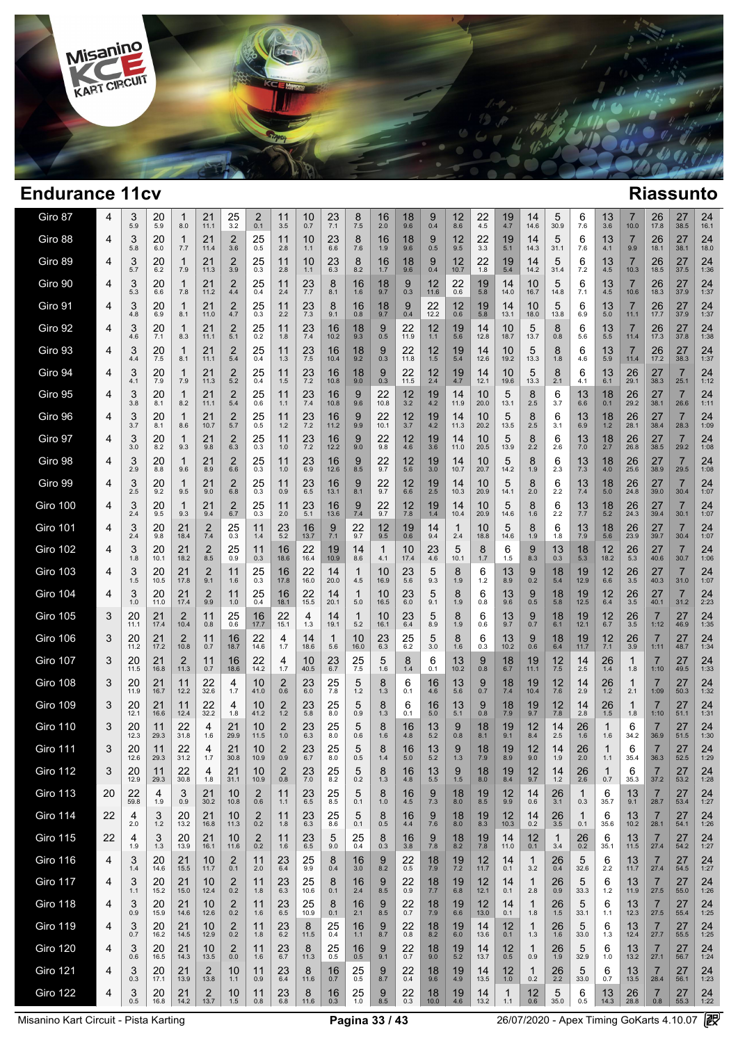

 $\overline{1}$  $\overline{ }$ 

| Giro 87         | 4  | 3<br>5.9   | 20<br>5.9  | 1<br>8.0             | 21<br>11.1             | 25<br>3.2                      | 2<br>0.1              | 11<br>3.5     | 10<br>0.7     | 23<br>7.1     | 8<br>7.5            | 16<br>2.0              | 18<br>9.6     | 9<br>0.4         | 12<br>8.6           | 22<br>4.5        | 19<br>4.7  | 14<br>14.6          | 5<br>30.9     | 6<br>7.6           | 13<br>3.6           | 7<br>10.0  | 26<br>17.8             | 27<br>38.5             | 24<br>16.1 |  |
|-----------------|----|------------|------------|----------------------|------------------------|--------------------------------|-----------------------|---------------|---------------|---------------|---------------------|------------------------|---------------|------------------|---------------------|------------------|------------|---------------------|---------------|--------------------|---------------------|------------|------------------------|------------------------|------------|--|
| Giro 88         | 4  | 3<br>5.8   | 20<br>6.0  | $\mathbf{1}$<br>7.7  | 21<br>11.4             | $\overline{2}$<br>3.6          | 25<br>0.5             | 11<br>2.8     | 10<br>1.1     | 23<br>6.6     | 8<br>7.6            | 16<br>1.9              | 18<br>9.6     | 9<br>0.5         | 12<br>9.5           | 22<br>3.3        | 19<br>5.1  | 14<br>14.3          | 5<br>31.1     | 6<br>7.6           | 13<br>4.1           | 7<br>9.9   | 26<br>18.1             | 27<br>38.1             | 24<br>18.0 |  |
| Giro 89         | 4  | 3<br>5.7   | 20<br>6.2  | 1<br>7.9             | 21<br>11.3             | $\overline{2}$<br>3.9          | 25<br>0.3             | 11<br>2.8     | 10<br>1.1     | 23<br>6.3     | 8<br>8.2            | 16<br>1.7              | 18<br>9.6     | 9<br>0.4         | 12<br>10.7          | 22<br>1.8        | 19<br>5.4  | 14<br>14.2          | 5<br>31.4     | 6<br>7.2           | 13<br>4.5           | 7<br>10.3  | 26<br>18.5             | 27<br>37.5             | 24<br>1:36 |  |
| Giro 90         | 4  | 3<br>5.3   | 20<br>6.6  | $\mathbf{1}$<br>7.8  | 21<br>11.2             | 2<br>4.4                       | 25<br>0.4             | 11<br>2.4     | 23<br>7.7     | 8<br>8.1      | 16<br>1.6           | 18<br>9.7              | 9<br>0.3      | 12<br>11.6       | 22<br>0.6           | 19<br>5.8        | 14<br>14.0 | 10<br>16.7          | 5<br>14.8     | 6<br>7.1           | 13<br>4.5           | 7<br>10.6  | 26<br>18.3             | 27<br>37.9             | 24<br>1:37 |  |
| Giro 91         | 4  | 3<br>4.8   | 20<br>6.9  | 1<br>8.1             | 21<br>11.0             | 2<br>4.7                       | $25$ <sub>0.3</sub>   | 11<br>2.2     | 23<br>7.3     | 8<br>9.1      | 16<br>0.8           | 18<br>9.7              | 9<br>0.4      | 22<br>12.2       | 12<br>0.6           | 19<br>5.8        | 14<br>13.1 | 10<br>18.0          | 5<br>13.8     | 6<br>6.9           | 13<br>5.0           | 7<br>11.1  | 26<br>17.7             | 27<br>37.9             | 24<br>1:37 |  |
| Giro 92         | 4  | 3<br>4.6   | 20<br>7.1  | 1<br>8.3             | 21<br>11.1             | $\overline{2}$<br>5.1          | $25$ <sub>0.2</sub>   | 11<br>1.8     | 23<br>7.4     | 16<br>10.2    | 18<br>9.3           | 9<br>0.5               | 22<br>11.9    | 12<br>$1.1$      | 19<br>5.6           | 14<br>12.8       | 10<br>18.7 | 5<br>13.7           | 8<br>0.8      | 6<br>5.6           | 13<br>5.5           | 7<br>11.4  | 26<br>17.3             | 27<br>37.8             | 24<br>1:38 |  |
| Giro 93         | 4  | 3<br>4.4   | 20<br>7.5  | $\mathbf{1}$<br>8.1  | 21<br>11.1             | $\overline{2}$<br>5.4          | 25<br>0.4             | 11<br>1.3     | 23<br>7.5     | 16<br>10.4    | 18<br>9.2           | 9<br>0.3               | 22<br>11.8    | 12<br>1.5        | 19<br>5.4           | 14<br>12.6       | 10<br>19.2 | 5<br>13.3           | 8<br>1.8      | 6<br>4.6           | 13<br>5.9           | 7<br>11.4  | 26<br>17.2             | 27<br>38.3             | 24<br>1:37 |  |
| Giro 94         | 4  | 3<br>4.1   | 20<br>7.9  | $\mathbf{1}$<br>7.9  | 21<br>11.3             | $\overline{2}$<br>5.2          | 25<br>0.4             | 11<br>1.5     | $^{23}_{7.2}$ | 16<br>10.8    | 18<br>9.0           | 9<br>0.3               | 22<br>11.5    | 12<br>2.4        | 19<br>4.7           | 14<br>12.1       | 10<br>19.6 | 5<br>13.3           | 8<br>2.1      | 6<br>4.1           | 13<br>6.1           | 26<br>29.1 | 27<br>38.3             | 7<br>25.1              | 24<br>1:12 |  |
| Giro 95         | 4  | 3<br>3.8   | 20<br>8.1  | 1<br>8.2             | 21<br>11.1             | $\overline{2}$<br>5.4          | 25<br>0.6             | 11<br>1.1     | 23<br>7.4     | 16<br>10.8    | 9<br>9.6            | 22<br>10.8             | 12<br>3.2     | 19<br>4.2        | 14<br>11.9          | 10<br>20.0       | 5<br>13.1  | 8<br>2.5            | 6<br>3.7      | 13<br>6.6          | 18<br>0.1           | 26<br>29.2 | 27<br>38.1             | $\overline{7}$<br>26.6 | 24<br>1:11 |  |
| Giro 96         | 4  | 3<br>3.7   | 20<br>8.1  | 1<br>8.6             | 21<br>10.7             | $\overline{\mathbf{c}}$<br>5.7 | 25<br>0.5             | 11<br>1.2     | $^{23}_{7.2}$ | 16<br>11.2    | 9<br>9.9            | 22<br>10.1             | 12<br>3.7     | 19<br>4.2        | 14<br>11.3          | 10<br>20.2       | 5<br>13.5  | 8<br>2.5            | 6<br>3.1      | 13<br>6.9          | 18<br>1.2           | 26<br>28.1 | 27<br>38.4             | $\overline{7}$<br>28.3 | 24<br>1:09 |  |
| Giro 97         | 4  | 3<br>3.0   | 20<br>8.2  | 1<br>9.3             | 21<br>9.8              | $\overline{2}$<br>6.3          | 25<br>0.3             | 11<br>1.0     | 23<br>7.2     | 16<br>12.2    | 9<br>9.0            | 22<br>9.8              | 12<br>4.6     | 19<br>3.6        | 14<br>11.0          | 10<br>20.5       | 5<br>13.9  | 8<br>2.2            | 6<br>2.6      | 13<br>7.0          | 18<br>2.7           | 26<br>26.8 | 27<br>38.5             | $\overline{7}$<br>29.2 | 24<br>1:08 |  |
| Giro 98         | 4  | 3<br>2.9   | 20<br>8.8  | 1<br>9.6             | 21<br>8.9              | $\overline{2}$<br>6.6          | 25<br>0.3             | 11<br>1.0     | 23<br>6.9     | 16<br>12.6    | 9<br>8.5            | 22<br>9.7              | 12<br>5.6     | 19<br>3.0        | 14<br>10.7          | 10<br>20.7       | 5<br>14.2  | 8<br>1.9            | 6<br>2.3      | 13<br>7.3          | 18<br>4.0           | 26<br>25.6 | 27<br>38.9             | 7<br>29.5              | 24<br>1:08 |  |
| Giro 99         | 4  | 3<br>2.5   | 20<br>9.2  | 1<br>9.5             | 21<br>9.0              | $\overline{2}$<br>6.8          | 25<br>0.3             | 11<br>0.9     | 23<br>6.5     | 16<br>13.1    | 9<br>8.1            | 22<br>9.7              | 12<br>6.6     | 19<br>2.5        | 14<br>10.3          | 10<br>20.9       | 5<br>14.1  | 8<br>2.0            | 6<br>2.2      | 13<br>7.4          | 18<br>5.0           | 26<br>24.8 | 27<br>39.0             | 7<br>30.4              | 24<br>1:07 |  |
| Giro 100        | 4  | 3<br>2.4   | 20<br>9.5  | 1<br>9.3             | 21<br>9.4              | $\overline{2}$<br>6.7          | 25<br>0.3             | 11<br>2.0     | 23<br>5.1     | 16<br>13.6    | 9<br>7.4            | 22<br>9.7              | 12<br>7.8     | 19<br>1.4        | 14<br>10.4          | 10<br>20.9       | 5<br>14.6  | 8<br>1.6            | 6<br>2.2      | 13<br>7.7          | 18<br>5.2           | 26<br>24.3 | 27<br>39.4             | $\overline{7}$<br>30.1 | 24<br>1:07 |  |
| Giro 101        | 4  | 3<br>2.4   | 20<br>9.8  | 21<br>18.4           | 2<br>7.4               | 25<br>0.3                      | 11<br>1.4             | 23<br>5.2     | 16<br>13.7    | 9<br>7.1      | 22<br>9.7           | $^{12}_{9.5}$          | 19<br>0.6     | 14<br>9.4        | 1<br>2.4            | 10<br>18.8       | 5<br>14.6  | 8<br>1.9            | 6<br>1.8      | 13<br>7.9          | 18<br>5.6           | 26<br>23.9 | 27<br>39.7             | 7<br>30.4              | 24<br>1:07 |  |
| <b>Giro 102</b> | 4  | 3<br>1.8   | 20<br>10.1 | 21<br>18.2           | 2<br>8.5               | 25<br>0.9                      | 11<br>0.3             | 16<br>18.6    | 22<br>16.4    | 19<br>10.9    | 14<br>8.6           | 1<br>4.1               | 10<br>17.4    | 23<br>4.6        | 5<br>10.1           | 8<br>1.7         | 6<br>1.5   | 9<br>8.3            | 13<br>0.3     | 18<br>5.3          | 12<br>18.2          | 26<br>5.3  | 27<br>40.6             | 30.7                   | 24<br>1:06 |  |
| <b>Giro 103</b> | 4  | 3<br>1.5   | 20<br>10.5 | 21<br>17.8           | 2<br>9.1               | 11<br>1.6                      | 25<br>0.3             | 16<br>17.8    | 22<br>16.0    | 14<br>20.0    | 1<br>4.5            | 10<br>16.9             | 23<br>5.6     | 5<br>9.3         | 8<br>1.9            | 6<br>1.2         | 13<br>8.9  | 9<br>0.2            | 18<br>5.4     | 19<br>12.9         | 12<br>6.6           | 26<br>3.5  | 27<br>40.3             | 7<br>31.0              | 24<br>1:07 |  |
| <b>Giro 104</b> | 4  | 3<br>1.0   | 20<br>11.0 | 21<br>17.4           | 2<br>9.9               | 11<br>1.0                      | 25<br>0.4             | 16<br>18.1    | 22<br>15.5    | 14<br>20.1    | 1<br>5.0            | 10<br>16.5             | 23<br>6.0     | 5<br>9.1         | 8<br>1.9            | 6<br>0.8         | 13<br>9.6  | 9<br>0.5            | 18<br>5.8     | 19<br>12.5         | 12<br>6.4           | 26<br>3.5  | 27<br>40.1             | $\overline{7}$<br>31.2 | 24<br>2:23 |  |
| <b>Giro 105</b> | 3  | 20<br>11.1 | 21<br>17.4 | 2<br>10.4            | 11<br>0.8              | 25<br>0.6                      | 16<br>17.7            | 22<br>15.1    | 4<br>1.3      | 14<br>19.1    | $\mathbf{1}$<br>5.2 | 10<br>16.1             | 23<br>6.4     | 5<br>8.9         | 8<br>1.9            | 6<br>0.6         | 13<br>9.7  | 9<br>0.7            | 18<br>6.1     | 19<br>12.1         | 12<br>6.7           | 26<br>3.5  | 7<br>1:12              | 27<br>46.9             | 24<br>1:35 |  |
| <b>Giro 106</b> | 3  | 20<br>11.2 | 21<br>17.2 | 2<br>10.8            | 11<br>0.7              | 16<br>18.7                     | 22<br>14.6            | 4<br>1.7      | 14<br>18.6    | 1<br>5.6      | 10<br>16.0          | 23<br>$6.\overline{3}$ | 25<br>6.2     | 5<br>3.0         | 8<br>1.6            | 6<br>0.3         | 13<br>10.2 | 9<br>0.6            | 18<br>6.4     | 19<br>11.7         | 12<br>7.1           | 26<br>3.9  | 7<br>1:11              | 27<br>48.7             | 24<br>1:34 |  |
| <b>Giro 107</b> | 3  | 20<br>11.5 | 21<br>16.8 | 2<br>11.3            | 11<br>0.7              | 16<br>18.6                     | 22<br>14.2            | 4<br>1.7      | 10<br>40.5    | 23<br>6.7     | 25<br>7.5           | 5<br>1.6               | 8<br>1.4      | 6<br>0.1         | 13<br>10.2          | 9<br>0.8         | 18<br>6.7  | 19<br>11.1          | 12<br>7.5     | 14<br>2.5          | 26<br>1.4           | -1<br>1.8  | 7<br>1:10              | 27<br>49.5             | 24<br>1:33 |  |
| Giro 108        | 3  | 20<br>11.9 | 21<br>16.7 | 11<br>12.2           | 22<br>32.6             | 4<br>1.7                       | 10<br>41.0            | 2<br>0.6      | 23<br>6.0     | 25<br>7.8     | 5<br>1.2            | 8<br>1.3               | 6<br>0.1      | 16<br>4.6        | 13<br>5.6           | 9<br>0.7         | 18<br>7.4  | 19<br>10.4          | 12<br>7.6     | 14<br>2.9          | 26<br>1.2           | -1<br>2.1  | $\overline{7}$<br>1:09 | 27<br>50.3             | 24<br>1:32 |  |
| <b>Giro 109</b> | 3  | 20<br>12.1 | 21<br>16.6 | 11<br>12.4           | 22<br>32.2             | 4<br>1.8                       | 10<br>41.2            | 2<br>1.2      | 23<br>5.8     | 25<br>8.0     | 5<br>0.9            | 8<br>1.3               | 6<br>0.1      | 16<br>5.0        | 13<br>5.1           | 9<br>0.8         | 18<br>7.9  | 19<br>9.7           | 12<br>7.8     | 14<br>2.8          | 26<br>1.5           | -1<br>1.8  | $\overline{7}$<br>1:10 | 27<br>51.1             | 24<br>1:31 |  |
| <b>Giro 110</b> | 3  | 20<br>12.3 | 11<br>29.3 | 22<br>31.8           | 4<br>1.6               | 21<br>29.9                     | 10<br>11.5            | 2<br>1.0      | 23<br>6.3     | 25<br>8.0     | 5<br>0.6            | 8<br>1.6               | 16<br>4.8     | 13<br>5.2        | 9<br>0.8            | 18<br>8.1        | 19<br>9.1  | 12<br>8.4           | 14<br>2.5     | 26<br>1.6          | $\mathbf{1}$<br>1.6 | 6<br>34.2  | 7<br>36.9              | 27<br>51.5             | 24<br>1:30 |  |
| <b>Giro 111</b> | 3  | 20<br>12.6 | 11<br>29.3 | 22<br>31.2           | 4<br>1.7               | 21<br>30.8                     | 10<br>10.9            | 2<br>0.9      | 23<br>6.7     | 25<br>8.0     | 5<br>0.5            | 8<br>1.4               | 16<br>5.0     | 13<br>5.2        | 9<br>1.3            | 18<br>7.9        | 19<br>8.9  | 12<br>9.0           | 14<br>1.9     | 26<br>2.0          | 1<br>1.1            | 6<br>35.4  | 7<br>36.3              | 27<br>52.5             | 24<br>1:29 |  |
| <b>Giro 112</b> | 3  | 20<br>12.9 | 11<br>29.3 | 22<br>30.8           | 4<br>1.8               | 21<br>31.1                     | 10<br>10.9            | 2<br>0.8      | 23<br>7.0     | 25<br>8.2     | 5<br>0.2            | 8<br>1.3               | 16<br>$4.8\,$ | 13<br>5.5        | 9<br>$1.5$          | 18<br>8.0        | 19<br>8.4  | 12<br>9.7           | 14<br>$1.2\,$ | 26<br>2.6          | 0.7                 | 6<br>35.3  | 37.2                   | 27<br>53.2             | 24<br>1:28 |  |
| <b>Giro 113</b> | 20 | 22<br>59.8 | 4<br>1.9   | 3<br>0.9             | 21<br>30.2             | 10<br>10.8                     | $\overline{2}$<br>0.6 | 11<br>1.1     | 23<br>6.5     | 25<br>8.5     | 5<br>0.1            | 8<br>1.0               | 16<br>4.5     | $\frac{9}{7.3}$  | 18<br>8.0           | 19<br>8.5        | 12<br>9.9  | 14<br>0.6           | 26<br>3.1     | $\mathbf 1$<br>0.3 | 6<br>35.7           | 13<br>9.1  | $\overline{7}$<br>28.7 | 27<br>53.4             | 24<br>1:27 |  |
| <b>Giro 114</b> | 22 | 4<br>2.0   | 3<br>$1.2$ | 20<br>13.2           | 21<br>16.8             | 10<br>11.3                     | 2<br>0.2              | 11<br>1.8     | 23<br>6.3     | 25<br>8.6     | 5<br>0.1            | 8<br>0.5               | 16<br>4.4     | 9<br>7.6         | 18<br>8.0           | 19<br>8.3        | 12<br>10.3 | 14<br>0.2           | 26<br>3.5     | $\mathbf 1$<br>0.1 | 6<br>35.6           | 13<br>10.2 | 7<br>28.1              | 27<br>54.1             | 24<br>1:26 |  |
| <b>Giro 115</b> | 22 | 4<br>1.9   | 3<br>1.3   | 20<br>13.9           | 21<br>16.1             | 10<br>11.6                     | $^{2}_{0.2}$          | $11$<br>1.6   | 23<br>6.5     | 5<br>9.0      | 25<br>0.4           | 8<br>0.3               | 16<br>3.8     | $\frac{9}{7.8}$  | $\frac{18}{8.2}$    | $\frac{19}{7.8}$ | 14<br>11.0 | 12<br>0.1           | -1<br>3.4     | 26<br>0.2          | 6<br>35.1           | 13<br>11.5 | $\overline{7}$<br>27.4 | 27<br>54.2             | 24<br>1:27 |  |
| <b>Giro 116</b> | 4  | 3<br>1.4   | 20<br>14.6 | 21<br>15.5           | 10<br>11.7             | 2<br>0.1                       | 11<br>2.0             | 23<br>6.4     | 25<br>9.9     | 8<br>0.4      | 16<br>3.0           | 9<br>8.2               | 22<br>0.5     | 18<br>7.9        | $\frac{19}{7.2}$    | 12<br>11.7       | 14<br>0.1  | 1<br>3.2            | 26<br>0.4     | 5<br>32.6          | 6<br>2.2            | 13<br>11.7 | 7<br>27.4              | 27<br>54.5             | 24<br>1:27 |  |
| <b>Giro 117</b> | 4  | 3<br>1.1   | 20<br>15.2 | 21<br>15.0           | 10<br>12.4             | 2<br>0.2                       | 11<br>1.8             | 23<br>6.3     | 25<br>10.6    | 8<br>0.1      | 16<br>2.4           | 9<br>8.5               | 22<br>0.9     | $\frac{18}{7.7}$ | 19<br>6.8           | 12<br>12.1       | 14<br>0.1  | 1<br>2.8            | 26<br>0.9     | 5<br>33.3          | 6<br>1.2            | 13<br>11.9 | $\overline{7}$<br>27.5 | 27<br>55.0             | 24<br>1:26 |  |
| <b>Giro 118</b> | 4  | 3<br>0.9   | 20<br>15.9 | 21<br>14.6           | 10<br>12.6             | $\overline{2}$<br>0.2          | 11<br>1.6             | 23<br>6.5     | 25<br>10.9    | 8<br>0.1      | 16<br>2.1           | 9<br>8.5               | 22<br>0.7     | 18<br>7.9        | 19<br>6.6           | 12<br>13.0       | 14<br>0.1  | $\mathbf{1}$<br>1.8 | 26<br>1.5     | 5<br>33.1          | 6<br>1.1            | 13<br>12.3 | $\overline{7}$<br>27.5 | 27<br>55.4             | 24<br>1:25 |  |
| <b>Giro 119</b> | 4  | 3<br>0.7   | 20<br>16.2 | $21$<br>14.5         | 10<br>12.9             | $\overline{2}$<br>0.2          | 11<br>1.8             | $23$<br>6.2   | 8<br>11.5     | $^{25}_{0.4}$ | 16<br>1.1           | 9<br>8.7               | $^{22}_{0.8}$ | $18 \n8.2$       | 19<br>6.0           | 14<br>13.6       | 12<br>0.1  | 1<br>1.3            | 26<br>1.6     | 5<br>33.0          | 6<br>1.3            | 13<br>12.4 | $\overline{7}$<br>27.7 | 27<br>55.5             | 24<br>1:25 |  |
| <b>Giro 120</b> | 4  | 3<br>0.6   | 20<br>16.5 | $21$ <sub>14.3</sub> | 10<br>13.5             | $\overline{2}$<br>0.0          | 11<br>1.6             | 23<br>6.7     | 8<br>11.3     | $^{25}_{0.5}$ | 16<br>0.5           | 9<br>9.1               | 22<br>0.7     | 18<br>9.0        | $19$ <sub>5.2</sub> | 14<br>13.7       | 12<br>0.5  | 1<br>0.9            | 26<br>1.9     | 5<br>32.9          | 6<br>1.0            | 13<br>13.2 | 7<br>27.1              | 27<br>56.7             | 24<br>1:24 |  |
| <b>Giro 121</b> | 4  | 3<br>0.3   | 20<br>17.1 | 21<br>13.9           | $\overline{2}$<br>13.8 | 10<br>1.1                      | 11<br>0.9             | 23<br>6.4     | 8<br>11.6     | 16<br>0.7     | 25<br>0.5           | 9<br>8.7               | 22<br>0.4     | 18<br>9.6        | 19<br>4.9           | 14<br>13.5       | 12<br>1.0  | $\mathbf{1}$<br>0.2 | 26<br>2.2     | 5<br>33.0          | 6<br>0.7            | 13<br>13.5 | $\overline{7}$<br>28.4 | 27<br>56.1             | 24<br>1:23 |  |
| <b>Giro 122</b> | 4  | 3<br>0.5   | 20<br>16.8 | 21<br>14.2           | $\overline{2}$<br>13.7 | 10<br>1.5                      | 11<br>0.8             | 23<br>$6.8\,$ | 8<br>11.6     | 16<br>0.3     | 25<br>1.0           | 9<br>8.5               | 22<br>0.3     | 18<br>10.0       | 19<br>4.6           | 14<br>13.2       | -1<br>1.1  | 12<br>0.6           | 5<br>35.0     | 6<br>0.5           | 13<br>14.3          | 26<br>28.8 | 7<br>0.8               | 27<br>55.3             | 24<br>1:22 |  |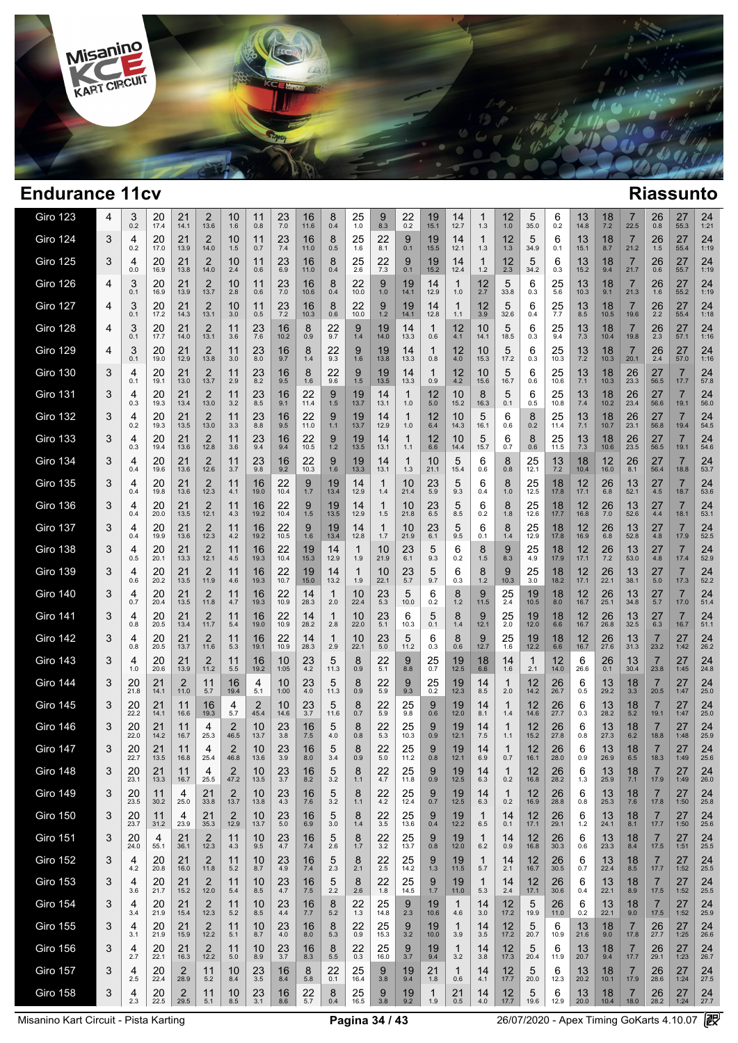

 $\sim$ 

| Giro 123        | 4 | 3<br>0.2   | 20<br>17.4 | 21<br>14.1           | 2<br>13.6              | 10<br>1.6              | 11<br>0.8     | 23<br>7.0     | 16<br>11.6 | 8<br>0.4   | 25<br>1.0  | 9<br>8.3   | 22<br>0.2  | 19<br>15.1          | 14<br>12.7            | 1<br>1.3            | 12<br>1.0       | 5<br>35.0           | 6<br>0.2   | 13<br>14.8 | 18<br>7.2        | 7<br>22.5              | 26<br>0.8              | 27<br>55.3             | 24<br>1:21 |
|-----------------|---|------------|------------|----------------------|------------------------|------------------------|---------------|---------------|------------|------------|------------|------------|------------|---------------------|-----------------------|---------------------|-----------------|---------------------|------------|------------|------------------|------------------------|------------------------|------------------------|------------|
| <b>Giro 124</b> | 3 | 4<br>0.2   | 20<br>17.0 | 21<br>13.9           | 2<br>14.0              | 10<br>1.5              | 11<br>0.7     | 23<br>7.4     | 16<br>11.0 | 8<br>0.5   | 25<br>1.6  | 22<br>8.1  | 9<br>0.1   | 19<br>15.5          | 14<br>12.1            | 1<br>1.3            | 12<br>1.3       | 5<br>34.9           | 6<br>0.1   | 13<br>15.1 | 18<br>8.7        | 7<br>21.2              | 26<br>1.5              | 27<br>55.4             | 24<br>1:19 |
| <b>Giro 125</b> | 3 | 4<br>0.0   | 20<br>16.9 | 21<br>13.8           | 2<br>14.0              | 10<br>2.4              | 11<br>0.6     | 23<br>6.9     | 16<br>11.0 | 8<br>0.4   | 25<br>2.6  | 22<br>7.3  | 9<br>0.1   | 19<br>15.2          | 14<br>12.4            | 1<br>$1.2$          | 12<br>2.3       | 5<br>34.2           | 6<br>0.3   | 13<br>15.2 | 18<br>9.4        | $\overline{7}$<br>21.7 | 26<br>0.6              | 27<br>55.7             | 24<br>1:19 |
| <b>Giro 126</b> | 4 | 3<br>0.1   | 20<br>16.9 | 21<br>13.9           | 2<br>13.7              | 10<br>2.8              | 11<br>0.6     | 23<br>7.0     | 16<br>10.6 | 8<br>0.4   | 22<br>10.0 | 9<br>1.0   | 19<br>14.1 | 14<br>12.9          | $\mathbf{1}$<br>1.0   | 12<br>2.7           | 5<br>33.8       | 6<br>0.3            | 25<br>5.6  | 13<br>10.3 | 18<br>9.1        | 7<br>21.3              | 26<br>1.6              | 27<br>55.2             | 24<br>1:19 |
| <b>Giro 127</b> | 4 | 3<br>0.1   | 20<br>17.2 | 21<br>14.3           | 2<br>13.1              | 10<br>3.0              | 11<br>0.5     | 23<br>7.2     | 16<br>10.3 | 8<br>0.6   | 22<br>10.0 | 9<br>1.2   | 19<br>14.1 | 14<br>12.8          | -1<br>1.1             | 12<br>3.9           | 5<br>32.6       | 6<br>0.4            | 25<br>7.7  | 13<br>8.5  | 18<br>10.5       | 7<br>19.6              | 26<br>$2.\overline{2}$ | 27<br>55.4             | 24<br>1:18 |
| <b>Giro 128</b> | 4 | 3<br>0.1   | 20<br>17.7 | 21<br>14.0           | 2<br>13.1              | 11<br>3.6              | $^{23}_{7.6}$ | 16<br>10.2    | 8<br>0.9   | 22<br>9.7  | 9<br>1.4   | 19<br>14.0 | 14<br>13.3 | 1<br>0.6            | 12<br>4.1             | 10<br>14.1          | 5<br>18.5       | 6<br>0.3            | 25<br>9.4  | 13<br>7.3  | 18<br>10.4       | 7<br>19.8              | 26<br>2.3              | 27<br>57.1             | 24<br>1:16 |
| <b>Giro 129</b> | 4 | 3<br>0.1   | 20<br>19.0 | 21<br>12.9           | 2<br>13.8              | 11<br>3.0              | 23<br>8.0     | 16<br>9.7     | 8<br>1.4   | 22<br>9.3  | 9<br>1.6   | 19<br>13.8 | 14<br>13.3 | 1<br>0.8            | 12<br>4.0             | 10<br>15.3          | 5<br>17.2       | 6<br>0.3            | 25<br>10.3 | 13<br>7.2  | 18<br>10.3       | 7<br>20.1              | 26<br>2.4              | 27<br>57.0             | 24<br>1:16 |
| <b>Giro 130</b> | 3 | 4<br>0.1   | 20<br>19.1 | 21<br>13.0           | 2<br>13.7              | 11<br>2.9              | 23<br>8.2     | 16<br>9.5     | 8<br>1.6   | 22<br>9.6  | 9<br>1.5   | 19<br>13.5 | 14<br>13.3 | 1<br>0.9            | 12<br>4.2             | 10<br>15.6          | 5<br>16.7       | 6<br>0.6            | 25<br>10.6 | 13<br>7.1  | 18<br>10.3       | 26<br>23.3             | 27<br>56.5             | 7<br>17.7              | 24<br>57.8 |
| <b>Giro 131</b> | 3 | 4<br>0.3   | 20<br>19.3 | 21<br>13.4           | 2<br>13.0              | 11<br>3.2              | 23<br>8.5     | 16<br>9.1     | 22<br>11.4 | 9<br>1.5   | 19<br>13.7 | 14<br>13.1 | 1<br>1.0   | 12<br>$5.0\,$       | 10<br>15.2            | 8<br>16.3           | 5<br>0.1        | 6<br>0.5            | 25<br>10.8 | 13<br>7.4  | 18<br>10.2       | 26<br>23.4             | 27<br>56.6             | 19.1                   | 24<br>56.0 |
| <b>Giro 132</b> | 3 | 4<br>0.2   | 20<br>19.3 | 21<br>13.5           | 2<br>13.0              | 11<br>3.3              | 23<br>8.8     | 16<br>9.5     | 22<br>11.0 | 9<br>$1.1$ | 19<br>13.7 | 14<br>12.9 | 1<br>1.0   | 12<br>6.4           | 10<br>14.3            | 5<br>16.1           | 6<br>0.6        | 8<br>0.2            | 25<br>11.4 | 13<br>7.1  | 18<br>10.7       | 26<br>23.1             | 27<br>56.8             | 19.4                   | 24<br>54.5 |
| <b>Giro 133</b> | 3 | 4<br>0.3   | 20<br>19.4 | 21<br>13.6           | 2<br>12.8              | 11<br>3.6              | 23<br>9.4     | 16<br>9.4     | 22<br>10.5 | 9<br>$1.2$ | 19<br>13.5 | 14<br>13.1 | 1<br>1.1   | 12<br>6.6           | 10<br>14.4            | 5<br>15.7           | 6<br>0.7        | 8<br>0.6            | 25<br>11.5 | 13<br>7.3  | 18<br>10.6       | 26<br>23.5             | 27<br>56.5             | $\overline{7}$<br>19.1 | 24<br>54.6 |
| <b>Giro 134</b> | 3 | 4<br>0.4   | 20<br>19.6 | 21<br>13.6           | 2<br>12.6              | 11<br>3.7              | 23<br>9.8     | 16<br>9.2     | 22<br>10.3 | 9<br>1.6   | 19<br>13.3 | 14<br>13.1 | 1<br>1.3   | 10<br>21.1          | 5<br>15.4             | 6<br>0.6            | 8<br>0.8        | 25<br>12.1          | 13<br>7.2  | 18<br>10.4 | 12<br>16.0       | 26<br>8.1              | 27<br>56.4             | 18.8                   | 24<br>53.7 |
| <b>Giro 135</b> | 3 | 4<br>0.4   | 20<br>19.8 | 21<br>13.6           | $\overline{2}$<br>12.3 | 11<br>4.1              | 16<br>19.0    | 22<br>10.4    | 9<br>1.7   | 19<br>13.4 | 14<br>12.9 | 1<br>1.4   | 10<br>21.4 | 23<br>5.9           | 5<br>9.3              | 6<br>0.4            | 8<br>1.0        | 25<br>12.5          | 18<br>17.8 | 12<br>17.1 | 26<br>6.8        | 13<br>52.1             | 27<br>4.5              | 18.7                   | 24<br>53.6 |
| <b>Giro 136</b> | 3 | 4<br>0.4   | 20<br>20.0 | 21<br>13.5           | 2<br>12.1              | 11<br>4.3              | 16<br>19.2    | 22<br>10.4    | 9<br>1.5   | 19<br>13.5 | 14<br>12.9 | 1<br>1.5   | 10<br>21.8 | 23<br>6.5           | 5<br>8.5              | 6<br>0.2            | 8<br>1.8        | 25<br>12.6          | 18<br>17.7 | 12<br>16.8 | 26<br>7.0        | 13<br>52.6             | 27<br>4.4              | $\overline{7}$<br>18.1 | 24<br>53.1 |
| <b>Giro 137</b> | 3 | 4<br>0.4   | 20<br>19.9 | 21<br>13.6           | $\frac{2}{12.3}$       | 11<br>4.2              | 16<br>19.2    | $22$<br>10.5  | 9<br>1.6   | 19<br>13.4 | 14<br>12.8 | 1<br>1.7   | 10<br>21.9 | 23<br>6.1           | 5<br>9.5              | 6<br>0.1            | 8<br>1.4        | 25<br>12.9          | 18<br>17.8 | 12<br>16.9 | 26<br>6.8        | 13<br>52.8             | 27<br>4.8              | 7<br>17.9              | 24<br>52.5 |
| <b>Giro 138</b> | 3 | 4<br>0.5   | 20<br>20.1 | $21$ <sub>13.3</sub> | $\frac{2}{12.1}$       | 11<br>4.5              | 16<br>19.3    | 22<br>10.4    | 19<br>15.3 | 14<br>12.9 | 1<br>1.9   | 10<br>21.9 | 23<br>6.1  | 5<br>9.3            | 6<br>0.2              | 8<br>1.5            | 9<br>8.3        | 25<br>4.9           | 18<br>17.9 | 12<br>17.1 | $\frac{26}{7.2}$ | 13<br>53.0             | 27<br>4.8              | $\overline{7}$<br>17.4 | 24<br>52.9 |
| <b>Giro 139</b> | 3 | 4<br>0.6   | 20<br>20.2 | $21$ <sub>13.5</sub> | 2<br>11.9              | 11<br>4.6              | 16<br>19.3    | 22<br>10.7    | 19<br>15.0 | 14<br>13.2 | 1<br>1.9   | 10<br>22.1 | 23<br>5.7  | 5<br>9.7            | 6<br>0.3              | 8<br>1.2            | 9<br>10.3       | 25<br>3.0           | 18<br>18.2 | 12<br>17.1 | 26<br>22.1       | 13<br>38.1             | 27<br>5.0              | $\overline{7}$<br>17.3 | 24<br>52.2 |
| <b>Giro 140</b> | 3 | 4<br>0.7   | 20<br>20.4 | 21<br>13.5           | 2<br>11.8              | 11<br>4.7              | 16<br>19.3    | 22<br>10.9    | 14<br>28.3 | 1<br>2.0   | 10<br>22.4 | 23<br>5.3  | 5<br>10.0  | 6<br>0.2            | 8<br>1.2              | 9<br>11.5           | 25<br>2.4       | 19<br>10.5          | 18<br>8.0  | 12<br>16.7 | 26<br>25.1       | 13<br>34.8             | 27<br>5.7              | $\overline{7}$<br>17.0 | 24<br>51.4 |
| <b>Giro 141</b> | 3 | 4<br>0.8   | 20<br>20.5 | 21<br>13.4           | 2<br>11.7              | 11<br>5.4              | 16<br>19.0    | 22<br>10.9    | 14<br>28.2 | 1<br>2.8   | 10<br>22.0 | 23<br>5.1  | 6<br>10.3  | 5<br>0.1            | 8<br>1.4              | 9<br>12.1           | 25<br>2.0       | 19<br>12.0          | 18<br>6.6  | 12<br>16.7 | 26<br>26.8       | 13<br>32.5             | 27<br>6.3              | 7<br>16.7              | 24<br>51.1 |
| <b>Giro 142</b> | 3 | 4<br>0.8   | 20<br>20.5 | 21<br>13.7           | 2<br>11.6              | 11<br>5.3              | 16<br>19.1    | 22<br>10.9    | 14<br>28.3 | 1<br>2.9   | 10<br>22.1 | 23<br>5.0  | 5<br>11.2  | 6<br>0.3            | 8<br>0.6              | 9<br>12.7           | 25<br>1.6       | 19<br>12.2          | 18<br>6.6  | 12<br>16.7 | 26<br>27.6       | 13<br>31.3             | 23.2                   | 27<br>1:42             | 24<br>26.2 |
| <b>Giro 143</b> | 3 | 4<br>1.0   | 20<br>20.6 | 21<br>13.9           | 2<br>11.2              | 11<br>5.5              | 16<br>19.2    | 10<br>1:05    | 23<br>4.2  | 5<br>11.3  | 8<br>0.9   | 22<br>5.1  | 9<br>8.8   | 25<br>0.7           | 19<br>12.5            | 18<br>6.6           | 14<br>1.6       | $\mathbf{1}$<br>2.1 | 12<br>14.0 | 6<br>26.6  | 26<br>0.1        | 13<br>30.4             | 7<br>23.8              | 27<br>1:45             | 24<br>24.8 |
| <b>Giro 144</b> | 3 | 20<br>21.8 | 21<br>14.1 | 2<br>11.0            | 11<br>5.7              | 16<br>19.4             | 4<br>5.1      | 10<br>1:00    | 23<br>4.0  | 5<br>11.3  | 8<br>0.9   | 22<br>5.9  | 9<br>9.3   | 25<br>0.2           | 19<br>12.3            | 14<br>8.5           | 1<br>2.0        | 12<br>14.2          | 26<br>26.7 | 6<br>0.5   | 13<br>29.2       | 18<br>3.3              | 7<br>20.5              | 27<br>1:47             | 24<br>25.0 |
| <b>Giro 145</b> | 3 | 20<br>22.2 | 21<br>14.1 | 11<br>16.6           | 16<br>19.3             | 4<br>5.7               | 2<br>45.4     | 10<br>14.6    | 23<br>3.7  | 5<br>11.6  | 8<br>0.7   | 22<br>5.9  | 25<br>9.8  | 9<br>0.6            | 19<br>12.0            | 14<br>8.1           | 1<br>1.4        | 12<br>14.6          | 26<br>27.7 | 6<br>0.3   | 13<br>28.2       | 18<br>5.2              | 7<br>19.1              | 27<br>1:47             | 24<br>25.0 |
| <b>Giro 146</b> | 3 | 20<br>22.0 | 21<br>14.2 | 11<br>16.7           | 4<br>25.3              | 2<br>46.5              | 10<br>13.7    | 23<br>3.8     | 16<br>7.5  | 5<br>4.0   | 8<br>0.8   | 22<br>5.3  | 25<br>10.3 | 9<br>0.9            | 19<br>12.1            | 14<br>7.5           | 1<br>1.1        | 12<br>15.2          | 26<br>27.8 | 6<br>0.8   | 13<br>27.3       | 18<br>6.2              | 18.8                   | 27<br>1:48             | 24<br>25.9 |
| <b>Giro 147</b> | 3 | 20<br>22.7 | 21<br>13.5 | 11<br>16.8           | 4<br>25.4              | 2<br>46.8              | 10<br>13.6    | 23<br>3.9     | 16<br>8.0  | 5<br>3.4   | 8<br>0.9   | 22<br>5.0  | 25<br>11.2 | 9<br>0.8            | 19<br>12.1            | 14<br>6.9           | 1<br>0.7        | 12<br>16.1          | 26<br>28.0 | 6<br>0.9   | 13<br>26.9       | 18<br>6.5              | 7<br>18.3              | 27<br>1:49             | 24<br>25.6 |
| Giro 148        | 3 | 20<br>23.1 | 21<br>13.3 | 11<br>16.7           | 25.5                   | 2<br>47.2              | 10<br>13.5    | 23<br>$3.7$   | 16<br>8.2  | 5<br>3.2   | 8<br>1.1   | 22<br>4.7  | 25<br>11.8 | 9<br>0.9            | 19<br>12.5            | 14<br>6.3           | 0.2             | 12<br>16.8          | 26<br>28.2 | 6<br>1.3   | 13<br>25.9       | 18<br>7.1              | 17.9                   | 27<br>1:49             | 24<br>26.0 |
| <b>Giro 149</b> | 3 | 20<br>23.5 | 11<br>30.2 | 4<br>25.0            | 21<br>33.8             | $\overline{2}$<br>13.7 | 10<br>13.8    | 23<br>4.3     | 16<br>7.6  | 5<br>3.2   | 8<br>1.1   | 22<br>4.2  | 25<br>12.4 | 9<br>0.7            | 19<br>12.5            | 14<br>6.3           | -1<br>0.2       | 12<br>16.9          | 26<br>28.8 | 6<br>0.8   | 13<br>25.3       | 18<br>7.6              | 7<br>17.8              | 27<br>1:50             | 24<br>25.8 |
| <b>Giro 150</b> | 3 | 20<br>23.7 | 11<br>31.2 | 4<br>23.9            | 21<br>35.3             | 2<br>12.9              | 10<br>13.7    | 23<br>5.0     | 16<br>6.9  | 5<br>3.0   | 8<br>$1.4$ | 22<br>3.5  | 25<br>13.6 | 9<br>0.4            | 19<br>12.2            | 1<br>6.5            | 14<br>0.1       | 12<br>17.1          | 26<br>29.1 | 6<br>$1.2$ | 13<br>24.1       | 18<br>8.1              | 7<br>17.7              | 27<br>1:50             | 24<br>25.6 |
| <b>Giro 151</b> | 3 | 20<br>24.0 | 4<br>55.1  | 21<br>36.1           | $\overline{2}$<br>12.3 | 11<br>4.3              | 10<br>9.5     | 23<br>4.7     | 16<br>7.4  | 5<br>2.6   | 8<br>1.7   | 22<br>3.2  | 25<br>13.7 | 9<br>0.8            | 19<br>12.0            | $\mathbf{1}$<br>6.2 | 14<br>0.9       | 12<br>16.8          | 26<br>30.3 | 6<br>0.6   | 13<br>23.3       | 18<br>8.4              | 7<br>17.5              | 27<br>1:51             | 24<br>25.5 |
| <b>Giro 152</b> | 3 | 4<br>4.2   | 20<br>20.8 | 21<br>16.0           | 2<br>11.8              | 11<br>5.2              | 10<br>8.7     | 23<br>4.9     | 16<br>7.4  | 5<br>2.3   | 8<br>2.1   | 22<br>2.5  | 25<br>14.2 | $\frac{9}{1.3}$     | 19<br>11.5            | 1<br>5.7            | 14<br>2.1       | 12<br>16.7          | 26<br>30.5 | 6<br>0.7   | 13<br>22.4       | 18<br>8.5              | 7<br>17.7              | 27<br>1:52             | 24<br>25.5 |
| <b>Giro 153</b> | 3 | 4<br>3.6   | 20<br>21.7 | 21<br>15.2           | $\overline{2}$<br>12.0 | 11<br>$5.4$            | 10<br>8.5     | 23<br>4.7     | 16<br>7.5  | 5<br>2.2   | 8<br>2.6   | 22<br>1.8  | 25<br>14.5 | 9<br>1.7            | 19<br>11.0            | $\mathbf{1}$<br>5.3 | 14<br>2.4       | 12<br>17.1          | 26<br>30.6 | 6<br>0.4   | 13<br>22.1       | 18<br>8.9              | $\overline{7}$<br>17.5 | 27<br>1:52             | 24<br>25.5 |
| <b>Giro 154</b> | 3 | 4<br>3.4   | 20<br>21.9 | 21<br>15.4           | 2<br>12.3              | 11<br>5.2              | 10<br>8.5     | 23<br>4.4     | 16<br>7.7  | 8<br>5.2   | 22<br>1.3  | 25<br>14.8 | 9<br>2.3   | 19<br>10.6          | $\overline{1}$<br>4.6 | 14<br>3.0           | $12 \,$<br>17.2 | 5<br>19.9           | 26<br>11.0 | 6<br>0.2   | 13<br>22.1       | 18<br>9.0              | 7<br>17.5              | 27<br>1:52             | 24<br>25.9 |
| <b>Giro 155</b> | 3 | 4<br>3.1   | 20<br>21.9 | 21<br>15.9           | 2<br>12.2              | 11<br>5.1              | 10<br>8.7     | 23<br>4.0     | 16<br>8.0  | 8<br>5.3   | 22<br>0.9  | 25<br>15.3 | 9<br>3.2   | 19<br>10.0          | $\mathbf{1}$<br>3.9   | 14<br>3.5           | 12<br>17.2      | 5<br>20.7           | 6<br>10.9  | 13<br>21.6 | 18<br>9.0        | $\overline{7}$<br>17.8 | 26<br>27.7             | 27<br>1:25             | 24<br>26.6 |
| <b>Giro 156</b> | 3 | 4<br>2.7   | 20<br>22.1 | 21<br>16.3           | 2<br>12.2              | 11<br>5.0              | 10<br>8.9     | $^{23}_{3.7}$ | 16<br>8.3  | 8<br>5.5   | 22<br>0.3  | 25<br>16.0 | 9<br>3.7   | 19<br>9.4           | $\mathbf{1}$<br>3.2   | 14<br>3.8           | $12 \,$<br>17.3 | 5<br>20.4           | 6<br>11.9  | 13<br>20.7 | 18<br>9.4        | 7<br>17.7              | 26<br>29.1             | 27<br>1:23             | 24<br>26.7 |
| <b>Giro 157</b> | 3 | 4<br>2.5   | 20<br>22.4 | 2<br>28.9            | 11<br>5.2              | 10<br>8.4              | 23<br>3.5     | 16<br>8.4     | 8<br>5.8   | 22<br>0.1  | 25<br>16.4 | 9<br>3.8   | 19<br>9.4  | 21<br>1.8           | $\mathbf{1}$<br>0.6   | 14<br>4.1           | 12<br>17.7      | 5<br>20.0           | 6<br>12.3  | 13<br>20.2 | 18<br>10.1       | $\overline{7}$<br>17.9 | 26<br>28.6             | 27<br>1:24             | 24<br>27.5 |
| <b>Giro 158</b> | 3 | 4<br>2.3   | 20<br>22.5 | 2<br>29.5            | 11<br>5.1              | 10<br>$8.5\,$          | 23<br>3.1     | 16<br>8.6     | 22<br>5.7  | 8<br>0.4   | 25<br>16.5 | 9<br>3.8   | 19<br>9.2  | $\mathbf{1}$<br>1.9 | 21<br>0.5             | 14<br>4.0           | 12<br>17.7      | 5<br>19.6           | 6<br>12.9  | 13<br>20.0 | 18<br>10.4       | $\overline{7}$<br>18.0 | 26<br>28.2             | 27<br>1:24             | 24<br>27.7 |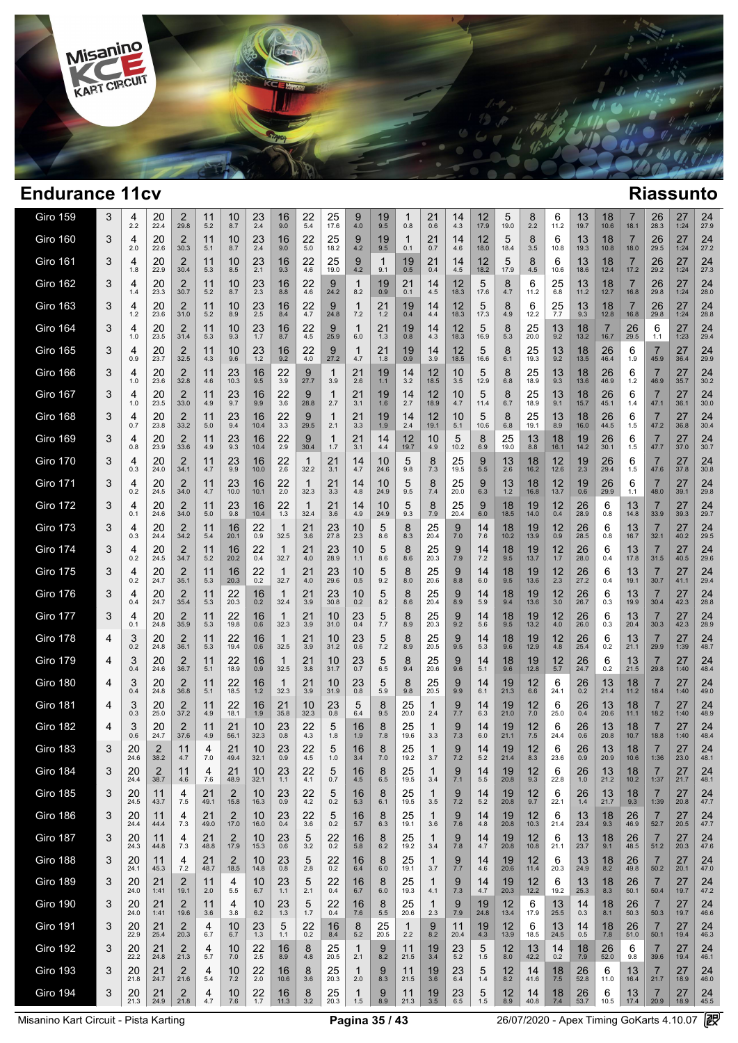

 $\overline{\phantom{a}}$ 

| Giro 159        | 3 | 4<br>2.2   | 20<br>22.4 | 2<br>29.8              | 11<br>5.2  | 10<br>8.7              | 23<br>2.4     | 16<br>9.0  | 22<br>5.4            | 25<br>17.6    | 9<br>4.0               | 19<br>9.5  | 0.8                 | 21<br>0.6           | 14<br>4.3      | 12<br>17.9             | 5<br>19.0      | 8<br>2.2   | 6<br>11.2      | 13<br>19.7 | 18<br>10.6 | 18.1       | 26<br>28.3             | 27<br>1:24 | 24<br>27.9 |
|-----------------|---|------------|------------|------------------------|------------|------------------------|---------------|------------|----------------------|---------------|------------------------|------------|---------------------|---------------------|----------------|------------------------|----------------|------------|----------------|------------|------------|------------|------------------------|------------|------------|
| <b>Giro 160</b> | 3 | 4<br>2.0   | 20<br>22.6 | 2<br>30.3              | 11<br>5.1  | 10<br>8.7              | 23<br>2.4     | 16<br>9.0  | 22<br>5.0            | 25<br>18.2    | 9<br>4.2               | 19<br>9.5  | 1<br>0.1            | 21<br>0.7           | 14<br>4.6      | 12<br>18.0             | 5<br>18.4      | 8<br>3.5   | 6<br>10.8      | 13<br>19.3 | 18<br>10.8 | 7<br>18.0  | 26<br>29.5             | 27<br>1:24 | 24<br>27.2 |
| <b>Giro 161</b> | 3 | 4<br>1.8   | 20<br>22.9 | 2<br>30.4              | 11<br>5.3  | 10<br>8.5              | 23<br>2.1     | 16<br>9.3  | 22<br>4.6            | 25<br>19.0    | 9<br>4.2               | 1<br>9.1   | 19<br>0.5           | 21<br>0.4           | 14<br>4.5      | 12<br>18.2             | 5<br>17.9      | 8<br>4.5   | 6<br>10.6      | 13<br>18.6 | 18<br>12.4 | 7<br>17.2  | 26<br>29.2             | 27<br>1:24 | 24<br>27.3 |
| <b>Giro 162</b> | 3 | 4<br>1.4   | 20<br>23.3 | 2<br>30.7              | 11<br>5.2  | 10<br>8.7              | 23<br>2.3     | 16<br>8.8  | 22<br>4.6            | 9<br>24.2     | $\mathbf{1}$<br>8.2    | 19<br>0.9  | 21<br>0.1           | 14<br>4.5           | 12<br>18.3     | 5<br>17.6              | 8<br>4.7       | 6<br>11.2  | 25<br>6.8      | 13<br>11.2 | 18<br>12.7 | 7<br>16.8  | 26<br>29.8             | 27<br>1:24 | 24<br>28.0 |
| <b>Giro 163</b> | 3 | 4<br>1.2   | 20<br>23.6 | 2<br>31.0              | 11<br>5.2  | 10<br>8.9              | $^{23}_{2.5}$ | 16<br>8.4  | 22<br>4.7            | 9<br>24.8     | 1<br>7.2               | 21<br>1.2  | 19<br>0.4           | 14<br>4.4           | 12<br>18.3     | 5<br>17.3              | 8<br>4.9       | 6<br>12.2  | 25<br>7.7      | 13<br>9.3  | 18<br>12.8 | 7<br>16.8  | 26<br>29.8             | 27<br>1:24 | 24<br>28.8 |
| <b>Giro 164</b> | 3 | 4<br>1.0   | 20<br>23.5 | $\overline{2}$<br>31.4 | 11<br>5.3  | 10<br>9.3              | 23<br>1.7     | 16<br>8.7  | 22<br>4.5            | 9<br>25.9     | $\mathbf{1}$<br>6.0    | 21<br>1.3  | 19<br>0.8           | 14<br>4.3           | 12<br>18.3     | 5<br>16.9              | 8<br>5.3       | 25<br>20.0 | 13<br>9.2      | 18<br>13.2 | 16.7       | 26<br>29.5 | 6<br>1.1               | 27<br>1:23 | 24<br>29.4 |
| <b>Giro 165</b> | 3 | 4<br>0.9   | 20<br>23.7 | 2<br>32.5              | 11<br>4.3  | 10<br>9.6              | 23<br>1.2     | 16<br>9.2  | 22<br>4.0            | 9<br>27.2     | 1<br>4.7               | 21<br>1.8  | 19<br>0.9           | 14<br>3.9           | 12<br>18.5     | 5<br>16.6              | 8<br>6.1       | 25<br>19.3 | 13<br>9.2      | 18<br>13.5 | 26<br>46.4 | 6<br>1.9   | 7<br>45.9              | 27<br>36.4 | 24<br>29.9 |
| <b>Giro 166</b> | 3 | 4<br>1.0   | 20<br>23.6 | 2<br>32.8              | 11<br>4.6  | 23<br>10.3             | 16<br>9.5     | 22<br>3.9  | 9<br>27.7            | 1<br>3.9      | 21<br>2.6              | 19<br>1.1  | 14<br>3.2           | 12<br>18.5          | 10<br>3.5      | 5<br>12.9              | 8<br>6.8       | 25<br>18.9 | 13<br>9.3      | 18<br>13.6 | 26<br>46.9 | 6<br>1.2   | 7<br>46.9              | 27<br>35.7 | 24<br>30.2 |
| <b>Giro 167</b> | 3 | 4<br>1.0   | 20<br>23.5 | $\overline{2}$<br>33.0 | 11<br>4.9  | 23<br>9.7              | 16<br>9.9     | 22<br>3.6  | 9<br>28.8            | 1<br>2.7      | 21<br>3.1              | 19<br>1.6  | 14<br>2.7           | 12<br>18.9          | 10<br>4.7      | 5<br>11.4              | 8<br>6.7       | 25<br>18.9 | 13<br>9.1      | 18<br>15.7 | 26<br>45.1 | 6<br>1.4   | 7<br>47.1              | 27<br>36.1 | 24<br>30.0 |
| <b>Giro 168</b> | 3 | 4<br>0.7   | 20<br>23.8 | 2<br>33.2              | 11<br>5.0  | 23<br>9.4              | 16<br>10.4    | 22<br>3.3  | 9<br>29.5            | 1<br>2.1      | 21<br>3.3              | 19<br>1.9  | 14<br>2.4           | 12<br>19.1          | 10<br>5.1      | 5<br>10.6              | 8<br>6.8       | 25<br>19.1 | 13<br>8.9      | 18<br>16.0 | 26<br>44.5 | 6<br>1.5   | 7<br>47.2              | 27<br>36.8 | 24<br>30.4 |
| <b>Giro 169</b> | 3 | 4<br>0.8   | 20<br>23.9 | $\overline{2}$<br>33.6 | 11<br>4.9  | 23<br>9.3              | 16<br>10.4    | 22<br>2.9  | 9<br>30.4            | 1<br>1.7      | 21<br>3.1              | 14<br>4.4  | 12<br>19.7          | 10<br>4.9           | 5<br>10.2      | 8<br>6.9               | 25<br>19.0     | 13<br>8.8  | 18<br>16.1     | 19<br>14.2 | 26<br>30.1 | 6<br>1.5   | 7<br>47.7              | 27<br>37.0 | 24<br>30.7 |
| <b>Giro 170</b> | 3 | 4<br>0.3   | 20<br>24.0 | $\overline{2}$<br>34.1 | 11<br>4.7  | 23<br>9.9              | 16<br>10.0    | 22<br>2.6  | 1<br>32.2            | 21<br>3.1     | 14<br>4.7              | 10<br>24.6 | 5<br>9.8            | 8<br>7.3            | 25<br>19.5     | 9<br>5.5               | 13<br>2.6      | 18<br>16.2 | 12<br>12.6     | 19<br>2.3  | 26<br>29.4 | 6<br>1.5   | 7<br>47.6              | 27<br>37.8 | 24<br>30.8 |
| <b>Giro 171</b> | 3 | 4<br>0.2   | 20<br>24.5 | $\overline{2}$<br>34.0 | 11<br>4.7  | 23<br>10.0             | 16<br>10.1    | 22<br>2.0  | 1<br>32.3            | 21<br>3.3     | 14<br>4.8              | 10<br>24.9 | 5<br>9.5            | 8<br>7.4            | 25<br>20.0     | 9<br>6.3               | 13<br>$1.2$    | 18<br>16.8 | 12<br>13.7     | 19<br>0.6  | 26<br>29.9 | 6<br>1.1   | 7<br>48.0              | 27<br>39.1 | 24<br>29.8 |
| <b>Giro 172</b> | 3 | 4<br>0.1   | 20<br>24.6 | 2<br>34.0              | 11<br>5.0  | 23<br>9.8              | 16<br>10.4    | 22<br>1.3  | $\mathbf{1}$<br>32.4 | 21<br>3.6     | 14<br>4.9              | 10<br>24.9 | 5<br>9.3            | 8<br>7.9            | 25<br>20.4     | 9<br>6.0               | 18<br>18.5     | 19<br>14.0 | 12<br>0.4      | 26<br>28.9 | 6<br>0.8   | 13<br>14.8 | 7<br>33.9              | 27<br>39.3 | 24<br>29.7 |
| <b>Giro 173</b> | 3 | 4<br>0.3   | 20<br>24.4 | 2<br>34.2              | 11<br>5.4  | 16<br>20.1             | 22<br>0.9     | 32.5       | 21<br>3.6            | 23<br>27.8    | 10<br>2.3              | 5<br>8.6   | 8<br>8.3            | 25<br>20.4          | 9<br>7.0       | 14<br>7.6              | 18<br>10.2     | 19<br>13.9 | 12<br>0.9      | 26<br>28.5 | 6<br>0.8   | 13<br>16.7 | 7<br>32.1              | 27<br>40.2 | 24<br>29.5 |
| <b>Giro 174</b> | 3 | 4<br>0.2   | 20<br>24.5 | $\frac{2}{34.7}$       | 11<br>5.2  | 16<br>20.2             | 22<br>0.4     | 32.7       | 21<br>4.0            | 23<br>28.9    | 10<br>1.1              | 5<br>8.6   | 8<br>8.6            | 25<br>20.3          | 9<br>7.9       | 14<br>7.2              | 18<br>9.5      | 19<br>13.7 | $12 \atop 1.7$ | 26<br>28.0 | 6<br>0.4   | 13<br>17.8 | 7<br>31.5              | 27<br>40.5 | 24<br>29.6 |
| <b>Giro 175</b> | 3 | 4<br>0.2   | 20<br>24.7 | 2<br>35.1              | 11<br>5.3  | 16<br>20.3             | 22<br>0.2     | 32.7       | 21<br>4.0            | 23<br>29.6    | 10<br>0.5              | 5<br>9.2   | 8<br>8.0            | 25<br>20.6          | 9<br>8.8       | 14<br>6.0              | 18<br>9.5      | 19<br>13.6 | 12<br>2.3      | 26<br>27.2 | 6<br>0.4   | 13<br>19.1 | 7<br>30.7              | 27<br>41.1 | 24<br>29.4 |
| <b>Giro 176</b> | 3 | 4<br>0.4   | 20<br>24.7 | 2<br>35.4              | 11<br>5.3  | 22<br>20.3             | 16<br>0.2     | -1<br>32.4 | 21<br>3.9            | 23<br>30.8    | 10<br>0.2              | 5<br>8.2   | 8<br>8.6            | 25<br>20.4          | 9<br>8.9       | 14<br>5.9              | 18<br>9.4      | 19<br>13.6 | 12<br>3.0      | 26<br>26.7 | 6<br>0.3   | 13<br>19.9 | 7<br>30.4              | 27<br>42.3 | 24<br>28.8 |
| <b>Giro 177</b> | 3 | 4<br>0.1   | 20<br>24.8 | 2<br>35.9              | 11<br>5.3  | 22<br>19.8             | 16<br>0.6     | 1<br>32.3  | 21<br>3.9            | 10<br>31.0    | 23<br>0.4              | 5<br>7.7   | 8<br>8.9            | 25<br>20.3          | 9<br>9.2       | 14<br>5.6              | 18<br>9.5      | 19<br>13.2 | 12<br>4.0      | 26<br>26.0 | 6<br>0.3   | 13<br>20.4 | 7<br>30.3              | 27<br>42.3 | 24<br>28.9 |
| <b>Giro 178</b> | 4 | 3<br>0.2   | 20<br>24.8 | 2<br>36.1              | 11<br>5.3  | 22<br>19.4             | 16<br>0.6     | -1<br>32.5 | 21<br>3.9            | 10<br>31.2    | 23<br>$0.\overline{6}$ | 5<br>7.2   | 8<br>8.9            | 25<br>20.5          | 9<br>9.5       | 14<br>5.3              | 18<br>9.6      | 19<br>12.9 | 12<br>4.8      | 26<br>25.4 | 6<br>0.2   | 13<br>21.1 | 7<br>29.9              | 27<br>1:39 | 24<br>48.7 |
| <b>Giro 179</b> | 4 | 3<br>0.4   | 20<br>24.6 | 2<br>36.7              | 11<br>5.1  | 22<br>18.9             | 16<br>0.9     | 1<br>32.5  | 21<br>3.8            | 10<br>31.7    | 23<br>0.7              | 5<br>6.5   | 8<br>9.4            | 25<br>20.6          | 9<br>9.6       | 14<br>5.1              | 18<br>9.6      | 19<br>12.8 | 12<br>5.7      | 26<br>24.7 | 6<br>0.2   | 13<br>21.5 | 7<br>29.8              | 27<br>1:40 | 24<br>48.4 |
| <b>Giro 180</b> | 4 | 3<br>0.4   | 20<br>24.8 | 2<br>36.8              | 11<br>5.1  | 22<br>18.5             | 16<br>1.2     | -1<br>32.3 | 21<br>3.9            | 10<br>31.9    | 23<br>0.8              | 5<br>5.9   | 8<br>9.8            | 25<br>20.5          | 9<br>9.9       | 14<br>6.1              | 19<br>21.3     | 12<br>6.6  | 6<br>24.1      | 26<br>0.2  | 13<br>21.4 | 18<br>11.2 | 7<br>18.4              | 27<br>1:40 | 24<br>49.0 |
| <b>Giro 181</b> | 4 | 3<br>0.3   | 20<br>25.0 | 2<br>37.2              | 11<br>4.9  | 22<br>18.1             | 16<br>1.9     | 21<br>35.8 | 10<br>32.3           | 23<br>0.8     | 5<br>6.4               | 8<br>9.5   | 25<br>20.0          | 1<br>2.4            | 9<br>7.7       | 14<br>6.3              | 19<br>21.0     | 12<br>7.0  | 6<br>25.0      | 26<br>0.4  | 13<br>20.6 | 18<br>11.1 | 7<br>18.2              | 27<br>1:40 | 24<br>48.9 |
| <b>Giro 182</b> | 4 | 3<br>0.6   | 20<br>24.7 | 2<br>37.6              | 11<br>4.9  | 21<br>56.1             | 10<br>32.3    | 23<br>0.8  | 22<br>4.3            | 5<br>1.8      | 16<br>1.9              | 8<br>7.8   | 25<br>19.6          | 1<br>3.3            | 9<br>7.3       | 14<br>6.0              | 19<br>21.1     | 12<br>7.5  | 6<br>24.4      | 26<br>0.6  | 13<br>20.8 | 18<br>10.7 | 7<br>18.8              | 27<br>1:40 | 24<br>48.4 |
| <b>Giro 183</b> | 3 | 20<br>24.6 | 2<br>38.2  | 11<br>4.7              | 4<br>7.0   | 21<br>49.4             | 10<br>32.1    | 23<br>0.9  | 22<br>4.5            | 5<br>1.0      | 16<br>3.4              | 8<br>7.0   | 25<br>19.2          | 1<br>3.7            | 9<br>7.2       | 14<br>5.2              | 19<br>21.4     | 12<br>8.3  | 6<br>23.6      | 26<br>0.9  | 13<br>20.9 | 18<br>10.6 | 7<br>1:36              | 27<br>23.0 | 24<br>48.1 |
| Giro 184        | 3 | 20<br>24.4 | 2<br>38.7  | 11<br>4.6              | 7.6        | 21<br>48.9             | 10<br>32.1    | 23<br>1.1  | 22<br>4.1            | 5<br>0.7      | 16<br>4.5              | 8<br>6.5   | 25<br>19.5          | 3.4                 | 9<br>7.1       | 14<br>$5.5\,$          | 19<br>20.8     | 12<br>9.3  | 6<br>22.8      | 26<br>1.0  | 13<br>21.2 | 18<br>10.2 | 1:37                   | 27<br>21.7 | 24<br>48.1 |
| <b>Giro 185</b> | 3 | 20<br>24.5 | 11<br>43.7 | 4<br>7.5               | 21<br>49.1 | $\overline{2}$<br>15.8 | 10<br>16.3    | 23<br>0.9  | 22<br>4.2            | 5<br>0.2      | 16<br>5.3              | 8<br>6.1   | 25<br>19.5          | -1<br>3.5           | 9<br>7.2       | 14<br>5.2              | 19<br>20.8     | 12<br>9.7  | 6<br>22.1      | 26<br>1.4  | 13<br>21.7 | 18<br>9.3  | 7<br>1:39              | 27<br>20.8 | 24<br>47.7 |
| <b>Giro 186</b> | 3 | 20<br>24.4 | 11<br>44.4 | 4<br>7.3               | 21<br>49.0 | 2<br>17.0              | 10<br>16.0    | 23<br>0.4  | 22<br>3.6            | 5<br>0.2      | 16<br>5.7              | 8<br>6.3   | 25<br>19.1          | -1<br>3.6           | 9<br>7.6       | 14<br>4.8              | 19<br>20.8     | 12<br>10.3 | 6<br>21.4      | 13<br>23.4 | 18<br>9.3  | 26<br>46.9 | 7<br>52.7              | 27<br>20.5 | 24<br>47.7 |
| <b>Giro 187</b> | 3 | 20<br>24.3 | 11<br>44.8 | 4<br>7.3               | 21<br>48.8 | $\overline{2}$<br>17.9 | 10<br>15.3    | 23<br>0.6  | 5<br>3.2             | 22<br>0.2     | 16<br>5.8              | 8<br>6.2   | 25<br>19.2          | $\mathbf{1}$<br>3.4 | 9<br>7.8       | 14<br>4.7              | 19<br>20.8     | 12<br>10.8 | 6<br>21.1      | 13<br>23.7 | 18<br>9.1  | 26<br>48.5 | 7<br>51.2              | 27<br>20.3 | 24<br>47.6 |
| Giro 188        | 3 | 20<br>24.1 | 11<br>45.3 | 4<br>7.2               | 21<br>48.7 | 2<br>18.5              | 10<br>14.8    | 23<br>0.8  | 5<br>2.8             | 22<br>0.2     | 16<br>6.4              | 8<br>6.0   | 25<br>19.1          | -1<br>3.7           | 9<br>7.7       | 14<br>4.6              | 19<br>20.6     | 12<br>11.4 | 6<br>20.3      | 13<br>24.9 | 18<br>8.2  | 26<br>49.8 | 7<br>50.2              | 27<br>20.1 | 24<br>47.0 |
| <b>Giro 189</b> | 3 | 20<br>24.0 | 21<br>1:41 | 2<br>19.1              | 11<br>2.0  | 4<br>5.5               | 10<br>6.7     | 23<br>1.1  | 5<br>2.1             | 22<br>0.4     | 16<br>6.7              | 8<br>6.0   | 25<br>19.3          | $\mathbf{1}$<br>4.1 | 9<br>7.3       | 14<br>4.7              | 19<br>20.3     | 12<br>12.2 | 6<br>19.2      | 13<br>25.3 | 18<br>8.3  | 26<br>50.1 | 7<br>50.4              | 27<br>19.7 | 24<br>47.2 |
| <b>Giro 190</b> | 3 | 20<br>24.0 | 21<br>1:41 | 2<br>19.6              | 11<br>3.6  | 4<br>3.8               | 10<br>6.2     | 23<br>1.3  | 5<br>1.7             | 22<br>0.4     | 16<br>7.6              | 8<br>5.5   | 25<br>20.6          | -1<br>2.3           | 9<br>7.9       | 19<br>24.8             | 12<br>13.4     | 6<br>17.9  | 13<br>25.5     | 14<br>0.3  | 18<br>8.1  | 26<br>50.3 | 7<br>50.3              | 27<br>19.7 | 24<br>46.6 |
| <b>Giro 191</b> | 3 | 20<br>22.9 | 21<br>25.4 | 2<br>20.3              | 4<br>6.7   | 10<br>6.7              | $^{23}_{1.3}$ | 5<br>1.1   | 22<br>0.2            | 16<br>$8.4\,$ | 8<br>$5.2\,$           | 25<br>20.5 | $\mathbf{1}$<br>2.2 | 9<br>8.2            | 11<br>20.4     | 19<br>$4.\overline{3}$ | 12<br>13.9     | 6<br>18.5  | 13<br>24.5     | 14<br>0.5  | 18<br>7.8  | 26<br>51.0 | 7<br>50.1              | 27<br>19.4 | 24<br>46.3 |
| <b>Giro 192</b> | 3 | 20<br>22.2 | 21<br>24.8 | 2<br>21.3              | 4<br>5.7   | 10<br>7.0              | 22<br>2.5     | 16<br>8.9  | 8<br>4.8             | 25<br>20.5    | $\mathbf{1}$<br>2.1    | 9<br>8.2   | 11<br>21.5          | 19<br>3.4           | $23 \atop 5.2$ | 5<br>1.5               | $12 \,$<br>8.0 | 13<br>42.2 | 14<br>0.2      | 18<br>7.9  | 26<br>52.0 | 6<br>9.8   | 7<br>39.6              | 27<br>19.4 | 24<br>46.1 |
| <b>Giro 193</b> | 3 | 20<br>21.8 | 21<br>24.7 | 2<br>21.6              | 4<br>$5.4$ | 10<br>7.2              | 22<br>2.0     | 16<br>10.6 | 8<br>3.6             | 25<br>20.3    | $\mathbf{1}$<br>2.0    | 9<br>8.3   | 11<br>21.5          | 19<br>3.6           | 23<br>6.4      | 5<br>1.4               | 12<br>8.2      | 14<br>41.6 | 18<br>7.5      | 26<br>52.8 | 6<br>11.0  | 13<br>16.4 | $\overline{7}$<br>21.7 | 27<br>18.9 | 24<br>46.0 |
| <b>Giro 194</b> | 3 | 20<br>21.3 | 21<br>24.9 | $\overline{2}$<br>21.8 | 4<br>4.7   | 10<br>7.6              | 22<br>1.7     | 16<br>11.3 | 8<br>3.2             | 25<br>20.3    | $\mathbf{1}$<br>1.5    | 9<br>8.9   | 11<br>21.3          | 19<br>3.5           | 23<br>6.5      | 5<br>1.5               | 12<br>8.9      | 14<br>40.8 | 18<br>7.4      | 26<br>53.7 | 6<br>10.5  | 13<br>17.4 | 7<br>20.9              | 27<br>18.9 | 24<br>45.5 |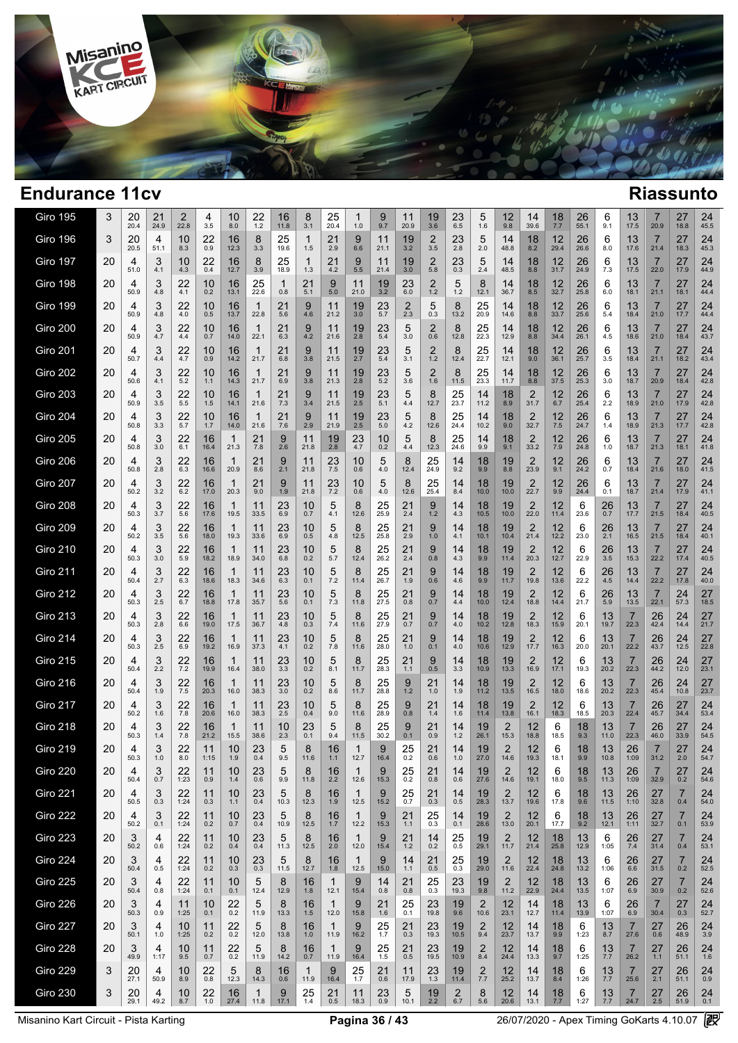

| Giro 195        | 3  | 20<br>20.4 | 21<br>24.9 | 2<br>22.8     | 4<br>3.5   | 10<br>8.0            | 22<br>1.2            | 16<br>11.8 | 8<br>3.1             | 25<br>20.4           | 1.0                  | 9<br>9.7            | 11<br>20.9 | 19<br>3.6            | 23<br>6.5     | 5<br>1.6                | 12<br>9.8                 | 14<br>39.6             | 18<br>7.7  | 26<br>55.1 | 6<br>9.1         | 13<br>17.5             | 20.9                   | 27<br>18.8            | 24<br>45.5 |  |
|-----------------|----|------------|------------|---------------|------------|----------------------|----------------------|------------|----------------------|----------------------|----------------------|---------------------|------------|----------------------|---------------|-------------------------|---------------------------|------------------------|------------|------------|------------------|------------------------|------------------------|-----------------------|------------|--|
| <b>Giro 196</b> | 3  | 20<br>20.5 | 4<br>51.1  | 10<br>8.3     | 22<br>0.9  | 16<br>12.3           | 8<br>3.3             | 25<br>19.6 | $\mathbf{1}$<br>1.5  | 21<br>2.9            | 9<br>6.6             | 11<br>21.1          | 19<br>3.2  | 2<br>3.5             | 23<br>2.8     | 5<br>2.0                | 14<br>48.8                | 18<br>8.2              | 12<br>29.4 | 26<br>26.6 | 6<br>8.0         | 13<br>17.6             | $\overline{7}$<br>21.4 | 27<br>18.3            | 24<br>45.3 |  |
| <b>Giro 197</b> | 20 | 4<br>51.0  | 3<br>4.1   | 10<br>4.3     | 22<br>0.4  | 16<br>12.7           | 8<br>3.9             | 25<br>18.9 | 1<br>1.3             | 21<br>4.2            | 9<br>5.5             | 11<br>21.4          | 19<br>3.0  | 2<br>5.8             | 23<br>0.3     | 5<br>2.4                | 14<br>48.5                | 18<br>8.8              | 12<br>31.7 | 26<br>24.9 | 6<br>7.3         | 13<br>17.5             | $\overline{7}$<br>22.0 | 27<br>17.9            | 24<br>44.9 |  |
| <b>Giro 198</b> | 20 | 4<br>50.9  | 3<br>4.8   | 22<br>4.1     | 10<br>0.2  | 16<br>13.1           | 25<br>22.6           | -1<br>0.8  | 21<br>5.1            | 9<br>5.0             | 11<br>21.0           | 19<br>3.2           | 23<br>6.0  | 2<br>$1.2$           | 5<br>1.2      | 8<br>12.1               | 14<br>36.7                | 18<br>8.5              | 12<br>32.7 | 26<br>25.8 | 6<br>6.0         | 13<br>18.1             | $\overline{7}$<br>21.1 | 27<br>18.1            | 24<br>44.4 |  |
| <b>Giro 199</b> | 20 | 4<br>50.9  | 3<br>4.8   | 22<br>4.0     | 10<br>0.5  | 16<br>13.7           | 1<br>22.8            | 21<br>5.6  | 9<br>4.6             | 11<br>21.2           | 19<br>3.0            | 23<br>5.7           | 2<br>2.3   | 5<br>0.3             | 8<br>13.2     | 25<br>20.9              | 14<br>14.6                | 18<br>8.8              | 12<br>33.7 | 26<br>25.6 | 6<br>5.4         | 13<br>18.4             | 7<br>21.0              | 27<br>17.7            | 24<br>44.4 |  |
| <b>Giro 200</b> | 20 | 4<br>50.9  | 3<br>4.7   | 22<br>4.4     | 10<br>0.7  | 16<br>14.0           | -1<br>22.1           | 21<br>6.3  | 9<br>4.2             | 11<br>21.6           | 19<br>2.8            | 23<br>5.4           | 5<br>3.0   | 2<br>0.6             | 8<br>12.8     | 25<br>22.3              | 14<br>12.9                | 18<br>8.8              | 12<br>34.4 | 26<br>26.1 | 6<br>4.5         | 13<br>18.6             | 7<br>21.0              | 27<br>18.4            | 24<br>43.7 |  |
| <b>Giro 201</b> | 20 | 4<br>50.7  | 3<br>4.4   | 22<br>4.7     | 10<br>0.9  | 16<br>14.2           | 1<br>21.7            | 21<br>6.8  | 9<br>3.8             | 11<br>21.5           | 19<br>2.7            | 23<br>5.4           | 5<br>3.1   | 2<br>1.2             | 8<br>12.4     | 25<br>22.7              | 14<br>12.1                | 18<br>9.0              | 12<br>36.1 | 26<br>25.7 | 6<br>3.5         | 13<br>18.4             | $\overline{7}$<br>21.1 | 27<br>18.2            | 24<br>43.4 |  |
| <b>Giro 202</b> | 20 | 4<br>50.6  | 3<br>4.1   | 22<br>5.2     | 10<br>1.1  | 16<br>14.3           | 1<br>21.7            | 21<br>6.9  | 9<br>3.8             | 11<br>21.3           | 19<br>2.8            | $23$ <sub>5.2</sub> | 5<br>3.6   | 2<br>1.6             | 8<br>11.5     | 25<br>23.3              | 14<br>11.7                | 18<br>8.8              | 12<br>37.5 | 26<br>25.3 | 6<br>3.0         | 13<br>18.7             | 7<br>20.9              | 27<br>18.4            | 24<br>42.8 |  |
| <b>Giro 203</b> | 20 | 4<br>50.9  | 3<br>3.5   | 22<br>5.5     | 10<br>1.5  | 16<br>14.1           | 1<br>21.6            | 21<br>7.3  | 9<br>3.4             | 11<br>21.5           | 19<br>2.5            | 23<br>5.1           | 5<br>4.4   | 8<br>12.7            | 25<br>23.7    | 14<br>11.2              | 18<br>8.9                 | $\overline{2}$<br>31.7 | 12<br>6.7  | 26<br>25.4 | 6<br>2.2         | 13<br>18.9             | 7<br>21.0              | 27<br>17.9            | 24<br>42.8 |  |
| <b>Giro 204</b> | 20 | 4<br>50.8  | 3<br>3.3   | 22<br>5.7     | 10<br>1.7  | 16<br>14.0           | 1<br>21.6            | 21<br>7.6  | 9<br>2.9             | 11<br>21.9           | 19<br>2.5            | 23<br>5.0           | 5<br>4.2   | 8<br>12.6            | 25<br>24.4    | 14<br>10.2              | 18<br>9.0                 | $\overline{2}$<br>32.7 | 12<br>7.5  | 26<br>24.7 | 6<br>1.4         | 13<br>18.9             | 7<br>21.3              | 27<br>17.7            | 24<br>42.8 |  |
| <b>Giro 205</b> | 20 | 4<br>50.8  | 3<br>3.0   | 22<br>6.1     | 16<br>16.4 | 1<br>21.3            | 21<br>7.8            | 9<br>2.6   | 11<br>21.8           | 19<br>2.8            | 23<br>4.7            | 10<br>0.2           | 5<br>4.4   | 8<br>12.3            | 25<br>24.6    | 14<br>9.9               | 18<br>9.1                 | $\overline{2}$<br>33.2 | 12<br>7.9  | 26<br>24.8 | 6<br>1.0         | 13<br>18.7             | $\overline{7}$<br>21.3 | 27<br>18.1            | 24<br>41.8 |  |
| Giro 206        | 20 | 4<br>50.8  | 3<br>2.8   | 22<br>6.3     | 16<br>16.6 | 1<br>20.9            | 21<br>8.6            | 9<br>2.1   | 11<br>21.8           | 23<br>7.5            | 10<br>0.6            | 5<br>4.0            | 8<br>12.4  | 25<br>24.9           | 14<br>9.2     | 18<br>9.9               | 19<br>8.8                 | 2<br>23.9              | 12<br>9.1  | 26<br>24.2 | 6<br>0.7         | 13<br>18.4             | 7<br>21.6              | 27<br>18.0            | 24<br>41.5 |  |
| <b>Giro 207</b> | 20 | 4<br>50.2  | 3<br>3.2   | 22<br>6.2     | 16<br>17.0 | 1<br>20.3            | 21<br>9.0            | 9<br>1.9   | 11<br>21.8           | 23<br>7.2            | 10<br>0.6            | 5<br>4.0            | 8<br>12.6  | 25<br>25.4           | 14<br>8.4     | 18<br>10.0              | 19<br>10.0                | $\overline{2}$<br>22.7 | 12<br>9.9  | 26<br>24.4 | 6<br>0.1         | 13<br>18.7             | 7<br>21.4              | 27<br>17.9            | 24<br>41.1 |  |
| Giro 208        | 20 | 4<br>50.3  | 3<br>3.7   | 22<br>5.6     | 16<br>17.6 | $\mathbf{1}$<br>19.5 | 11<br>33.5           | 23<br>6.9  | 10<br>0.7            | 5<br>4.1             | 8<br>12.6            | 25<br>25.9          | 21<br>2.4  | 9<br>1.2             | 14<br>4.3     | 18<br>10.5              | 19<br>10.0                | $\overline{2}$<br>22.0 | 12<br>11.4 | 6<br>23.6  | 26<br>0.7        | 13<br>17.7             | 7<br>21.5              | 27<br>18.4            | 24<br>40.5 |  |
| <b>Giro 209</b> | 20 | 4<br>50.2  | 3<br>3.5   | 22<br>5.6     | 16<br>18.0 | 1<br>19.3            | 11<br>33.6           | 23<br>6.9  | 10<br>0.5            | 5<br>4.8             | 8<br>12.5            | 25<br>25.8          | 21<br>2.9  | 9<br>1.0             | 14<br>4.1     | 18<br>10.1              | 19<br>10.4                | $\frac{2}{21.4}$       | 12<br>12.2 | 6<br>23.0  | 26<br>2.1        | 13<br>16.5             | 7<br>21.5              | 27<br>18.4            | 24<br>40.1 |  |
| <b>Giro 210</b> | 20 | 4<br>50.3  | 3<br>3.0   | 22<br>5.9     | 16<br>18.2 | 1<br>18.9            | 11<br>34.0           | 23<br>6.8  | 10<br>0.2            | 5<br>5.7             | 8<br>12.4            | 25<br>26.2          | 21<br>2.4  | 9<br>0.8             | 14<br>4.3     | 189.9                   | 19<br>11.4                | $\frac{2}{20.3}$       | 12<br>12.7 | 6<br>22.9  | $\frac{26}{3.5}$ | 13<br>15.3             | 22.2                   | $27$<br>17.4          | 24<br>40.5 |  |
| <b>Giro 211</b> | 20 | 4<br>50.4  | 3<br>2.7   | 22<br>6.3     | 16<br>18.6 | 1<br>18.3            | 11<br>34.6           | 23<br>6.3  | 10<br>0.1            | 5<br>7.2             | 8<br>11.4            | 25<br>26.7          | 21<br>1.9  | 9<br>0.6             | 14<br>4.6     | 18<br>9.9               | 19<br>11.7                | $\overline{2}$<br>19.8 | 12<br>13.6 | 6<br>22.2  | 26<br>4.5        | 13<br>14.4             | 7<br>22.2              | 27<br>17.8            | 24<br>40.0 |  |
| <b>Giro 212</b> | 20 | 4<br>50.3  | 3<br>2.5   | 22<br>6.7     | 16<br>18.8 | 1<br>17.8            | 11<br>35.7           | 23<br>5.6  | 10<br>0.1            | 5<br>7.3             | 8<br>11.8            | 25<br>27.5          | 21<br>0.8  | 9<br>0.7             | 14<br>4.4     | 18<br>10.0              | 19<br>12.4                | 2<br>18.8              | 12<br>14.4 | 6<br>21.7  | 26<br>5.9        | 13<br>13.5             | 7<br>22.1              | 24<br>57.3            | 27<br>18.5 |  |
| <b>Giro 213</b> | 20 | 4<br>50.3  | 3<br>2.8   | 22<br>6.6     | 16<br>19.0 | 1<br>17.5            | 11<br>36.7           | 23<br>4.8  | 10<br>0.3            | 5<br>7.4             | 8<br>11.6            | 25<br>27.9          | 21<br>0.7  | 9<br>0.7             | 14<br>4.0     | 18<br>10.2              | 19<br>12.8                | 2<br>18.3              | 12<br>15.9 | 6<br>20.1  | 13<br>19.7       | 7<br>22.3              | 26<br>42.4             | 24<br>14.4            | 27<br>21.7 |  |
| <b>Giro 214</b> | 20 | 4<br>50.3  | 3<br>2.5   | 22<br>6.9     | 16<br>19.2 | 1<br>16.9            | 11<br>37.3           | 23<br>4.1  | 10<br>0.2            | 5<br>7.8             | 8<br>11.6            | 25<br>28.0          | 21<br>1.0  | 9<br>0.1             | 14<br>4.0     | 18<br>10.6              | 19<br>12.9                | 2<br>17.7              | 12<br>16.3 | 6<br>20.0  | 13<br>20.1       | 7<br>22.2              | 26<br>43.7             | 24<br>12.5            | 27<br>22.8 |  |
| <b>Giro 215</b> | 20 | 4<br>50.4  | 3<br>2.2   | 22<br>7.2     | 16<br>19.9 | -1<br>16.4           | 11<br>38.0           | 23<br>3.3  | 10<br>0.2            | 5<br>8.1             | 8<br>11.7            | 25<br>28.3          | 21<br>1.1  | 9<br>0.5             | 14<br>3.3     | 18<br>10.9              | 19<br>13.3                | 2<br>16.9              | 12<br>17.1 | 6<br>19.3  | 13<br>20.2       | 7<br>22.3              | 26<br>44.2             | 24<br>12.0            | 27<br>23.1 |  |
| <b>Giro 216</b> | 20 | 4<br>50.4  | 3<br>1.9   | $^{22}_{7.5}$ | 16<br>20.3 | 1<br>16.0            | 11<br>38.3           | 23<br>3.0  | 10<br>0.2            | 5<br>8.6             | 8<br>11.7            | 25<br>28.8          | 9<br>1.2   | 21<br>1.0            | 14<br>1.9     | 18<br>11.2              | 19<br>13.5                | 2<br>16.5              | 12<br>18.0 | 6<br>18.6  | 13<br>20.2       | 7<br>22.3              | 26<br>45.4             | 24<br>10.8            | 27<br>23.7 |  |
| <b>Giro 217</b> | 20 | 4<br>50.2  | 3<br>1.6   | 22<br>7.8     | 16<br>20.6 | 1<br>16.0            | 11<br>38.3           | 23<br>2.5  | 10<br>0.4            | 5<br>9.0             | 8<br>11.6            | 25<br>28.9          | 9<br>0.8   | 21<br>1.4            | 14<br>1.6     | 18<br>11.4              | 19<br>13.8                | 2<br>16.1              | 12<br>18.3 | 6<br>18.5  | 13<br>20.3       | 7<br>22.4              | 26<br>45.7             | 27<br>34.4            | 24<br>53.4 |  |
| <b>Giro 218</b> | 20 | 4<br>50.3  | 3<br>1.4   | 22<br>7.8     | 16<br>21.2 | 1<br>15.5            | 11<br>38.6           | 10<br>2.3  | 23<br>0.1            | 5<br>9.4             | 8<br>11.5            | 25<br>30.2          | 9<br>0.1   | 21<br>0.9            | 14<br>1.2     | 19<br>26.1              | 2<br>15.3                 | 12<br>18.8             | 6<br>18.5  | 18<br>9.3  | 13<br>11.0       | 7<br>22.3              | 26<br>46.0             | 27<br>33.9            | 24<br>54.5 |  |
| <b>Giro 219</b> | 20 | 4<br>50.3  | 3<br>1.0   | 22<br>8.0     | 11<br>1:15 | 10<br>1.9            | 23<br>0.4            | 5<br>9.5   | 8<br>11.6            | 16<br>1.1            | 1<br>12.7            | 9<br>16.4           | 25<br>0.2  | 21<br>0.6            | 14<br>1.0     | 19<br>27.0              | 2<br>14.6                 | 12<br>19.3             | 6<br>18.1  | 18<br>9.9  | 13<br>10.8       | 26<br>1:09             | 7<br>31.2              | 27<br>2.0             | 24<br>54.7 |  |
| <b>Giro 220</b> | 20 | 4<br>50.4  | 3<br>0.7   | 22<br>1:23    | 11<br>0.9  | 10<br>1.4            | 23<br>0.6            | 5<br>9.9   | 8<br>11.8            | 16<br>$2.2\,$        | 1<br>12.6            | y<br>15.3           | 25<br>0.2  | 21<br>0.8            | 14<br>0.6     | 19<br>27.6              | 2<br>14.6                 | 12<br>19.1             | 6<br>18.0  | 18<br>9.5  | 13<br>11.3       | 26<br>1:09             | 32.9                   | 27<br>0.2             | 24<br>54.6 |  |
| <b>Giro 221</b> | 20 | 4<br>50.5  | 3<br>0.3   | 22<br>1:24    | 11<br>0.3  | 10<br>1.1            | 23<br>0.4            | 5<br>10.3  | 8<br>12.3            | 16<br>1.9            | 1<br>12.5            | 9<br>15.2           | 25<br>0.7  | 21<br>0.3            | 14<br>0.5     | 19<br>28.3              | $\overline{2}$<br>13.7    | 12<br>19.6             | 6<br>17.8  | 18<br>9.6  | 13<br>11.5       | 26<br>1:10             | 27<br>32.8             | $\overline{7}$<br>0.4 | 24<br>54.0 |  |
| <b>Giro 222</b> | 20 | 4<br>50.2  | 3<br>0.1   | 22<br>1:24    | 11<br>0.2  | 10<br>0.7            | 23<br>0.4            | 5<br>10.9  | 8<br>12.5            | 16<br>$1.7$          | 1<br>12.2            | 9<br>15.3           | 21<br>1.1  | 25<br>0.3            | 14<br>0.1     | 19<br>28.6              | 2<br>13.0                 | 12<br>20.1             | 6<br>17.7  | 18<br>9.2  | 13<br>12.1       | 26<br>1:11             | 27<br>32.7             | $\overline{7}$<br>0.1 | 24<br>53.9 |  |
| <b>Giro 223</b> | 20 | 3<br>50.2  | 4<br>0.6   | 22<br>1:24    | 11<br>0.2  | 10<br>0.4            | 23<br>0.4            | 5<br>11.3  | 8<br>12.5            | 16<br>2.0            | $\mathbf{1}$<br>12.0 | 9<br>15.4           | 21<br>1.2  | 14<br>0.2            | $^{25}_{0.5}$ | 19<br>29.1              | $\overline{2}$<br>11.7    | 12<br>21.4             | 18<br>25.8 | 13<br>12.9 | 6<br>1:05        | 26<br>7.4              | $\frac{27}{31.4}$      | 7<br>0.4              | 24<br>53.1 |  |
| <b>Giro 224</b> | 20 | 3<br>50.4  | 4<br>0.5   | 22<br>1:24    | 11<br>0.2  | 10<br>0.3            | 23<br>0.3            | 5<br>11.5  | 8<br>12.7            | 16<br>1.8            | $\mathbf{1}$<br>12.5 | 15.0                | 14<br>1.1  | 21<br>0.5            | 25<br>0.3     | 19<br>29.0              | $\overline{2}$<br>11.6    | 12<br>22.4             | 18<br>24.8 | 13<br>13.2 | 6<br>1:06        | 26<br>6.6              | 27<br>31.5             | 7<br>0.2              | 24<br>52.5 |  |
| <b>Giro 225</b> | 20 | 3<br>50.4  | 4<br>0.8   | 22<br>1:24    | 11<br>0.1  | 10<br>0.1            | 5<br>12.4            | 8<br>12.9  | 16<br>1.8            | $\mathbf{1}$<br>12.1 | 9<br>15.4            | 14<br>0.8           | 21<br>0.8  | 25<br>0.3            | 23<br>19.3    | 19<br>9.8               | $\overline{2}$<br>11.2    | 12<br>22.9             | 18<br>24.4 | 13<br>13.5 | 6<br>1:07        | 26<br>6.9              | 27<br>30.9             | 7<br>0.2              | 24<br>52.6 |  |
| <b>Giro 226</b> | 20 | 3<br>50.3  | 4<br>0.9   | 11<br>1:25    | 10<br>0.1  | 22<br>0.2            | 5<br>11.9            | 8<br>13.3  | 16<br>1.5            | -1<br>12.0           | 9<br>15.8            | 21<br>1.6           | 25<br>0.1  | 23<br>19.8           | 19<br>9.6     | 2<br>10.6               | 12<br>23.1                | 14<br>12.7             | 18<br>11.4 | 13<br>13.9 | 6<br>1:07        | 26<br>6.9              | 7<br>30.4              | 27<br>0.3             | 24<br>52.7 |  |
| <b>Giro 227</b> | 20 | 3<br>50.1  | 4<br>1.0   | 10<br>1:25    | 11<br>0.2  | $^{22}_{0.2}$        | 5<br>12.0            | 8<br>13.8  | 16<br>1.0            | -1<br>11.9           | 9<br>16.2            | $\frac{25}{1.7}$    | 21<br>0.3  | $23$ <sub>19.3</sub> | 19<br>10.5    | $^{2}_{9.4}$            | 12<br>23.7                | 14<br>13.7             | 18<br>9.9  | 6<br>1:23  | $\frac{13}{8.7}$ | 7<br>27.6              | $^{27}_{0.6}$          | 26<br>48.9            | 24<br>3.9  |  |
| <b>Giro 228</b> | 20 | 3<br>49.9  | 4<br>1:17  | 10<br>9.5     | 11<br>0.7  | 22<br>0.2            | 5<br>11.9            | 8<br>14.2  | 16<br>0.7            | -1<br>11.9           | 9<br>16.4            | 25<br>1.5           | 21<br>0.5  | 23<br>19.5           | 19<br>10.9    | $^{2}_{8.4}$            | 12<br>24.4                | 14<br>13.3             | 18<br>9.7  | 6<br>1:25  | $\frac{13}{7.7}$ | 7<br>26.2              | $^{27}_{1.1}$          | 26<br>51.1            | 24<br>1.6  |  |
| <b>Giro 229</b> | 3  | 20<br>27.1 | 4<br>50.9  | 10<br>8.9     | 22<br>0.8  | 5<br>12.3            | 8<br>14.3            | 16<br>0.6  | $\mathbf{1}$<br>11.9 | 9<br>16.4            | 25<br>1.7            | 21<br>0.6           | 11<br>17.9 | 23<br>1.3            | 19<br>11.4    | $\overline{2}$<br>$7.7$ | 12<br>25.2                | 14<br>13.7             | 18<br>8.4  | 6<br>1:26  | 13<br>7.7        | 7<br>25.6              | 27<br>2.1              | 26<br>51.1            | 24<br>0.9  |  |
| <b>Giro 230</b> | 3  | 20<br>29.1 | 4<br>49.2  | 10<br>8.7     | 22<br>1.0  | 16<br>27.4           | $\mathbf{1}$<br>11.8 | 9<br>17.1  | 25<br>1.4            | 21<br>0.5            | 11<br>18.3           | 23<br>0.9           | 5<br>10.1  | 19<br>2.2            | 2<br>6.7      | 8<br>5.6                | $12 \overline{ }$<br>20.6 | 14<br>13.1             | 18<br>7.7  | 6<br>1:27  | 13<br>7.7        | $\overline{7}$<br>24.7 | 27<br>2.5              | 26<br>51.9            | 24<br>0.1  |  |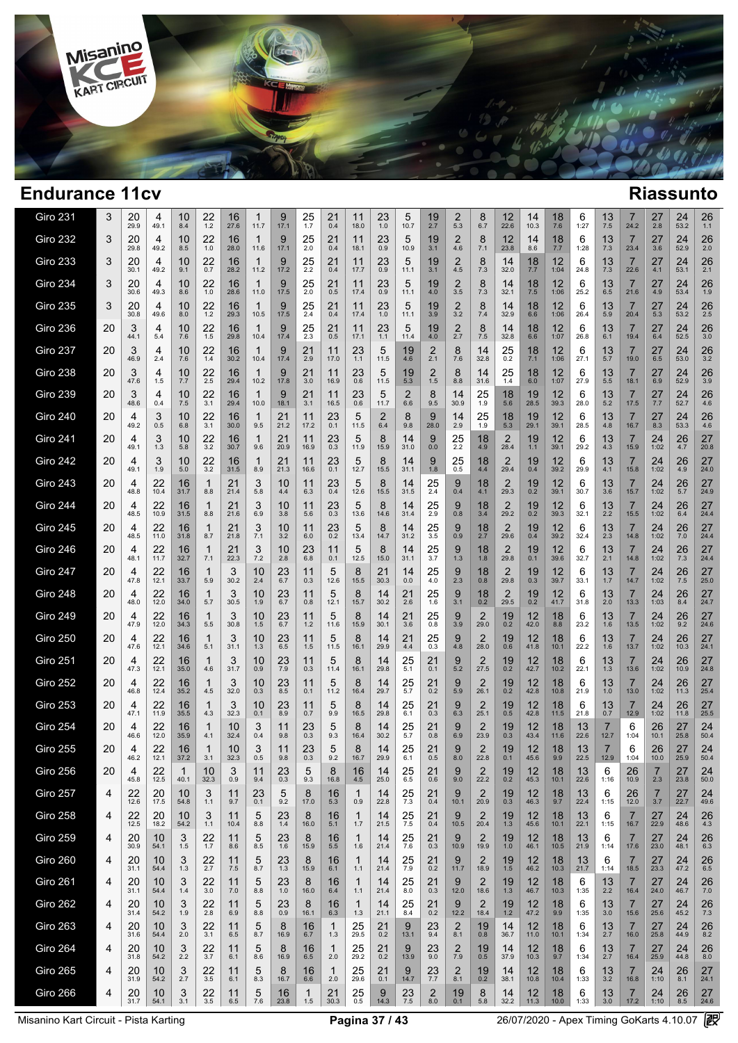

 $\overline{1}$ 

| <b>Giro 231</b> | 3  | 20<br>29.9 | 4<br>49.1  | 10<br>8.4  | 22<br>1.2          | 16<br>27.6           | 1<br>11.7       | 9<br>17.1  | 25<br>1.7           | 21<br>0.4           | 11<br>18.0          | 23<br>1.0     | 5<br>10.7     | 19<br>2.7     | 2<br>5.3              | 8<br>6.7               | 12<br>22.6             | 14<br>10.3 | 18<br>7.6  | 6<br>1:27  | 13<br>7.5        | 7<br>24.2              | 27<br>2.8         | 24<br>53.2       | 26<br>1.1  |  |
|-----------------|----|------------|------------|------------|--------------------|----------------------|-----------------|------------|---------------------|---------------------|---------------------|---------------|---------------|---------------|-----------------------|------------------------|------------------------|------------|------------|------------|------------------|------------------------|-------------------|------------------|------------|--|
| <b>Giro 232</b> | 3  | 20<br>29.8 | 4<br>49.2  | 10<br>8.5  | 22<br>1.0          | 16<br>28.0           | 1<br>11.6       | 9<br>17.1  | 25<br>2.0           | 21<br>0.4           | 11<br>18.1          | 23<br>0.9     | 5<br>10.9     | 19<br>3.1     | 2<br>4.6              | 8<br>7.1               | 12<br>23.8             | 14<br>8.6  | 18<br>7.7  | 6<br>1:28  | 13<br>7.3        | 7<br>23.4              | 27<br>3.6         | 24<br>52.9       | 26<br>2.0  |  |
| <b>Giro 233</b> | 3  | 20<br>30.1 | 4<br>49.2  | 10<br>9.1  | 22<br>0.7          | 16<br>28.2           | 1<br>11.2       | 9<br>17.2  | 25<br>2.2           | 21<br>0.4           | 11<br>17.7          | 23<br>0.9     | 5<br>11.1     | 19<br>3.1     | 2<br>4.5              | 8<br>7.3               | 14<br>32.0             | 18<br>7.7  | 12<br>1:04 | 6<br>24.8  | 13<br>7.3        | 7<br>22.6              | 27<br>4.1         | 24<br>53.1       | 26<br>2.1  |  |
| <b>Giro 234</b> | 3  | 20<br>30.6 | 4<br>49.3  | 10<br>8.6  | 22<br>1.0          | 16<br>28.6           | 1<br>11.0       | 9<br>17.5  | 25<br>2.0           | 21<br>0.5           | 11<br>17.4          | 23<br>0.9     | 5<br>11.1     | 19<br>4.0     | 2<br>3.5              | 8<br>7.3               | 14<br>32.1             | 18<br>7.5  | 12<br>1:06 | 6<br>25.2  | 13<br>6.5        | 7<br>21.6              | 27<br>4.9         | 24<br>53.4       | 26<br>1.9  |  |
| <b>Giro 235</b> | 3  | 20<br>30.8 | 4<br>49.6  | 10<br>8.0  | 22<br>1.2          | 16<br>29.3           | 1<br>10.5       | 9<br>17.5  | 25<br>2.4           | 21<br>0.4           | 11<br>17.4          | 23<br>1.0     | 5<br>11.1     | 19<br>3.9     | 2<br>3.2              | 8<br>7.4               | 14<br>32.9             | 18<br>6.6  | 12<br>1:06 | 6<br>26.4  | 13<br>5.9        | 7<br>20.4              | 27<br>5.3         | 24<br>53.2       | 26<br>2.5  |  |
| <b>Giro 236</b> | 20 | 3<br>44.1  | 4<br>5.4   | 10<br>7.6  | 22<br>1.5          | 16<br>29.8           | 1<br>10.4       | 9<br>17.4  | 25<br>2.3           | 21<br>0.5           | 11<br>17.1          | 23<br>1.1     | 5<br>11.4     | 19<br>4.0     | $\overline{2}$<br>2.7 | 8<br>7.5               | 14<br>32.8             | 18<br>6.6  | 12<br>1:07 | 6<br>26.8  | 13<br>6.1        | 7<br>19.4              | 27<br>6.4         | 24<br>52.5       | 26<br>3.0  |  |
| <b>Giro 237</b> | 20 | 3<br>46.9  | 4<br>2.4   | 10<br>7.6  | 22<br>1.4          | 16<br>30.2           | 1<br>10.4       | 9<br>17.4  | 21<br>2.9           | 11<br>17.0          | 23<br>1.1           | 5<br>11.5     | 19<br>4.6     | 2<br>2.1      | 8<br>7.6              | 14<br>32.8             | 25<br>0.2              | 18<br>7.1  | 12<br>1:06 | 6<br>27.1  | 13<br>5.7        | 7<br>19.0              | 27<br>6.5         | 24<br>53.0       | 26<br>3.2  |  |
| <b>Giro 238</b> | 20 | 3<br>47.6  | 4<br>1.5   | 10<br>7.7  | 22<br>2.5          | 16<br>29.4           | 1<br>10.2       | 9<br>17.8  | 21<br>3.0           | 11<br>16.9          | 23<br>0.6           | 5<br>11.5     | 19<br>5.3     | 2<br>$1.5\,$  | 8<br>8.8              | 14<br>31.6             | 25<br>1.4              | 18<br>6.0  | 12<br>1:07 | 6<br>27.9  | 13<br>5.5        | 7<br>18.1              | 27<br>6.9         | 24<br>52.9       | 26<br>3.9  |  |
| <b>Giro 239</b> | 20 | 3<br>48.6  | 4<br>0.4   | 10<br>7.5  | 22<br>3.1          | 16<br>29.4           | 1<br>10.0       | 9<br>18.1  | 21<br>3.1           | 11<br>16.5          | 23<br>0.6           | 5<br>11.7     | 2<br>6.6      | 8<br>9.5      | 14<br>30.9            | 25<br>1.9              | 18<br>5.6              | 19<br>28.5 | 12<br>39.3 | 6<br>28.0  | 13<br>5.2        | 7<br>17.5              | 27<br>7.7         | 24<br>52.7       | 26<br>4.6  |  |
| Giro 240        | 20 | 4<br>49.2  | 3<br>0.5   | 10<br>6.8  | 22<br>3.1          | 16<br>30.0           | 1<br>9.5        | 21<br>21.2 | 11<br>17.2          | 23<br>0.1           | 5<br>11.5           | 2<br>6.4      | 8<br>9.8      | 9<br>28.0     | 14<br>2.9             | 25<br>1.9              | 18<br>5.3              | 19<br>29.1 | 12<br>39.1 | 6<br>28.5  | 13<br>4.8        | $\overline{7}$<br>16.7 | 27<br>8.3         | 24<br>53.3       | 26<br>4.6  |  |
| Giro 241        | 20 | 4<br>49.1  | 3<br>1.3   | 10<br>5.8  | 22<br>3.2          | 16<br>30.7           | 1<br>9.6        | 21<br>20.9 | 11<br>16.9          | 23<br>0.3           | 5<br>11.9           | 8<br>15.9     | 14<br>31.0    | 9<br>0.0      | 25<br>2.2             | 18<br>4.9              | 2<br>28.4              | 19<br>1.1  | 12<br>39.1 | 6<br>29.2  | 13<br>4.3        | $\overline{7}$<br>15.9 | 24<br>1:02        | 26<br>4.7        | 27<br>20.8 |  |
| <b>Giro 242</b> | 20 | 4<br>49.1  | 3<br>1.9   | 10<br>5.0  | 22<br>3.2          | 16<br>31.5           | 1<br>8.9        | 21<br>21.3 | 11<br>16.6          | 23<br>0.1           | 5<br>12.7           | 8<br>15.5     | 14<br>31.1    | 9<br>1.8      | 25<br>0.5             | 18<br>4.4              | 2<br>29.4              | 19<br>0.4  | 12<br>39.2 | 6<br>29.9  | 13<br>4.1        | 7<br>15.8              | 24<br>1:02        | 26<br>4.9        | 27<br>24.0 |  |
| <b>Giro 243</b> | 20 | 4<br>48.8  | 22<br>10.4 | 16<br>31.7 | 1<br>8.8           | 21<br>21.4           | 3<br>5.8        | 10<br>4.4  | 11<br>6.3           | 23<br>0.4           | 5<br>12.6           | 8<br>15.5     | 14<br>31.5    | 25<br>2.4     | 9<br>0.4              | 18<br>4.1              | 2<br>29.3              | 19<br>0.2  | 12<br>39.1 | 6<br>30.7  | 13<br>3.6        | $\overline{7}$<br>15.7 | 24<br>1:02        | 26<br>5.7        | 27<br>24.9 |  |
| <b>Giro 244</b> | 20 | 4<br>48.5  | 22<br>10.9 | 16<br>31.5 | 1<br>8.8           | 21<br>21.6           | 3<br>6.9        | 10<br>3.8  | 11<br>5.6           | 23<br>0.3           | 5<br>13.6           | 8<br>14.6     | 14<br>31.4    | 25<br>2.9     | 9<br>0.8              | 18<br>3.4              | 2<br>29.2              | 19<br>0.2  | 12<br>39.3 | 6<br>32.1  | 13<br>2.2        | $\overline{7}$<br>15.5 | 24<br>1:02        | 26<br>6.4        | 27<br>24.4 |  |
| <b>Giro 245</b> | 20 | 4<br>48.5  | 22<br>11.0 | 16<br>31.8 | -1<br>8.7          | 21<br>21.8           | 3<br>7.1        | 10<br>3.2  | 11<br>6.0           | 23<br>0.2           | 5<br>13.4           | 8<br>14.7     | 14<br>31.2    | 25<br>3.5     | 9<br>0.9              | $18$ <sub>2.7</sub>    | 2<br>29.6              | 19<br>0.4  | 12<br>39.2 | 6<br>32.4  | 13<br>2.3        | 7<br>14.8              | 24<br>1:02        | $\frac{26}{7.0}$ | 27<br>24.4 |  |
| <b>Giro 246</b> | 20 | 4<br>48.1  | 22<br>11.7 | 16<br>32.7 | $\mathbf 1$<br>7.1 | $21$ <sub>22.3</sub> | 3<br>7.2        | 10<br>2.8  | 23<br>6.8           | 11<br>0.1           | 5<br>12.5           | 8<br>15.0     | 14<br>31.1    | 25<br>3.7     | $\frac{9}{1.3}$       | 18<br>1.8              | 2<br>29.8              | 19<br>0.1  | 12<br>39.6 | 6<br>32.7  | 13<br>2.1        | 7<br>14.8              | 24<br>1:02        | $\frac{26}{7.3}$ | 27<br>24.4 |  |
| <b>Giro 247</b> | 20 | 4<br>47.8  | 22<br>12.1 | 16<br>33.7 | $\mathbf 1$<br>5.9 | 3<br>30.2            | 10<br>2.4       | 23<br>6.7  | 11<br>0.3           | 5<br>12.6           | 8<br>15.5           | 21<br>30.3    | 14<br>0.0     | 25<br>4.0     | $\frac{9}{2.3}$       | 18<br>0.8              | 2<br>29.8              | 19<br>0.3  | 12<br>39.7 | 6<br>33.1  | 13<br>1.7        | $\overline{7}$<br>14.7 | 24<br>1:02        | $\frac{26}{7.5}$ | 27<br>25.0 |  |
| <b>Giro 248</b> | 20 | 4<br>48.0  | 22<br>12.0 | 16<br>34.0 | 1<br>5.7           | 3<br>30.5            | 10<br>1.9       | 23<br>6.7  | 11<br>0.8           | 5<br>12.1           | 8<br>15.7           | 14<br>30.2    | 21<br>2.6     | 25<br>1.6     | 9<br>3.1              | 18<br>0.2              | $\overline{2}$<br>29.5 | 19<br>0.2  | 12<br>41.7 | 6<br>31.8  | 13<br>2.0        | 7<br>13.3              | 24<br>1:03        | 26<br>8.4        | 27<br>24.7 |  |
| <b>Giro 249</b> | 20 | 4<br>47.9  | 22<br>12.0 | 16<br>34.3 | 1<br>5.5           | 3<br>30.8            | 10<br>1.5       | 23<br>6.7  | 11<br>1.2           | 5<br>11.6           | 8<br>15.9           | 14<br>30.1    | 21<br>3.6     | 25<br>0.8     | 9<br>3.9              | 2<br>29.0              | 19<br>0.2              | 12<br>42.0 | 18<br>8.8  | 6<br>23.2  | 13<br>1.6        | 7<br>13.5              | 24<br>1:02        | 26<br>9.2        | 27<br>24.6 |  |
| <b>Giro 250</b> | 20 | 4<br>47.6  | 22<br>12.1 | 16<br>34.6 | 1<br>5.1           | 3<br>31.1            | 10<br>1.3       | 23<br>6.5  | 11<br>1.5           | 5<br>11.5           | 8<br>16.1           | 14<br>29.9    | 21<br>4.4     | 25<br>0.3     | 9<br>4.8              | 2<br>28.0              | 19<br>0.6              | 12<br>41.8 | 18<br>10.1 | 6<br>22.2  | 13<br>1.6        | 7<br>13.7              | 24<br>1:02        | 26<br>10.3       | 27<br>24.1 |  |
| <b>Giro 251</b> | 20 | 4<br>47.3  | 22<br>12.1 | 16<br>35.0 | 1<br>4.6           | 3<br>31.7            | 10<br>0.9       | 23<br>7.9  | 11<br>0.3           | 5<br>11.4           | 8<br>16.1           | 14<br>29.8    | 25<br>5.1     | 21<br>0.1     | 9<br>5.2              | 2<br>27.5              | 19<br>0.2              | 12<br>42.7 | 18<br>10.2 | 6<br>22.1  | 13<br>1.3        | 7<br>13.6              | 24<br>1:02        | 26<br>10.9       | 27<br>24.8 |  |
| <b>Giro 252</b> | 20 | 4<br>46.8  | 22<br>12.4 | 16<br>35.2 | 1<br>4.5           | 3<br>32.0            | 10<br>0.3       | 23<br>8.5  | 11<br>0.1           | 5<br>11.2           | 8<br>16.4           | 14<br>29.7    | 25<br>5.7     | 21<br>0.2     | 9<br>5.9              | 2<br>26.1              | 19<br>0.2              | 12<br>42.8 | 18<br>10.8 | 6<br>21.9  | 13<br>1.0        | 7<br>13.0              | 24<br>1:02        | 26<br>11.3       | 27<br>25.4 |  |
| <b>Giro 253</b> | 20 | 4<br>47.1  | 22<br>11.9 | 16<br>35.5 | 1<br>4.3           | 3<br>32.3            | 10<br>0.1       | 23<br>8.9  | 11<br>0.7           | 5<br>9.9            | 8<br>16.5           | 14<br>29.8    | 25<br>6.1     | 21<br>0.3     | 9<br>6.3              | 2<br>25.1              | 19<br>0.5              | 12<br>42.8 | 18<br>11.5 | 6<br>21.8  | 13<br>0.7        | 7<br>12.9              | 24<br>1:02        | 26<br>11.8       | 27<br>25.5 |  |
| <b>Giro 254</b> | 20 | 4<br>46.6  | 22<br>12.0 | 16<br>35.9 | 1<br>4.1           | 10<br>32.4           | 3<br>0.4        | 11<br>9.8  | 23<br>0.3           | 5<br>9.3            | 8<br>16.4           | 14<br>30.2    | 25<br>5.7     | 21<br>0.8     | 9<br>6.9              | 2<br>23.9              | 19<br>0.3              | 12<br>43.4 | 18<br>11.6 | 13<br>22.6 | 12.7             | 6<br>1:04              | 26<br>10.1        | 27<br>25.8       | 24<br>50.4 |  |
| <b>Giro 255</b> | 20 | 4<br>46.2  | 22<br>12.1 | 16<br>37.2 | -1<br>3.1          | 10<br>32.3           | 3<br>0.5        | 11<br>9.8  | 23<br>0.3           | 5<br>9.2            | 8<br>16.7           | 14<br>29.9    | 25<br>6.1     | 21<br>0.5     | 9<br>8.0              | 2<br>22.8              | 19<br>0.1              | 12<br>45.6 | 18<br>9.9  | 13<br>22.5 | 12.9             | 6<br>1:04              | 26<br>10.0        | 27<br>25.9       | 24<br>50.4 |  |
| Giro 256        | 20 | 4<br>45.8  | 22<br>12.5 | 40.1       | 10<br>32.3         | $\sim$<br>J<br>0.9   | 11<br>9.4       | 23<br>0.3  | 5<br>9.3            | 8<br>16.8           | 16<br>4.5           | 14<br>25.0    | 25<br>6.5     | 21<br>0.6     | 9<br>9.0              | 2<br>22.2              | 19<br>0.2              | 12<br>45.3 | 18<br>10.1 | 13<br>22.6 | 6<br>1:16        | 26<br>10.9             | 2.3               | 27<br>23.8       | 24<br>50.0 |  |
| <b>Giro 257</b> | 4  | 22<br>12.6 | 20<br>17.5 | 10<br>54.8 | 3<br>1.1           | 11<br>9.7            | 23<br>0.1       | 5<br>9.2   | 8<br>17.0           | 16<br>5.3           | $\mathbf{1}$<br>0.9 | 14<br>22.8    | 25<br>7.3     | 21<br>0.4     | 9<br>10.1             | $\overline{2}$<br>20.9 | 19<br>0.3              | 12<br>46.3 | 18<br>9.7  | 13<br>22.4 | 6<br>1:15        | 26<br>12.0             | 7<br>3.7          | 27<br>22.7       | 24<br>49.6 |  |
| <b>Giro 258</b> | 4  | 22<br>12.5 | 20<br>18.2 | 10<br>54.2 | 3<br>1.1           | 11<br>10.4           | 5<br>8.8        | 23<br>1.4  | 8<br>16.0           | 16<br>$5.1$         | $\mathbf{1}$<br>1.7 | 14<br>21.5    | 25<br>7.5     | 21<br>0.4     | 9<br>10.5             | 2<br>20.4              | 19<br>1.3              | 12<br>45.6 | 18<br>10.1 | 13<br>22.1 | 6<br>1:15        | $\overline{7}$<br>16.7 | 27<br>22.9        | 24<br>48.6       | 26<br>4.3  |  |
| <b>Giro 259</b> | 4  | 20<br>30.9 | 10<br>54.1 | 3<br>1.5   | 22<br>1.7          | 11<br>8.6            | 5<br>8.5        | 23<br>1.6  | 8<br>15.9           | 16<br>5.5           | $\mathbf{1}$<br>1.6 | 14<br>21.4    | 25<br>7.6     | 21<br>0.3     | 9<br>10.9             | $\overline{2}$<br>19.9 | 19<br>1.0              | 12<br>46.1 | 18<br>10.5 | 13<br>21.9 | 6<br>1:14        | $\overline{7}$<br>17.6 | $\frac{27}{23.0}$ | 24<br>48.1       | 26<br>6.3  |  |
| Giro 260        | 4  | 20<br>31.1 | 10<br>54.4 | 3<br>1.3   | 22<br>2.7          | 11<br>7.5            | 5<br>8.7        | 23<br>1.3  | 8<br>15.9           | 16<br>6.1           | $\mathbf{1}$<br>1.1 | 14<br>21.4    | 25<br>7.9     | 21<br>0.2     | 9<br>11.7             | 2<br>18.9              | 19<br>1.5              | 12<br>46.2 | 18<br>10.3 | 13<br>21.7 | 6<br>1:14        | $\overline{7}$<br>18.5 | 27<br>23.3        | 24<br>47.2       | 26<br>6.5  |  |
| <b>Giro 261</b> | 4  | 20<br>31.1 | 10<br>54.4 | 3<br>1.4   | 22<br>3.0          | 11<br>7.0            | 5<br>8.8        | 23<br>1.0  | 8<br>16.0           | 16<br>6.4           | $\mathbf{1}$<br>1.1 | 14<br>21.4    | 25<br>8.0     | 21<br>0.3     | 9<br>12.0             | 2<br>18.6              | 19<br>1.3              | 12<br>46.7 | 18<br>10.3 | 6<br>1:35  | $13 \atop 2.2$   | $\overline{7}$<br>16.4 | 27<br>24.0        | 24<br>46.7       | 26<br>7.0  |  |
| <b>Giro 262</b> | 4  | 20<br>31.4 | 10<br>54.2 | 3<br>1.9   | 22<br>2.8          | 11<br>6.9            | 5<br>8.8        | 23<br>0.9  | 8<br>16.1           | 16<br>6.3           | $\mathbf{1}$<br>1.3 | 14<br>21.1    | 25<br>8.4     | 21<br>0.2     | 9<br>12.2             | 2<br>18.4              | 19<br>1.2              | 12<br>47.2 | 18<br>9.9  | 6<br>1:35  | 13<br>3.0        | $\overline{7}$<br>15.6 | 27<br>25.6        | 24<br>45.2       | 26<br>7.3  |  |
| <b>Giro 263</b> | 4  | 20<br>31.6 | 10<br>54.4 | 3<br>2.0   | $22$<br>3.1        | 11<br>6.5            | $\frac{5}{8.7}$ | 8<br>16.9  | 16<br>6.7           | 1<br>1.3            | $\frac{25}{29.5}$   | $^{21}_{0.2}$ | 9<br>13.1     | $^{23}_{9.4}$ | $^{2}_{8.1}$          | 19<br>0.8              | 14<br>36.7             | 12<br>11.0 | 18<br>10.1 | 6<br>1:34  | $\frac{13}{2.7}$ | $\overline{7}$<br>16.0 | 27<br>25.8        | $^{24}_{44.9}$   | 26<br>8.2  |  |
| <b>Giro 264</b> | 4  | 20<br>31.8 | 10<br>54.2 | 3<br>2.2   | 22<br>3.7          | 11<br>6.1            | 5<br>8.6        | 8<br>16.9  | 16<br>6.5           | -1<br>2.0           | 25<br>29.2          | 21<br>0.2     | 9<br>13.9     | $^{23}_{9.0}$ | $\frac{2}{7.9}$       | 19<br>0.5              | 14<br>37.9             | 12<br>10.3 | 18<br>9.7  | 6<br>1:34  | $\frac{13}{2.7}$ | $\overline{7}$<br>16.4 | 27<br>25.9        | 24<br>44.8       | 26<br>8.0  |  |
| <b>Giro 265</b> | 4  | 20<br>31.9 | 10<br>54.2 | 3<br>2.7   | 22<br>3.5          | 11<br>6.1            | 5<br>8.3        | 8<br>16.7  | 16<br>6.6           | $\mathbf{1}$<br>2.0 | 25<br>29.6          | 21<br>0.1     | 9<br>14.7     | 23<br>$7.7\,$ | $\overline{2}$<br>8.1 | 19<br>0.2              | 14<br>38.1             | 12<br>10.8 | 18<br>10.4 | 6<br>1:33  | 13<br>3.2        | $\overline{7}$<br>16.8 | 24<br>1:10        | 26<br>8.1        | 27<br>24.1 |  |
| Giro 266        | 4  | 20<br>31.7 | 10<br>54.1 | 3<br>3.1   | 22<br>3.5          | 11<br>6.5            | 5<br>7.6        | 16<br>23.8 | $\mathbf{1}$<br>1.5 | 21<br>30.3          | 25<br>0.5           | 9<br>14.3     | 23<br>$7.5\,$ | 2<br>8.0      | 19<br>0.1             | 8<br>5.8               | 14<br>32.2             | 12<br>11.3 | 18<br>10.0 | 6<br>1:33  | 13<br>3.0        | $\overline{7}$<br>17.2 | 24<br>1:10        | 26<br>8.5        | 27<br>24.6 |  |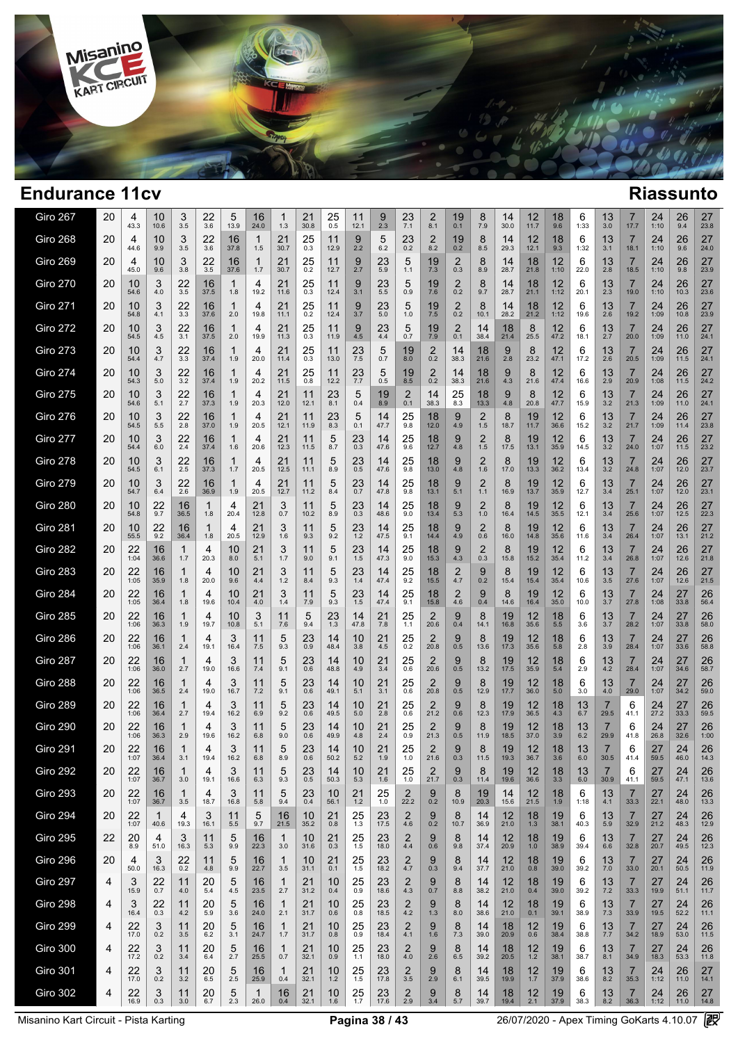

 $\overline{\phantom{a}}$ 

| Giro 267        | 20 | 4<br>43.3      | 10<br>10.6           | 3<br>3.5   | 22<br>3.6  | 5<br>13.9  | 16<br>24.0           | ำ<br>1.3            | 21<br>30.8 | 25<br>0.5   | 11<br>12.1  | 9<br>2.3   | 23<br>7.1                         | 2<br>8.1               | 19<br>0.1             | 8<br>7.9     | 14<br>30.0 | 12<br>11.7 | 18<br>9.6  | 6<br>1:33     | 13<br>3.0              | 17.7                   | 24<br>1:10        | 26<br>9.4  | 27<br>23.8 |  |
|-----------------|----|----------------|----------------------|------------|------------|------------|----------------------|---------------------|------------|-------------|-------------|------------|-----------------------------------|------------------------|-----------------------|--------------|------------|------------|------------|---------------|------------------------|------------------------|-------------------|------------|------------|--|
| <b>Giro 268</b> | 20 | 4<br>44.6      | 10<br>9.9            | 3<br>3.5   | 22<br>3.6  | 16<br>37.8 | $\mathbf{1}$<br>1.5  | 21<br>30.7          | 25<br>0.3  | 11<br>12.9  | 9<br>2.2    | 5<br>6.2   | 23<br>0.2                         | $\overline{2}$<br>8.2  | 19<br>0.2             | 8<br>8.5     | 14<br>29.3 | 12<br>12.1 | 18<br>9.3  | 6<br>1:32     | 13<br>3.1              | 7<br>18.1              | 24<br>1:10        | 26<br>9.6  | 27<br>24.0 |  |
| <b>Giro 269</b> | 20 | 4<br>45.0      | 10<br>9.6            | 3<br>3.8   | 22<br>3.5  | 16<br>37.6 | 1<br>1.7             | 21<br>30.7          | 25<br>0.2  | 11<br>12.7  | 9<br>2.7    | 23<br>5.9  | 5<br>1.1                          | 19<br>7.3              | $\overline{2}$<br>0.3 | 8<br>8.9     | 14<br>28.7 | 18<br>21.8 | 12<br>1:10 | 6<br>22.0     | 13<br>2.8              | 7<br>18.5              | 24<br>1:10        | 26<br>9.8  | 27<br>23.9 |  |
| <b>Giro 270</b> | 20 | 10<br>54.6     | 3<br>4.0             | 22<br>3.5  | 16<br>37.5 | -1<br>1.8  | 4<br>19.2            | 21<br>11.6          | 25<br>0.3  | 11<br>12.4  | 9<br>3.1    | 23<br>5.5  | 5<br>0.9                          | 19<br>7.6              | $\overline{2}$<br>0.2 | 8<br>9.7     | 14<br>28.7 | 18<br>21.1 | 12<br>1:12 | 6<br>20.1     | 13<br>2.3              | 7<br>19.0              | 24<br>1:10        | 26<br>10.3 | 27<br>23.6 |  |
| <b>Giro 271</b> | 20 | 10<br>54.8     | 3<br>4.1             | 22<br>3.3  | 16<br>37.6 | -1<br>2.0  | 4<br>19.8            | 21<br>11.1          | 25<br>0.2  | 11<br>12.4  | 9<br>3.7    | 23<br>5.0  | 5<br>1.0                          | 19<br>7.5              | $\overline{2}$<br>0.2 | 8<br>10.1    | 14<br>28.2 | 18<br>21.2 | 12<br>1:12 | 6<br>19.6     | 13<br>2.6              | 7<br>19.2              | 24<br>1:09        | 26<br>10.8 | 27<br>23.9 |  |
| <b>Giro 272</b> | 20 | 10<br>54.5     | 3<br>4.5             | 22<br>3.1  | 16<br>37.5 | -1<br>2.0  | 4<br>19.9            | 21<br>11.3          | 25<br>0.3  | 11<br>11.9  | 9<br>4.5    | 23<br>4.4  | 5<br>0.7                          | 19<br>7.9              | 2<br>0.1              | 14<br>38.4   | 18<br>21.4 | 8<br>25.5  | 12<br>47.2 | 6<br>18.1     | 13<br>2.7              | 7<br>20.0              | 24<br>1:09        | 26<br>11.0 | 27<br>24.1 |  |
| <b>Giro 273</b> | 20 | 10<br>54.4     | 3<br>4.7             | 22<br>3.3  | 16<br>37.4 | 1<br>1.9   | 4<br>20.0            | 21<br>11.4          | 25<br>0.3  | 11<br>13.0  | 23<br>7.5   | 5<br>0.7   | 19<br>8.0                         | 2<br>0.2               | 14<br>38.3            | 18<br>21.6   | 9<br>2.8   | 8<br>23.2  | 12<br>47.1 | 6<br>17.2     | 13<br>2.6              | 7<br>20.5              | 24<br>1:09        | 26<br>11.5 | 27<br>24.1 |  |
| <b>Giro 274</b> | 20 | 10<br>54.3     | 3<br>5.0             | 22<br>3.2  | 16<br>37.4 | 1<br>1.9   | 4<br>20.2            | 21<br>11.5          | 25<br>0.8  | 11<br>12.2  | 23<br>7.7   | 5<br>0.5   | 19<br>8.5                         | $^{2}_{0.2}$           | 14<br>38.3            | 18<br>21.6   | 9<br>4.3   | 8<br>21.6  | 12<br>47.4 | 6<br>16.6     | 13<br>2.9              | 7<br>20.9              | 24<br>1:08        | 26<br>11.5 | 27<br>24.2 |  |
| <b>Giro 275</b> | 20 | 10<br>54.6     | 3<br>5.1             | 22<br>2.7  | 16<br>37.3 | 1<br>1.9   | 4<br>20.3            | 21<br>12.0          | 11<br>12.1 | 23<br>8.1   | 5<br>0.4    | 19<br>8.9  | $\overline{2}$<br>0.1             | 14<br>38.3             | 25<br>8.3             | 18<br>13.3   | 9<br>4.8   | 8<br>20.8  | 12<br>47.7 | 6<br>15.9     | 13<br>3.2              | $\overline{7}$<br>21.3 | 24<br>1:09        | 26<br>11.0 | 27<br>24.1 |  |
| <b>Giro 276</b> | 20 | 10<br>54.5     | 3<br>5.5             | 22<br>2.8  | 16<br>37.0 | 1<br>1.9   | 4<br>20.5            | 21<br>12.1          | 11<br>11.9 | 23<br>8.3   | 5<br>0.1    | 14<br>47.7 | 25<br>9.8                         | 18<br>12.0             | 9<br>4.9              | 2<br>1.5     | 8<br>18.7  | 19<br>11.7 | 12<br>36.6 | 6<br>15.2     | 13<br>3.2              | $\overline{7}$<br>21.7 | 24<br>1:09        | 26<br>11.4 | 27<br>23.8 |  |
| <b>Giro 277</b> | 20 | 10<br>54.4     | 3<br>6.0             | 22<br>2.4  | 16<br>37.4 | 1<br>1.6   | 4<br>20.6            | 21<br>12.3          | 11<br>11.5 | 5<br>8.7    | 23<br>0.3   | 14<br>47.6 | 25<br>9.6                         | 18<br>12.7             | 9<br>4.8              | 2<br>1.5     | 8<br>17.5  | 19<br>13.1 | 12<br>35.9 | 6<br>14.5     | 13<br>3.2              | $\overline{7}$<br>24.0 | 24<br>1:07        | 26<br>11.5 | 27<br>23.2 |  |
| <b>Giro 278</b> | 20 | 10<br>54.5     | 3<br>6.1             | 22<br>2.5  | 16<br>37.3 | 1<br>1.7   | 4<br>20.5            | 21<br>12.5          | 11<br>11.1 | 5<br>8.9    | 23<br>0.5   | 14<br>47.6 | 25<br>9.8                         | 18<br>13.0             | 9<br>4.8              | 2<br>1.6     | 8<br>17.0  | 19<br>13.3 | 12<br>36.2 | 6<br>13.4     | 13<br>3.2              | 7<br>24.8              | 24<br>1:07        | 26<br>12.0 | 27<br>23.7 |  |
| <b>Giro 279</b> | 20 | 10<br>54.7     | 3<br>6.4             | 22<br>2.6  | 16<br>36.9 | 1<br>1.9   | 4<br>20.5            | 21<br>12.7          | 11<br>11.2 | 5<br>8.4    | 23<br>0.7   | 14<br>47.8 | 25<br>9.8                         | 18<br>13.1             | 9<br>5.1              | 2<br>1.1     | 8<br>16.9  | 19<br>13.7 | 12<br>35.9 | 6<br>12.7     | 13<br>3.4              | $\overline{7}$<br>25.1 | 24<br>1:07        | 26<br>12.0 | 27<br>23.1 |  |
| <b>Giro 280</b> | 20 | 10<br>54.8     | 22<br>9.7            | 16<br>36.5 | 1<br>1.8   | 4<br>20.4  | 21<br>12.8           | 3<br>0.7            | 11<br>10.2 | 5<br>8.9    | 23<br>0.3   | 14<br>48.6 | 25<br>9.0                         | 18<br>13.4             | 9<br>5.3              | 2<br>1.0     | 8<br>16.4  | 19<br>14.5 | 12<br>35.5 | 6<br>12.1     | 13<br>3.4              | $\overline{7}$<br>25.6 | 24<br>1:07        | 26<br>12.5 | 27<br>22.3 |  |
| <b>Giro 281</b> | 20 | 10<br>55.5     | 22<br>9.2            | 16<br>36.4 | 1<br>1.8   | 4<br>20.5  | 21<br>12.9           | 3<br>1.6            | 11<br>9.3  | 5<br>9.2    | 23<br>1.2   | 14<br>47.5 | 25<br>9.1                         | 18<br>14.4             | 9<br>4.9              | 2<br>0.6     | 8<br>16.0  | 19<br>14.8 | 12<br>35.6 | 6<br>11.6     | 13<br>3.4              | 7<br>26.4              | 24<br>1:07        | 26<br>13.1 | 27<br>21.2 |  |
| <b>Giro 282</b> | 20 | 22<br>1:04     | 16<br>36.6           | 1<br>1.7   | 4<br>20.3  | 10<br>8.0  | 21<br>5.1            | 3<br>1.7            | 11<br>9.0  | 5<br>9.1    | 23<br>1.5   | 14<br>47.3 | 25<br>9.0                         | 18<br>15.3             | 9<br>4.3              | $^{2}_{0.3}$ | 8<br>15.8  | 19<br>15.2 | 12<br>35.4 | 6<br>11.2     | 13<br>3.4              | $\overline{7}$<br>26.8 | 24<br>1:07        | 26<br>12.6 | 27<br>21.8 |  |
| <b>Giro 283</b> | 20 | 22<br>1:05     | 16<br>35.9           | 1<br>1.8   | 4<br>20.0  | 10<br>9.6  | 21<br>4.4            | 3<br>1.2            | 11<br>8.4  | 5<br>9.3    | 23<br>1.4   | 14<br>47.4 | 25<br>9.2                         | 18<br>15.5             | 2<br>4.7              | 9<br>0.2     | 8<br>15.4  | 19<br>15.4 | 12<br>35.4 | 6<br>10.6     | 13<br>3.5              | $\overline{7}$<br>27.6 | 24<br>1:07        | 26<br>12.6 | 27<br>21.5 |  |
| <b>Giro 284</b> | 20 | 22<br>1:05     | 16<br>36.4           | 1<br>1.8   | 4<br>19.6  | 10<br>10.4 | 21<br>4.0            | 3<br>1.4            | 11<br>7.9  | 5<br>9.3    | 23<br>1.5   | 14<br>47.4 | 25<br>9.1                         | 18<br>15.8             | $\overline{2}$<br>4.6 | 9<br>0.4     | 8<br>14.6  | 19<br>16.4 | 12<br>35.0 | 6<br>10.0     | 13<br>3.7              | $\overline{7}$<br>27.8 | 24<br>1:08        | 27<br>33.8 | 26<br>56.4 |  |
| <b>Giro 285</b> | 20 | 22<br>1:06     | 16<br>36.3           | 1<br>1.9   | 4<br>19.7  | 10<br>10.8 | 3<br>5.1             | 11<br>7.6           | 5<br>9.4   | 23<br>1.3   | 14<br>47.8  | 21<br>7.8  | 25<br>1.1                         | $\overline{2}$<br>20.6 | 9<br>0.4              | 8<br>14.1    | 19<br>16.8 | 12<br>35.6 | 18<br>5.5  | 6<br>3.6      | 13<br>$3.\overline{7}$ | 7<br>28.2              | 24<br>1:07        | 27<br>33.8 | 26<br>58.0 |  |
| <b>Giro 286</b> | 20 | 22<br>1:06     | 16<br>36.1           | 1<br>2.4   | 4<br>19.1  | 3<br>16.4  | 11<br>7.5            | 5<br>9.3            | 23<br>0.9  | 14<br>48.4  | 10<br>3.8   | 21<br>4.5  | 25<br>0.2                         | $\overline{2}$<br>20.8 | 9<br>0.5              | 8<br>13.6    | 19<br>17.3 | 12<br>35.6 | 18<br>5.8  | 6<br>2.8      | 13<br>3.9              | $\overline{7}$<br>28.4 | 24<br>1:07        | 27<br>33.6 | 26<br>58.8 |  |
| <b>Giro 287</b> | 20 | 22<br>1:06     | 16<br>36.0           | 1<br>2.7   | 4<br>19.0  | 3<br>16.6  | 11<br>7.4            | 5<br>9.1            | 23<br>0.6  | 14<br>48.8  | 10<br>4.9   | 21<br>3.4  | 25<br>0.6                         | $\overline{2}$<br>20.6 | 9<br>0.5              | 8<br>13.2    | 19<br>17.5 | 12<br>35.9 | 18<br>5.4  | 6<br>2.9      | 13<br>4.2              | 7<br>28.4              | 24<br>1:07        | 27<br>34.6 | 26<br>58.7 |  |
| <b>Giro 288</b> | 20 | 22<br>1:06     | 16<br>36.5           | 1<br>2.4   | 4<br>19.0  | 3<br>16.7  | 11<br>7.2            | 5<br>9.1            | 23<br>0.6  | 14<br>49.1  | 10<br>5.1   | 21<br>3.1  | 25<br>0.6                         | $\overline{2}$<br>20.8 | 9<br>0.5              | 8<br>12.9    | 19<br>17.7 | 12<br>36.0 | 18<br>5.0  | 6<br>3.0      | 13<br>4.0              | 29.0                   | 24<br>1:07        | 27<br>34.2 | 26<br>59.0 |  |
| <b>Giro 289</b> | 20 | 22<br>1:06     | 16<br>36.4           | 1<br>2.7   | 4<br>19.4  | 3<br>16.2  | 11<br>6.9            | 5<br>9.2            | 23<br>0.6  | 14<br>49.5  | 10<br>5.0   | 21<br>2.8  | 25<br>0.6                         | $\overline{2}$<br>21.2 | 9<br>0.6              | 8<br>12.3    | 19<br>17.9 | 12<br>36.5 | 18<br>4.3  | 13<br>6.7     | 7<br>29.5              | 6<br>41.1              | 24<br>27.2        | 27<br>33.3 | 26<br>59.5 |  |
| <b>Giro 290</b> | 20 | 22<br>1:06     | 16<br>36.3           | 1<br>2.9   | 4<br>19.6  | 3<br>16.2  | 11<br>6.8            | 5<br>9.0            | 23<br>0.6  | 14<br>49.9  | 10<br>4.8   | 21<br>2.4  | 25<br>0.9                         | $\overline{2}$<br>21.3 | 9<br>0.5              | 8<br>11.9    | 19<br>18.5 | 12<br>37.0 | 18<br>3.9  | 13<br>6.2     | 29.9                   | 6<br>41.8              | 24<br>26.8        | 27<br>32.6 | 26<br>1:00 |  |
| <b>Giro 291</b> | 20 | 22<br>1:07     | 16<br>36.4           | 1<br>3.1   | 4<br>19.4  | 3<br>16.2  | 11<br>6.8            | 5<br>8.9            | 23<br>0.6  | 14<br>50.2  | 10<br>5.2   | 21<br>1.9  | 25<br>1.0                         | 2<br>21.6              | 9<br>0.3              | 8<br>11.5    | 19<br>19.3 | 12<br>36.7 | 18<br>3.6  | 13<br>6.0     | 30.5                   | 6<br>41.4              | 27<br>59.5        | 24<br>46.0 | 26<br>14.3 |  |
| Giro 292        | 20 | 22<br>1:07     | 16<br>36.7           | 3.0        | 4<br>19.1  | J<br>16.6  | 11<br>6.3            | 5<br>9.3            | 23<br>0.5  | 14<br>50.3  | 10<br>5.3   | 21<br>1.6  | 25<br>1.0                         | $\overline{c}$<br>21.7 | $^{9}_{0.3}$          | 8<br>11.4    | 19<br>19.6 | 12<br>36.6 | 18<br>3.3  | 13<br>$6.0\,$ | 30.9                   | 6<br>41.1              | 27<br>59.5        | 24<br>47.1 | 26<br>13.6 |  |
| <b>Giro 293</b> | 20 | 22<br>1:07     | 16<br>36.7           | 1<br>3.5   | 4<br>18.7  | 3<br>16.8  | 11<br>5.8            | 5<br>9.4            | 23<br>0.4  | 10<br>56.1  | 21<br>$1.2$ | 25<br>1.0  | $\overline{2}$<br>22.2            | $^{9}_{0.2}$           | 8<br>10.9             | 19<br>20.3   | 14<br>15.6 | 12<br>21.5 | 18<br>1.9  | 6<br>1:18     | 13<br>4.1              | 7<br>33.3              | 27<br>22.1        | 24<br>48.0 | 26<br>13.3 |  |
| <b>Giro 294</b> | 20 | 22<br>1:07     | $\mathbf{1}$<br>40.6 | 4<br>19.3  | 3<br>16.1  | 11<br>5.5  | 5<br>9.7             | 16<br>21.5          | 10<br>35.2 | 21<br>0.8   | 25<br>1.3   | 23<br>17.5 | 2<br>4.6                          | 9<br>0.2               | 8<br>10.7             | 14<br>36.9   | 12<br>21.0 | 18<br>1.3  | 19<br>38.1 | 6<br>40.3     | 13<br>5.9              | 7<br>32.9              | 27<br>21.2        | 24<br>48.3 | 26<br>12.9 |  |
| <b>Giro 295</b> | 22 | 20<br>8.9      | 4<br>51.0            | 3<br>16.3  | 11<br>5.3  | 5<br>9.9   | 16<br>22.3           | $\mathbf{1}$<br>3.0 | 10<br>31.6 | 21<br>0.3   | 25<br>1.5   | 23<br>18.0 | $\overline{\mathbf{c}}$<br>4.4    | 9<br>0.6               | 8<br>9.8              | 14<br>37.4   | 12<br>20.9 | 18<br>1.0  | 19<br>38.9 | 6<br>39.4     | 13<br>6.6              | 7<br>32.8              | $\frac{27}{20.7}$ | 24<br>49.5 | 26<br>12.3 |  |
| <b>Giro 296</b> | 20 | 4<br>50.0      | 3<br>16.3            | 22<br>0.2  | 11<br>4.8  | 5<br>9.9   | 16<br>22.7           | $\mathbf{1}$<br>3.5 | 10<br>31.1 | 21<br>0.1   | 25<br>1.5   | 23<br>18.2 | $\overline{\mathbf{c}}$<br>4.7    | 9<br>0.3               | 8<br>9.4              | 14<br>37.7   | 12<br>21.0 | 18<br>0.8  | 19<br>39.0 | 6<br>39.2     | $\frac{13}{7.0}$       | $\overline{7}$<br>33.0 | 27<br>20.1        | 24<br>50.5 | 26<br>11.9 |  |
| <b>Giro 297</b> | 4  | 3<br>15.9      | 22<br>0.7            | 11<br>4.0  | 20<br>5.4  | 5<br>4.5   | 16<br>23.5           | $\mathbf{1}$<br>2.7 | 21<br>31.2 | 10<br>0.4   | 25<br>0.9   | 23<br>18.6 | $^{\,2}_{\scriptscriptstyle 4.3}$ | $^{9}_{0.7}$           | 8<br>8.8              | 14<br>38.2   | 12<br>21.0 | 18<br>0.4  | 19<br>39.0 | 6<br>39.2     | $\frac{13}{7.2}$       | $\overline{7}$<br>33.3 | 27<br>19.9        | 24<br>51.1 | 26<br>11.7 |  |
| <b>Giro 298</b> | 4  | 3<br>16.4      | 22<br>0.3            | 11<br>4.2  | 20<br>5.9  | 5<br>3.6   | 16<br>24.0           | $\mathbf{1}$<br>2.1 | 21<br>31.7 | 10<br>0.6   | 25<br>0.8   | 23<br>18.5 | $\overline{c}$<br>4.2             | 9<br>1.3               | 8<br>8.0              | 14<br>38.6   | 12<br>21.0 | 18<br>0.1  | 19<br>39.1 | 6<br>38.9     | 13<br>7.3              | $\overline{7}$<br>33.9 | 27<br>19.5        | 24<br>52.2 | 26<br>11.1 |  |
| <b>Giro 299</b> | 4  | 22<br>17.0     | 3<br>0.2             | 11<br>3.5  | 20<br>6.2  | 5<br>3.1   | 16<br>24.7           | 1<br>1.7            | 21<br>31.7 | 10<br>0.8   | 25<br>0.9   | 23<br>18.4 | $^{2}_{4.1}$                      | 9<br>1.6               | 8<br>7.3              | 14<br>39.0   | 18<br>20.9 | 12<br>0.6  | 19<br>38.4 | 6<br>38.8     | $\frac{13}{7.7}$       | 7<br>34.2              | 27<br>18.9        | 24<br>53.0 | 26<br>11.5 |  |
| <b>Giro 300</b> | 4  | $^{22}_{17.2}$ | 3<br>0.2             | 11<br>3.4  | 20<br>6.4  | 5<br>2.7   | 16<br>25.5           | -1<br>0.7           | 21<br>32.1 | 10<br>0.9   | 25<br>1.1   | 23<br>18.0 | $^{2}_{4.0}$                      | 9<br>2.6               | 8<br>6.5              | 14<br>39.2   | 18<br>20.5 | $12 \n1.2$ | 19<br>38.1 | 6<br>38.7     | $\frac{13}{8.1}$       | $\overline{7}$<br>34.9 | 27<br>18.3        | 24<br>53.3 | 26<br>11.8 |  |
| <b>Giro 301</b> | 4  | 22<br>17.0     | 3<br>0.2             | 11<br>3.2  | 20<br>6.5  | 5<br>2.5   | 16<br>25.9           | -1<br>0.4           | 21<br>32.1 | 10<br>$1.2$ | 25<br>1.5   | 23<br>17.8 | $\overline{2}$<br>3.5             | 9<br>2.9               | 8<br>6.1              | 14<br>39.5   | 18<br>19.9 | 12<br>1.7  | 19<br>37.9 | 6<br>38.6     | 13<br>8.2              | 7<br>35.3              | 24<br>1:12        | 26<br>11.0 | 27<br>14.1 |  |
| <b>Giro 302</b> | 4  | 22<br>16.9     | 3<br>0.3             | 11<br>3.0  | 20<br>6.7  | 5<br>2.3   | $\mathbf{1}$<br>26.0 | 16<br>0.4           | 21<br>32.1 | 10<br>1.6   | 25<br>1.7   | 23<br>17.6 | $\overline{2}$<br>2.9             | 9<br>3.4               | 8<br>5.7              | 14<br>39.7   | 18<br>19.4 | 12<br>2.1  | 19<br>37.9 | 6<br>38.3     | 13<br>8.2              | 7<br>36.3              | 24<br>1:12        | 26<br>11.0 | 27<br>14.8 |  |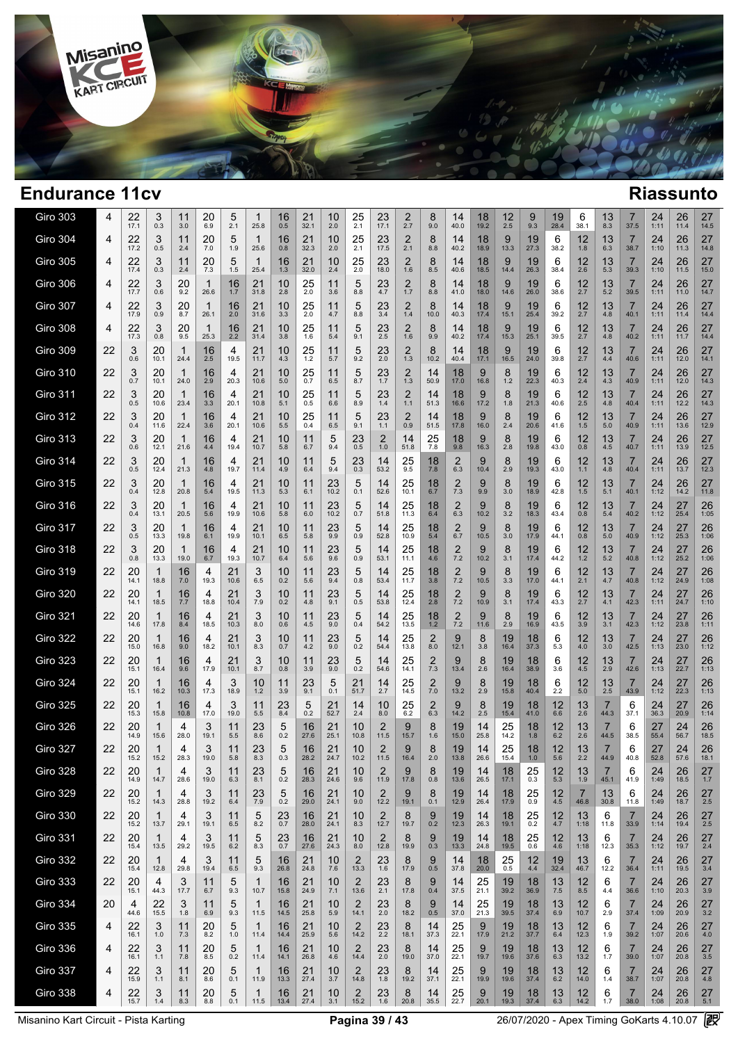

| Giro 303        | 4  | 22<br>17.1           | 3<br>0.3             | 11<br>3.0        | 20<br>6.9  | 5<br>2.1   | 1<br>25.8            | 16<br>0.5         | 21<br>32.1           | 10<br>2.0            | 25<br>2.1              | 23<br>17.1          | 2<br>2.7         | 8<br>9.0     | 14<br>40.0            | 18<br>19.2           | 12<br>2.5            | 9<br>9.3          | 19<br>28.4          | 6<br>38.1                 | 13<br>8.3   | 7<br>37.5              | 24<br>1:11           | 26<br>11.4           | 27<br>14.5       |  |
|-----------------|----|----------------------|----------------------|------------------|------------|------------|----------------------|-------------------|----------------------|----------------------|------------------------|---------------------|------------------|--------------|-----------------------|----------------------|----------------------|-------------------|---------------------|---------------------------|-------------|------------------------|----------------------|----------------------|------------------|--|
| <b>Giro 304</b> | 4  | 22<br>17.2           | 3<br>0.5             | 11<br>2.4        | 20<br>7.0  | 5<br>1.9   | 1<br>25.6            | 16<br>0.8         | 21<br>32.3           | 10<br>2.0            | $25$ <sub>2.1</sub>    | 23<br>17.5          | 2<br>2.1         | 8<br>8.8     | 14<br>40.2            | 18<br>18.9           | 9<br>13.3            | 19<br>27.3        | 6<br>38.2           | 12<br>1.8                 | 13<br>6.3   | 7<br>38.7              | 24<br>1:10           | 26<br>11.3           | 27<br>14.8       |  |
| <b>Giro 305</b> | 4  | 22<br>17.4           | 3<br>0.3             | 11<br>2.4        | 20<br>7.3  | 5<br>1.5   | 1<br>25.4            | 16<br>1.3         | 21<br>32.0           | 10<br>2.4            | 25<br>2.0              | 23<br>18.0          | 2<br>1.6         | 8<br>8.5     | 14<br>40.6            | 18<br>18.5           | 9<br>14.4            | 19<br>26.3        | 6<br>38.4           | 12<br>2.6                 | 13<br>5.3   | 7<br>39.3              | 24<br>1:10           | 26<br>11.5           | 27<br>15.0       |  |
| <b>Giro 306</b> | 4  | 22<br>17.7           | 3<br>0.6             | 20<br>9.2        | -1<br>26.6 | 16<br>1.7  | 21<br>31.8           | 10<br>2.8         | 25<br>2.0            | 11<br>3.6            | 5<br>8.8               | 23<br>4.7           | 2<br>1.7         | 8<br>8.8     | 14<br>41.0            | 18<br>18.0           | 9<br>14.6            | 19<br>26.0        | 6<br>38.6           | 12<br>2.7                 | 13<br>5.2   | 7<br>39.5              | 24<br>1:11           | 26<br>11.0           | 27<br>14.7       |  |
| <b>Giro 307</b> | 4  | 22<br>17.9           | 3<br>0.9             | 20<br>8.7        | -1<br>26.1 | 16<br>2.0  | 21<br>31.6           | 10<br>3.3         | 25<br>2.0            | 11<br>4.7            | 5<br>8.8               | 23<br>3.4           | 2<br>1.4         | 8<br>10.0    | 14<br>40.3            | 18<br>17.4           | 9<br>15.1            | 19<br>25.4        | 6<br>39.2           | 12<br>2.7                 | 13<br>4.8   | 7<br>40.1              | 24<br>1:11           | 26<br>11.4           | 27<br>14.4       |  |
| <b>Giro 308</b> | 4  | 22<br>17.3           | 3<br>0.8             | 20<br>9.5        | 1<br>25.3  | 16<br>2.2  | 21<br>31.4           | 10<br>3.8         | 25<br>1.6            | 11<br>5.4            | 5<br>9.1               | 23<br>2.5           | 2<br>1.6         | 8<br>9.9     | 14<br>40.2            | 18<br>17.4           | 9<br>15.3            | 19<br>25.1        | 6<br>39.5           | 12<br>2.7                 | 13<br>4.8   | 7<br>40.2              | 24<br>1:11           | 26<br>11.7           | 27<br>14.4       |  |
| <b>Giro 309</b> | 22 | 3<br>0.6             | 20<br>10.1           | 1<br>24.4        | 16<br>2.5  | 4<br>19.5  | 21<br>11.7           | 10<br>4.3         | 25<br>1.2            | 11<br>5.7            | 5<br>9.2               | 23<br>2.0           | 2<br>1.3         | 8<br>10.2    | 14<br>40.4            | 18<br>17.1           | 9<br>16.5            | 19<br>24.0        | 6<br>39.8           | 12<br>2.7                 | 13<br>4.4   | 7<br>40.6              | 24<br>1:11           | 26<br>12.0           | 27<br>14.1       |  |
| <b>Giro 310</b> | 22 | 3<br>0.7             | 20<br>10.1           | 1<br>24.0        | 16<br>2.9  | 4<br>20.3  | 21<br>10.6           | 10<br>5.0         | 25<br>0.7            | 11<br>6.5            | 5<br>8.7               | 23<br>1.7           | 2<br>1.3         | 14<br>50.9   | 18<br>17.0            | 9<br>16.8            | 8<br>1.2             | 19<br>22.3        | 6<br>40.3           | 12<br>2.4                 | 13<br>4.3   | 7<br>40.9              | 24<br>1:11           | 26<br>12.0           | 27<br>14.3       |  |
| <b>Giro 311</b> | 22 | 3<br>0.5             | 20<br>10.6           | 1<br>23.4        | 16<br>3.3  | 4<br>20.1  | 21<br>10.8           | 10<br>5.1         | 25<br>0.5            | 11<br>6.6            | 5<br>8.9               | 23<br>1.4           | 2<br>1.1         | 14<br>51.3   | 18<br>16.6            | 9<br>17.2            | 8<br>1.8             | 19<br>21.3        | 6<br>40.6           | 12<br>2.5                 | 13<br>4.8   | 7<br>40.4              | 24<br>1:11           | 26<br>12.2           | 27<br>14.3       |  |
| <b>Giro 312</b> | 22 | 3<br>0.4             | 20<br>11.6           | 1<br>22.4        | 16<br>3.6  | 4<br>20.1  | 21<br>10.6           | 10<br>5.5         | 25<br>0.4            | 11<br>6.5            | 5<br>9.1               | 23<br>1.1           | 2<br>0.9         | 14<br>51.5   | 18<br>17.8            | 9<br>16.0            | 8<br>2.4             | 19<br>20.6        | 6<br>41.6           | 12<br>1.5                 | 13<br>5.0   | 7<br>40.9              | 24<br>1:11           | 26<br>13.6           | 27<br>12.9       |  |
| <b>Giro 313</b> | 22 | 3<br>0.6             | 20<br>12.1           | 1<br>21.6        | 16<br>4.4  | 4<br>19.4  | 21<br>10.7           | 10<br>5.8         | 11<br>6.7            | 5<br>9.4             | 23<br>0.5              | 2<br>1.0            | 14<br>51.8       | 25<br>7.8    | 18<br>9.8             | 9<br>16.3            | 8<br>2.8             | 19<br>19.8        | 6<br>43.0           | 12<br>0.8                 | 13<br>4.5   | 7<br>40.7              | 24<br>1:11           | 26<br>13.9           | 27<br>12.5       |  |
| <b>Giro 314</b> | 22 | 3<br>0.5             | 20<br>12.4           | 1<br>21.3        | 16<br>4.8  | 4<br>19.7  | 21<br>11.4           | 10<br>4.9         | 11<br>6.4            | 5<br>9.4             | 23<br>0.3              | 14<br>53.2          | 25<br>9.5        | 18<br>7.8    | 2<br>6.3              | 9<br>10.4            | 8<br>2.9             | 19<br>19.3        | 6<br>43.0           | 12<br>1.1                 | 13<br>4.8   | 7<br>40.4              | 24<br>1:11           | 26<br>13.7           | 27<br>12.3       |  |
| <b>Giro 315</b> | 22 | 3<br>0.4             | 20<br>12.8           | 1<br>20.8        | 16<br>5.4  | 4<br>19.5  | 21<br>11.3           | 10<br>5.3         | 11<br>6.1            | 23<br>10.2           | 5<br>0.1               | 14<br>52.6          | 25<br>10.1       | 18<br>6.7    | $\overline{c}$<br>7.3 | 9<br>9.9             | 8<br>3.0             | 19<br>18.9        | 6<br>42.8           | 12<br>1.5                 | 13<br>5.1   | 7<br>40.1              | 24<br>1:12           | 26<br>14.2           | 27<br>11.8       |  |
| <b>Giro 316</b> | 22 | 3<br>0.4             | 20<br>13.1           | 1<br>20.5        | 16<br>5.6  | 4<br>19.9  | 21<br>10.6           | 10<br>5.8         | 11<br>6.0            | 23<br>10.2           | 5<br>0.7               | 14<br>51.8          | 25<br>11.3       | 18<br>6.4    | 2<br>6.3              | 9<br>10.2            | 8<br>3.2             | 19<br>18.3        | 6<br>43.4           | 12<br>0.8                 | 13<br>5.4   | 7<br>40.2              | 24<br>1:12           | 27<br>25.4           | 26<br>1:05       |  |
| <b>Giro 317</b> | 22 | 3<br>0.5             | 20<br>13.3           | -1<br>19.8       | 16<br>6.1  | 4<br>19.9  | 21<br>10.1           | 10<br>6.5         | 11<br>5.8            | 23<br>9.9            | 5<br>0.9               | 14<br>52.8          | 25<br>10.9       | 18<br>5.4    | 2<br>6.7              | 9<br>10.5            | 8<br>3.0             | 19<br>17.9        | 6<br>44.1           | 12<br>0.8                 | 13<br>5.0   | 7<br>40.9              | 24<br>1:12           | 27<br>25.3           | 26<br>1:06       |  |
| <b>Giro 318</b> | 22 | 3<br>0.8             | 20<br>13.3           | -1<br>19.0       | 16<br>6.7  | 4<br>19.3  | 21<br>10.7           | 10<br>6.4         | 11<br>5.6            | 23<br>9.6            | 5<br>0.9               | 14<br>53.1          | 25<br>11.1       | 18<br>4.6    | $\frac{2}{7.2}$       | 9<br>10.2            | 8<br>3.1             | 19<br>17.4        | 6<br>44.2           | 12<br>1.2                 | 13<br>5.2   | 7<br>40.8              | 24<br>1:12           | 27<br>25.2           | 26<br>1:06       |  |
| <b>Giro 319</b> | 22 | 20<br>14.1           | 1<br>18.8            | 16<br>7.0        | 4<br>19.3  | 21<br>10.6 | 3<br>6.5             | 10<br>0.2         | 11<br>5.6            | 23<br>9.4            | 5<br>0.8               | 14<br>53.4          | 25<br>11.7       | 18<br>3.8    | $\overline{2}$<br>7.2 | 9<br>10.5            | 8<br>3.3             | 19<br>17.0        | 6<br>44.1           | 12<br>2.1                 | 13<br>4.7   | 7<br>40.8              | 24<br>1:12           | 27<br>24.9           | 26<br>1:08       |  |
| <b>Giro 320</b> | 22 | 20<br>14.1           | 1<br>18.5            | 16<br>7.7        | 4<br>18.8  | 21<br>10.4 | 3<br>7.9             | 10<br>0.2         | 11<br>4.8            | 23<br>9.1            | 5<br>0.5               | 14<br>53.8          | 25<br>12.4       | 18<br>2.8    | $\overline{2}$<br>7.2 | 9<br>10.9            | 8<br>3.1             | 19<br>17.4        | 6<br>43.3           | 12<br>2.7                 | 13<br>4.1   | 7<br>42.3              | 24<br>1:11           | 27<br>24.7           | 26<br>1:10       |  |
| <b>Giro 321</b> | 22 | 20<br>14.6           | 1<br>17.8            | 16<br>8.4        | 4<br>18.5  | 21<br>10.3 | 3<br>8.0             | 10<br>0.6         | 11<br>4.5            | 23<br>9.0            | 5<br>0.4               | 14<br>54.2          | 25<br>13.5       | 18<br>1.2    | $\overline{2}$<br>7.2 | 9<br>11.6            | 8<br>2.9             | 19<br>16.9        | 6<br>43.5           | 12<br>3.9                 | 13<br>3.1   | 7<br>42.3              | 24<br>1:12           | 27<br>23.8           | 26<br>1:11       |  |
| <b>Giro 322</b> | 22 | 20<br>15.0           | 16.8                 | 16<br>9.0        | 4<br>18.2  | 21<br>10.1 | 3<br>8.3             | 10<br>0.7         | 11<br>4.2            | 23<br>9.0            | 5<br>0.2               | 14<br>54.4          | 25<br>13.8       | 2<br>8.0     | 9<br>12.1             | 8<br>3.8             | 19<br>16.4           | 18<br>37.3        | 6<br>5.3            | 12<br>4.0                 | 13<br>3.0   | 7<br>42.5              | 24<br>1:13           | 27<br>23.0           | 26<br>1:12       |  |
| <b>Giro 323</b> | 22 | 20<br>15.1           | 1<br>16.4            | 16<br>9.6        | 4<br>17.9  | 21<br>10.1 | 3<br>8.7             | 10<br>0.8         | 11<br>3.9            | 23<br>9.0            | 5<br>0.2               | 14<br>54.6          | 25<br>14.1       | 2<br>7.3     | 9<br>13.4             | 8<br>2.6             | 19<br>16.4           | 18<br>38.9        | 6<br>3.6            | 12<br>4.5                 | 13<br>2.9   | 7<br>42.6              | 24<br>1:13           | 27<br>22.7           | 26<br>1:13       |  |
| <b>Giro 324</b> | 22 | 20<br>15.1           | 16.2                 | 16<br>10.3       | 4<br>17.3  | 3<br>18.9  | 10<br>1.2            | 11<br>3.9         | 23<br>9.1            | 5<br>0.1             | 21<br>51.7             | 14<br>2.7           | 25<br>14.5       | 2<br>7.0     | 9<br>13.2             | 8<br>2.9             | 19<br>15.8           | 18<br>40.4        | 6<br>2.2            | 12<br>5.0                 | 13<br>2.5   | 7<br>43.9              | 24<br>1:12           | 27<br>22.3           | 26<br>1:13       |  |
| <b>Giro 325</b> | 22 | 20<br>15.3           | 1<br>15.8            | 16<br>10.8       | 4<br>17.0  | 3<br>19.0  | 11<br>5.5            | 23<br>8.4         | 5<br>0.2             | 21<br>52.7           | 14<br>2.4              | 10<br>8.0           | 25<br>6.2        | 2<br>6.3     | 9<br>14.2             | 8<br>2.5             | 19<br>15.4           | 18<br>41.0        | 12<br>6.6           | 13<br>2.6                 | 44.3        | 6<br>37.1              | 24<br>36.3           | 27<br>20.9           | 26<br>1:14       |  |
| <b>Giro 326</b> | 22 | 20<br>14.9           | 15.6                 | 4<br>28.0        | 3<br>19.1  | 11<br>5.5  | 23<br>8.6            | 5<br>0.2          | 16<br>27.6           | 21<br>25.1           | 10<br>10.8             | 2<br>11.5           | 9<br>15.7        | 8<br>1.6     | 19<br>15.0            | 14<br>25.8           | 25<br>14.2           | 18<br>1.8         | 12<br>6.2           | 13<br>2.6                 | 44.5        | 6<br>38.5              | 27<br>55.4           | 24<br>56.7           | 26<br>18.5       |  |
| <b>Giro 327</b> | 22 | 20<br>15.2           | 1<br>15.2            | 4<br>28.3        | 3<br>19.0  | 11<br>5.8  | 23<br>8.3            | 5<br>0.3          | 16<br>28.2           | 21<br>24.7           | 10<br>10.2             | 2<br>11.5           | 9<br>16.4        | 8<br>2.0     | 19<br>13.8            | 14<br>26.6           | 25<br>15.4           | 18<br>1.0         | 12<br>5.6           | 13<br>2.2                 | 44.9        | 6<br>40.8              | 27<br>52.8           | 24<br>57.6           | 26<br>18.1       |  |
| <b>Giro 328</b> | 22 | $^{20}_{14.9}$       | 1<br>14.7            | 4<br>28.6        | 3<br>19.0  | 11<br>6.3  | $23_{8.1}$           | $\frac{5}{0.2}$   | $\frac{16}{28.3}$    | $^{21}_{24.6}$       | 10<br>9.6              | $^{2}_{11.9}$       | 9<br>17.8        | 8<br>0.8     | 19<br>13.6            | $\frac{14}{26.5}$    | 18<br>17.1           | $^{25}_{0.3}$     | $12$ <sub>5.3</sub> | $13 \atop 1.9$            | 45.1        | 6<br>41.9              | 24<br>1:49           | $26$ <sub>18.5</sub> | $27 \atop 1.7$   |  |
| <b>Giro 329</b> | 22 | $20$<br>15.2         | $\mathbf{1}$<br>14.3 | 4<br>28.8        | 3<br>19.2  | $11_{6.4}$ | $^{23}_{7.9}$        | $\frac{5}{0.2}$   | $\frac{16}{29.0}$    | $21$ <sub>24.1</sub> | 10<br>9.0              | $2$ <sub>12.2</sub> | $\frac{9}{19.1}$ | $_{0.1}^{8}$ | $19 \atop 12.9$       | $14$<br>$26.4$       | $18$ <sub>17.9</sub> | $^{25}_{0.9}$     | $^{12}_{4.5}$       | $\frac{7}{46.8}$          | $13 \n30.8$ | 6<br>11.8              | $24$ <sub>1:49</sub> | $26$<br>18.7         | $\frac{27}{2.5}$ |  |
| <b>Giro 330</b> | 22 | 20<br>15.2           | 1<br>13.7            | 4<br>29.1        | 3<br>19.1  | 11<br>6.5  | 5<br>8.2             | 23<br>0.7         | 16<br>28.0           | 21<br>24.1           | 10<br>8.3              | 2<br>12.7           | 8<br>19.7        | 9<br>0.2     | 19<br>12.3            | 14<br>26.3           | 18<br>19.1           | $^{25}_{0.2}$     | $^{12}_{4.7}$       | 13<br>1:18                | 6<br>11.8   | $\overline{7}$<br>33.9 | 24<br>1:14           | 26<br>19.4           | 27<br>$2.5\,$    |  |
| <b>Giro 331</b> | 22 | $20$ <sub>15.4</sub> | $\mathbf{1}$<br>13.5 | 4<br>29.2        | 3<br>19.5  | 11<br>6.2  | $\frac{5}{8.3}$      | $^{23}_{0.7}$     | $\frac{16}{27.6}$    | $21$ <sub>24.3</sub> | 10<br>$8.\overline{0}$ | $\frac{2}{12.8}$    | 8<br>19.9        | $9$ $_{0.3}$ | $\frac{19}{13.3}$     | $14$ <sub>24.8</sub> | $18$ <sub>19.5</sub> | $^{25}_{0.6}$     | $^{12}_{4.6}$       | $13$ <sub>1:18</sub>      | 6<br>12.3   | 7<br>35.3              | $24$ <sub>1:12</sub> | $26$ <sub>19.7</sub> | $^{27}_{2.4}$    |  |
| <b>Giro 332</b> | 22 | $20$ <sub>15.4</sub> | 1<br>12.8            | 4<br>29.8        | 3<br>19.4  | 11<br>6.5  | $\frac{5}{9.3}$      | $\frac{16}{26.8}$ | $21$ <sub>24.8</sub> | 10<br>7.6            | $\frac{2}{13.3}$       | $^{23}_{1.6}$       | 8<br>17.9        | $9$ $_{0.5}$ | 14<br>37.8            | $\frac{18}{20.0}$    | $^{25}_{0.5}$        | $12$<br>4.4       | $19 \atop 32.4$     | 13<br>46.7                | 6<br>12.2   | 7<br>36.4              | $24$ <sub>1:11</sub> | $26$<br>19.5         | $^{27}_{3.4}$    |  |
| <b>Giro 333</b> | 22 | 20<br>15.1           | 4<br>44.3            | $\frac{3}{17.7}$ | 11<br>6.7  | 5<br>9.3   | 1<br>10.7            | $16 \over 15.8$   | $^{21}_{24.9}$       | $\frac{10}{7.1}$     | $\frac{2}{13.6}$       | $^{23}_{2.1}$       | 8<br>17.8        | $9$ $_{0.4}$ | 14<br>37.5            | $25$ <sub>21.1</sub> | $\frac{19}{39.2}$    | $18 \atop 36.9$   | $\frac{13}{7.5}$    | 12<br>8.5                 | 6<br>4.4    | 7<br>36.6              | $24$ <sub>1:10</sub> | $\frac{26}{20.3}$    | 27<br>3.9        |  |
| <b>Giro 334</b> | 20 | 4<br>44.6            | 22<br>15.5           | 3<br>1.8         | 11<br>6.9  | 5<br>9.3   | $\mathbf{1}$<br>11.5 | 16<br>14.5        | 21<br>25.8           | 10<br>5.9            | $\overline{2}$<br>14.1 | 23<br>2.0           | 8<br>18.2        | 9<br>$0.5\,$ | 14<br>37.0            | 25<br>21.3           | 19<br>39.5           | 18<br>37.4        | 13<br>6.9           | 12<br>10.7                | 6<br>2.9    | $\overline{7}$<br>37.4 | 24<br>1:09           | 26<br>20.9           | 27<br>3.2        |  |
| <b>Giro 335</b> | 4  | 22<br>16.1           | 3<br>1.0             | 11<br>7.3        | 20<br>8.2  | 5<br>1.0   | $\mathbf{1}$<br>11.4 | 16<br>14.4        | 21<br>25.9           | 10<br>5.6            | $^{2}_{14.2}$          | $^{23}_{2.2}$       | 8<br>18.1        | 14<br>37.3   | $25$<br>$22.1$        | 9<br>17.9            | $19 \atop 21.2$      | $\frac{18}{37.7}$ | $^{13}_{6.4}$       | $12 \overline{ }$<br>12.3 | 6<br>1.9    | 7<br>39.2              | $24 \atop 1:07$      | $\frac{26}{20.6}$    | 27<br>$4.0\,$    |  |
| Giro 336        | 4  | 22<br>16.1           | 3<br>1.1             | 11<br>7.8        | 20<br>8.5  | 5<br>0.2   | $\mathbf{1}$<br>11.4 | 16<br>14.1        | 21<br>26.8           | 10<br>4.6            | $\overline{2}$<br>14.4 | 23<br>2.0           | 8<br>19.0        | 14<br>37.0   | 25<br>22.1            | 9<br>19.7            | 19<br>19.6           | 18<br>37.6        | 13<br>6.3           | $12 \overline{ }$<br>13.2 | 6<br>1.7    | 7<br>39.0              | 24<br>1:07           | 26<br>20.8           | 27<br>$3.5\,$    |  |
| Giro 337        | 4  | 22<br>15.9           | 3<br>1.1             | 11<br>8.1        | 20<br>8.6  | 5<br>0.1   | $\mathbf{1}$<br>11.9 | 16<br>13.3        | 21<br>27.4           | 10<br>3.7            | $\overline{2}$<br>14.8 | 23<br>1.8           | 8<br>19.2        | 14<br>37.1   | 25<br>22.1            | 9<br>19.9            | 19<br>19.6           | 18<br>37.4        | 13<br>6.2           | $12 \overline{ }$<br>14.0 | 6<br>1.4    | 7<br>38.7              | 24<br>1:07           | 26<br>20.8           | 27<br>4.8        |  |
| <b>Giro 338</b> | 4  | 22<br>15.7           | 3<br>$1.4$           | 11<br>8.3        | 20<br>8.8  | 5<br>0.1   | $\mathbf{1}$<br>11.5 | 16<br>13.4        | 21<br>27.4           | 10<br>3.1            | $\overline{2}$<br>15.2 | 23<br>1.6           | 8<br>20.8        | 14<br>35.5   | 25<br>22.7            | 9<br>20.1            | 19<br>19.3           | 18<br>37.4        | 13<br>$6.3\,$       | 12<br>14.2                | 6<br>1.7    | $\overline{7}$<br>38.0 | 24<br>1:08           | 26<br>20.8           | 27<br>$5.1$      |  |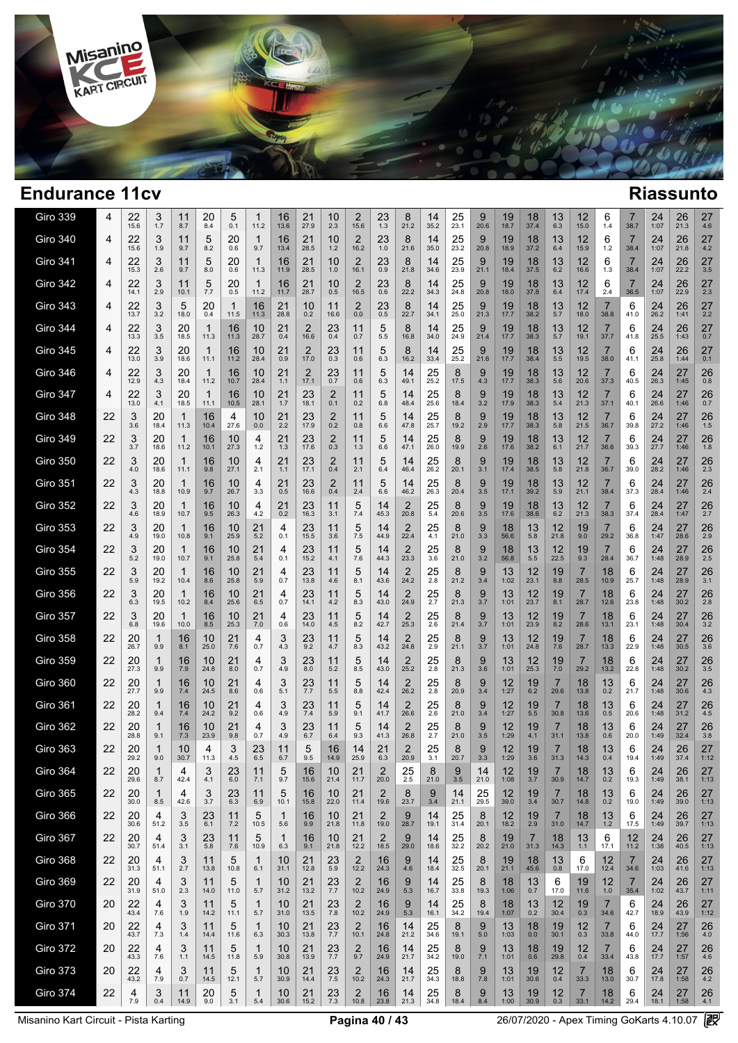

--

| <b>Giro 339</b> | 4  | 22<br>15.6 | 3<br>1.7   | 11<br>8.7            | 20<br>8.4  | 5<br>0.1   | 1<br>11.2           | 16<br>13.6         | 21<br>27.9             | 10<br>2.3             | 2<br>15.6                       | 23<br>1.3              | 8<br>21.2  | 14<br>35.2           | 25<br>23.1           | 9<br>20.6       | 19<br>18.7                | 18<br>37.4       | 13<br>6.3              | 12<br>15.0             | 6<br>1.4               | 38.7                   | 24<br>1:07      | 26<br>21.3 | 27<br>4.6  |  |
|-----------------|----|------------|------------|----------------------|------------|------------|---------------------|--------------------|------------------------|-----------------------|---------------------------------|------------------------|------------|----------------------|----------------------|-----------------|---------------------------|------------------|------------------------|------------------------|------------------------|------------------------|-----------------|------------|------------|--|
| <b>Giro 340</b> | 4  | 22<br>15.6 | 3<br>1.9   | 11<br>9.7            | 5<br>8.2   | 20<br>0.6  | $\mathbf{1}$<br>9.7 | 16<br>13.4         | 21<br>28.5             | 10<br>1.2             | 2<br>16.2                       | 23<br>1.0              | 8<br>21.6  | 14<br>35.0           | 25<br>23.2           | 9<br>20.8       | 19<br>18.9                | 18<br>37.2       | 13<br>6.4              | 12<br>15.9             | 6<br>1.2               | 7<br>38.4              | 24<br>1:07      | 26<br>21.8 | 27<br>4.2  |  |
| <b>Giro 341</b> | 4  | 22<br>15.3 | 3<br>2.6   | 11<br>9.7            | 5<br>8.0   | 20<br>0.6  | 1<br>11.3           | 16<br>11.9         | 21<br>28.5             | 10<br>1.0             | $\overline{2}$<br>16.1          | 23<br>0.9              | 8<br>21.8  | 14<br>34.6           | 25<br>23.9           | 9<br>21.1       | 19<br>18.4                | 18<br>37.5       | 13<br>6.2              | 12<br>16.6             | 6<br>1.3               | 7<br>38.4              | 24<br>1:07      | 26<br>22.2 | 27<br>3.5  |  |
| <b>Giro 342</b> | 4  | 22<br>14.1 | 3<br>2.9   | 11<br>10.1           | 5<br>7.7   | 20<br>0.5  | 1<br>11.2           | 16<br>11.7         | 21<br>28.7             | 10<br>0.5             | 2<br>16.5                       | 23<br>0.6              | 8<br>22.2  | 14<br>34.3           | 25<br>24.8           | 9<br>20.8       | 19<br>18.0                | 18<br>37.8       | 13<br>6.4              | 12<br>17.4             | 6<br>2.4               | 7<br>36.5              | 24<br>1:07      | 26<br>22.9 | 27<br>2.3  |  |
| <b>Giro 343</b> | 4  | 22<br>13.7 | 3<br>3.2   | 5<br>18.0            | 20<br>0.4  | -1<br>11.5 | 16<br>11.3          | 21<br>28.8         | 10<br>0.2              | 11<br>16.6            | $\overline{2}$<br>0.0           | 23<br>0.5              | 8<br>22.7  | 14<br>34.1           | 25<br>25.0           | 9<br>21.3       | 19<br>17.7                | 18<br>38.2       | 13<br>5.7              | 12<br>18.0             | 7<br>38.8              | 6<br>41.0              | 24<br>26.2      | 26<br>1:41 | 27<br>2.2  |  |
| <b>Giro 344</b> | 4  | 22<br>13.3 | 3<br>3.5   | 20<br>18.5           | 1<br>11.3  | 16<br>11.3 | 10<br>28.7          | 21<br>0.4          | 2<br>16.6              | 23<br>0.4             | 11<br>0.7                       | 5<br>5.5               | 8<br>16.8  | 14<br>34.0           | 25<br>24.9           | 9<br>21.4       | 19<br>17.7                | 18<br>38.3       | 13<br>5.7              | 12<br>19.1             | 37.7                   | 6<br>41.8              | 24<br>25.5      | 26<br>1:43 | 27<br>0.7  |  |
| <b>Giro 345</b> | 4  | 22<br>13.0 | 3<br>3.9   | 20<br>18.6           | 1<br>11.1  | 16<br>11.2 | 10<br>28.4          | 21<br>0.9          | $\overline{2}$<br>17.0 | 23<br>0.3             | 11<br>0.6                       | 5<br>6.3               | 8<br>16.2  | 14<br>33.4           | 25<br>25.2           | 9<br>21.6       | 19<br>17.7                | 18<br>38.4       | 13<br>5.5              | 12<br>19.5             | 38.0                   | 6<br>41.1              | 24<br>25.8      | 26<br>1:44 | 27<br>0.1  |  |
| Giro 346        | 4  | 22<br>12.9 | 3<br>4.3   | 20<br>18.4           | -1<br>11.2 | 16<br>10.7 | 10<br>28.4          | 21<br>1.1          | $\overline{2}$<br>17.1 | 23<br>0.7             | 11<br>0.6                       | 5<br>6.3               | 14<br>49.1 | 25<br>25.2           | 8<br>17.5            | 9<br>4.3        | 19<br>17.7                | 18<br>38.3       | 13<br>5.6              | 12<br>20.6             | 37.3                   | 6<br>40.5              | 24<br>26.3      | 27<br>1:45 | 26<br>0.8  |  |
| <b>Giro 347</b> | 4  | 22<br>13.0 | 3<br>4.1   | 20<br>18.5           | 1<br>11.1  | 16<br>10.5 | 10<br>28.1          | 21<br>1.7          | 23<br>18.1             | $\overline{2}$<br>0.1 | 11<br>0.2                       | 5<br>6.8               | 14<br>48.4 | 25<br>25.6           | 8<br>18.4            | 9<br>3.2        | 19<br>17.9                | 18<br>38.3       | 13<br>5.4              | 12<br>21.3             | 37.1                   | 6<br>40.1              | 24<br>26.6      | 27<br>1:46 | 26<br>0.7  |  |
| Giro 348        | 22 | 3<br>3.6   | 20<br>18.4 | 1<br>11.3            | 16<br>10.4 | 4<br>27.6  | 10<br>0.0           | 21<br>2.2          | 23<br>17.9             | $\overline{2}$<br>0.2 | 11<br>0.8                       | 5<br>6.6               | 14<br>47.8 | 25<br>25.7           | 8<br>19.2            | 9<br>2.9        | 19<br>17.7                | 18<br>38.3       | 13<br>5.8              | 12<br>21.5             | 36.7                   | 6<br>39.8              | 24<br>27.2      | 27<br>1:46 | 26<br>1.5  |  |
| <b>Giro 349</b> | 22 | 3<br>3.7   | 20<br>18.6 | $\mathbf{1}$<br>11.2 | 16<br>10.1 | 10<br>27.3 | 4<br>1.2            | 21<br>1.3          | 23<br>17.6             | 2<br>0.3              | 11<br>1.3                       | 5<br>6.6               | 14<br>47.1 | 25<br>26.0           | 8<br>19.9            | 9<br>2.6        | 19<br>17.6                | 18<br>38.2       | 13<br>6.1              | 12<br>21.7             | 7<br>36.6              | 6<br>39.3              | 24<br>27.7      | 27<br>1:46 | 26<br>1.8  |  |
| <b>Giro 350</b> | 22 | 3<br>4.0   | 20<br>18.6 | $\mathbf{1}$<br>11.1 | 16<br>9.8  | 10<br>27.1 | 4<br>2.1            | 21<br>$1.1$        | 23<br>17.1             | 2<br>0.4              | 11<br>2.1                       | 5<br>6.4               | 14<br>46.4 | 25<br>26.2           | 8<br>20.1            | 9<br>3.1        | 19<br>17.4                | 18<br>38.5       | 13<br>5.8              | 12<br>21.8             | 36.7                   | 6<br>39.0              | 24<br>28.2      | 27<br>1:46 | 26<br>2.3  |  |
| <b>Giro 351</b> | 22 | 3<br>4.3   | 20<br>18.8 | 1<br>10.9            | 16<br>9.7  | 10<br>26.7 | 4<br>3.3            | 21<br>0.5          | 23<br>16.6             | 2<br>0.4              | 11<br>2.4                       | 5<br>6.6               | 14<br>46.2 | 25<br>26.3           | 8<br>20.4            | 9<br>3.5        | 19<br>17.1                | 18<br>39.2       | 13<br>5.9              | 12<br>21.1             | 38.4                   | 6<br>37.3              | 24<br>28.4      | 27<br>1:46 | 26<br>2.4  |  |
| <b>Giro 352</b> | 22 | 3<br>4.6   | 20<br>18.9 | 1<br>10.7            | 16<br>9.5  | 10<br>26.3 | 4<br>4.2            | 21<br>0.2          | 23<br>16.3             | 11<br>3.1             | 5<br>7.4                        | 14<br>45.3             | 2<br>20.8  | 25<br>5.4            | 8<br>20.6            | 9<br>3.5        | 19<br>17.6                | 18<br>38.6       | 13<br>6.2              | 12<br>21.3             | 7<br>38.3              | 6<br>37.4              | 24<br>28.4      | 27<br>1:47 | 26<br>2.7  |  |
| <b>Giro 353</b> | 22 | 3<br>4.9   | 20<br>19.0 | 1<br>10.8            | 16<br>9.1  | 10<br>25.9 | 21<br>5.2           | 4<br>0.1           | 23<br>15.5             | 11<br>3.6             | 5<br>7.5                        | 14<br>44.9             | 2<br>22.4  | 25<br>4.1            | 8<br>21.0            | $\frac{9}{3.3}$ | 18<br>56.6                | 13<br>5.8        | 12<br>21.8             | 19<br>9.0              | 29.2                   | 6<br>36.8              | 24<br>1:47      | 27<br>28.6 | 26<br>2.9  |  |
| <b>Giro 354</b> | 22 | 3<br>5.2   | 20<br>19.0 | 1<br>10.7            | 16<br>9.1  | 10<br>25.8 | 21<br>5.4           | 4<br>0.1           | 23<br>15.2             | 11<br>4.1             | 5<br>7.6                        | 14<br>44.3             | 2<br>23.3  | 25<br>3.6            | 8<br>21.0            | $\frac{9}{3.2}$ | 18<br>56.8                | 13<br>5.5        | $12$<br>$22.5$         | 19<br>9.3              | 28.4                   | 6<br>36.7              | 24<br>1:48      | 27<br>28.9 | 26<br>2.5  |  |
| <b>Giro 355</b> | 22 | 3<br>5.9   | 20<br>19.2 | 1<br>10.4            | 16<br>8.6  | 10<br>25.8 | 21<br>5.9           | 4<br>0.7           | 23<br>13.8             | 11<br>4.6             | 5<br>8.1                        | 14<br>43.6             | 2<br>24.2  | 25<br>2.8            | 8<br>21.2            | $\frac{9}{3.4}$ | 13<br>1:02                | 12<br>23.1       | 19<br>8.8              | 7<br>28.5              | 18<br>10.9             | 6<br>25.7              | 24<br>1:48      | 27<br>28.9 | 26<br>3.1  |  |
| <b>Giro 356</b> | 22 | 3<br>6.3   | 20<br>19.5 | 1<br>10.2            | 16<br>8.4  | 10<br>25.6 | 21<br>6.5           | 4<br>0.7           | 23<br>14.1             | 11<br>4.2             | 5<br>8.3                        | 14<br>43.0             | 2<br>24.9  | 25<br>2.7            | 8<br>21.3            | 9<br>3.7        | 13<br>1:01                | 12<br>23.7       | 19<br>8.1              | 7<br>28.7              | 18<br>12.6             | 6<br>23.8              | 24<br>1:48      | 27<br>30.2 | 26<br>2.8  |  |
| <b>Giro 357</b> | 22 | 3<br>6.8   | 20<br>19.6 | 1<br>10.0            | 16<br>8.5  | 10<br>25.3 | 21<br>7.0           | 4<br>0.6           | 23<br>14.0             | 11<br>4.5             | 5<br>8.2                        | 14<br>42.7             | 2<br>25.3  | 25<br>2.6            | 8<br>21.4            | 9<br>3.7        | 13<br>1:01                | 12<br>23.9       | 19<br>8.2              | 28.6                   | 18<br>13.1             | 6<br>23.1              | 24<br>1:48      | 27<br>30.4 | 26<br>3.2  |  |
| <b>Giro 358</b> | 22 | 20<br>26.7 | 1<br>9.9   | 16<br>8.1            | 10<br>25.0 | 21<br>7.6  | 4<br>0.7            | 3<br>4.3           | 23<br>9.2              | 11<br>4.7             | 5<br>8.3                        | 14<br>43.2             | 2<br>24.8  | 25<br>2.9            | 8<br>21.1            | 9<br>3.7        | 13<br>1:01                | 12<br>24.8       | 19<br>7.6              | 28.7                   | 18<br>13.3             | 6<br>22.9              | 24<br>1:48      | 27<br>30.5 | 26<br>3.6  |  |
| <b>Giro 359</b> | 22 | 20<br>27.3 | 1<br>9.9   | 16<br>7.9            | 10<br>24.8 | 21<br>8.0  | 4<br>0.7            | 3<br>4.9           | 23<br>8.0              | 11<br>5.2             | 5<br>8.5                        | 14<br>43.0             | 2<br>25.2  | 25<br>2.8            | 8<br>21.3            | 9<br>3.6        | 13<br>1:01                | 12<br>25.3       | 19<br>7.0              | 7<br>29.2              | 18<br>13.2             | 6<br>22.8              | 24<br>1:48      | 27<br>30.2 | 26<br>3.5  |  |
| <b>Giro 360</b> | 22 | 20<br>27.7 | 1<br>9.9   | 16<br>7.4            | 10<br>24.5 | 21<br>8.6  | 4<br>0.6            | 3<br>5.1           | 23<br>7.7              | 11<br>$5.5$           | 5<br>8.8                        | 14<br>42.4             | 2<br>26.2  | 25<br>2.8            | 8<br>20.9            | 9<br>3.4        | 12<br>1:27                | 19<br>6.2        | 29.6                   | 18<br>13.8             | 13<br>0.2              | 6<br>21.7              | 24<br>1:48      | 27<br>30.6 | 26<br>4.3  |  |
| <b>Giro 361</b> | 22 | 20<br>28.2 | 1<br>9.4   | 16<br>7.4            | 10<br>24.2 | 21<br>9.2  | 4<br>0.6            | 3<br>4.9           | 23<br>7.4              | 11<br>5.9             | 5<br>9.1                        | 14<br>41.7             | 2<br>26.6  | 25<br>2.6            | 8<br>21.0            | 9<br>3.4        | 12<br>1:27                | 19<br>5.5        | 30.8                   | 18<br>13.6             | 13<br>0.5              | 6<br>20.6              | 24<br>1:48      | 27<br>31.2 | 26<br>4.5  |  |
| Giro 362        | 22 | 20<br>28.8 | 1<br>9.1   | 16<br>7.3            | 10<br>23.9 | 21<br>9.8  | 4<br>0.7            | 3<br>4.9           | 23<br>6.7              | 11<br>6.4             | 5<br>9.3                        | 14<br>41.3             | 2<br>26.8  | 25<br>2.7            | 8<br>21.0            | 9<br>3.5        | 12<br>1:29                | 19<br>4.1        | 31.1                   | 18<br>13.8             | 13<br>0.6              | 6<br>20.0              | 24<br>1:49      | 27<br>32.4 | 26<br>3.8  |  |
| <b>Giro 363</b> | 22 | 20<br>29.2 | 1<br>9.0   | 10<br>30.7           | 4<br>11.3  | 3<br>4.5   | 23<br>6.5           | 11<br>6.7          | 5<br>9.5               | 16<br>14.9            | 14<br>25.9                      | 21<br>6.3              | 2<br>20.9  | 25<br>3.1            | 8<br>20.7            | 9<br>3.3        | 12<br>1:29                | 19<br>3.6        | 7<br>31.3              | 18<br>14.3             | 13<br>0.4              | 6<br>19.4              | 24<br>1:49      | 26<br>37.4 | 27<br>1:12 |  |
| Giro 364        | 22 | 20<br>29.6 | 8.7        | 4<br>42.4            | 3<br>4.1   | 23<br>6.0  | 11<br>7.1           | 5<br>9.7           | 16<br>15.6             | 10<br>21.4            | 21<br>11.7                      | 2<br>20.0              | 25<br>2.5  | 8<br>21.0            | 9<br>$3.5\,$         | 14<br>21.0      | 12<br>1:08                | 19<br>3.7        | 30.9                   | 18<br>14.7             | 13<br>0.2              | 6<br>19.3              | 24<br>1:49      | 26<br>38.1 | 27<br>1:13 |  |
| <b>Giro 365</b> | 22 | 20<br>30.0 | 1<br>8.5   | 4<br>42.6            | 3<br>3.7   | 23<br>6.3  | 11<br>6.9           | 5<br>10.1          | 16<br>15.8             | 10<br>22.0            | 21<br>11.4                      | $\overline{2}$<br>19.6 | 8<br>23.7  | 9<br>3.4             | 14<br>21.1           | 25<br>29.5      | 12<br>39.0                | 19<br>3.4        | $\overline{7}$<br>30.7 | 18<br>14.8             | 13<br>0.2              | 6<br>19.0              | 24<br>1:49      | 26<br>39.0 | 27<br>1:13 |  |
| <b>Giro 366</b> | 22 | 20<br>30.6 | 4<br>51.2  | 3<br>3.5             | 23<br>6.1  | 11<br>7.2  | 5<br>10.5           | $\mathbf 1$<br>5.6 | 16<br>9.9              | 10<br>21.8            | 21<br>11.8                      | 2<br>19.0              | 9<br>28.7  | 14<br>19.1           | 25<br>31.4           | 8<br>20.1       | $12 \overline{ }$<br>18.2 | 19<br>2.9        | 7<br>31.0              | 18<br>14.7             | 13<br>1.2              | 6<br>17.5              | 24<br>1:49      | 26<br>39.7 | 27<br>1:13 |  |
| Giro 367        | 22 | 20<br>30.7 | 4<br>51.4  | 3<br>3.1             | 23<br>5.8  | 11<br>7.6  | 5<br>10.9           | $\mathbf 1$<br>6.3 | 16<br>9.1              | 10<br>21.8            | 21<br>12.2                      | 2<br>18.5              | 9<br>29.0  | 14<br>18.6           | $25$ <sub>32.2</sub> | 8<br>20.2       | $19 \atop 21.0$           | $\frac{7}{31.3}$ | $\frac{18}{14.3}$      | 13<br>1.1              | 6<br>17.1              | 12<br>11.2             | 24<br>1:38      | 26<br>40.5 | 27<br>1:13 |  |
| Giro 368        | 22 | 20<br>31.3 | 4<br>51.1  | 3<br>2.7             | 11<br>13.8 | 5<br>10.8  | $\mathbf{1}$<br>6.1 | 10<br>31.1         | 21<br>12.8             | 23<br>5.9             | $2$<br>12.2                     | 16<br>24.3             | 9<br>4.6   | 14<br>18.4           | 25<br>32.5           | 8<br>20.1       | 19<br>21.1                | 18<br>45.6       | $\frac{13}{0.8}$       | 6<br>17.0              | 12<br>12.4             | 7<br>34.6              | 24<br>1:03      | 26<br>41.6 | 27<br>1:13 |  |
| Giro 369        | 22 | 20<br>31.9 | 4<br>51.0  | 3<br>2.3             | 11<br>14.0 | 5<br>11.0  | $\mathbf{1}$<br>5.7 | 10<br>31.2         | 21<br>13.2             | $^{23}_{7.7}$         | $\overline{\mathbf{c}}$<br>10.2 | 16<br>24.9             | 9<br>5.3   | 14<br>16.7           | 25<br>33.8           | 8<br>19.3       | 18<br>1:06                | 13<br>0.7        | 6<br>17.0              | 19<br>11.6             | 12<br>$1.0$            | $\overline{7}$<br>35.4 | 24<br>1:02      | 26<br>43.7 | 27<br>1:11 |  |
| <b>Giro 370</b> | 20 | 22<br>43.4 | 4<br>7.6   | 3<br>1.9             | 11<br>14.2 | 5<br>11.1  | $\mathbf{1}$<br>5.7 | 10<br>31.0         | 21<br>13.5             | 23<br>7.8             | $\overline{2}$<br>10.2          | 16<br>24.9             | 9<br>5.3   | 14<br>16.1           | 25<br>34.2           | 8<br>19.4       | 18<br>1:07                | 13<br>0.2        | 12<br>30.4             | 19<br>0.3              | $\overline{7}$<br>34.6 | 6<br>42.7              | 24<br>18.9      | 26<br>43.9 | 27<br>1:12 |  |
| <b>Giro 371</b> | 20 | 22<br>43.7 | 4<br>7.3   | 3<br>1.4             | 11<br>14.4 | 5<br>11.6  | 1<br>6.3            | 10<br>30.3         | $21$ <sub>13.8</sub>   | $^{23}_{7.7}$         | $\overline{2}$<br>10.1          | 16<br>24.8             | 14<br>21.2 | $25$ <sub>34.6</sub> | 8<br>19.1            | 9<br>5.0        | 13<br>1:03                | 18<br>0.0        | 19<br>30.1             | $\frac{12}{0.3}$       | 7<br>33.8              | 6<br>44.0              | $24 \atop 17.7$ | 27<br>1:56 | 26<br>4.0  |  |
| <b>Giro 372</b> | 20 | 22<br>43.3 | 4<br>7.6   | 3<br>1.1             | 11<br>14.5 | 5<br>11.8  | 1<br>5.9            | 10<br>30.8         | 21<br>13.9             | $^{23}_{7.7}$         | $\overline{2}$<br>9.7           | 16<br>24.9             | 14<br>21.7 | 25<br>34.2           | 8<br>19.0            | $\frac{9}{7.1}$ | 13<br>1:01                | 18<br>0.6        | 19<br>29.8             | 12<br>0.4              | 7<br>33.4              | 6<br>43.8              | 24<br>17.7      | 27<br>1:57 | 26<br>4.6  |  |
| <b>Giro 373</b> | 20 | 22<br>43.2 | 4<br>7.9   | 3<br>0.7             | 11<br>14.5 | 5<br>12.1  | $\mathbf{1}$<br>5.7 | 10<br>30.9         | 21<br>14.4             | 23<br>$7.5\,$         | $\overline{2}$<br>10.2          | 16<br>24.3             | 14<br>21.7 | 25<br>34.3           | 8<br>18.8            | 9<br>7.8        | 13<br>1:01                | 19<br>30.6       | 12<br>0.4              | $\overline{7}$<br>33.3 | 18<br>13.0             | 6<br>30.7              | 24<br>17.8      | 27<br>1:58 | 26<br>4.2  |  |
| <b>Giro 374</b> | 22 | 4<br>7.9   | 3<br>0.4   | 11<br>14.9           | 20<br>9.0  | 5<br>3.1   | 1<br>5.4            | 10<br>30.6         | 21<br>15.2             | 23<br>$7.3$           | $\overline{2}$<br>10.8          | 16<br>23.8             | 14<br>21.3 | 25<br>34.8           | 8<br>18.4            | 9<br>8.4        | 13<br>1:00                | 19<br>30.9       | 12<br>0.3              | $\overline{7}$<br>33.1 | 18<br>14.2             | 6<br>29.4              | 24<br>18.1      | 27<br>1:58 | 26<br>4.1  |  |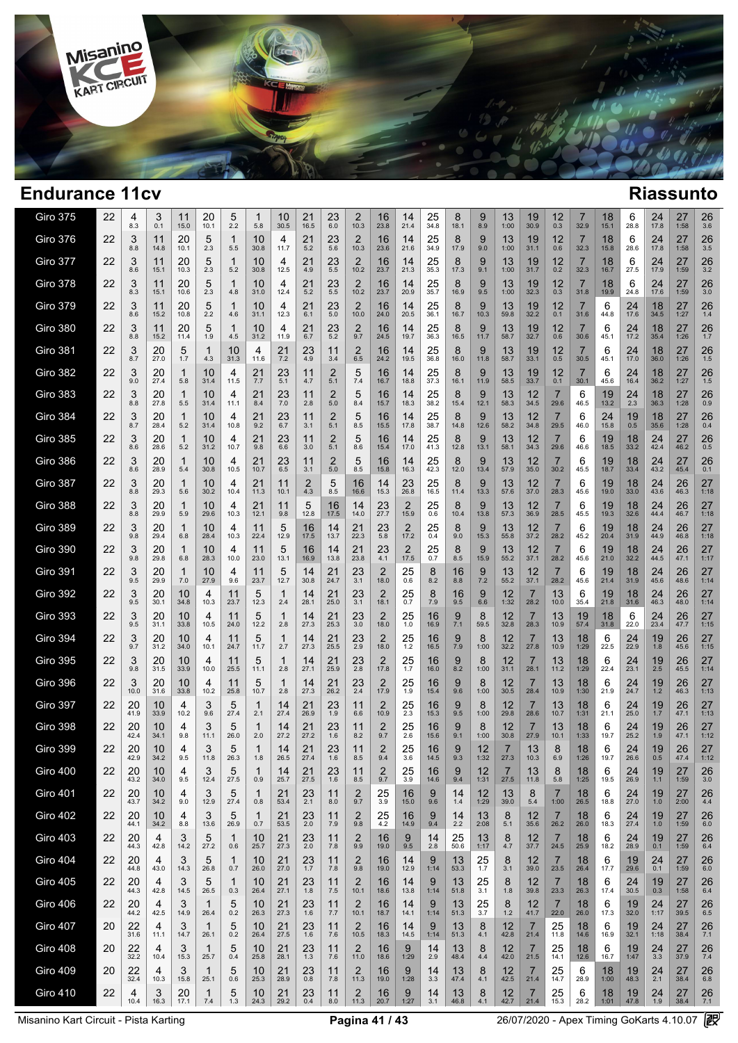

## $\sim$

 $\overline{a}$ 

| <b>Giro 375</b> | 22 | 4<br>8.3     | 3<br>0.1         | 11<br>15.0          | 20<br>10.1 | 5<br>2.2            | 1<br>5.8   | 10<br>30.5 | 21<br>16.5 | 23<br>6.0             | 2<br>10.3              | 16<br>23.8 | 14<br>21.4  | 25<br>34.8 | 8<br>18.1   | 9<br>8.9        | 13<br>1:00   | 19<br>30.9             | 12<br>0.3              | 7<br>32.9              | 18<br>15.1 | 6<br>28.8  | 24<br>17.8           | 27<br>1:58        | 26<br>3.6             |
|-----------------|----|--------------|------------------|---------------------|------------|---------------------|------------|------------|------------|-----------------------|------------------------|------------|-------------|------------|-------------|-----------------|--------------|------------------------|------------------------|------------------------|------------|------------|----------------------|-------------------|-----------------------|
| <b>Giro 376</b> | 22 | 3<br>8.8     | 11<br>14.8       | 20<br>10.1          | 5<br>2.3   | 1<br>5.5            | 10<br>30.8 | 4<br>11.7  | 21<br>5.2  | 23<br>5.6             | $\overline{2}$<br>10.3 | 16<br>23.6 | 14<br>21.6  | 25<br>34.9 | 8<br>17.9   | 9<br>9.0        | 13<br>1:00   | 19<br>31.1             | 12<br>0.6              | 7<br>32.3              | 18<br>15.8 | 6<br>28.6  | 24<br>17.8           | 27<br>1:58        | 26<br>3.5             |
| <b>Giro 377</b> | 22 | 3<br>8.6     | 11<br>15.1       | 20<br>10.3          | 5<br>2.3   | -1<br>5.2           | 10<br>30.8 | 4<br>12.5  | 21<br>4.9  | 23<br>5.5             | $\overline{2}$<br>10.2 | 16<br>23.7 | 14<br>21.3  | 25<br>35.3 | 8<br>17.3   | 9<br>9.1        | 13<br>1:00   | 19<br>31.7             | 12<br>0.2              | $\overline{7}$<br>32.3 | 18<br>16.7 | 6<br>27.5  | 24<br>17.9           | 27<br>1:59        | 26<br>3.2             |
| <b>Giro 378</b> | 22 | 3<br>8.3     | 11<br>15.1       | 20<br>10.6          | 5<br>2.3   | 1<br>4.8            | 10<br>31.0 | 4<br>12.4  | 21<br>5.2  | 23<br>5.5             | 2<br>10.2              | 16<br>23.7 | 14<br>20.9  | 25<br>35.7 | 8<br>16.9   | 9<br>9.5        | 13<br>1:00   | 19<br>32.3             | 12<br>0.3              | 7<br>31.8              | 18<br>19.9 | 6<br>24.8  | 24<br>17.6           | 27<br>1:59        | 26<br>3.0             |
| Giro 379        | 22 | 3<br>8.6     | 11<br>15.2       | 20<br>10.8          | 5<br>2.2   | 1<br>4.6            | 10<br>31.1 | 4<br>12.3  | 21<br>6.1  | 23<br>5.0             | $\overline{2}$<br>10.0 | 16<br>24.0 | 14<br>20.5  | 25<br>36.1 | 8<br>16.7   | 9<br>10.3       | 13<br>59.8   | 19<br>32.2             | 12<br>0.1              | 7<br>31.6              | 6<br>44.8  | 24<br>17.6 | 18<br>34.5           | 27<br>1:27        | 26<br>1.4             |
| <b>Giro 380</b> | 22 | 3<br>8.8     | 11<br>15.2       | 20<br>11.4          | 5<br>1.9   | 1<br>4.5            | 10<br>31.2 | 4<br>11.9  | 21<br>6.7  | 23<br>5.2             | $\overline{2}$<br>9.7  | 16<br>24.5 | 14<br>19.7  | 25<br>36.3 | 8<br>16.5   | 9<br>11.7       | 13<br>58.7   | 19<br>32.7             | 12<br>0.6              | 7<br>30.6              | 6<br>45.1  | 24<br>17.2 | 18<br>35.4           | 27<br>1:26        | 26<br>1.7             |
| Giro 381        | 22 | 3<br>8.7     | 20<br>27.0       | 5<br>1.7            | 1<br>4.3   | 10<br>31.3          | 4<br>11.6  | 21<br>7.2  | 23<br>4.9  | 11<br>3.4             | 2<br>6.5               | 16<br>24.2 | 14<br>19.5  | 25<br>36.8 | 8<br>16.0   | 9<br>11.8       | 13<br>58.7   | 19<br>33.1             | 12<br>0.5              | $\overline{7}$<br>30.5 | 6<br>45.1  | 24<br>17.0 | 18<br>36.0           | 27<br>1:26        | 26<br>1.5             |
| <b>Giro 382</b> | 22 | 3<br>9.0     | 20<br>27.4       | 1<br>5.8            | 10<br>31.4 | 4<br>11.5           | 21<br>7.7  | 23<br>5.1  | 11<br>4.7  | $\overline{2}$<br>5.1 | 5<br>7.4               | 16<br>16.7 | 14<br>18.8  | 25<br>37.3 | 8<br>16.1   | 9<br>11.9       | 13<br>58.5   | 19<br>33.7             | 12<br>0.1              | 7<br>30.1              | 6<br>45.6  | 24<br>16.4 | 18<br>36.2           | 27<br>1:27        | 26<br>1.5             |
| Giro 383        | 22 | 3<br>8.8     | 20<br>27.8       | 1<br>5.5            | 10<br>31.4 | 4<br>11.1           | 21<br>8.4  | 23<br>7.0  | 11<br>2.8  | $\overline{2}$<br>5.0 | 5<br>8.4               | 16<br>15.7 | 14<br>18.3  | 25<br>38.2 | 8<br>15.4   | 9<br>12.1       | 13<br>58.3   | 12<br>34.5             | 29.6                   | 6<br>46.5              | 19<br>13.2 | 24<br>2.3  | 18<br>36.3           | 27<br>1:28        | 26<br>0.9             |
| <b>Giro 384</b> | 22 | 3<br>8.7     | 20<br>28.4       | 1<br>5.2            | 10<br>31.4 | 4<br>10.8           | 21<br>9.2  | 23<br>6.7  | 11<br>3.1  | $\overline{2}$<br>5.1 | 5<br>8.5               | 16<br>15.5 | 14<br>17.8  | 25<br>38.7 | 8<br>14.8   | 9<br>12.6       | 13<br>58.2   | 12<br>34.8             | 29.5                   | 6<br>46.0              | 24<br>15.8 | 19<br>0.5  | 18<br>35.6           | 27<br>1:28        | 26<br>0.4             |
| Giro 385        | 22 | 3<br>8.6     | 20<br>28.6       | $\mathbf{1}$<br>5.2 | 10<br>31.2 | 4<br>10.7           | 21<br>9.8  | 23<br>6.6  | 11<br>3.0  | 2<br>5.1              | 5<br>8.6               | 16<br>15.4 | 14<br>17.0  | 25<br>41.3 | 8<br>12.8   | 9<br>13.1       | 13<br>58.1   | 12<br>34.3             | 7<br>29.6              | 6<br>46.6              | 19<br>18.5 | 18<br>33.2 | 24<br>42.4           | 27<br>46.2        | 26<br>0.5             |
| Giro 386        | 22 | 3<br>8.6     | 20<br>28.9       | 1<br>5.4            | 10<br>30.8 | 4<br>10.5           | 21<br>10.7 | 23<br>6.5  | 11<br>3.1  | 2<br>5.0              | 5<br>8.5               | 16<br>15.8 | 14<br>16.3  | 25<br>42.3 | 8<br>12.0   | 9<br>13.4       | 13<br>57.9   | 12<br>35.0             | 30.2                   | 6<br>45.5              | 19<br>18.7 | 18<br>33.4 | 24<br>43.2           | 27<br>45.4        | 26<br>0.1             |
| <b>Giro 387</b> | 22 | 3<br>8.8     | 20<br>29.3       | 1<br>5.6            | 10<br>30.2 | 4<br>10.4           | 21<br>11.3 | 11<br>10.1 | 2<br>4.3   | 5<br>8.5              | 16<br>16.6             | 14<br>15.3 | 23<br>26.8  | 25<br>16.5 | 8<br>11.4   | 9<br>13.3       | 13<br>57.6   | 12<br>37.0             | 7<br>28.3              | 6<br>45.6              | 19<br>19.0 | 18<br>33.0 | 24<br>43.6           | 26<br>46.3        | 27<br>1:18            |
| Giro 388        | 22 | 3<br>8.8     | 20<br>29.9       | $\mathbf{1}$<br>5.9 | 10<br>29.6 | 4<br>10.3           | 21<br>12.1 | 11<br>9.8  | 5<br>12.8  | 16<br>17.5            | 14<br>14.0             | 23<br>27.7 | 2<br>15.9   | 25<br>0.6  | 8<br>10.4   | 9<br>13.8       | 13<br>57.3   | 12<br>36.9             | 7<br>28.5              | 6<br>45.5              | 19<br>19.3 | 18<br>32.6 | 24<br>44.4           | 26<br>46.7        | 27<br>1:18            |
| <b>Giro 389</b> | 22 | 3<br>9.8     | 20<br>29.4       | 1<br>6.8            | 10<br>28.4 | 4<br>10.3           | 11<br>22.4 | 5<br>12.9  | 16<br>17.5 | 14<br>13.7            | 21<br>22.3             | 23<br>5.8  | 2<br>17.2   | 25<br>0.4  | 8<br>9.0    | 9<br>15.3       | 13<br>55.8   | 12<br>37.2             | 28.2                   | 6<br>45.2              | 19<br>20.4 | 18<br>31.9 | 24<br>44.9           | 26<br>46.8        | 27<br>1:18            |
| <b>Giro 390</b> | 22 | 3<br>9.8     | 20<br>29.8       | 1<br>6.8            | 10<br>28.3 | 4<br>10.0           | 11<br>23.0 | 5<br>13.1  | 16<br>16.9 | 14<br>13.8            | 21<br>23.8             | 23<br>4.1  | 2<br>17.5   | 25<br>0.7  | 8<br>8.5    | 9<br>15.9       | 13<br>55.2   | 12<br>37.1             | 28.2                   | 6<br>45.6              | 19<br>21.0 | 18<br>32.2 | 24<br>44.5           | 26<br>47.1        | 27<br>1:17            |
| Giro 391        | 22 | 3<br>9.5     | 20<br>29.9       | 1<br>7.0            | 10<br>27.9 | 4<br>9.6            | 11<br>23.7 | 5<br>12.7  | 14<br>30.8 | 21<br>24.7            | 23<br>3.1              | 2<br>18.0  | 25<br>0.6   | 8<br>8.2   | 16<br>8.8   | $\frac{9}{7.2}$ | 13<br>55.2   | 12<br>37.1             | 28.2                   | 6<br>45.6              | 19<br>21.4 | 18<br>31.9 | 24<br>45.6           | 26<br>48.6        | 27<br>1:14            |
| <b>Giro 392</b> | 22 | 3<br>9.5     | 20<br>30.1       | 10<br>34.8          | 4<br>10.3  | 11<br>23.7          | 5<br>12.3  | 1<br>2.4   | 14<br>28.1 | 21<br>25.0            | 23<br>3.1              | 2<br>18.1  | 25<br>0.7   | 8<br>7.9   | 16<br>9.5   | 9<br>6.6        | 12<br>1:32   | $\overline{7}$<br>28.2 | 13<br>10.0             | 6<br>35.4              | 19<br>21.8 | 18<br>31.6 | 24<br>46.3           | 26<br>48.0        | 27<br>1:14            |
| <b>Giro 393</b> | 22 | 3<br>9.5     | 20<br>31.1       | 10<br>33.8          | 4<br>10.5  | 11<br>24.0          | 5<br>12.2  | 2.8        | 14<br>27.3 | 21<br>25.3            | 23<br>3.0              | 2<br>18.0  | 25<br>1.0   | 16<br>16.9 | 9<br>7.1    | 8<br>59.5       | 12<br>32.8   | 28.3                   | 13<br>10.9             | 19<br>57.4             | 18<br>31.8 | 6<br>22.0  | 24<br>23.4           | 26<br>47.7        | 27<br>1:15            |
| <b>Giro 394</b> | 22 | 3<br>9.7     | 20<br>31.2       | 10<br>34.0          | 4<br>10.1  | 11<br>24.7          | 5<br>11.7  | 1<br>2.7   | 14<br>27.3 | 21<br>25.5            | 23<br>2.9              | 2<br>18.0  | 25<br>$1.2$ | 16<br>16.5 | 9<br>7.9    | 8<br>1:00       | 12<br>32.2   | 7<br>27.8              | 13<br>10.9             | 18<br>1:29             | 6<br>22.5  | 24<br>22.9 | 19<br>1.8            | 26<br>45.6        | 27<br>1:15            |
| <b>Giro 395</b> | 22 | 3<br>9.8     | 20<br>31.5       | 10<br>33.9          | 4<br>10.0  | 11<br>25.5          | 5<br>11.1  | 1<br>2.8   | 14<br>27.1 | 21<br>25.9            | 23<br>2.8              | 2<br>17.8  | 25<br>1.7   | 16<br>16.0 | 9<br>8.2    | 8<br>1:00       | 12<br>31.1   | 7<br>28.1              | 13<br>11.2             | 18<br>1:29             | 6<br>22.4  | 24<br>23.1 | 19<br>2.5            | 26<br>45.5        | 27<br>1:14            |
| <b>Giro 396</b> | 22 | 3<br>10.0    | 20<br>31.6       | 10<br>33.8          | 4<br>10.2  | 11<br>25.8          | 5<br>10.7  | 1<br>2.8   | 14<br>27.3 | 21<br>26.2            | 23<br>2.4              | 2<br>17.9  | 25<br>1.9   | 16<br>15.4 | 9<br>9.6    | 8<br>1:00       | 12<br>30.5   | 28.4                   | 13<br>10.9             | 18<br>1:30             | 6<br>21.9  | 24<br>24.7 | 19<br>1.2            | 26<br>46.3        | 27<br>1:13            |
| <b>Giro 397</b> | 22 | 20<br>41.9   | 10<br>33.9       | 4<br>10.2           | 3<br>9.6   | 5<br>27.4           | 1<br>2.1   | 14<br>27.4 | 21<br>26.9 | 23<br>1.9             | 11<br>6.6              | 2<br>10.9  | 25<br>2.3   | 16<br>15.3 | 9<br>9.5    | 8<br>1:00       | 12<br>29.8   | 7<br>28.6              | 13<br>10.7             | 18<br>1:31             | 6<br>21.1  | 24<br>25.0 | 19<br>1.7            | 26<br>47.1        | 27<br>1:13            |
| <b>Giro 398</b> | 22 | 20<br>42.4   | 10<br>34.1       | 4<br>9.8            | 3<br>11.1  | 5<br>26.0           | 1<br>2.0   | 14<br>27.2 | 21<br>27.2 | 23<br>1.6             | 11<br>8.2              | 2<br>9.7   | 25<br>2.6   | 16<br>15.6 | 9<br>9.1    | 8<br>1:00       | 12<br>30.8   | 27.9                   | 13<br>10.1             | 18<br>1:33             | 6<br>19.7  | 24<br>25.2 | 19<br>1.9            | 26<br>47.1        | 27<br>1:12            |
| <b>Giro 399</b> | 22 | 20<br>42.9   | 10<br>34.2       | 4<br>9.5            | 3<br>11.8  | 5<br>26.3           | 1<br>1.8   | 14<br>26.5 | 21<br>27.4 | 23<br>1.6             | 11<br>8.5              | 2<br>9.4   | 25<br>3.6   | 16<br>14.5 | 9<br>9.3    | 12<br>1:32      | 7<br>27.3    | 13<br>10.3             | 8<br>6.9               | 18<br>1:26             | 6<br>19.7  | 24<br>26.6 | 19<br>0.5            | 26<br>47.4        | 27<br>1:12            |
| <b>Giro 400</b> | 22 | 20<br>43.2   | 10<br>34.0       | 9.5                 | J<br>12.4  | 5<br>27.5           | 0.9        | 14<br>25.7 | 21<br>27.5 | 23<br>1.6             | 11<br>8.5              | 2<br>9.7   | 25<br>3.9   | 16<br>14.6 | 9<br>9.4    | 12<br>1:31      | 27.5         | 13<br>11.8             | 8<br>$5.8$             | 18<br>1:25             | 6<br>19.5  | 24<br>26.9 | $19$<br>$1.1$        | 27<br>1:59        | 26<br>$3.0\,$         |
| <b>Giro 401</b> | 22 | $20$<br>43.7 | 10<br>34.2       | 4<br>9.0            | 3<br>12.9  | 5<br>27.4           | 1<br>0.8   | 21<br>53.4 | 23<br>2.1  | 11<br>8.0             | $\overline{2}$<br>9.7  | 25<br>3.9  | 16<br>15.0  | 9<br>9.6   | 14<br>$1.4$ | 12<br>1:29      | 13<br>39.0   | 8<br>5.4               | 7<br>1:00              | 18<br>26.5             | 6<br>18.8  | 24<br>27.0 | $19 \atop 1.0$       | 27<br>2:00        | 26<br>4.4             |
| <b>Giro 402</b> | 22 | 20<br>44.1   | 10<br>34.2       | 4<br>8.8            | 3<br>13.6  | 5<br>26.9           | 1<br>0.7   | 21<br>53.5 | 23<br>2.0  | 11<br>7.9             | $\overline{2}$<br>9.8  | 25<br>4.2  | 16<br>14.9  | 9<br>9.4   | 14<br>2.2   | 13<br>2:08      | 8<br>5.1     | 12<br>35.6             | 7<br>26.2              | 18<br>26.0             | 6<br>18.3  | 24<br>27.4 | 19<br>1.0            | 27<br>1:59        | 26<br>6.0             |
| <b>Giro 403</b> | 22 | 20<br>44.3   | $\frac{4}{42.8}$ | 3<br>14.2           | 5<br>27.2  | 1<br>0.6            | 10<br>25.7 | 21<br>27.3 | 23<br>2.0  | $11$<br>7.8           | $\overline{2}$<br>9.9  | 16<br>19.0 | 9<br>9.5    | 14<br>2.8  | 25<br>50.6  | 13<br>1:17      | 8<br>4.7     | 12<br>37.7             | $\overline{7}$<br>24.5 | 18<br>25.9             | 6<br>18.2  | 24<br>28.9 | $^{19}_{0.1}$        | 27<br>1:59        | 26<br>6.4             |
| <b>Giro 404</b> | 22 | 20<br>44.8   | 4<br>43.0        | 3<br>14.3           | 5<br>26.8  | 1<br>0.7            | 10<br>26.0 | 21<br>27.0 | 23<br>1.7  | 11<br>7.8             | $\overline{c}$<br>9.8  | 16<br>19.0 | 14<br>12.9  | 9<br>1:14  | 13<br>53.3  | 25<br>1.7       | 8<br>3.1     | 12<br>39.0             | 7<br>23.5              | 18<br>26.4             | 6<br>17.7  | 19<br>29.6 | 24<br>0.1            | 27<br>1:59        | 26<br>6.0             |
| <b>Giro 405</b> | 22 | 20<br>44.3   | 4<br>42.8        | 3<br>14.5           | 5<br>26.5  | $\mathbf{1}$<br>0.3 | 10<br>26.4 | 21<br>27.1 | 23<br>1.8  | 11<br>7.5             | $\overline{2}$<br>10.1 | 16<br>18.6 | 14<br>13.8  | 9<br>1:14  | 13<br>51.8  | 25<br>3.1       | 8<br>1.8     | 12<br>39.8             | $\overline{7}$<br>23.3 | 18<br>26.3             | 6<br>17.4  | 24<br>30.5 | $19_{0.3}$           | 27<br>1:58        | 26<br>6.4             |
| <b>Giro 406</b> | 22 | 20<br>44.2   | 4<br>42.5        | 3<br>14.9           | 1<br>26.4  | 5<br>0.2            | 10<br>26.3 | 21<br>27.3 | 23<br>1.6  | 11<br>7.7             | $\overline{2}$<br>10.1 | 16<br>18.7 | 14<br>14.1  | 9<br>1:14  | 13<br>51.3  | 25<br>3.7       | 8<br>$1.2$   | 12<br>41.7             | 7<br>22.0              | 18<br>26.0             | 6<br>17.3  | 19<br>32.0 | 24<br>1:17           | 27<br>39.5        | 26<br>6.5             |
| <b>Giro 407</b> | 20 | 22<br>31.6   | 4<br>11.1        | 3<br>14.7           | 1<br>26.1  | 5<br>0.2            | 10<br>26.4 | 21<br>27.5 | 23<br>1.6  | 11<br>7.6             | $\overline{2}$<br>10.5 | 16<br>18.3 | 14<br>14.5  | 9<br>1:14  | 13<br>51.3  | $8_{4.1}$       | $12$<br>42.8 | $\frac{7}{21.4}$       | $^{25}_{11.8}$         | 18<br>14.6             | 6<br>16.9  | 19<br>32.1 | $24$ <sub>1:18</sub> | $\frac{27}{38.4}$ | $\frac{26}{5}$<br>7.1 |
| <b>Giro 408</b> | 20 | 22<br>32.2   | 4<br>10.4        | 3<br>15.3           | 1<br>25.7  | 5<br>0.4            | 10<br>25.8 | 21<br>28.1 | 23<br>1.3  | 11<br>7.6             | $\overline{2}$<br>11.0 | 16<br>18.6 | 9<br>1:29   | 14<br>2.9  | 13<br>48.4  | $8_{4.4}$       | 12<br>42.0   | 7<br>21.5              | $25$ <sub>14.1</sub>   | 18<br>12.6             | 6<br>16.7  | 19<br>1:47 | $\frac{24}{3.3}$     | 27<br>37.9        | $^{26}_{7.4}$         |
| <b>Giro 409</b> | 20 | 22<br>32.4   | 4<br>10.3        | 3<br>15.8           | 1<br>25.1  | 5<br>0.6            | 10<br>25.3 | 21<br>28.9 | 23<br>0.8  | 11<br>7.8             | $\overline{2}$<br>11.3 | 16<br>19.0 | 9<br>1:28   | 14<br>3.3  | 13<br>47.4  | 8<br>4.1        | 12<br>42.5   | $\overline{7}$<br>21.4 | 25<br>14.7             | 6<br>28.9              | 18<br>1:00 | 19<br>48.3 | 24<br>2.1            | 27<br>38.4        | 26<br>6.8             |
| <b>Giro 410</b> | 22 | 4<br>10.4    | 3<br>16.3        | 20<br>17.1          | 1<br>7.4   | 5<br>1.3            | 10<br>24.3 | 21<br>29.2 | 23<br>0.4  | 11<br>8.0             | 2<br>11.3              | 16<br>20.7 | 9<br>1:27   | 14<br>3.1  | 13<br>46.8  | 8<br>4.1        | 12<br>42.7   | $\overline{7}$<br>21.4 | 25<br>15.3             | 6<br>28.2              | 18<br>1:01 | 19<br>47.8 | 24<br>1.9            | 27<br>38.4        | 26<br>7.1             |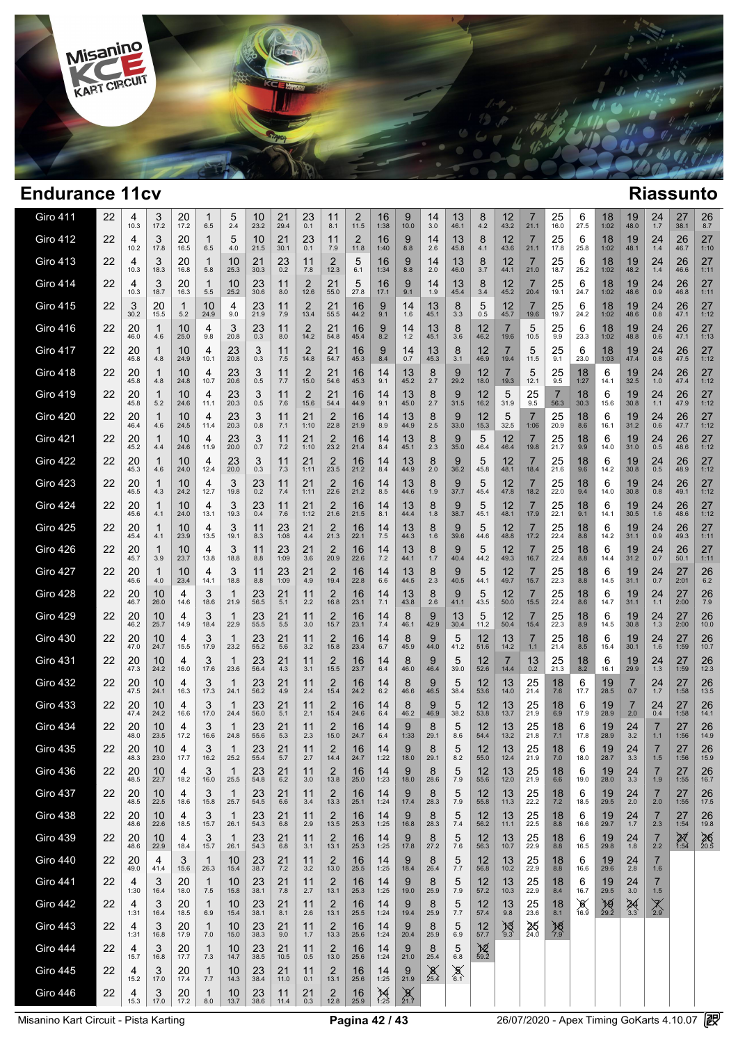

| Giro 411        | 22 | 4<br>10.3  | 3<br>17.2  | 20<br>17.2     | 1<br>6.5            | 5<br>2.4             | 10<br>23.2  | 21<br>29.4    | 23<br>0.1              | 11<br>8.1              | 2<br>11.5  | 16<br>1:38                     | 9<br>10.0        | 14<br>3.0     | 13<br>46.1      | 8<br>4.2                  | 12<br>43.2          | $\prime$<br>21.1       | 25<br>16.0       | 6<br>27.5              | 18<br>1:02        | 19<br>48.0       | 24<br>1.7                 | 27<br>38.1              | 26<br>8.7            |
|-----------------|----|------------|------------|----------------|---------------------|----------------------|-------------|---------------|------------------------|------------------------|------------|--------------------------------|------------------|---------------|-----------------|---------------------------|---------------------|------------------------|------------------|------------------------|-------------------|------------------|---------------------------|-------------------------|----------------------|
| <b>Giro 412</b> | 22 | 4<br>10.2  | 3<br>17.8  | 20<br>16.5     | 1<br>6.5            | 5<br>4.0             | 10<br>21.5  | 21<br>30.1    | 23<br>0.1              | 11<br>7.9              | 2<br>11.8  | 16<br>1:40                     | 9<br>8.8         | 14<br>2.6     | 13<br>45.8      | 8<br>4.1                  | 12<br>43.6          | $\overline{7}$<br>21.1 | 25<br>17.8       | 6<br>25.8              | 18<br>1:02        | 19<br>48.1       | 24<br>1.4                 | 26<br>46.7              | 27<br>1:10           |
| <b>Giro 413</b> | 22 | 4<br>10.3  | 3<br>18.3  | 20<br>16.8     | 1<br>5.8            | 10<br>25.3           | 21<br>30.3  | 23<br>0.2     | 11<br>7.8              | 2<br>12.3              | 5<br>6.1   | 16<br>1:34                     | 9<br>8.8         | 14<br>2.0     | 13<br>46.0      | 8<br>3.7                  | 12<br>44.1          | $\overline{7}$<br>21.0 | 25<br>18.7       | 6<br>25.2              | 18<br>1:02        | 19<br>48.2       | 24<br>1.4                 | 26<br>46.6              | 27<br>1:11           |
| <b>Giro 414</b> | 22 | 4<br>10.3  | 3<br>18.7  | 20<br>16.3     | 1<br>$5.5$          | 10<br>25.2           | 23<br>30.6  | 11<br>8.0     | $\overline{2}$<br>12.6 | 21<br>55.0             | 5<br>27.8  | 16<br>17.1                     | 9<br>9.1         | 14<br>1.9     | 13<br>45.4      | 8<br>3.4                  | 12<br>45.2          | $\overline{7}$<br>20.4 | 25<br>19.1       | 6<br>24.7              | 18<br>1:02        | 19<br>48.6       | 24<br>0.9                 | 26<br>46.8              | 27<br>1:11           |
| <b>Giro 415</b> | 22 | 3<br>30.2  | 20<br>15.5 | 1<br>5.2       | 10<br>24.9          | 4<br>9.0             | 23<br>21.9  | 11<br>7.9     | $\overline{2}$<br>13.4 | 21<br>55.5             | 16<br>44.2 | 9<br>9.1                       | 14<br>1.6        | 13<br>45.1    | 8<br>3.3        | 5<br>0.5                  | 12<br>45.7          | $\overline{7}$<br>19.6 | 25<br>19.7       | 6<br>24.2              | 18<br>1:02        | 19<br>48.6       | 24<br>0.8                 | 26<br>47.1              | 27<br>1:12           |
| Giro 416        | 22 | 20<br>46.0 | 1<br>4.6   | 10<br>25.0     | 4<br>9.8            | 3<br>20.8            | 23<br>0.3   | 11<br>8.0     | $\overline{2}$<br>14.2 | 21<br>54.8             | 16<br>45.4 | 9<br>8.2                       | 14<br>$1.2$      | 13<br>45.1    | 8<br>3.6        | 12<br>46.2                | 19.6                | 5<br>10.5              | 25<br>9.9        | 6<br>23.3              | 18<br>1:02        | 19<br>48.8       | 24<br>0.6                 | 26<br>47.1              | 27<br>1:13           |
| Giro 417        | 22 | 20<br>45.8 | 1<br>4.8   | 10<br>24.9     | 4<br>10.1           | 23<br>20.8           | 3<br>0.3    | 11<br>7.5     | $\overline{2}$<br>14.8 | 21<br>54.7             | 16<br>45.3 | 9<br>8.4                       | 14<br>0.7        | 13<br>45.3    | 8<br>3.1        | 12<br>46.9                | 19.4                | 5<br>11.5              | 25<br>9.1        | 6<br>23.0              | 18<br>1:03        | 19<br>47.4       | 24<br>0.8                 | 26<br>47.5              | 27<br>1:12           |
| <b>Giro 418</b> | 22 | 20<br>45.8 | 4.8        | 10<br>24.8     | 4<br>10.7           | 23<br>20.6           | 3<br>0.5    | 11<br>7.7     | 2<br>15.0              | 21<br>54.6             | 16<br>45.3 | 14<br>9.1                      | 13<br>45.2       | 8<br>2.7      | 9<br>29.2       | 12<br>18.0                | 19.3                | 5<br>12.1              | 25<br>9.5        | 18<br>1:27             | 6<br>14.1         | 19<br>32.5       | 24<br>1.0                 | 26<br>47.4              | 27<br>1:12           |
| Giro 419        | 22 | 20<br>45.8 | 1<br>5.2   | 10<br>24.6     | 4<br>11.1           | 23<br>20.3           | 3<br>0.5    | 11<br>7.6     | 2<br>15.6              | 21<br>54.4             | 16<br>44.9 | 14<br>9.1                      | 13<br>45.0       | 8<br>2.7      | 9<br>31.5       | 12<br>16.2                | 5<br>31.9           | 25<br>9.5              | 7<br>56.3        | 18<br>30.3             | 6<br>15.6         | 19<br>30.8       | 24<br>1.1                 | 26<br>47.9              | 27<br>1:12           |
| <b>Giro 420</b> | 22 | 20<br>46.4 | 4.6        | 10<br>24.5     | 4<br>11.4           | 23<br>20.3           | 3<br>0.8    | 11<br>7.1     | 21<br>1:10             | $\overline{2}$<br>22.8 | 16<br>21.9 | 14<br>8.9                      | 13<br>44.9       | 8<br>2.5      | 9<br>33.0       | 12<br>15.3                | 5<br>32.5           | $\overline{7}$<br>1:06 | 25<br>20.9       | 18<br>8.6              | 6<br>16.1         | 19<br>31.2       | 24<br>0.6                 | 26<br>47.7              | 27<br>1:12           |
| <b>Giro 421</b> | 22 | 20<br>45.2 | 1<br>4.4   | 10<br>24.6     | 4<br>11.9           | 23<br>20.0           | 3<br>0.7    | 11<br>7.2     | 21<br>1:10             | 2<br>23.2              | 16<br>21.4 | 14<br>8.4                      | 13<br>45.1       | 8<br>2.3      | 9<br>35.0       | 5<br>46.4                 | 12<br>46.4          | $\overline{7}$<br>19.8 | 25<br>21.7       | 18<br>9.9              | 6<br>14.0         | 19<br>31.0       | 24<br>0.5                 | 26<br>48.6              | 27<br>1:12           |
| <b>Giro 422</b> | 22 | 20<br>45.3 | 1<br>4.6   | 10<br>24.0     | 4<br>12.4           | 23<br>20.0           | 3<br>0.3    | 11<br>7.3     | 21<br>1:11             | 2<br>23.5              | 16<br>21.2 | 14<br>8.4                      | 13<br>44.9       | 8<br>2.0      | 9<br>36.2       | 5<br>45.8                 | 12<br>48.1          | 7<br>18.4              | 25<br>21.6       | 18<br>9.6              | 6<br>14.2         | 19<br>30.8       | 24<br>0.5                 | 26<br>48.9              | 27<br>1:12           |
| <b>Giro 423</b> | 22 | 20<br>45.5 | 1<br>4.3   | 10<br>24.2     | 4<br>12.7           | 3<br>19.8            | 23<br>0.2   | 11<br>7.4     | 21<br>1:11             | 2<br>22.6              | 16<br>21.2 | 14<br>8.5                      | 13<br>44.6       | 8<br>1.9      | 9<br>37.7       | 5<br>45.4                 | 12<br>47.8          | $\overline{7}$<br>18.2 | 25<br>22.0       | 18<br>9.4              | 6<br>14.0         | 19<br>30.8       | 24<br>0.8                 | 26<br>49.1              | 27<br>1:12           |
| <b>Giro 424</b> | 22 | 20<br>45.6 | 1<br>4.1   | 10<br>24.0     | 4<br>13.1           | 3<br>19.3            | 23<br>0.4   | 11<br>7.6     | 21<br>1:12             | $\overline{2}$<br>21.6 | 16<br>21.5 | 14<br>8.1                      | 13<br>44.4       | 8<br>1.8      | 9<br>38.7       | 5<br>45.1                 | 12<br>48.1          | $\overline{7}$<br>17.9 | 25<br>22.1       | 18<br>9.1              | 6<br>14.1         | 19<br>30.5       | 24<br>1.6                 | 26<br>48.6              | 27<br>1:12           |
| <b>Giro 425</b> | 22 | 20<br>45.4 | 1<br>4.1   | 10<br>23.9     | 4<br>13.5           | 3<br>19.1            | 11<br>8.3   | 23<br>1:08    | 21<br>4.4              | 2<br>21.3              | 16<br>22.1 | 14<br>7.5                      | 13<br>44.3       | 8<br>1.6      | 9<br>39.6       | 5<br>44.6                 | 12<br>48.8          | $\frac{7}{17.2}$       | 25<br>22.4       | 18<br>8.8              | 6<br>14.2         | 19<br>31.1       | 24<br>0.9                 | 26<br>49.3              | 27<br>1:11           |
| <b>Giro 426</b> | 22 | 20<br>45.7 | 1<br>3.9   | 10<br>23.7     | 4<br>13.8           | 3<br>18.8            | 11<br>8.8   | 23<br>1:09    | 21<br>3.6              | $\overline{2}$<br>20.9 | 16<br>22.6 | 14<br>7.2                      | 13<br>44.1       | 8<br>1.7      | 40.4            | 5<br>44.2                 | 12<br>49.3          | $\frac{7}{16.7}$       | 25<br>22.4       | 18<br>8.8              | 6<br>14.4         | 19<br>31.2       | 24<br>0.7                 | 26<br>50.1              | 27<br>1:11           |
| <b>Giro 427</b> | 22 | 20<br>45.6 | 1<br>4.0   | 10<br>23.4     | 4<br>14.1           | 3<br>18.8            | 11<br>8.8   | 23<br>1:09    | 21<br>4.9              | 2<br>19.4              | 16<br>22.8 | 14<br>6.6                      | 13<br>44.5       | 8<br>2.3      | 9<br>40.5       | 5<br>44.1                 | 12<br>49.7          | $\frac{7}{15.7}$       | 25<br>22.3       | 18<br>8.8              | 6<br>14.5         | 19<br>31.1       | 24<br>0.7                 | 27<br>2:01              | 26<br>6.2            |
| <b>Giro 428</b> | 22 | 20<br>46.7 | 10<br>26.0 | 4<br>14.6      | 3<br>18.6           | 1<br>21.9            | 23<br>56.5  | 21<br>5.1     | 11<br>2.2              | 2<br>16.8              | 16<br>23.1 | 14<br>7.1                      | 13<br>43.8       | 8<br>2.6      | 9<br>41.1       | 5<br>43.5                 | 12<br>50.0          | $\overline{7}$<br>15.5 | 25<br>22.4       | 18<br>8.6              | 6<br>14.7         | 19<br>31.1       | 24<br>1.1                 | 27<br>2:00              | 26<br>7.9            |
| <b>Giro 429</b> | 22 | 20<br>46.2 | 10<br>25.7 | 4<br>14.9      | 3<br>18.4           | 1<br>22.9            | 23<br>55.5  | 21<br>5.5     | 11<br>3.0              | 2<br>15.7              | 16<br>23.1 | 14<br>7.4                      | 8<br>46.1        | 9<br>42.9     | 13<br>30.4      | 5<br>11.2                 | 12<br>50.4          | $\overline{7}$<br>15.4 | 25<br>22.3       | 18<br>8.9              | 6<br>14.5         | 19<br>30.8       | 24<br>1.3                 | 27<br>2:00              | 26<br>10.0           |
| <b>Giro 430</b> | 22 | 20<br>47.0 | 10<br>24.7 | 4<br>15.5      | 3<br>17.9           | 1<br>23.2            | 23<br>55.2  | 21<br>5.6     | 11<br>3.2              | 2<br>15.8              | 16<br>23.4 | 14<br>6.7                      | 8<br>45.9        | 9<br>44.0     | 5<br>41.2       | 12<br>51.6                | 13<br>14.2          | $\overline{7}$<br>1.1  | 25<br>21.4       | 18<br>8.5              | 6<br>15.4         | 19<br>30.1       | 24<br>1.6                 | 27<br>1:59              | 26<br>10.7           |
| <b>Giro 431</b> | 22 | 20<br>47.3 | 10<br>24.2 | 4<br>16.0      | 3<br>17.6           | -1<br>23.6           | 23<br>56.4  | 21<br>4.3     | 11<br>3.1              | 2<br>15.5              | 16<br>23.7 | 14<br>6.4                      | 8<br>46.0        | 9<br>46.4     | 5<br>39.0       | 12<br>52.6                | 7<br>14.4           | 13<br>0.2              | 25<br>21.3       | 18<br>8.2              | 6<br>16.1         | 19<br>29.9       | 24<br>1.3                 | 27<br>1:59              | 26<br>12.3           |
| <b>Giro 432</b> | 22 | 20<br>47.5 | 10<br>24.1 | 4<br>16.3      | 3<br>17.3           | 1<br>24.1            | 23<br>56.2  | 21<br>4.9     | 11<br>2.4              | 2<br>15.4              | 16<br>24.2 | 14<br>6.2                      | 8<br>46.6        | 9<br>46.5     | 5<br>38.4       | 12<br>53.6                | 13<br>14.0          | 25<br>21.4             | 18<br>7.6        | 6<br>17.7              | 19<br>28.5        | 7<br>0.7         | 24<br>1.7                 | 27<br>1:58              | 26<br>13.5           |
| <b>Giro 433</b> | 22 | 20<br>47.4 | 10<br>24.2 | 4<br>16.6      | 3<br>17.0           | -1<br>24.4           | 23<br>56.0  | 21<br>5.1     | 11<br>2.1              | 2<br>15.4              | 16<br>24.6 | 14<br>6.4                      | 8<br>46.2        | 9<br>46.9     | 5<br>38.2       | 12<br>53.8                | 13<br>13.7          | 25<br>21.9             | 18<br>6.9        | 6<br>17.9              | 19<br>28.9        | 7<br>2.0         | 24<br>0.4                 | 27<br>1:58              | 26<br>14.1           |
| <b>Giro 434</b> | 22 | 20<br>48.0 | 10<br>23.5 | 4<br>17.2      | 3<br>16.6           | 1<br>24.8            | 23<br>55.6  | 21<br>5.3     | 11<br>2.3              | 2<br>15.0              | 16<br>24.7 | 14<br>6.4                      | 9<br>1:33        | 8<br>29.1     | 5<br>8.6        | 12<br>54.4                | 13<br>13.2          | 25<br>21.8             | 18<br>7.1        | 6<br>17.8              | 19<br>28.9        | 24<br>3.2        | 7<br>1.1                  | 27<br>1:56              | 26<br>14.9           |
| <b>Giro 435</b> | 22 | 20<br>48.3 | 10<br>23.0 | 4<br>17.7      | 3<br>16.2           | $\mathbf 1$<br>25.2  | 23<br>55.4  | 21<br>5.7     | 11<br>2.7              | 2<br>14.4              | 16<br>24.7 | 14<br>1:22                     | 9<br>18.0        | 8<br>29.1     | 5<br>8.2        | 12<br>55.0                | 13<br>12.4          | 25<br>21.9             | 18<br>7.0        | 6<br>18.0              | 19<br>28.7        | 24<br>3.3        | $\overline{7}$<br>1.5     | 27<br>1:56              | 26<br>15.9           |
| <b>Giro 436</b> | 22 | 20<br>48.5 | 10<br>22.7 | 4<br>18.2      | 3<br>16.0           | 25.5                 | 23<br>54.8  | 21<br>6.2     | 11<br>3.0              | 2<br>13.8              | 16<br>25.0 | 14<br>1:23                     | 9<br>18.0        | 8<br>28.6     | $\frac{5}{7.9}$ | 12<br>55.6                | 13<br>12.0          | $25$<br>$21.9$         | 18<br>$6.6\,$    | 6<br>19.0              | 19<br>28.0        | 24<br>3.3        | 1.9                       | 27<br>1:55              | 26<br>16.7           |
| <b>Giro 437</b> | 22 | 20<br>48.5 | 10<br>22.5 | 4<br>18.6      | 3<br>15.8           | -1<br>25.7           | 23<br>54.5  | 21<br>6.6     | 11<br>3.4              | $\overline{2}$<br>13.3 | 16<br>25.1 | 14<br>1:24                     | 9<br>17.4        | 8<br>28.3     | $\frac{5}{7.9}$ | $12 \overline{ }$<br>55.8 | 13<br>11.3          | $25$ <sub>22.2</sub>   | $^{18}_{7.2}$    | 6<br>18.5              | 19<br>29.5        | $^{24}_{2.0}$    | 7<br>$2.0\,$              | 27<br>1:55              | 26<br>17.5           |
| <b>Giro 438</b> | 22 | 20<br>48.6 | 10<br>22.6 | 4<br>18.5      | 3<br>15.7           | $\mathbf{1}$<br>26.1 | 23<br>54.3  | 21<br>6.8     | 11<br>2.9              | $\overline{2}$<br>13.5 | 16<br>25.3 | 14<br>1:25                     | 9<br>16.8        | 8<br>28.3     | 5<br>7.4        | 12<br>56.2                | 13<br>11.1          | 25<br>22.5             | 18<br>8.8        | 6<br>16.6              | 19<br>29.7        | 24<br>1.7        | $\mathbf{7}$<br>2.3       | 27<br>1:54              | 26<br>19.8           |
| <b>Giro 439</b> | 22 | 20<br>48.6 | 10<br>22.9 | 4<br>18.4      | 3<br>15.7           | -1<br>26.1           | 23<br>54.3  | 21<br>6.8     | 11<br>3.1              | $\frac{2}{13.1}$       | 16<br>25.3 | 14<br>1:25                     | 9<br>17.8        | 8<br>27.2     | 5<br>$7.6$      | $12 \overline{ }$<br>56.3 | 13<br>10.7          | $\frac{25}{22.9}$      | 18<br>8.8        | 6<br>16.5              | $\frac{19}{29.8}$ | $^{24}_{1.8}$    | $\frac{7}{2.2}$           | $\frac{2}{\sqrt{1.54}}$ | $26$ <sub>20.5</sub> |
| <b>Giro 440</b> | 22 | 20<br>49.0 | 4<br>41.4  | 3<br>15.6      | -1<br>26.3          | 10<br>15.4           | 23<br>38.7  | $^{21}_{7.2}$ | 11<br>3.2              | $\frac{2}{13.0}$       | 16<br>25.5 | 14<br>1:25                     | 9<br>18.4        | 8<br>26.4     | $\frac{5}{7.7}$ | 12<br>56.8                | 13<br>10.2          | $\frac{25}{22.9}$      | $\frac{18}{8.8}$ | 6<br>16.6              | $\frac{19}{29.6}$ | $^{24}_{2.8}$    | $\overline{7}$<br>1.6     |                         |                      |
| <b>Giro 441</b> | 22 | 4<br>1:30  | 3<br>16.4  | 20<br>18.0     | -1<br>7.5           | 10<br>15.8           | 23<br>38.1  | 21<br>7.8     | 11<br>2.7              | $\frac{2}{13.1}$       | 16<br>25.3 | 14<br>1:25                     | 9<br>19.0        | 8<br>25.9     | 5<br>7.9        | $12 \overline{ }$<br>57.2 | 13<br>10.3          | 25<br>22.9             | 18<br>8.4        | 6<br>16.7              | $\frac{19}{29.5}$ | $^{24}_{3.0}$    | $\overline{7}$<br>$1.5\,$ |                         |                      |
| <b>Giro 442</b> | 22 | 4<br>1:31  | 3<br>16.4  | 20<br>18.5     | $\mathbf{1}$<br>6.9 | 10<br>15.4           | 23<br>38.1  | 21<br>8.1     | 11<br>2.6              | $\overline{2}$<br>13.1 | 16<br>25.5 | 14<br>1:24                     | 9<br>19.4        | 8<br>25.9     | 5<br>$7.7$      | 12<br>57.4                | 13<br>9.8           | 25<br>23.6             | 18<br>8.1        | $\chi$ <sup>16.9</sup> | $\frac{10}{29.2}$ | $\frac{24}{3.3}$ | $\sum_{2.9}$              |                         |                      |
| <b>Giro 443</b> | 22 | 4<br>1:31  | 3<br>16.8  | $^{20}_{17.9}$ | $\mathbf{1}$<br>7.0 | 10<br>15.0           | $23_{38.3}$ | 21<br>9.0     | 11<br>1.7              | $\frac{2}{13.3}$       | 16<br>25.6 | 14<br>1:24                     | 9<br>20.4        | 8<br>25.9     | $\frac{5}{6.9}$ | 12<br>57.7                | $\mathcal{B}_{9.3}$ | $\frac{25}{24.0}$      | $\frac{18}{7.9}$ |                        |                   |                  |                           |                         |                      |
| <b>Giro 444</b> | 22 | 4<br>15.7  | 3<br>16.8  | 20<br>17.7     | $\mathbf{1}$<br>7.3 | 10<br>14.7           | 23<br>38.5  | 21<br>10.5    | 11<br>0.5              | $\overline{2}$<br>13.0 | 16<br>25.6 | 14<br>1:24                     | 9<br>21.0        | 8<br>25.4     | $\frac{5}{6.8}$ | $\chi_{\frac{59.2}{}}$    |                     |                        |                  |                        |                   |                  |                           |                         |                      |
| <b>Giro 445</b> | 22 | 4<br>15.2  | 3<br>17.0  | 20<br>17.4     | $\mathbf{1}$<br>7.7 | 10<br>14.3           | 23<br>38.4  | 21<br>11.0    | 11<br>0.1              | $\overline{2}$<br>13.1 | 16<br>25.6 | 14<br>1:25                     | 9<br>21.9        | $\chi_{25.4}$ | $\sum_{6.1}$    |                           |                     |                        |                  |                        |                   |                  |                           |                         |                      |
| <b>Giro 446</b> | 22 | 4<br>15.3  | 3<br>17.0  | 20<br>17.2     | $\mathbf 1$<br>8.0  | 10<br>13.7           | 23<br>38.6  | 11<br>11.4    | 21<br>$0.3\,$          | $\overline{2}$<br>12.8 | 16<br>25.9 | $\underset{1:25}{\cancel{14}}$ | $\frac{9}{21.7}$ |               |                 |                           |                     |                        |                  |                        |                   |                  |                           |                         |                      |

Misanino Kart Circuit - Pista Karting **Pagina 42 / 43** 26/07/2020 - Apex Timing GoKarts 4.10.07